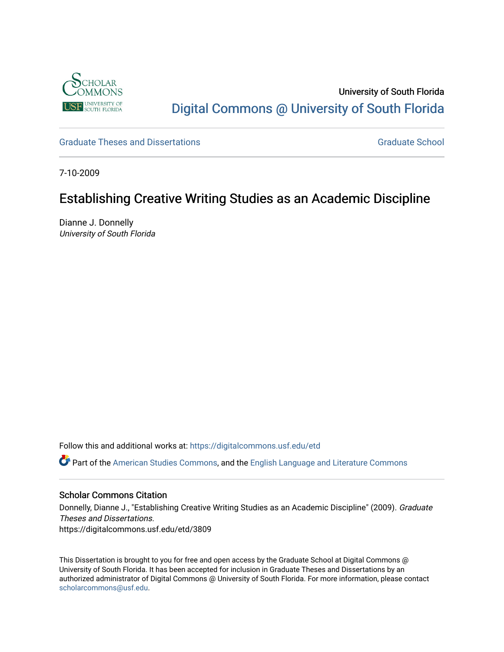

## University of South Florida [Digital Commons @ University of South Florida](https://digitalcommons.usf.edu/)

[Graduate Theses and Dissertations](https://digitalcommons.usf.edu/etd) [Graduate School](https://digitalcommons.usf.edu/grad) Craduate School Craduate School

7-10-2009

# Establishing Creative Writing Studies as an Academic Discipline

Dianne J. Donnelly University of South Florida

Follow this and additional works at: [https://digitalcommons.usf.edu/etd](https://digitalcommons.usf.edu/etd?utm_source=digitalcommons.usf.edu%2Fetd%2F3809&utm_medium=PDF&utm_campaign=PDFCoverPages) 

Part of the [American Studies Commons](http://network.bepress.com/hgg/discipline/439?utm_source=digitalcommons.usf.edu%2Fetd%2F3809&utm_medium=PDF&utm_campaign=PDFCoverPages), and the [English Language and Literature Commons](http://network.bepress.com/hgg/discipline/455?utm_source=digitalcommons.usf.edu%2Fetd%2F3809&utm_medium=PDF&utm_campaign=PDFCoverPages)

#### Scholar Commons Citation

Donnelly, Dianne J., "Establishing Creative Writing Studies as an Academic Discipline" (2009). Graduate Theses and Dissertations. https://digitalcommons.usf.edu/etd/3809

This Dissertation is brought to you for free and open access by the Graduate School at Digital Commons @ University of South Florida. It has been accepted for inclusion in Graduate Theses and Dissertations by an authorized administrator of Digital Commons @ University of South Florida. For more information, please contact [scholarcommons@usf.edu.](mailto:scholarcommons@usf.edu)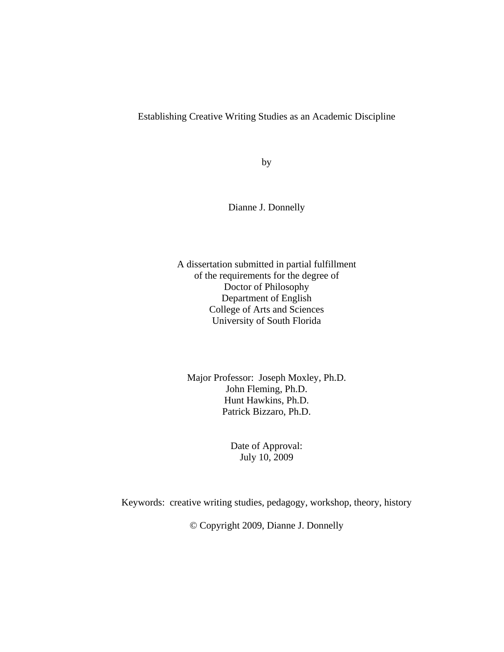#### Establishing Creative Writing Studies as an Academic Discipline

by

Dianne J. Donnelly

A dissertation submitted in partial fulfillment of the requirements for the degree of Doctor of Philosophy Department of English College of Arts and Sciences University of South Florida

Major Professor: Joseph Moxley, Ph.D. John Fleming, Ph.D. Hunt Hawkins, Ph.D. Patrick Bizzaro, Ph.D.

> Date of Approval: July 10, 2009

Keywords: creative writing studies, pedagogy, workshop, theory, history

© Copyright 2009, Dianne J. Donnelly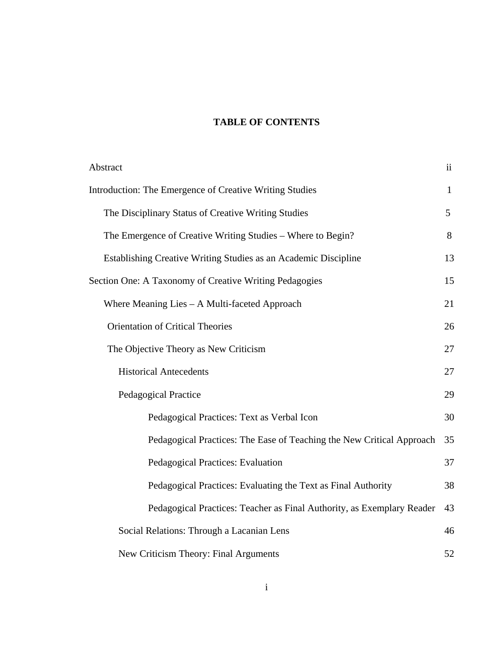## **TABLE OF CONTENTS**

| Abstract                                                               |    |  |
|------------------------------------------------------------------------|----|--|
| Introduction: The Emergence of Creative Writing Studies                |    |  |
| The Disciplinary Status of Creative Writing Studies                    | 5  |  |
| The Emergence of Creative Writing Studies – Where to Begin?            | 8  |  |
| Establishing Creative Writing Studies as an Academic Discipline        | 13 |  |
| Section One: A Taxonomy of Creative Writing Pedagogies                 |    |  |
| Where Meaning Lies - A Multi-faceted Approach                          | 21 |  |
| <b>Orientation of Critical Theories</b>                                | 26 |  |
| The Objective Theory as New Criticism                                  | 27 |  |
| <b>Historical Antecedents</b>                                          | 27 |  |
| <b>Pedagogical Practice</b>                                            | 29 |  |
| Pedagogical Practices: Text as Verbal Icon                             | 30 |  |
| Pedagogical Practices: The Ease of Teaching the New Critical Approach  | 35 |  |
| Pedagogical Practices: Evaluation                                      | 37 |  |
| Pedagogical Practices: Evaluating the Text as Final Authority          | 38 |  |
| Pedagogical Practices: Teacher as Final Authority, as Exemplary Reader | 43 |  |
| Social Relations: Through a Lacanian Lens                              | 46 |  |
| New Criticism Theory: Final Arguments                                  | 52 |  |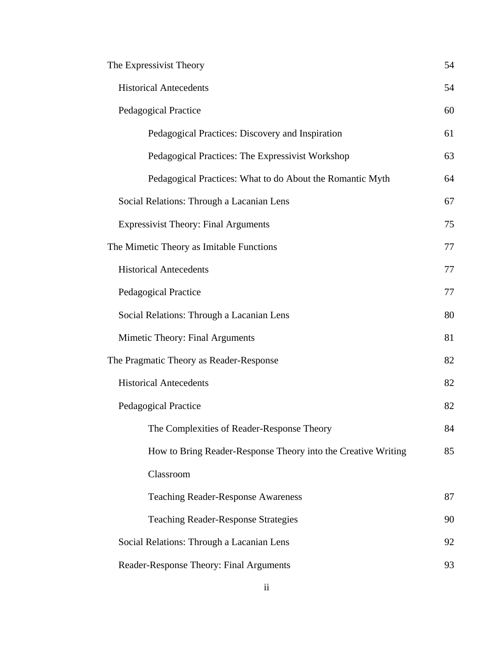| The Expressivist Theory                                       | 54 |
|---------------------------------------------------------------|----|
| <b>Historical Antecedents</b>                                 | 54 |
| Pedagogical Practice                                          | 60 |
| Pedagogical Practices: Discovery and Inspiration              | 61 |
| Pedagogical Practices: The Expressivist Workshop              | 63 |
| Pedagogical Practices: What to do About the Romantic Myth     | 64 |
| Social Relations: Through a Lacanian Lens                     | 67 |
| <b>Expressivist Theory: Final Arguments</b>                   | 75 |
| The Mimetic Theory as Imitable Functions                      | 77 |
| <b>Historical Antecedents</b>                                 | 77 |
| <b>Pedagogical Practice</b>                                   | 77 |
| Social Relations: Through a Lacanian Lens                     | 80 |
| Mimetic Theory: Final Arguments                               | 81 |
| The Pragmatic Theory as Reader-Response                       | 82 |
| <b>Historical Antecedents</b>                                 | 82 |
| Pedagogical Practice                                          | 82 |
| The Complexities of Reader-Response Theory                    | 84 |
| How to Bring Reader-Response Theory into the Creative Writing | 85 |
| Classroom                                                     |    |
| <b>Teaching Reader-Response Awareness</b>                     | 87 |
| <b>Teaching Reader-Response Strategies</b>                    | 90 |
| Social Relations: Through a Lacanian Lens                     | 92 |
| Reader-Response Theory: Final Arguments                       | 93 |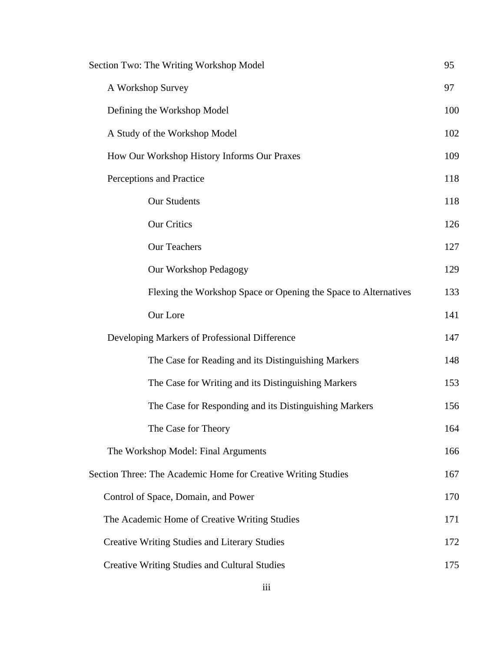| Section Two: The Writing Workshop Model                                                                                                               |     |                                                      |     |
|-------------------------------------------------------------------------------------------------------------------------------------------------------|-----|------------------------------------------------------|-----|
| A Workshop Survey                                                                                                                                     |     |                                                      |     |
| Defining the Workshop Model                                                                                                                           |     |                                                      |     |
| A Study of the Workshop Model                                                                                                                         | 102 |                                                      |     |
| How Our Workshop History Informs Our Praxes                                                                                                           | 109 |                                                      |     |
| Perceptions and Practice                                                                                                                              | 118 |                                                      |     |
| <b>Our Students</b>                                                                                                                                   | 118 |                                                      |     |
| <b>Our Critics</b>                                                                                                                                    | 126 |                                                      |     |
| <b>Our Teachers</b>                                                                                                                                   | 127 |                                                      |     |
| Our Workshop Pedagogy                                                                                                                                 | 129 |                                                      |     |
| Flexing the Workshop Space or Opening the Space to Alternatives                                                                                       | 133 |                                                      |     |
| Our Lore                                                                                                                                              | 141 |                                                      |     |
| Developing Markers of Professional Difference                                                                                                         | 147 |                                                      |     |
| The Case for Reading and its Distinguishing Markers                                                                                                   | 148 |                                                      |     |
| The Case for Writing and its Distinguishing Markers                                                                                                   | 153 |                                                      |     |
| The Case for Responding and its Distinguishing Markers                                                                                                | 156 |                                                      |     |
| The Case for Theory                                                                                                                                   | 164 |                                                      |     |
| The Workshop Model: Final Arguments                                                                                                                   | 166 |                                                      |     |
| Section Three: The Academic Home for Creative Writing Studies<br>Control of Space, Domain, and Power<br>The Academic Home of Creative Writing Studies |     |                                                      |     |
|                                                                                                                                                       |     | <b>Creative Writing Studies and Literary Studies</b> | 172 |
|                                                                                                                                                       |     | <b>Creative Writing Studies and Cultural Studies</b> | 175 |
|                                                                                                                                                       |     |                                                      |     |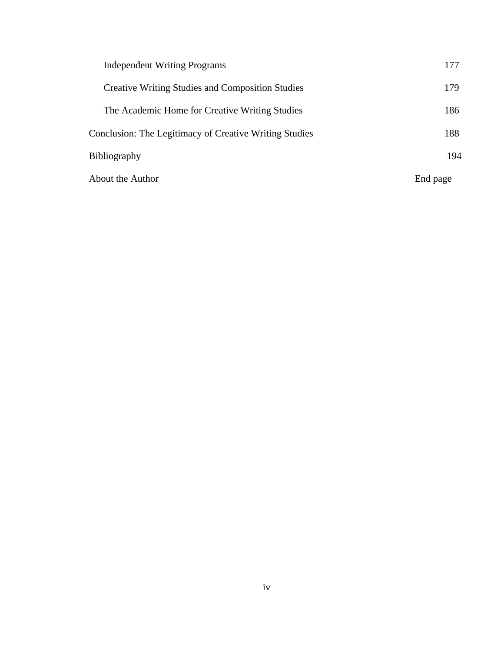| <b>Independent Writing Programs</b>                           | 177      |
|---------------------------------------------------------------|----------|
| <b>Creative Writing Studies and Composition Studies</b>       | 179      |
| The Academic Home for Creative Writing Studies                | 186      |
| <b>Conclusion: The Legitimacy of Creative Writing Studies</b> | 188      |
| Bibliography                                                  | 194      |
| About the Author                                              | End page |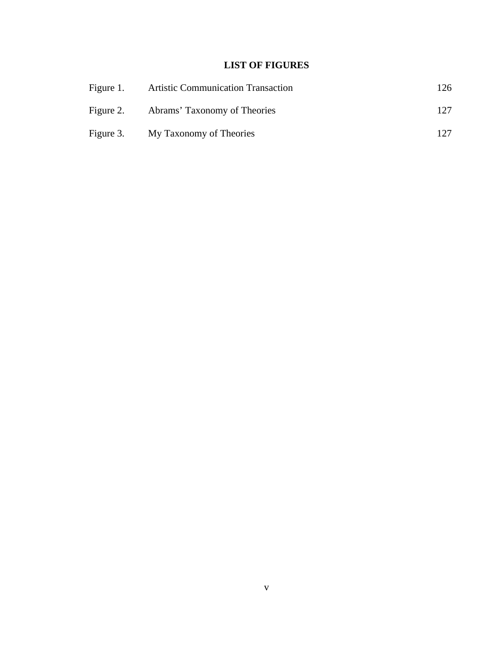### **LIST OF FIGURES**

| Figure 1. Artistic Communication Transaction | 126 |
|----------------------------------------------|-----|
| Figure 2. Abrams' Taxonomy of Theories       | 127 |
| Figure 3. My Taxonomy of Theories            | 127 |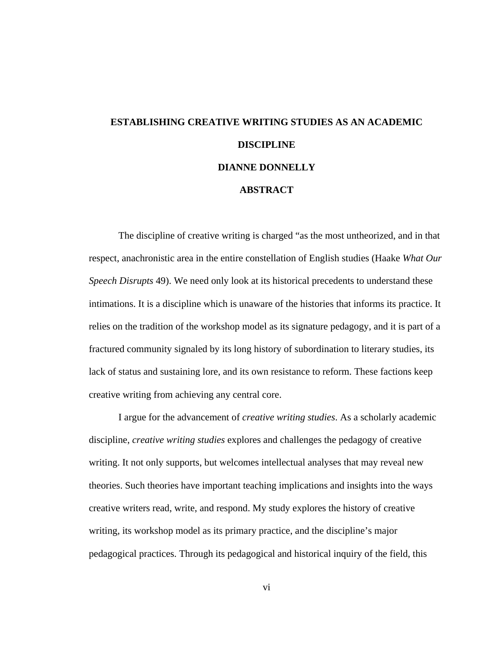# **ESTABLISHING CREATIVE WRITING STUDIES AS AN ACADEMIC DISCIPLINE DIANNE DONNELLY ABSTRACT**

The discipline of creative writing is charged "as the most untheorized, and in that respect, anachronistic area in the entire constellation of English studies (Haake *What Our Speech Disrupts* 49). We need only look at its historical precedents to understand these intimations. It is a discipline which is unaware of the histories that informs its practice. It relies on the tradition of the workshop model as its signature pedagogy, and it is part of a fractured community signaled by its long history of subordination to literary studies, its lack of status and sustaining lore, and its own resistance to reform. These factions keep creative writing from achieving any central core.

I argue for the advancement of *creative writing studies*. As a scholarly academic discipline, *creative writing studies* explores and challenges the pedagogy of creative writing. It not only supports, but welcomes intellectual analyses that may reveal new theories. Such theories have important teaching implications and insights into the ways creative writers read, write, and respond. My study explores the history of creative writing, its workshop model as its primary practice, and the discipline's major pedagogical practices. Through its pedagogical and historical inquiry of the field, this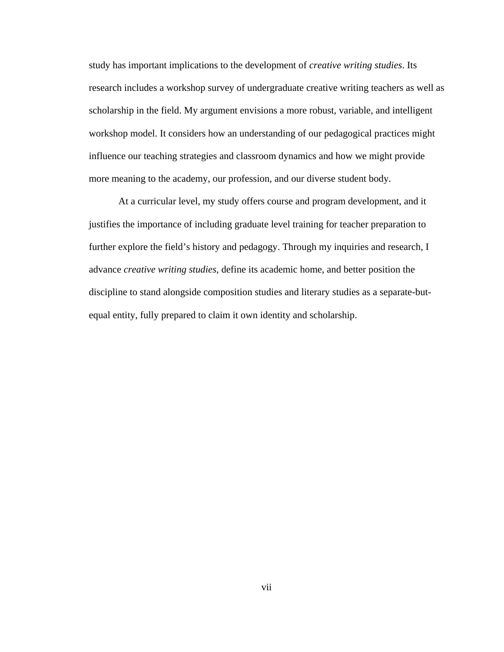study has important implications to the development of *creative writing studies*. Its research includes a workshop survey of undergraduate creative writing teachers as well as scholarship in the field. My argument envisions a more robust, variable, and intelligent workshop model. It considers how an understanding of our pedagogical practices might influence our teaching strategies and classroom dynamics and how we might provide more meaning to the academy, our profession, and our diverse student body.

At a curricular level, my study offers course and program development, and it justifies the importance of including graduate level training for teacher preparation to further explore the field's history and pedagogy. Through my inquiries and research, I advance *creative writing studies*, define its academic home, and better position the discipline to stand alongside composition studies and literary studies as a separate-butequal entity, fully prepared to claim it own identity and scholarship.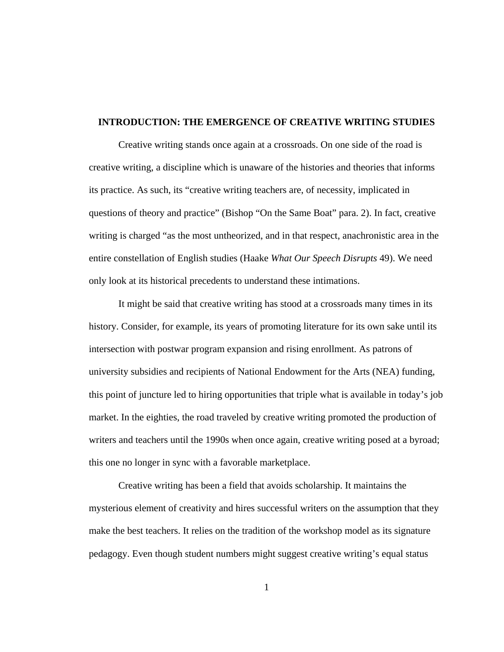#### **INTRODUCTION: THE EMERGENCE OF CREATIVE WRITING STUDIES**

Creative writing stands once again at a crossroads. On one side of the road is creative writing, a discipline which is unaware of the histories and theories that informs its practice. As such, its "creative writing teachers are, of necessity, implicated in questions of theory and practice" (Bishop "On the Same Boat" para. 2). In fact, creative writing is charged "as the most untheorized, and in that respect, anachronistic area in the entire constellation of English studies (Haake *What Our Speech Disrupts* 49). We need only look at its historical precedents to understand these intimations.

It might be said that creative writing has stood at a crossroads many times in its history. Consider, for example, its years of promoting literature for its own sake until its intersection with postwar program expansion and rising enrollment. As patrons of university subsidies and recipients of National Endowment for the Arts (NEA) funding, this point of juncture led to hiring opportunities that triple what is available in today's job market. In the eighties, the road traveled by creative writing promoted the production of writers and teachers until the 1990s when once again, creative writing posed at a byroad; this one no longer in sync with a favorable marketplace.

Creative writing has been a field that avoids scholarship. It maintains the mysterious element of creativity and hires successful writers on the assumption that they make the best teachers. It relies on the tradition of the workshop model as its signature pedagogy. Even though student numbers might suggest creative writing's equal status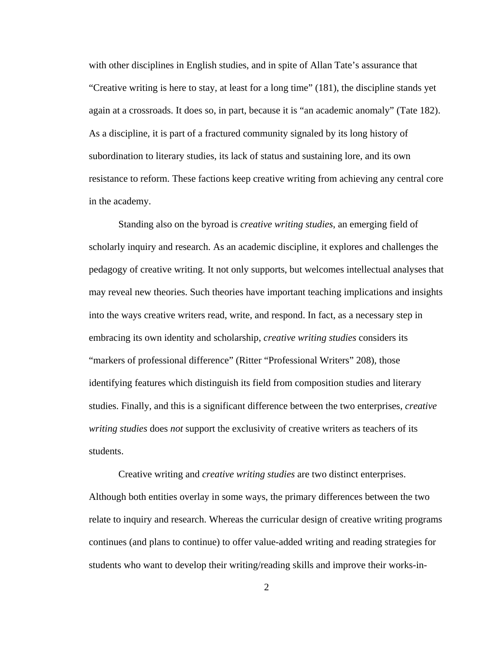with other disciplines in English studies, and in spite of Allan Tate's assurance that "Creative writing is here to stay, at least for a long time" (181), the discipline stands yet again at a crossroads. It does so, in part, because it is "an academic anomaly" (Tate 182). As a discipline, it is part of a fractured community signaled by its long history of subordination to literary studies, its lack of status and sustaining lore, and its own resistance to reform. These factions keep creative writing from achieving any central core in the academy.

Standing also on the byroad is *creative writing studies*, an emerging field of scholarly inquiry and research. As an academic discipline, it explores and challenges the pedagogy of creative writing. It not only supports, but welcomes intellectual analyses that may reveal new theories. Such theories have important teaching implications and insights into the ways creative writers read, write, and respond. In fact, as a necessary step in embracing its own identity and scholarship, *creative writing studies* considers its "markers of professional difference" (Ritter "Professional Writers" 208), those identifying features which distinguish its field from composition studies and literary studies. Finally, and this is a significant difference between the two enterprises, *creative writing studies* does *not* support the exclusivity of creative writers as teachers of its students.

Creative writing and *creative writing studies* are two distinct enterprises. Although both entities overlay in some ways, the primary differences between the two relate to inquiry and research. Whereas the curricular design of creative writing programs continues (and plans to continue) to offer value-added writing and reading strategies for students who want to develop their writing/reading skills and improve their works-in-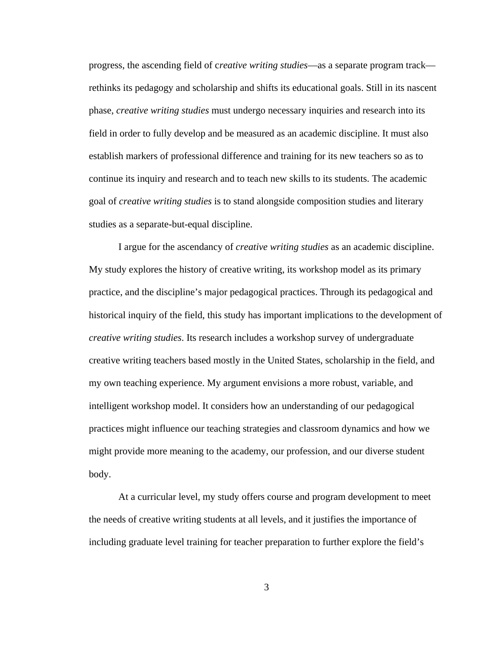progress, the ascending field of c*reative writing studies*—as a separate program track rethinks its pedagogy and scholarship and shifts its educational goals. Still in its nascent phase, *creative writing studies* must undergo necessary inquiries and research into its field in order to fully develop and be measured as an academic discipline. It must also establish markers of professional difference and training for its new teachers so as to continue its inquiry and research and to teach new skills to its students. The academic goal of *creative writing studies* is to stand alongside composition studies and literary studies as a separate-but-equal discipline.

I argue for the ascendancy of *creative writing studies* as an academic discipline. My study explores the history of creative writing, its workshop model as its primary practice, and the discipline's major pedagogical practices. Through its pedagogical and historical inquiry of the field, this study has important implications to the development of *creative writing studies*. Its research includes a workshop survey of undergraduate creative writing teachers based mostly in the United States, scholarship in the field, and my own teaching experience. My argument envisions a more robust, variable, and intelligent workshop model. It considers how an understanding of our pedagogical practices might influence our teaching strategies and classroom dynamics and how we might provide more meaning to the academy, our profession, and our diverse student body.

At a curricular level, my study offers course and program development to meet the needs of creative writing students at all levels, and it justifies the importance of including graduate level training for teacher preparation to further explore the field's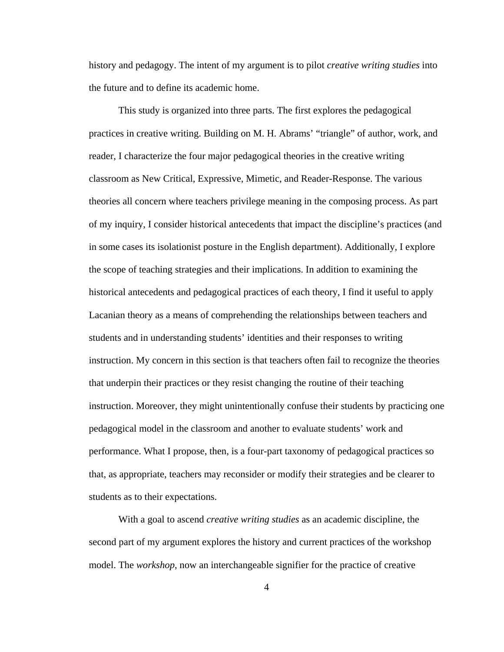history and pedagogy. The intent of my argument is to pilot *creative writing studies* into the future and to define its academic home.

This study is organized into three parts. The first explores the pedagogical practices in creative writing. Building on M. H. Abrams' "triangle" of author, work, and reader, I characterize the four major pedagogical theories in the creative writing classroom as New Critical, Expressive, Mimetic, and Reader-Response. The various theories all concern where teachers privilege meaning in the composing process. As part of my inquiry, I consider historical antecedents that impact the discipline's practices (and in some cases its isolationist posture in the English department). Additionally, I explore the scope of teaching strategies and their implications. In addition to examining the historical antecedents and pedagogical practices of each theory, I find it useful to apply Lacanian theory as a means of comprehending the relationships between teachers and students and in understanding students' identities and their responses to writing instruction. My concern in this section is that teachers often fail to recognize the theories that underpin their practices or they resist changing the routine of their teaching instruction. Moreover, they might unintentionally confuse their students by practicing one pedagogical model in the classroom and another to evaluate students' work and performance. What I propose, then, is a four-part taxonomy of pedagogical practices so that, as appropriate, teachers may reconsider or modify their strategies and be clearer to students as to their expectations.

With a goal to ascend *creative writing studies* as an academic discipline, the second part of my argument explores the history and current practices of the workshop model. The *workshop*, now an interchangeable signifier for the practice of creative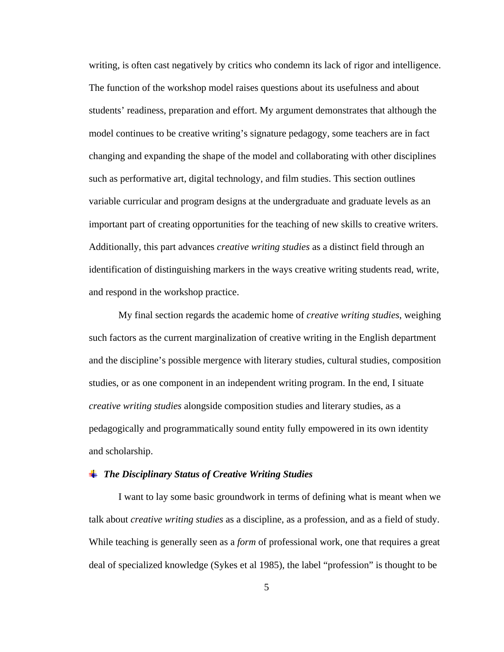writing, is often cast negatively by critics who condemn its lack of rigor and intelligence. The function of the workshop model raises questions about its usefulness and about students' readiness, preparation and effort. My argument demonstrates that although the model continues to be creative writing's signature pedagogy, some teachers are in fact changing and expanding the shape of the model and collaborating with other disciplines such as performative art, digital technology, and film studies. This section outlines variable curricular and program designs at the undergraduate and graduate levels as an important part of creating opportunities for the teaching of new skills to creative writers. Additionally, this part advances *creative writing studies* as a distinct field through an identification of distinguishing markers in the ways creative writing students read, write, and respond in the workshop practice.

My final section regards the academic home of *creative writing studies*, weighing such factors as the current marginalization of creative writing in the English department and the discipline's possible mergence with literary studies, cultural studies, composition studies, or as one component in an independent writing program. In the end, I situate *creative writing studies* alongside composition studies and literary studies, as a pedagogically and programmatically sound entity fully empowered in its own identity and scholarship.

#### *The Disciplinary Status of Creative Writing Studies*

I want to lay some basic groundwork in terms of defining what is meant when we talk about *creative writing studies* as a discipline, as a profession, and as a field of study. While teaching is generally seen as a *form* of professional work, one that requires a great deal of specialized knowledge (Sykes et al 1985), the label "profession" is thought to be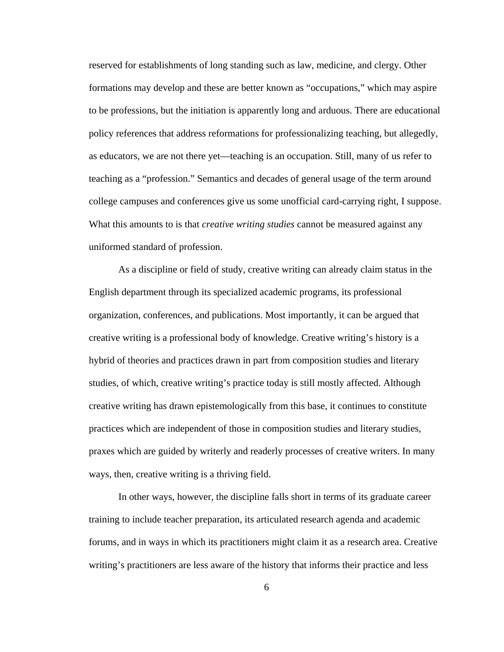reserved for establishments of long standing such as law, medicine, and clergy. Other formations may develop and these are better known as "occupations," which may aspire to be professions, but the initiation is apparently long and arduous. There are educational policy references that address reformations for professionalizing teaching, but allegedly, as educators, we are not there yet—teaching is an occupation. Still, many of us refer to teaching as a "profession." Semantics and decades of general usage of the term around college campuses and conferences give us some unofficial card-carrying right, I suppose. What this amounts to is that *creative writing studies* cannot be measured against any uniformed standard of profession.

As a discipline or field of study, creative writing can already claim status in the English department through its specialized academic programs, its professional organization, conferences, and publications. Most importantly, it can be argued that creative writing is a professional body of knowledge. Creative writing's history is a hybrid of theories and practices drawn in part from composition studies and literary studies, of which, creative writing's practice today is still mostly affected. Although creative writing has drawn epistemologically from this base, it continues to constitute practices which are independent of those in composition studies and literary studies, praxes which are guided by writerly and readerly processes of creative writers. In many ways, then, creative writing is a thriving field.

In other ways, however, the discipline falls short in terms of its graduate career training to include teacher preparation, its articulated research agenda and academic forums, and in ways in which its practitioners might claim it as a research area. Creative writing's practitioners are less aware of the history that informs their practice and less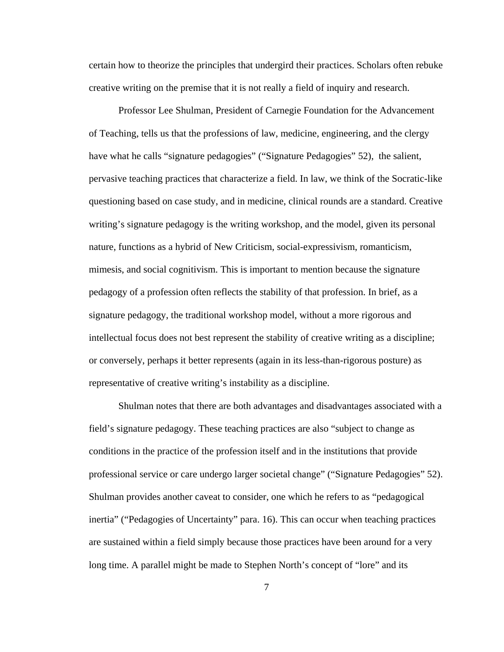certain how to theorize the principles that undergird their practices. Scholars often rebuke creative writing on the premise that it is not really a field of inquiry and research.

Professor Lee Shulman, President of Carnegie Foundation for the Advancement of Teaching, tells us that the professions of law, medicine, engineering, and the clergy have what he calls "signature pedagogies" ("Signature Pedagogies" 52), the salient, pervasive teaching practices that characterize a field. In law, we think of the Socratic-like questioning based on case study, and in medicine, clinical rounds are a standard. Creative writing's signature pedagogy is the writing workshop, and the model, given its personal nature, functions as a hybrid of New Criticism, social-expressivism, romanticism, mimesis, and social cognitivism. This is important to mention because the signature pedagogy of a profession often reflects the stability of that profession. In brief, as a signature pedagogy, the traditional workshop model, without a more rigorous and intellectual focus does not best represent the stability of creative writing as a discipline; or conversely, perhaps it better represents (again in its less-than-rigorous posture) as representative of creative writing's instability as a discipline.

Shulman notes that there are both advantages and disadvantages associated with a field's signature pedagogy. These teaching practices are also "subject to change as conditions in the practice of the profession itself and in the institutions that provide professional service or care undergo larger societal change" ("Signature Pedagogies" 52). Shulman provides another caveat to consider, one which he refers to as "pedagogical inertia" ("Pedagogies of Uncertainty" para. 16). This can occur when teaching practices are sustained within a field simply because those practices have been around for a very long time. A parallel might be made to Stephen North's concept of "lore" and its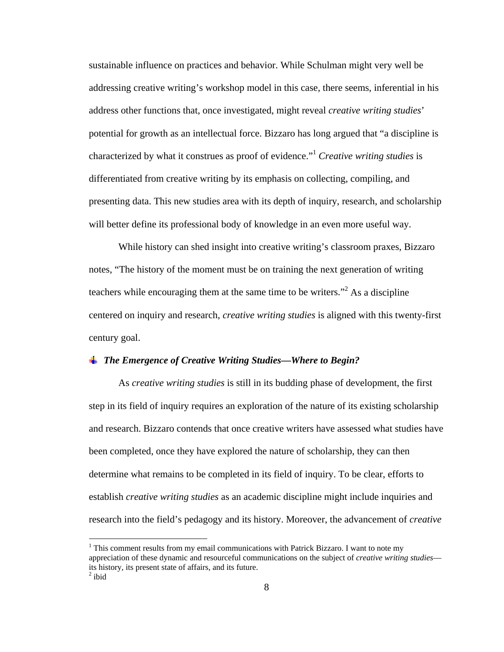sustainable influence on practices and behavior. While Schulman might very well be addressing creative writing's workshop model in this case, there seems, inferential in his address other functions that, once investigated, might reveal *creative writing studies*' potential for growth as an intellectual force. Bizzaro has long argued that "a discipline is characterized by what it construes as proof of evidence."1 *Creative writing studies* is differentiated from creative writing by its emphasis on collecting, compiling, and presenting data. This new studies area with its depth of inquiry, research, and scholarship will better define its professional body of knowledge in an even more useful way.

While history can shed insight into creative writing's classroom praxes, Bizzaro notes, "The history of the moment must be on training the next generation of writing teachers while encouraging them at the same time to be writers."<sup>2</sup> As a discipline centered on inquiry and research, *creative writing studies* is aligned with this twenty-first century goal.

#### *The Emergence of Creative Writing Studies—Where to Begin?*

1

As *creative writing studies* is still in its budding phase of development, the first step in its field of inquiry requires an exploration of the nature of its existing scholarship and research. Bizzaro contends that once creative writers have assessed what studies have been completed, once they have explored the nature of scholarship, they can then determine what remains to be completed in its field of inquiry. To be clear, efforts to establish *creative writing studies* as an academic discipline might include inquiries and research into the field's pedagogy and its history. Moreover, the advancement of *creative* 

<sup>&</sup>lt;sup>1</sup> This comment results from my email communications with Patrick Bizzaro. I want to note my appreciation of these dynamic and resourceful communications on the subject of *creative writing studies* its history, its present state of affairs, and its future.  $2$  ibid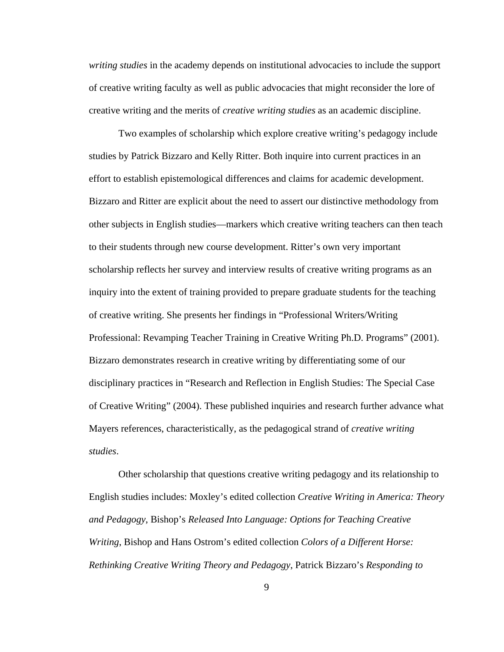*writing studies* in the academy depends on institutional advocacies to include the support of creative writing faculty as well as public advocacies that might reconsider the lore of creative writing and the merits of *creative writing studies* as an academic discipline.

Two examples of scholarship which explore creative writing's pedagogy include studies by Patrick Bizzaro and Kelly Ritter. Both inquire into current practices in an effort to establish epistemological differences and claims for academic development. Bizzaro and Ritter are explicit about the need to assert our distinctive methodology from other subjects in English studies—markers which creative writing teachers can then teach to their students through new course development. Ritter's own very important scholarship reflects her survey and interview results of creative writing programs as an inquiry into the extent of training provided to prepare graduate students for the teaching of creative writing. She presents her findings in "Professional Writers/Writing Professional: Revamping Teacher Training in Creative Writing Ph.D. Programs" (2001). Bizzaro demonstrates research in creative writing by differentiating some of our disciplinary practices in "Research and Reflection in English Studies: The Special Case of Creative Writing" (2004). These published inquiries and research further advance what Mayers references, characteristically, as the pedagogical strand of *creative writing studies*.

Other scholarship that questions creative writing pedagogy and its relationship to English studies includes: Moxley's edited collection *Creative Writing in America: Theory and Pedagogy*, Bishop's *Released Into Language: Options for Teaching Creative Writing*, Bishop and Hans Ostrom's edited collection *Colors of a Different Horse: Rethinking Creative Writing Theory and Pedagogy*, Patrick Bizzaro's *Responding to*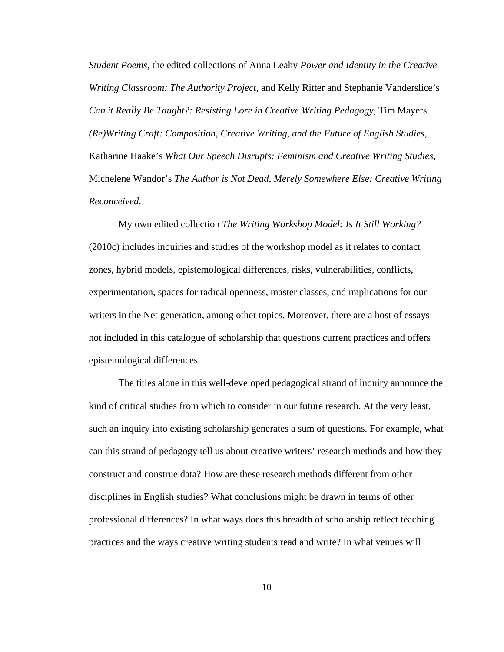*Student Poems*, the edited collections of Anna Leahy *Power and Identity in the Creative Writing Classroom: The Authority Project*, and Kelly Ritter and Stephanie Vanderslice's *Can it Really Be Taught?: Resisting Lore in Creative Writing Pedagogy*, Tim Mayers *(Re)Writing Craft: Composition, Creative Writing, and the Future of English Studies*, Katharine Haake's *What Our Speech Disrupts: Feminism and Creative Writing Studies*, Michelene Wandor's *The Author is Not Dead, Merely Somewhere Else: Creative Writing Reconceived*.

My own edited collection *The Writing Workshop Model: Is It Still Working?* (2010c) includes inquiries and studies of the workshop model as it relates to contact zones, hybrid models, epistemological differences, risks, vulnerabilities, conflicts, experimentation, spaces for radical openness, master classes, and implications for our writers in the Net generation, among other topics. Moreover, there are a host of essays not included in this catalogue of scholarship that questions current practices and offers epistemological differences.

The titles alone in this well-developed pedagogical strand of inquiry announce the kind of critical studies from which to consider in our future research. At the very least, such an inquiry into existing scholarship generates a sum of questions. For example, what can this strand of pedagogy tell us about creative writers' research methods and how they construct and construe data? How are these research methods different from other disciplines in English studies? What conclusions might be drawn in terms of other professional differences? In what ways does this breadth of scholarship reflect teaching practices and the ways creative writing students read and write? In what venues will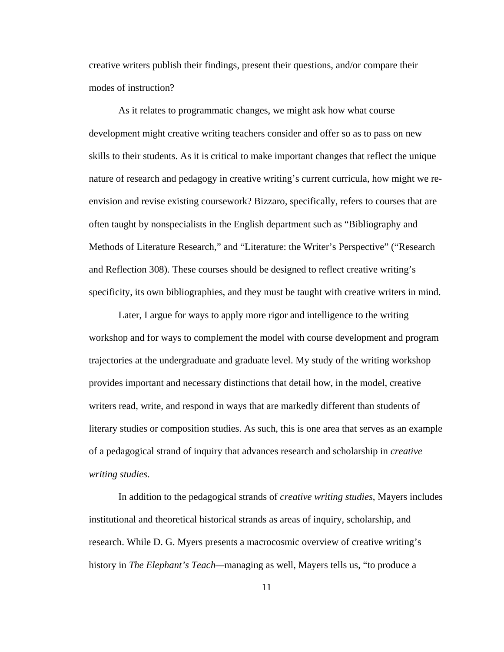creative writers publish their findings, present their questions, and/or compare their modes of instruction?

As it relates to programmatic changes, we might ask how what course development might creative writing teachers consider and offer so as to pass on new skills to their students. As it is critical to make important changes that reflect the unique nature of research and pedagogy in creative writing's current curricula, how might we reenvision and revise existing coursework? Bizzaro, specifically, refers to courses that are often taught by nonspecialists in the English department such as "Bibliography and Methods of Literature Research," and "Literature: the Writer's Perspective" ("Research and Reflection 308). These courses should be designed to reflect creative writing's specificity, its own bibliographies, and they must be taught with creative writers in mind.

Later, I argue for ways to apply more rigor and intelligence to the writing workshop and for ways to complement the model with course development and program trajectories at the undergraduate and graduate level. My study of the writing workshop provides important and necessary distinctions that detail how, in the model, creative writers read, write, and respond in ways that are markedly different than students of literary studies or composition studies. As such, this is one area that serves as an example of a pedagogical strand of inquiry that advances research and scholarship in *creative writing studies*.

In addition to the pedagogical strands of *creative writing studies*, Mayers includes institutional and theoretical historical strands as areas of inquiry, scholarship, and research. While D. G. Myers presents a macrocosmic overview of creative writing's history in *The Elephant's Teach—*managing as well, Mayers tells us, "to produce a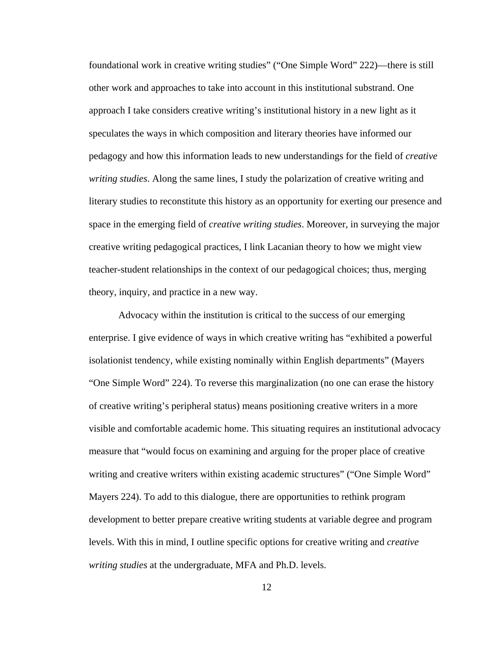foundational work in creative writing studies" ("One Simple Word" 222)—there is still other work and approaches to take into account in this institutional substrand. One approach I take considers creative writing's institutional history in a new light as it speculates the ways in which composition and literary theories have informed our pedagogy and how this information leads to new understandings for the field of *creative writing studies*. Along the same lines, I study the polarization of creative writing and literary studies to reconstitute this history as an opportunity for exerting our presence and space in the emerging field of *creative writing studies*. Moreover, in surveying the major creative writing pedagogical practices, I link Lacanian theory to how we might view teacher-student relationships in the context of our pedagogical choices; thus, merging theory, inquiry, and practice in a new way.

 Advocacy within the institution is critical to the success of our emerging enterprise. I give evidence of ways in which creative writing has "exhibited a powerful isolationist tendency, while existing nominally within English departments" (Mayers "One Simple Word" 224). To reverse this marginalization (no one can erase the history of creative writing's peripheral status) means positioning creative writers in a more visible and comfortable academic home. This situating requires an institutional advocacy measure that "would focus on examining and arguing for the proper place of creative writing and creative writers within existing academic structures" ("One Simple Word" Mayers 224). To add to this dialogue, there are opportunities to rethink program development to better prepare creative writing students at variable degree and program levels. With this in mind, I outline specific options for creative writing and *creative writing studies* at the undergraduate, MFA and Ph.D. levels.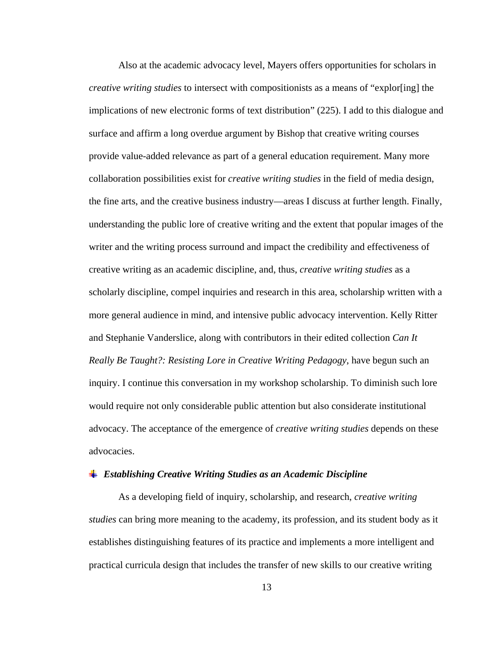Also at the academic advocacy level, Mayers offers opportunities for scholars in *creative writing studies* to intersect with compositionists as a means of "explor[ing] the implications of new electronic forms of text distribution" (225). I add to this dialogue and surface and affirm a long overdue argument by Bishop that creative writing courses provide value-added relevance as part of a general education requirement. Many more collaboration possibilities exist for *creative writing studies* in the field of media design, the fine arts, and the creative business industry—areas I discuss at further length. Finally, understanding the public lore of creative writing and the extent that popular images of the writer and the writing process surround and impact the credibility and effectiveness of creative writing as an academic discipline, and, thus, *creative writing studies* as a scholarly discipline, compel inquiries and research in this area, scholarship written with a more general audience in mind, and intensive public advocacy intervention. Kelly Ritter and Stephanie Vanderslice, along with contributors in their edited collection *Can It Really Be Taught?: Resisting Lore in Creative Writing Pedagogy*, have begun such an inquiry. I continue this conversation in my workshop scholarship. To diminish such lore would require not only considerable public attention but also considerate institutional advocacy. The acceptance of the emergence of *creative writing studies* depends on these advocacies.

#### *Establishing Creative Writing Studies as an Academic Discipline*

As a developing field of inquiry, scholarship, and research, *creative writing studies* can bring more meaning to the academy, its profession, and its student body as it establishes distinguishing features of its practice and implements a more intelligent and practical curricula design that includes the transfer of new skills to our creative writing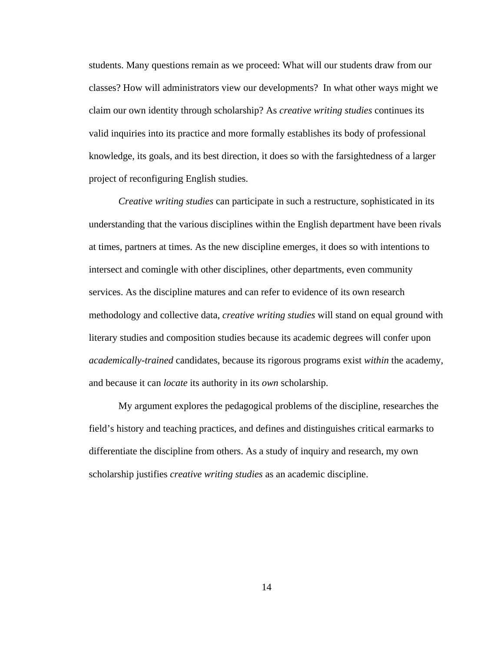students. Many questions remain as we proceed: What will our students draw from our classes? How will administrators view our developments? In what other ways might we claim our own identity through scholarship? As *creative writing studies* continues its valid inquiries into its practice and more formally establishes its body of professional knowledge, its goals, and its best direction, it does so with the farsightedness of a larger project of reconfiguring English studies.

*Creative writing studies* can participate in such a restructure, sophisticated in its understanding that the various disciplines within the English department have been rivals at times, partners at times. As the new discipline emerges, it does so with intentions to intersect and comingle with other disciplines, other departments, even community services. As the discipline matures and can refer to evidence of its own research methodology and collective data, *creative writing studies* will stand on equal ground with literary studies and composition studies because its academic degrees will confer upon *academically-trained* candidates, because its rigorous programs exist *within* the academy, and because it can *locate* its authority in its *own* scholarship.

My argument explores the pedagogical problems of the discipline, researches the field's history and teaching practices, and defines and distinguishes critical earmarks to differentiate the discipline from others. As a study of inquiry and research, my own scholarship justifies *creative writing studies* as an academic discipline.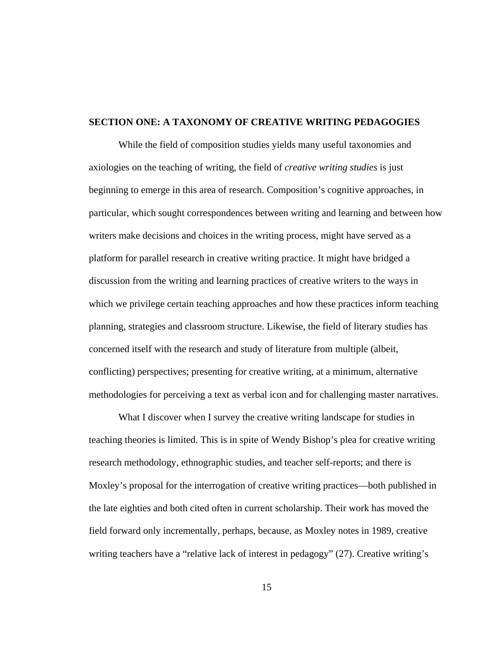#### **SECTION ONE: A TAXONOMY OF CREATIVE WRITING PEDAGOGIES**

While the field of composition studies yields many useful taxonomies and axiologies on the teaching of writing, the field of *creative writing studies* is just beginning to emerge in this area of research. Composition's cognitive approaches, in particular, which sought correspondences between writing and learning and between how writers make decisions and choices in the writing process, might have served as a platform for parallel research in creative writing practice. It might have bridged a discussion from the writing and learning practices of creative writers to the ways in which we privilege certain teaching approaches and how these practices inform teaching planning, strategies and classroom structure. Likewise, the field of literary studies has concerned itself with the research and study of literature from multiple (albeit, conflicting) perspectives; presenting for creative writing, at a minimum, alternative methodologies for perceiving a text as verbal icon and for challenging master narratives.

What I discover when I survey the creative writing landscape for studies in teaching theories is limited. This is in spite of Wendy Bishop's plea for creative writing research methodology, ethnographic studies, and teacher self-reports; and there is Moxley's proposal for the interrogation of creative writing practices—both published in the late eighties and both cited often in current scholarship. Their work has moved the field forward only incrementally, perhaps, because, as Moxley notes in 1989, creative writing teachers have a "relative lack of interest in pedagogy" (27). Creative writing's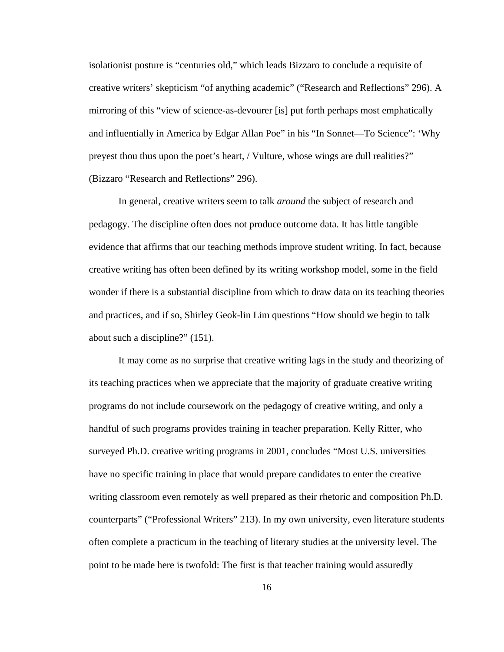isolationist posture is "centuries old," which leads Bizzaro to conclude a requisite of creative writers' skepticism "of anything academic" ("Research and Reflections" 296). A mirroring of this "view of science-as-devourer [is] put forth perhaps most emphatically and influentially in America by Edgar Allan Poe" in his "In Sonnet—To Science": 'Why preyest thou thus upon the poet's heart, / Vulture, whose wings are dull realities?" (Bizzaro "Research and Reflections" 296).

In general, creative writers seem to talk *around* the subject of research and pedagogy. The discipline often does not produce outcome data. It has little tangible evidence that affirms that our teaching methods improve student writing. In fact, because creative writing has often been defined by its writing workshop model, some in the field wonder if there is a substantial discipline from which to draw data on its teaching theories and practices, and if so, Shirley Geok-lin Lim questions "How should we begin to talk about such a discipline?" (151).

It may come as no surprise that creative writing lags in the study and theorizing of its teaching practices when we appreciate that the majority of graduate creative writing programs do not include coursework on the pedagogy of creative writing, and only a handful of such programs provides training in teacher preparation. Kelly Ritter, who surveyed Ph.D. creative writing programs in 2001, concludes "Most U.S. universities have no specific training in place that would prepare candidates to enter the creative writing classroom even remotely as well prepared as their rhetoric and composition Ph.D. counterparts" ("Professional Writers" 213). In my own university, even literature students often complete a practicum in the teaching of literary studies at the university level. The point to be made here is twofold: The first is that teacher training would assuredly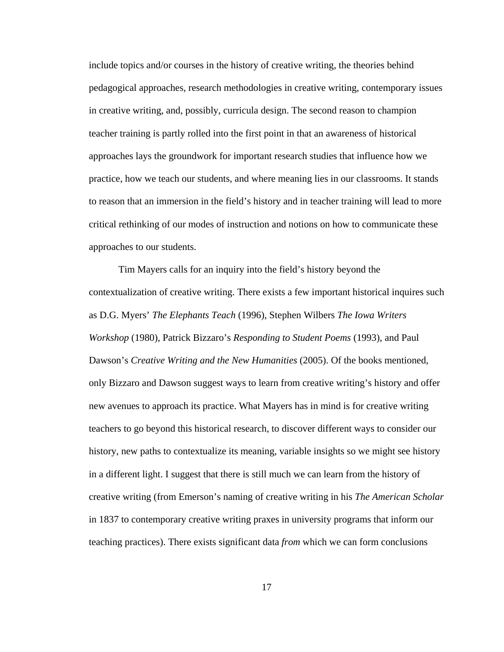include topics and/or courses in the history of creative writing, the theories behind pedagogical approaches, research methodologies in creative writing, contemporary issues in creative writing, and, possibly, curricula design. The second reason to champion teacher training is partly rolled into the first point in that an awareness of historical approaches lays the groundwork for important research studies that influence how we practice, how we teach our students, and where meaning lies in our classrooms. It stands to reason that an immersion in the field's history and in teacher training will lead to more critical rethinking of our modes of instruction and notions on how to communicate these approaches to our students.

Tim Mayers calls for an inquiry into the field's history beyond the contextualization of creative writing. There exists a few important historical inquires such as D.G. Myers' *The Elephants Teach* (1996), Stephen Wilbers *The Iowa Writers Workshop* (1980), Patrick Bizzaro's *Responding to Student Poems* (1993), and Paul Dawson's *Creative Writing and the New Humanities* (2005). Of the books mentioned, only Bizzaro and Dawson suggest ways to learn from creative writing's history and offer new avenues to approach its practice. What Mayers has in mind is for creative writing teachers to go beyond this historical research, to discover different ways to consider our history, new paths to contextualize its meaning, variable insights so we might see history in a different light. I suggest that there is still much we can learn from the history of creative writing (from Emerson's naming of creative writing in his *The American Scholar* in 1837 to contemporary creative writing praxes in university programs that inform our teaching practices). There exists significant data *from* which we can form conclusions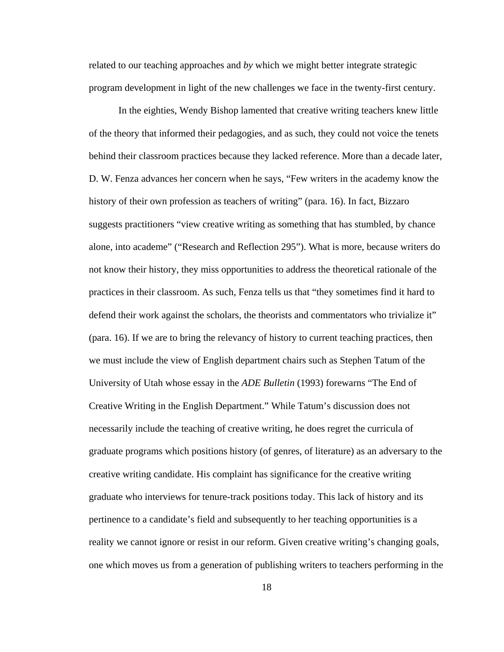related to our teaching approaches and *by* which we might better integrate strategic program development in light of the new challenges we face in the twenty-first century.

In the eighties, Wendy Bishop lamented that creative writing teachers knew little of the theory that informed their pedagogies, and as such, they could not voice the tenets behind their classroom practices because they lacked reference. More than a decade later, D. W. Fenza advances her concern when he says, "Few writers in the academy know the history of their own profession as teachers of writing" (para. 16). In fact, Bizzaro suggests practitioners "view creative writing as something that has stumbled, by chance alone, into academe" ("Research and Reflection 295"). What is more, because writers do not know their history, they miss opportunities to address the theoretical rationale of the practices in their classroom. As such, Fenza tells us that "they sometimes find it hard to defend their work against the scholars, the theorists and commentators who trivialize it" (para. 16). If we are to bring the relevancy of history to current teaching practices, then we must include the view of English department chairs such as Stephen Tatum of the University of Utah whose essay in the *ADE Bulletin* (1993) forewarns "The End of Creative Writing in the English Department." While Tatum's discussion does not necessarily include the teaching of creative writing, he does regret the curricula of graduate programs which positions history (of genres, of literature) as an adversary to the creative writing candidate. His complaint has significance for the creative writing graduate who interviews for tenure-track positions today. This lack of history and its pertinence to a candidate's field and subsequently to her teaching opportunities is a reality we cannot ignore or resist in our reform. Given creative writing's changing goals, one which moves us from a generation of publishing writers to teachers performing in the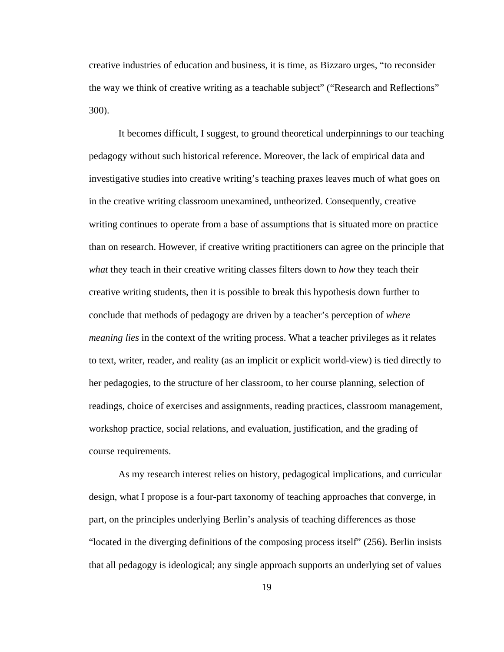creative industries of education and business, it is time, as Bizzaro urges, "to reconsider the way we think of creative writing as a teachable subject" ("Research and Reflections" 300).

It becomes difficult, I suggest, to ground theoretical underpinnings to our teaching pedagogy without such historical reference. Moreover, the lack of empirical data and investigative studies into creative writing's teaching praxes leaves much of what goes on in the creative writing classroom unexamined, untheorized. Consequently, creative writing continues to operate from a base of assumptions that is situated more on practice than on research. However, if creative writing practitioners can agree on the principle that *what* they teach in their creative writing classes filters down to *how* they teach their creative writing students, then it is possible to break this hypothesis down further to conclude that methods of pedagogy are driven by a teacher's perception of *where meaning lies* in the context of the writing process. What a teacher privileges as it relates to text, writer, reader, and reality (as an implicit or explicit world-view) is tied directly to her pedagogies, to the structure of her classroom, to her course planning, selection of readings, choice of exercises and assignments, reading practices, classroom management, workshop practice, social relations, and evaluation, justification, and the grading of course requirements.

As my research interest relies on history, pedagogical implications, and curricular design, what I propose is a four-part taxonomy of teaching approaches that converge, in part, on the principles underlying Berlin's analysis of teaching differences as those "located in the diverging definitions of the composing process itself" (256). Berlin insists that all pedagogy is ideological; any single approach supports an underlying set of values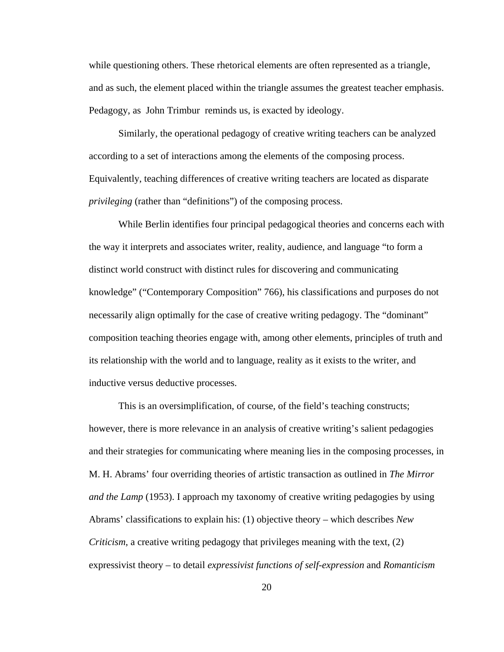while questioning others. These rhetorical elements are often represented as a triangle, and as such, the element placed within the triangle assumes the greatest teacher emphasis. Pedagogy, as John Trimbur reminds us, is exacted by ideology.

Similarly, the operational pedagogy of creative writing teachers can be analyzed according to a set of interactions among the elements of the composing process. Equivalently, teaching differences of creative writing teachers are located as disparate *privileging* (rather than "definitions") of the composing process.

While Berlin identifies four principal pedagogical theories and concerns each with the way it interprets and associates writer, reality, audience, and language "to form a distinct world construct with distinct rules for discovering and communicating knowledge" ("Contemporary Composition" 766), his classifications and purposes do not necessarily align optimally for the case of creative writing pedagogy. The "dominant" composition teaching theories engage with, among other elements, principles of truth and its relationship with the world and to language, reality as it exists to the writer, and inductive versus deductive processes.

This is an oversimplification, of course, of the field's teaching constructs; however, there is more relevance in an analysis of creative writing's salient pedagogies and their strategies for communicating where meaning lies in the composing processes, in M. H. Abrams' four overriding theories of artistic transaction as outlined in *The Mirror and the Lamp* (1953). I approach my taxonomy of creative writing pedagogies by using Abrams' classifications to explain his: (1) objective theory – which describes *New Criticism*, a creative writing pedagogy that privileges meaning with the text, (2) expressivist theory – to detail *expressivist functions of self-expression* and *Romanticism*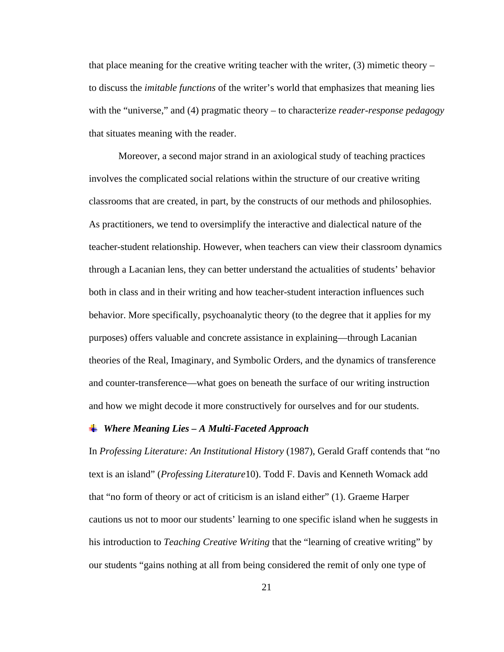that place meaning for the creative writing teacher with the writer,  $(3)$  mimetic theory – to discuss the *imitable functions* of the writer's world that emphasizes that meaning lies with the "universe," and (4) pragmatic theory – to characterize *reader-response pedagogy* that situates meaning with the reader.

Moreover, a second major strand in an axiological study of teaching practices involves the complicated social relations within the structure of our creative writing classrooms that are created, in part, by the constructs of our methods and philosophies. As practitioners, we tend to oversimplify the interactive and dialectical nature of the teacher-student relationship. However, when teachers can view their classroom dynamics through a Lacanian lens, they can better understand the actualities of students' behavior both in class and in their writing and how teacher-student interaction influences such behavior. More specifically, psychoanalytic theory (to the degree that it applies for my purposes) offers valuable and concrete assistance in explaining—through Lacanian theories of the Real, Imaginary, and Symbolic Orders, and the dynamics of transference and counter-transference—what goes on beneath the surface of our writing instruction and how we might decode it more constructively for ourselves and for our students.

#### *Where Meaning Lies – A Multi-Faceted Approach*

In *Professing Literature: An Institutional History* (1987), Gerald Graff contends that "no text is an island" (*Professing Literature*10). Todd F. Davis and Kenneth Womack add that "no form of theory or act of criticism is an island either" (1). Graeme Harper cautions us not to moor our students' learning to one specific island when he suggests in his introduction to *Teaching Creative Writing* that the "learning of creative writing" by our students "gains nothing at all from being considered the remit of only one type of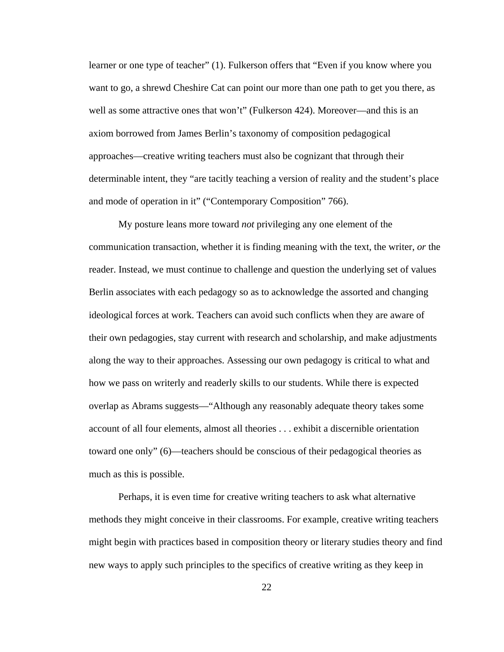learner or one type of teacher" (1). Fulkerson offers that "Even if you know where you want to go, a shrewd Cheshire Cat can point our more than one path to get you there, as well as some attractive ones that won't" (Fulkerson 424). Moreover—and this is an axiom borrowed from James Berlin's taxonomy of composition pedagogical approaches—creative writing teachers must also be cognizant that through their determinable intent, they "are tacitly teaching a version of reality and the student's place and mode of operation in it" ("Contemporary Composition" 766).

My posture leans more toward *not* privileging any one element of the communication transaction, whether it is finding meaning with the text, the writer, *or* the reader. Instead, we must continue to challenge and question the underlying set of values Berlin associates with each pedagogy so as to acknowledge the assorted and changing ideological forces at work. Teachers can avoid such conflicts when they are aware of their own pedagogies, stay current with research and scholarship, and make adjustments along the way to their approaches. Assessing our own pedagogy is critical to what and how we pass on writerly and readerly skills to our students. While there is expected overlap as Abrams suggests—"Although any reasonably adequate theory takes some account of all four elements, almost all theories . . . exhibit a discernible orientation toward one only" (6)—teachers should be conscious of their pedagogical theories as much as this is possible.

Perhaps, it is even time for creative writing teachers to ask what alternative methods they might conceive in their classrooms. For example, creative writing teachers might begin with practices based in composition theory or literary studies theory and find new ways to apply such principles to the specifics of creative writing as they keep in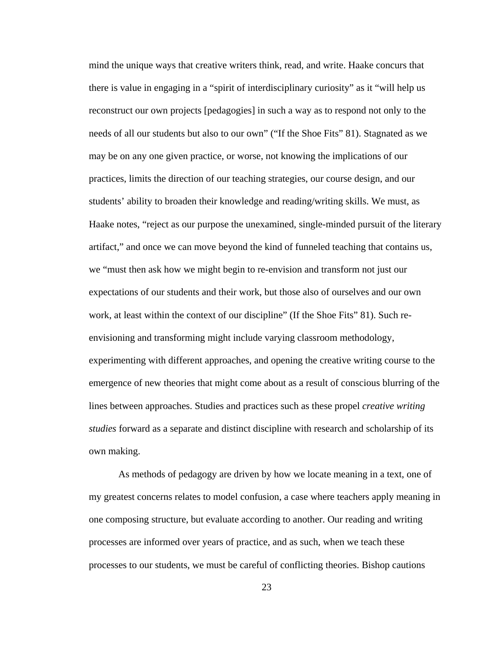mind the unique ways that creative writers think, read, and write. Haake concurs that there is value in engaging in a "spirit of interdisciplinary curiosity" as it "will help us reconstruct our own projects [pedagogies] in such a way as to respond not only to the needs of all our students but also to our own" ("If the Shoe Fits" 81). Stagnated as we may be on any one given practice, or worse, not knowing the implications of our practices, limits the direction of our teaching strategies, our course design, and our students' ability to broaden their knowledge and reading/writing skills. We must, as Haake notes, "reject as our purpose the unexamined, single-minded pursuit of the literary artifact," and once we can move beyond the kind of funneled teaching that contains us, we "must then ask how we might begin to re-envision and transform not just our expectations of our students and their work, but those also of ourselves and our own work, at least within the context of our discipline" (If the Shoe Fits" 81). Such reenvisioning and transforming might include varying classroom methodology, experimenting with different approaches, and opening the creative writing course to the emergence of new theories that might come about as a result of conscious blurring of the lines between approaches. Studies and practices such as these propel *creative writing studies* forward as a separate and distinct discipline with research and scholarship of its own making.

As methods of pedagogy are driven by how we locate meaning in a text, one of my greatest concerns relates to model confusion, a case where teachers apply meaning in one composing structure, but evaluate according to another. Our reading and writing processes are informed over years of practice, and as such, when we teach these processes to our students, we must be careful of conflicting theories. Bishop cautions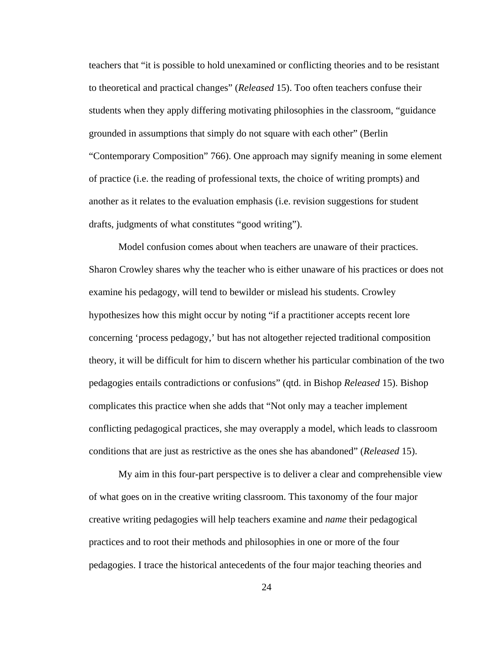teachers that "it is possible to hold unexamined or conflicting theories and to be resistant to theoretical and practical changes" (*Released* 15). Too often teachers confuse their students when they apply differing motivating philosophies in the classroom, "guidance grounded in assumptions that simply do not square with each other" (Berlin "Contemporary Composition" 766). One approach may signify meaning in some element of practice (i.e. the reading of professional texts, the choice of writing prompts) and another as it relates to the evaluation emphasis (i.e. revision suggestions for student drafts, judgments of what constitutes "good writing").

Model confusion comes about when teachers are unaware of their practices. Sharon Crowley shares why the teacher who is either unaware of his practices or does not examine his pedagogy, will tend to bewilder or mislead his students. Crowley hypothesizes how this might occur by noting "if a practitioner accepts recent lore concerning 'process pedagogy,' but has not altogether rejected traditional composition theory, it will be difficult for him to discern whether his particular combination of the two pedagogies entails contradictions or confusions" (qtd. in Bishop *Released* 15). Bishop complicates this practice when she adds that "Not only may a teacher implement conflicting pedagogical practices, she may overapply a model, which leads to classroom conditions that are just as restrictive as the ones she has abandoned" (*Released* 15).

My aim in this four-part perspective is to deliver a clear and comprehensible view of what goes on in the creative writing classroom. This taxonomy of the four major creative writing pedagogies will help teachers examine and *name* their pedagogical practices and to root their methods and philosophies in one or more of the four pedagogies. I trace the historical antecedents of the four major teaching theories and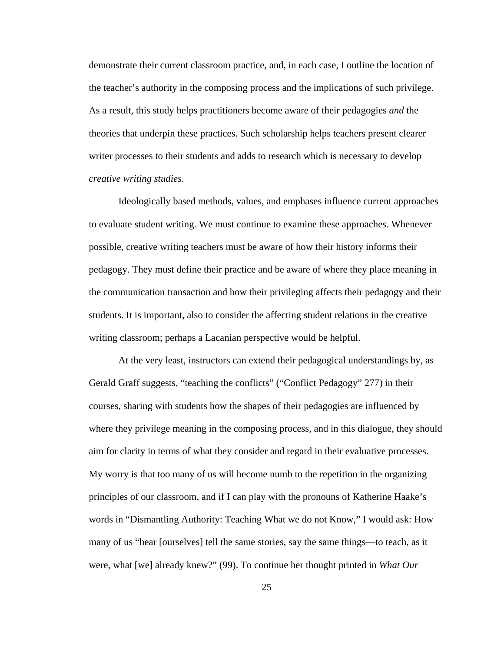demonstrate their current classroom practice, and, in each case, I outline the location of the teacher's authority in the composing process and the implications of such privilege. As a result, this study helps practitioners become aware of their pedagogies *and* the theories that underpin these practices. Such scholarship helps teachers present clearer writer processes to their students and adds to research which is necessary to develop *creative writing studies*.

Ideologically based methods, values, and emphases influence current approaches to evaluate student writing. We must continue to examine these approaches. Whenever possible, creative writing teachers must be aware of how their history informs their pedagogy. They must define their practice and be aware of where they place meaning in the communication transaction and how their privileging affects their pedagogy and their students. It is important, also to consider the affecting student relations in the creative writing classroom; perhaps a Lacanian perspective would be helpful.

At the very least, instructors can extend their pedagogical understandings by, as Gerald Graff suggests, "teaching the conflicts" ("Conflict Pedagogy" 277) in their courses, sharing with students how the shapes of their pedagogies are influenced by where they privilege meaning in the composing process, and in this dialogue, they should aim for clarity in terms of what they consider and regard in their evaluative processes. My worry is that too many of us will become numb to the repetition in the organizing principles of our classroom, and if I can play with the pronouns of Katherine Haake's words in "Dismantling Authority: Teaching What we do not Know," I would ask: How many of us "hear [ourselves] tell the same stories, say the same things—to teach, as it were, what [we] already knew?" (99). To continue her thought printed in *What Our*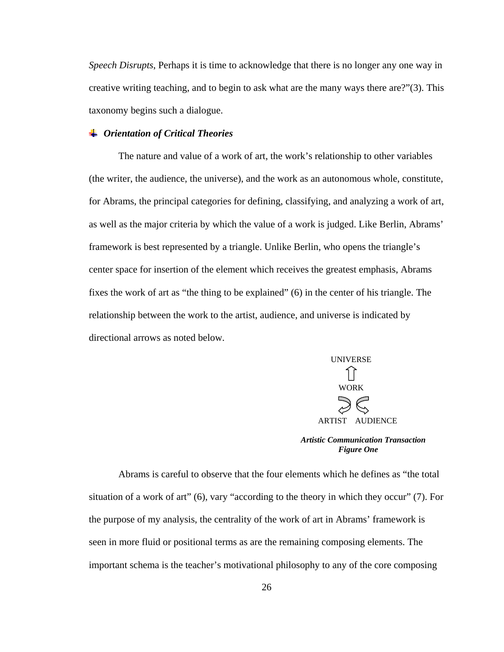*Speech Disrupts*, Perhaps it is time to acknowledge that there is no longer any one way in creative writing teaching, and to begin to ask what are the many ways there are?"(3). This taxonomy begins such a dialogue.

#### *Orientation of Critical Theories*

The nature and value of a work of art, the work's relationship to other variables (the writer, the audience, the universe), and the work as an autonomous whole, constitute, for Abrams, the principal categories for defining, classifying, and analyzing a work of art, as well as the major criteria by which the value of a work is judged. Like Berlin, Abrams' framework is best represented by a triangle. Unlike Berlin, who opens the triangle's center space for insertion of the element which receives the greatest emphasis, Abrams fixes the work of art as "the thing to be explained" (6) in the center of his triangle. The relationship between the work to the artist, audience, and universe is indicated by directional arrows as noted below.

 UNIVERSE 1 ſ WORK<sub>N</sub> ARTIST AUDIENCE

*Artistic Communication Transaction Figure One* 

Abrams is careful to observe that the four elements which he defines as "the total situation of a work of art" (6), vary "according to the theory in which they occur" (7). For the purpose of my analysis, the centrality of the work of art in Abrams' framework is seen in more fluid or positional terms as are the remaining composing elements. The important schema is the teacher's motivational philosophy to any of the core composing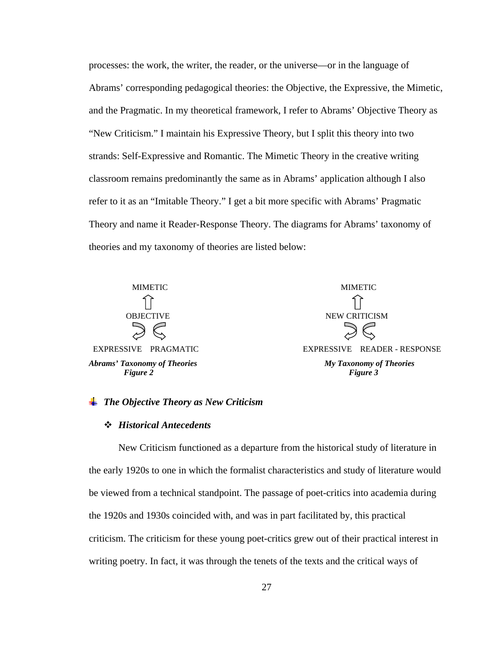processes: the work, the writer, the reader, or the universe—or in the language of Abrams' corresponding pedagogical theories: the Objective, the Expressive, the Mimetic, and the Pragmatic. In my theoretical framework, I refer to Abrams' Objective Theory as "New Criticism." I maintain his Expressive Theory, but I split this theory into two strands: Self-Expressive and Romantic. The Mimetic Theory in the creative writing classroom remains predominantly the same as in Abrams' application although I also refer to it as an "Imitable Theory." I get a bit more specific with Abrams' Pragmatic Theory and name it Reader-Response Theory. The diagrams for Abrams' taxonomy of theories and my taxonomy of theories are listed below:



1 F OBJECTIVE NEW CRITICISM EXPRESSIVE PRAGMATIC EXPRESSIVE READER - RESPONSE *Abrams' Taxonomy of Theories My Taxonomy of Theories* 

#### *The Objective Theory as New Criticism*

#### *Historical Antecedents*

New Criticism functioned as a departure from the historical study of literature in the early 1920s to one in which the formalist characteristics and study of literature would be viewed from a technical standpoint. The passage of poet-critics into academia during the 1920s and 1930s coincided with, and was in part facilitated by, this practical criticism. The criticism for these young poet-critics grew out of their practical interest in writing poetry. In fact, it was through the tenets of the texts and the critical ways of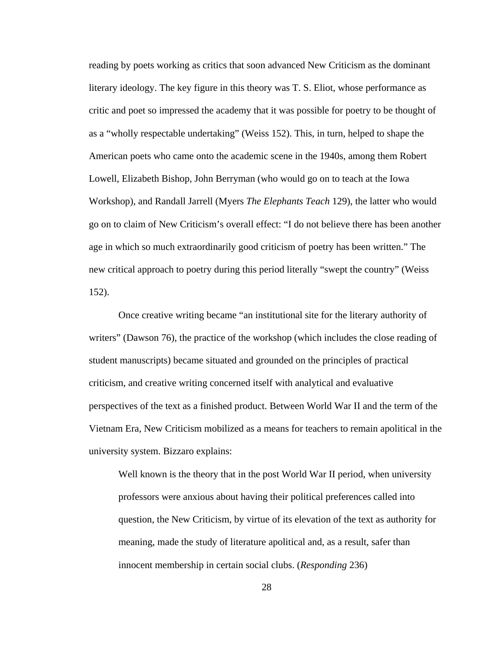reading by poets working as critics that soon advanced New Criticism as the dominant literary ideology. The key figure in this theory was T. S. Eliot, whose performance as critic and poet so impressed the academy that it was possible for poetry to be thought of as a "wholly respectable undertaking" (Weiss 152). This, in turn, helped to shape the American poets who came onto the academic scene in the 1940s, among them Robert Lowell, Elizabeth Bishop, John Berryman (who would go on to teach at the Iowa Workshop), and Randall Jarrell (Myers *The Elephants Teach* 129), the latter who would go on to claim of New Criticism's overall effect: "I do not believe there has been another age in which so much extraordinarily good criticism of poetry has been written." The new critical approach to poetry during this period literally "swept the country" (Weiss 152).

Once creative writing became "an institutional site for the literary authority of writers" (Dawson 76), the practice of the workshop (which includes the close reading of student manuscripts) became situated and grounded on the principles of practical criticism, and creative writing concerned itself with analytical and evaluative perspectives of the text as a finished product. Between World War II and the term of the Vietnam Era, New Criticism mobilized as a means for teachers to remain apolitical in the university system. Bizzaro explains:

Well known is the theory that in the post World War II period, when university professors were anxious about having their political preferences called into question, the New Criticism, by virtue of its elevation of the text as authority for meaning, made the study of literature apolitical and, as a result, safer than innocent membership in certain social clubs. (*Responding* 236)

28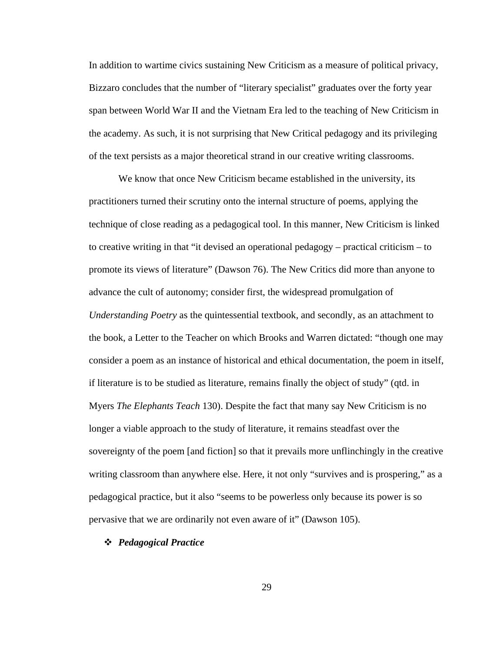In addition to wartime civics sustaining New Criticism as a measure of political privacy, Bizzaro concludes that the number of "literary specialist" graduates over the forty year span between World War II and the Vietnam Era led to the teaching of New Criticism in the academy. As such, it is not surprising that New Critical pedagogy and its privileging of the text persists as a major theoretical strand in our creative writing classrooms.

We know that once New Criticism became established in the university, its practitioners turned their scrutiny onto the internal structure of poems, applying the technique of close reading as a pedagogical tool. In this manner, New Criticism is linked to creative writing in that "it devised an operational pedagogy – practical criticism – to promote its views of literature" (Dawson 76). The New Critics did more than anyone to advance the cult of autonomy; consider first, the widespread promulgation of *Understanding Poetry* as the quintessential textbook, and secondly, as an attachment to the book, a Letter to the Teacher on which Brooks and Warren dictated: "though one may consider a poem as an instance of historical and ethical documentation, the poem in itself, if literature is to be studied as literature, remains finally the object of study" (qtd. in Myers *The Elephants Teach* 130). Despite the fact that many say New Criticism is no longer a viable approach to the study of literature, it remains steadfast over the sovereignty of the poem [and fiction] so that it prevails more unflinchingly in the creative writing classroom than anywhere else. Here, it not only "survives and is prospering," as a pedagogical practice, but it also "seems to be powerless only because its power is so pervasive that we are ordinarily not even aware of it" (Dawson 105).

# *Pedagogical Practice*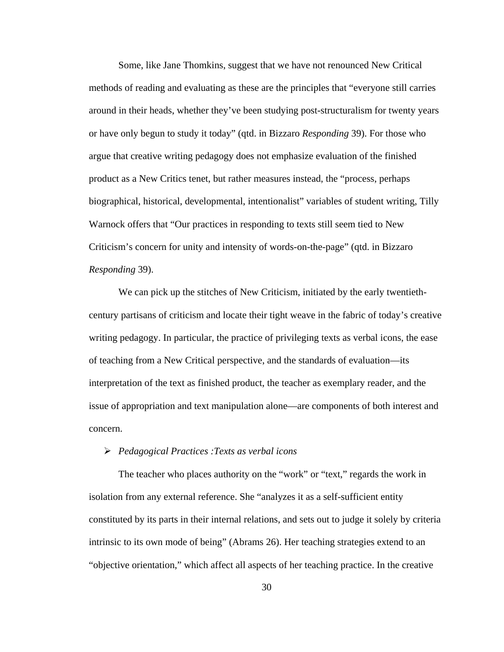Some, like Jane Thomkins, suggest that we have not renounced New Critical methods of reading and evaluating as these are the principles that "everyone still carries around in their heads, whether they've been studying post-structuralism for twenty years or have only begun to study it today" (qtd. in Bizzaro *Responding* 39). For those who argue that creative writing pedagogy does not emphasize evaluation of the finished product as a New Critics tenet, but rather measures instead, the "process, perhaps biographical, historical, developmental, intentionalist" variables of student writing, Tilly Warnock offers that "Our practices in responding to texts still seem tied to New Criticism's concern for unity and intensity of words-on-the-page" (qtd. in Bizzaro *Responding* 39).

We can pick up the stitches of New Criticism, initiated by the early twentiethcentury partisans of criticism and locate their tight weave in the fabric of today's creative writing pedagogy. In particular, the practice of privileging texts as verbal icons, the ease of teaching from a New Critical perspective, and the standards of evaluation—its interpretation of the text as finished product, the teacher as exemplary reader, and the issue of appropriation and text manipulation alone—are components of both interest and concern.

### ¾ *Pedagogical Practices :Texts as verbal icons*

The teacher who places authority on the "work" or "text," regards the work in isolation from any external reference. She "analyzes it as a self-sufficient entity constituted by its parts in their internal relations, and sets out to judge it solely by criteria intrinsic to its own mode of being" (Abrams 26). Her teaching strategies extend to an "objective orientation," which affect all aspects of her teaching practice. In the creative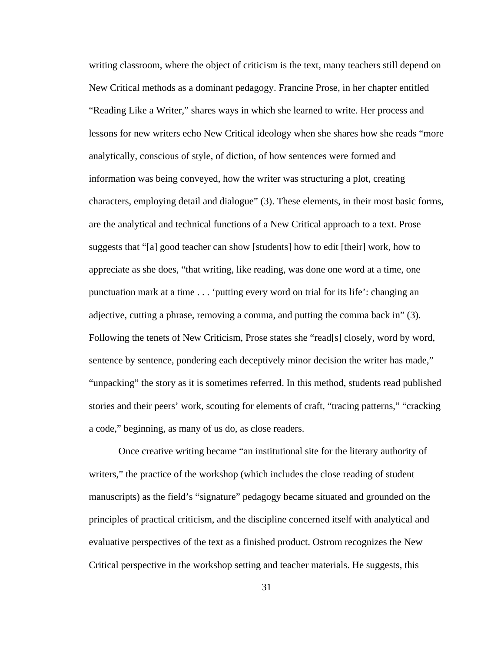writing classroom, where the object of criticism is the text, many teachers still depend on New Critical methods as a dominant pedagogy. Francine Prose, in her chapter entitled "Reading Like a Writer," shares ways in which she learned to write. Her process and lessons for new writers echo New Critical ideology when she shares how she reads "more analytically, conscious of style, of diction, of how sentences were formed and information was being conveyed, how the writer was structuring a plot, creating characters, employing detail and dialogue" (3). These elements, in their most basic forms, are the analytical and technical functions of a New Critical approach to a text. Prose suggests that "[a] good teacher can show [students] how to edit [their] work, how to appreciate as she does, "that writing, like reading, was done one word at a time, one punctuation mark at a time . . . 'putting every word on trial for its life': changing an adjective, cutting a phrase, removing a comma, and putting the comma back in" (3). Following the tenets of New Criticism, Prose states she "read[s] closely, word by word, sentence by sentence, pondering each deceptively minor decision the writer has made," "unpacking" the story as it is sometimes referred. In this method, students read published stories and their peers' work, scouting for elements of craft, "tracing patterns," "cracking a code," beginning, as many of us do, as close readers.

Once creative writing became "an institutional site for the literary authority of writers," the practice of the workshop (which includes the close reading of student manuscripts) as the field's "signature" pedagogy became situated and grounded on the principles of practical criticism, and the discipline concerned itself with analytical and evaluative perspectives of the text as a finished product. Ostrom recognizes the New Critical perspective in the workshop setting and teacher materials. He suggests, this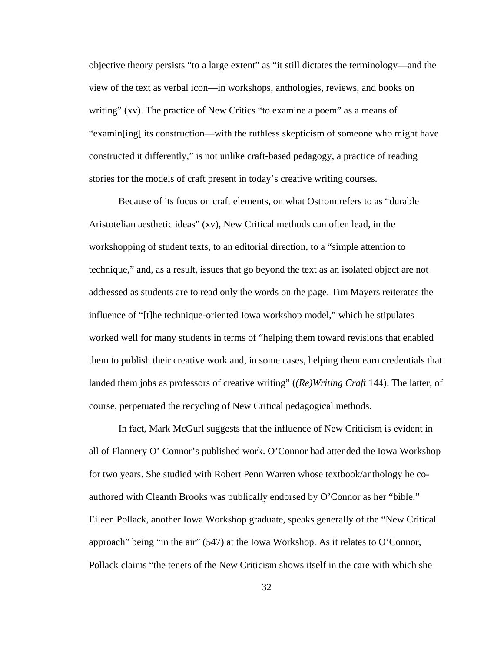objective theory persists "to a large extent" as "it still dictates the terminology—and the view of the text as verbal icon—in workshops, anthologies, reviews, and books on writing" (xv). The practice of New Critics "to examine a poem" as a means of "examin[ing[ its construction—with the ruthless skepticism of someone who might have constructed it differently," is not unlike craft-based pedagogy, a practice of reading stories for the models of craft present in today's creative writing courses.

Because of its focus on craft elements, on what Ostrom refers to as "durable Aristotelian aesthetic ideas" (xv), New Critical methods can often lead, in the workshopping of student texts, to an editorial direction, to a "simple attention to technique," and, as a result, issues that go beyond the text as an isolated object are not addressed as students are to read only the words on the page. Tim Mayers reiterates the influence of "[t]he technique-oriented Iowa workshop model," which he stipulates worked well for many students in terms of "helping them toward revisions that enabled them to publish their creative work and, in some cases, helping them earn credentials that landed them jobs as professors of creative writing" (*(Re)Writing Craft* 144). The latter, of course, perpetuated the recycling of New Critical pedagogical methods.

In fact, Mark McGurl suggests that the influence of New Criticism is evident in all of Flannery O' Connor's published work. O'Connor had attended the Iowa Workshop for two years. She studied with Robert Penn Warren whose textbook/anthology he coauthored with Cleanth Brooks was publically endorsed by O'Connor as her "bible." Eileen Pollack, another Iowa Workshop graduate, speaks generally of the "New Critical approach" being "in the air" (547) at the Iowa Workshop. As it relates to O'Connor, Pollack claims "the tenets of the New Criticism shows itself in the care with which she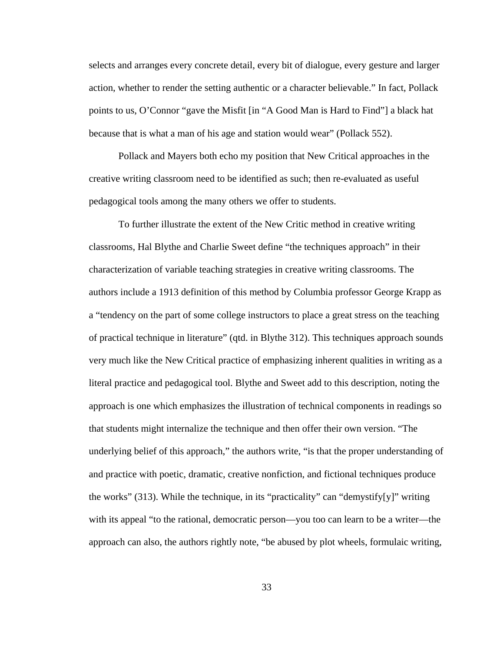selects and arranges every concrete detail, every bit of dialogue, every gesture and larger action, whether to render the setting authentic or a character believable." In fact, Pollack points to us, O'Connor "gave the Misfit [in "A Good Man is Hard to Find"] a black hat because that is what a man of his age and station would wear" (Pollack 552).

Pollack and Mayers both echo my position that New Critical approaches in the creative writing classroom need to be identified as such; then re-evaluated as useful pedagogical tools among the many others we offer to students.

To further illustrate the extent of the New Critic method in creative writing classrooms, Hal Blythe and Charlie Sweet define "the techniques approach" in their characterization of variable teaching strategies in creative writing classrooms. The authors include a 1913 definition of this method by Columbia professor George Krapp as a "tendency on the part of some college instructors to place a great stress on the teaching of practical technique in literature" (qtd. in Blythe 312). This techniques approach sounds very much like the New Critical practice of emphasizing inherent qualities in writing as a literal practice and pedagogical tool. Blythe and Sweet add to this description, noting the approach is one which emphasizes the illustration of technical components in readings so that students might internalize the technique and then offer their own version. "The underlying belief of this approach," the authors write, "is that the proper understanding of and practice with poetic, dramatic, creative nonfiction, and fictional techniques produce the works" (313). While the technique, in its "practicality" can "demystify[y]" writing with its appeal "to the rational, democratic person—you too can learn to be a writer—the approach can also, the authors rightly note, "be abused by plot wheels, formulaic writing,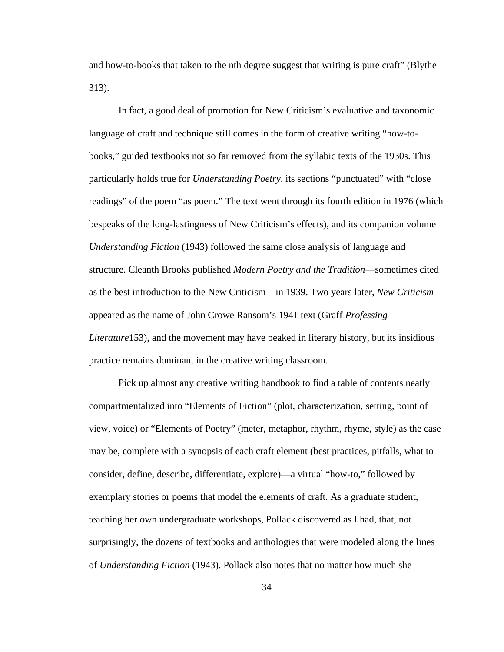and how-to-books that taken to the nth degree suggest that writing is pure craft" (Blythe 313).

In fact, a good deal of promotion for New Criticism's evaluative and taxonomic language of craft and technique still comes in the form of creative writing "how-tobooks," guided textbooks not so far removed from the syllabic texts of the 1930s. This particularly holds true for *Understanding Poetry*, its sections "punctuated" with "close readings" of the poem "as poem." The text went through its fourth edition in 1976 (which bespeaks of the long-lastingness of New Criticism's effects), and its companion volume *Understanding Fiction* (1943) followed the same close analysis of language and structure. Cleanth Brooks published *Modern Poetry and the Tradition*—sometimes cited as the best introduction to the New Criticism—in 1939. Two years later, *New Criticism* appeared as the name of John Crowe Ransom's 1941 text (Graff *Professing Literature*153), and the movement may have peaked in literary history, but its insidious practice remains dominant in the creative writing classroom.

Pick up almost any creative writing handbook to find a table of contents neatly compartmentalized into "Elements of Fiction" (plot, characterization, setting, point of view, voice) or "Elements of Poetry" (meter, metaphor, rhythm, rhyme, style) as the case may be, complete with a synopsis of each craft element (best practices, pitfalls, what to consider, define, describe, differentiate, explore)—a virtual "how-to," followed by exemplary stories or poems that model the elements of craft. As a graduate student, teaching her own undergraduate workshops, Pollack discovered as I had, that, not surprisingly, the dozens of textbooks and anthologies that were modeled along the lines of *Understanding Fiction* (1943). Pollack also notes that no matter how much she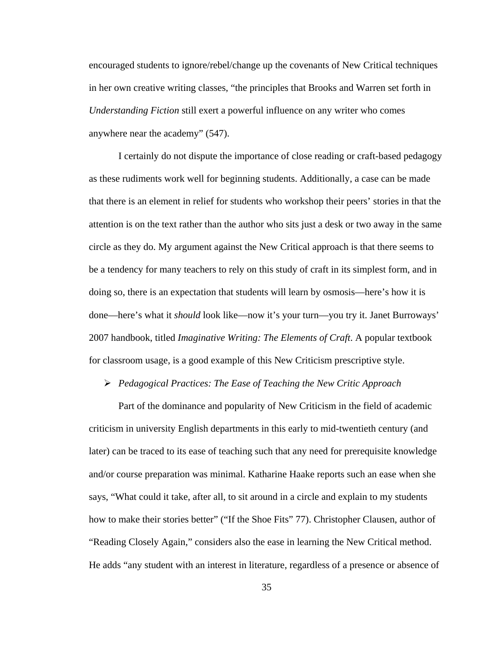encouraged students to ignore/rebel/change up the covenants of New Critical techniques in her own creative writing classes, "the principles that Brooks and Warren set forth in *Understanding Fiction* still exert a powerful influence on any writer who comes anywhere near the academy" (547).

I certainly do not dispute the importance of close reading or craft-based pedagogy as these rudiments work well for beginning students. Additionally, a case can be made that there is an element in relief for students who workshop their peers' stories in that the attention is on the text rather than the author who sits just a desk or two away in the same circle as they do. My argument against the New Critical approach is that there seems to be a tendency for many teachers to rely on this study of craft in its simplest form, and in doing so, there is an expectation that students will learn by osmosis—here's how it is done—here's what it *should* look like—now it's your turn—you try it. Janet Burroways' 2007 handbook, titled *Imaginative Writing: The Elements of Craft*. A popular textbook for classroom usage, is a good example of this New Criticism prescriptive style.

# ¾ *Pedagogical Practices: The Ease of Teaching the New Critic Approach*

Part of the dominance and popularity of New Criticism in the field of academic criticism in university English departments in this early to mid-twentieth century (and later) can be traced to its ease of teaching such that any need for prerequisite knowledge and/or course preparation was minimal. Katharine Haake reports such an ease when she says, "What could it take, after all, to sit around in a circle and explain to my students how to make their stories better" ("If the Shoe Fits" 77). Christopher Clausen, author of "Reading Closely Again," considers also the ease in learning the New Critical method. He adds "any student with an interest in literature, regardless of a presence or absence of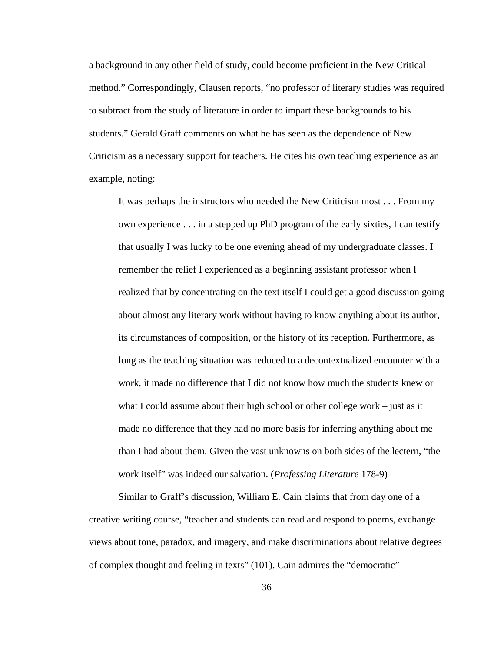a background in any other field of study, could become proficient in the New Critical method." Correspondingly, Clausen reports, "no professor of literary studies was required to subtract from the study of literature in order to impart these backgrounds to his students." Gerald Graff comments on what he has seen as the dependence of New Criticism as a necessary support for teachers. He cites his own teaching experience as an example, noting:

It was perhaps the instructors who needed the New Criticism most . . . From my own experience . . . in a stepped up PhD program of the early sixties, I can testify that usually I was lucky to be one evening ahead of my undergraduate classes. I remember the relief I experienced as a beginning assistant professor when I realized that by concentrating on the text itself I could get a good discussion going about almost any literary work without having to know anything about its author, its circumstances of composition, or the history of its reception. Furthermore, as long as the teaching situation was reduced to a decontextualized encounter with a work, it made no difference that I did not know how much the students knew or what I could assume about their high school or other college work – just as it made no difference that they had no more basis for inferring anything about me than I had about them. Given the vast unknowns on both sides of the lectern, "the work itself" was indeed our salvation. (*Professing Literature* 178-9)

Similar to Graff's discussion, William E. Cain claims that from day one of a creative writing course, "teacher and students can read and respond to poems, exchange views about tone, paradox, and imagery, and make discriminations about relative degrees of complex thought and feeling in texts" (101). Cain admires the "democratic"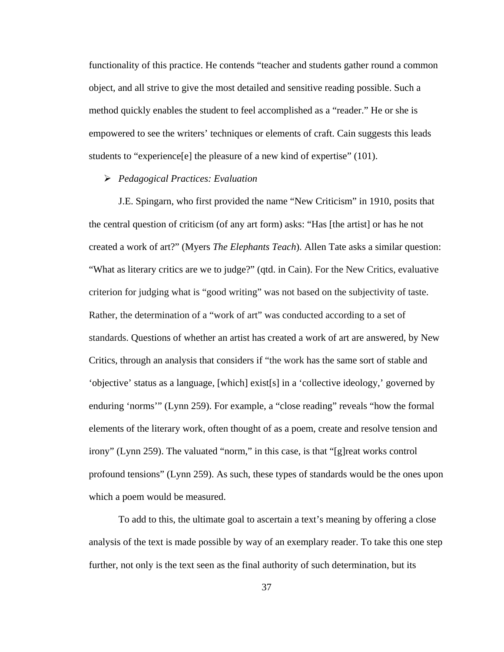functionality of this practice. He contends "teacher and students gather round a common object, and all strive to give the most detailed and sensitive reading possible. Such a method quickly enables the student to feel accomplished as a "reader." He or she is empowered to see the writers' techniques or elements of craft. Cain suggests this leads students to "experience[e] the pleasure of a new kind of expertise" (101).

# ¾ *Pedagogical Practices: Evaluation*

J.E. Spingarn, who first provided the name "New Criticism" in 1910, posits that the central question of criticism (of any art form) asks: "Has [the artist] or has he not created a work of art?" (Myers *The Elephants Teach*). Allen Tate asks a similar question: "What as literary critics are we to judge?" (qtd. in Cain). For the New Critics, evaluative criterion for judging what is "good writing" was not based on the subjectivity of taste. Rather, the determination of a "work of art" was conducted according to a set of standards. Questions of whether an artist has created a work of art are answered, by New Critics, through an analysis that considers if "the work has the same sort of stable and 'objective' status as a language, [which] exist[s] in a 'collective ideology,' governed by enduring 'norms'" (Lynn 259). For example, a "close reading" reveals "how the formal elements of the literary work, often thought of as a poem, create and resolve tension and irony" (Lynn 259). The valuated "norm," in this case, is that "[g]reat works control profound tensions" (Lynn 259). As such, these types of standards would be the ones upon which a poem would be measured.

To add to this, the ultimate goal to ascertain a text's meaning by offering a close analysis of the text is made possible by way of an exemplary reader. To take this one step further, not only is the text seen as the final authority of such determination, but its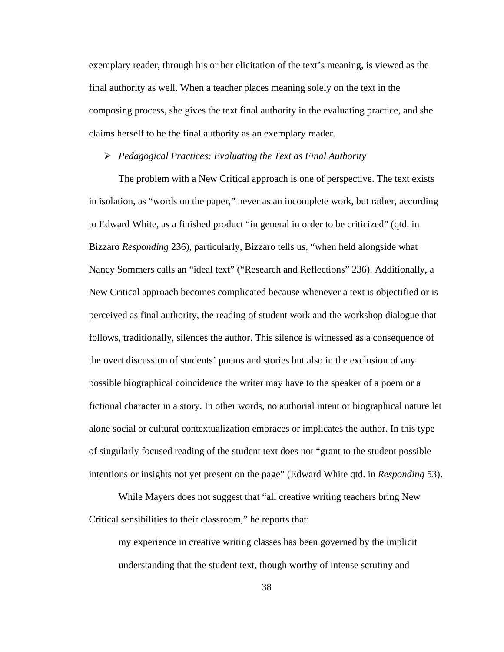exemplary reader, through his or her elicitation of the text's meaning, is viewed as the final authority as well. When a teacher places meaning solely on the text in the composing process, she gives the text final authority in the evaluating practice, and she claims herself to be the final authority as an exemplary reader.

# ¾ *Pedagogical Practices: Evaluating the Text as Final Authority*

 The problem with a New Critical approach is one of perspective. The text exists in isolation, as "words on the paper," never as an incomplete work, but rather, according to Edward White, as a finished product "in general in order to be criticized" (qtd. in Bizzaro *Responding* 236), particularly, Bizzaro tells us, "when held alongside what Nancy Sommers calls an "ideal text" ("Research and Reflections" 236). Additionally, a New Critical approach becomes complicated because whenever a text is objectified or is perceived as final authority, the reading of student work and the workshop dialogue that follows, traditionally, silences the author. This silence is witnessed as a consequence of the overt discussion of students' poems and stories but also in the exclusion of any possible biographical coincidence the writer may have to the speaker of a poem or a fictional character in a story. In other words, no authorial intent or biographical nature let alone social or cultural contextualization embraces or implicates the author. In this type of singularly focused reading of the student text does not "grant to the student possible intentions or insights not yet present on the page" (Edward White qtd. in *Responding* 53).

While Mayers does not suggest that "all creative writing teachers bring New Critical sensibilities to their classroom," he reports that:

my experience in creative writing classes has been governed by the implicit understanding that the student text, though worthy of intense scrutiny and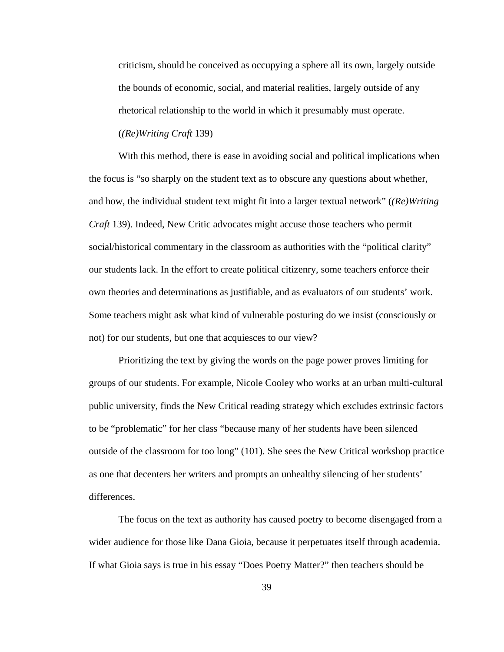criticism, should be conceived as occupying a sphere all its own, largely outside the bounds of economic, social, and material realities, largely outside of any rhetorical relationship to the world in which it presumably must operate.

### (*(Re)Writing Craft* 139)

With this method, there is ease in avoiding social and political implications when the focus is "so sharply on the student text as to obscure any questions about whether, and how, the individual student text might fit into a larger textual network" (*(Re)Writing Craft* 139). Indeed, New Critic advocates might accuse those teachers who permit social/historical commentary in the classroom as authorities with the "political clarity" our students lack. In the effort to create political citizenry, some teachers enforce their own theories and determinations as justifiable, and as evaluators of our students' work. Some teachers might ask what kind of vulnerable posturing do we insist (consciously or not) for our students, but one that acquiesces to our view?

Prioritizing the text by giving the words on the page power proves limiting for groups of our students. For example, Nicole Cooley who works at an urban multi-cultural public university, finds the New Critical reading strategy which excludes extrinsic factors to be "problematic" for her class "because many of her students have been silenced outside of the classroom for too long" (101). She sees the New Critical workshop practice as one that decenters her writers and prompts an unhealthy silencing of her students' differences.

The focus on the text as authority has caused poetry to become disengaged from a wider audience for those like Dana Gioia, because it perpetuates itself through academia. If what Gioia says is true in his essay "Does Poetry Matter?" then teachers should be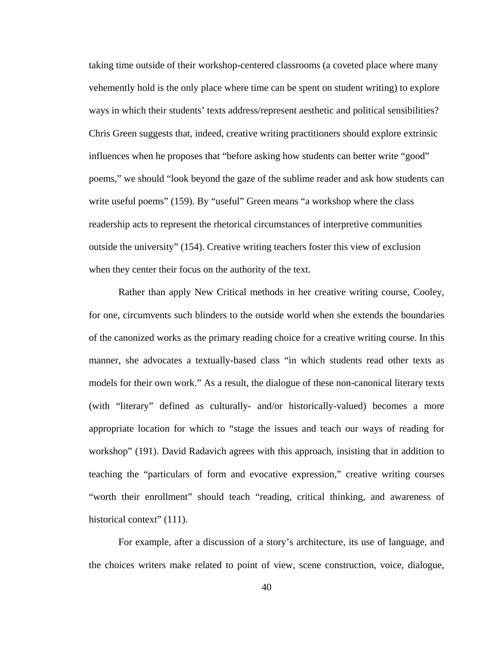taking time outside of their workshop-centered classrooms (a coveted place where many vehemently hold is the only place where time can be spent on student writing) to explore ways in which their students' texts address/represent aesthetic and political sensibilities? Chris Green suggests that, indeed, creative writing practitioners should explore extrinsic influences when he proposes that "before asking how students can better write "good" poems," we should "look beyond the gaze of the sublime reader and ask how students can write useful poems" (159). By "useful" Green means "a workshop where the class readership acts to represent the rhetorical circumstances of interpretive communities outside the university" (154). Creative writing teachers foster this view of exclusion when they center their focus on the authority of the text.

Rather than apply New Critical methods in her creative writing course, Cooley, for one, circumvents such blinders to the outside world when she extends the boundaries of the canonized works as the primary reading choice for a creative writing course. In this manner, she advocates a textually-based class "in which students read other texts as models for their own work." As a result, the dialogue of these non-canonical literary texts (with "literary" defined as culturally- and/or historically-valued) becomes a more appropriate location for which to "stage the issues and teach our ways of reading for workshop" (191). David Radavich agrees with this approach, insisting that in addition to teaching the "particulars of form and evocative expression," creative writing courses "worth their enrollment" should teach "reading, critical thinking, and awareness of historical context" (111).

For example, after a discussion of a story's architecture, its use of language, and the choices writers make related to point of view, scene construction, voice, dialogue,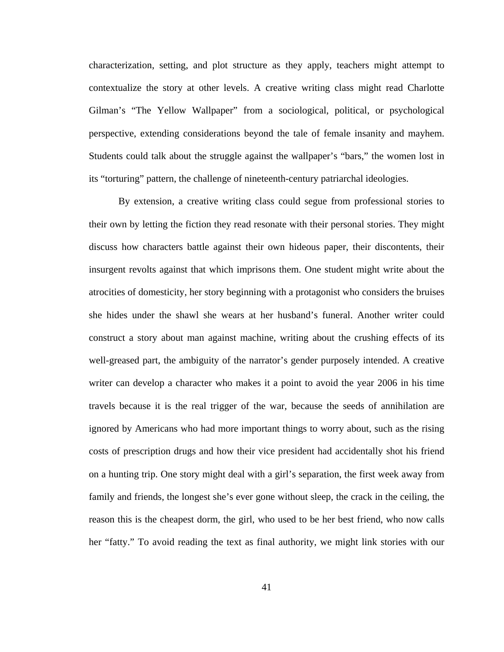characterization, setting, and plot structure as they apply, teachers might attempt to contextualize the story at other levels. A creative writing class might read Charlotte Gilman's "The Yellow Wallpaper" from a sociological, political, or psychological perspective, extending considerations beyond the tale of female insanity and mayhem. Students could talk about the struggle against the wallpaper's "bars," the women lost in its "torturing" pattern, the challenge of nineteenth-century patriarchal ideologies.

By extension, a creative writing class could segue from professional stories to their own by letting the fiction they read resonate with their personal stories. They might discuss how characters battle against their own hideous paper, their discontents, their insurgent revolts against that which imprisons them. One student might write about the atrocities of domesticity, her story beginning with a protagonist who considers the bruises she hides under the shawl she wears at her husband's funeral. Another writer could construct a story about man against machine, writing about the crushing effects of its well-greased part, the ambiguity of the narrator's gender purposely intended. A creative writer can develop a character who makes it a point to avoid the year 2006 in his time travels because it is the real trigger of the war, because the seeds of annihilation are ignored by Americans who had more important things to worry about, such as the rising costs of prescription drugs and how their vice president had accidentally shot his friend on a hunting trip. One story might deal with a girl's separation, the first week away from family and friends, the longest she's ever gone without sleep, the crack in the ceiling, the reason this is the cheapest dorm, the girl, who used to be her best friend, who now calls her "fatty." To avoid reading the text as final authority, we might link stories with our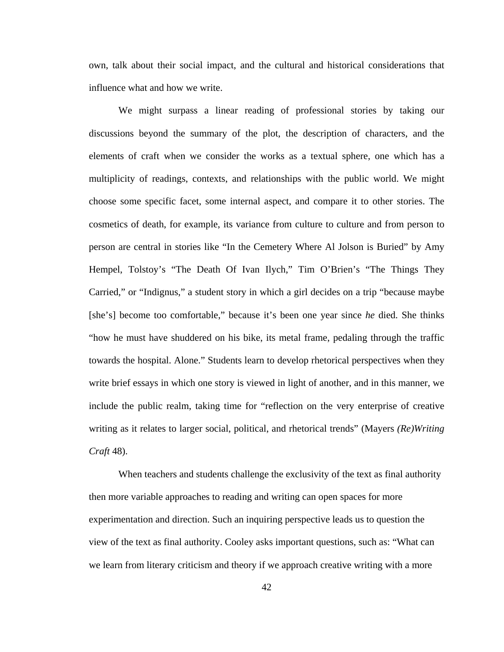own, talk about their social impact, and the cultural and historical considerations that influence what and how we write.

We might surpass a linear reading of professional stories by taking our discussions beyond the summary of the plot, the description of characters, and the elements of craft when we consider the works as a textual sphere, one which has a multiplicity of readings, contexts, and relationships with the public world. We might choose some specific facet, some internal aspect, and compare it to other stories. The cosmetics of death, for example, its variance from culture to culture and from person to person are central in stories like "In the Cemetery Where Al Jolson is Buried" by Amy Hempel, Tolstoy's "The Death Of Ivan Ilych," Tim O'Brien's "The Things They Carried," or "Indignus," a student story in which a girl decides on a trip "because maybe [she's] become too comfortable," because it's been one year since *he* died. She thinks "how he must have shuddered on his bike, its metal frame, pedaling through the traffic towards the hospital. Alone." Students learn to develop rhetorical perspectives when they write brief essays in which one story is viewed in light of another, and in this manner, we include the public realm, taking time for "reflection on the very enterprise of creative writing as it relates to larger social, political, and rhetorical trends" (Mayers *(Re)Writing Craft* 48).

When teachers and students challenge the exclusivity of the text as final authority then more variable approaches to reading and writing can open spaces for more experimentation and direction. Such an inquiring perspective leads us to question the view of the text as final authority. Cooley asks important questions, such as: "What can we learn from literary criticism and theory if we approach creative writing with a more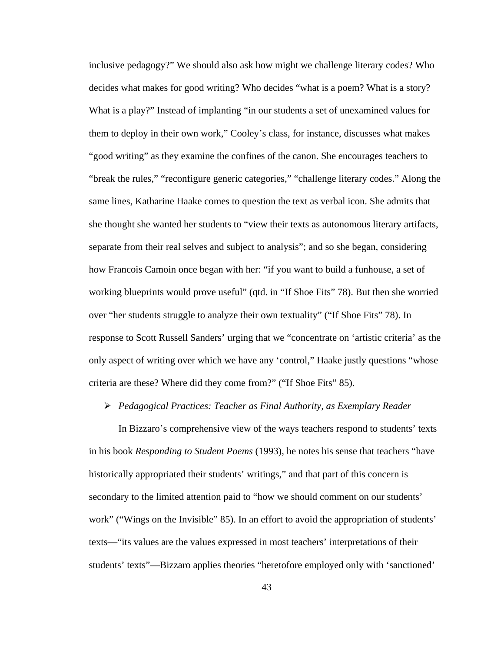inclusive pedagogy?" We should also ask how might we challenge literary codes? Who decides what makes for good writing? Who decides "what is a poem? What is a story? What is a play?" Instead of implanting "in our students a set of unexamined values for them to deploy in their own work," Cooley's class, for instance, discusses what makes "good writing" as they examine the confines of the canon. She encourages teachers to "break the rules," "reconfigure generic categories," "challenge literary codes." Along the same lines, Katharine Haake comes to question the text as verbal icon. She admits that she thought she wanted her students to "view their texts as autonomous literary artifacts, separate from their real selves and subject to analysis"; and so she began, considering how Francois Camoin once began with her: "if you want to build a funhouse, a set of working blueprints would prove useful" (qtd. in "If Shoe Fits" 78). But then she worried over "her students struggle to analyze their own textuality" ("If Shoe Fits" 78). In response to Scott Russell Sanders' urging that we "concentrate on 'artistic criteria' as the only aspect of writing over which we have any 'control," Haake justly questions "whose criteria are these? Where did they come from?" ("If Shoe Fits" 85).

# ¾ *Pedagogical Practices: Teacher as Final Authority, as Exemplary Reader*

In Bizzaro's comprehensive view of the ways teachers respond to students' texts in his book *Responding to Student Poems* (1993), he notes his sense that teachers "have historically appropriated their students' writings," and that part of this concern is secondary to the limited attention paid to "how we should comment on our students' work" ("Wings on the Invisible" 85). In an effort to avoid the appropriation of students' texts—"its values are the values expressed in most teachers' interpretations of their students' texts"—Bizzaro applies theories "heretofore employed only with 'sanctioned'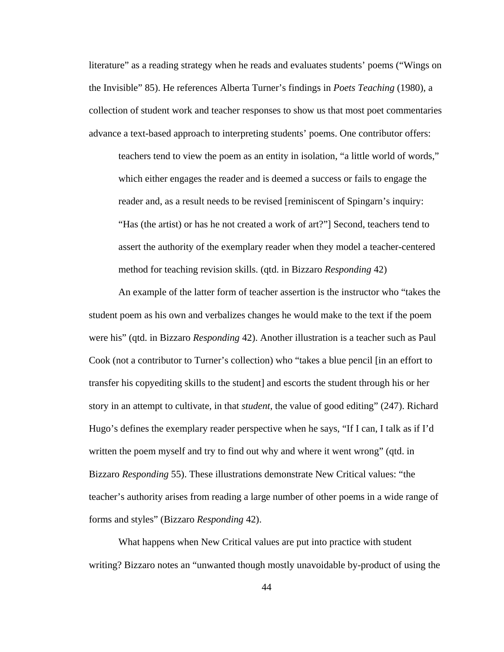literature" as a reading strategy when he reads and evaluates students' poems ("Wings on the Invisible" 85). He references Alberta Turner's findings in *Poets Teaching* (1980), a collection of student work and teacher responses to show us that most poet commentaries advance a text-based approach to interpreting students' poems. One contributor offers:

teachers tend to view the poem as an entity in isolation, "a little world of words," which either engages the reader and is deemed a success or fails to engage the reader and, as a result needs to be revised [reminiscent of Spingarn's inquiry: "Has (the artist) or has he not created a work of art?"] Second, teachers tend to assert the authority of the exemplary reader when they model a teacher-centered method for teaching revision skills. (qtd. in Bizzaro *Responding* 42)

An example of the latter form of teacher assertion is the instructor who "takes the student poem as his own and verbalizes changes he would make to the text if the poem were his" (qtd. in Bizzaro *Responding* 42). Another illustration is a teacher such as Paul Cook (not a contributor to Turner's collection) who "takes a blue pencil [in an effort to transfer his copyediting skills to the student] and escorts the student through his or her story in an attempt to cultivate, in that *student*, the value of good editing" (247). Richard Hugo's defines the exemplary reader perspective when he says, "If I can, I talk as if I'd written the poem myself and try to find out why and where it went wrong" (qtd. in Bizzaro *Responding* 55). These illustrations demonstrate New Critical values: "the teacher's authority arises from reading a large number of other poems in a wide range of forms and styles" (Bizzaro *Responding* 42).

What happens when New Critical values are put into practice with student writing? Bizzaro notes an "unwanted though mostly unavoidable by-product of using the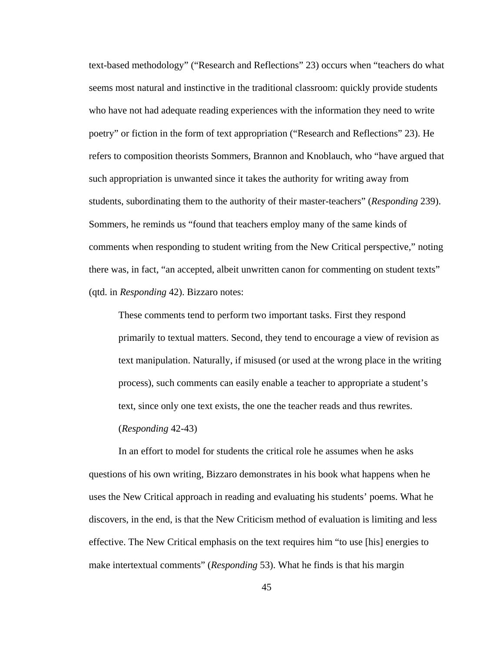text-based methodology" ("Research and Reflections" 23) occurs when "teachers do what seems most natural and instinctive in the traditional classroom: quickly provide students who have not had adequate reading experiences with the information they need to write poetry" or fiction in the form of text appropriation ("Research and Reflections" 23). He refers to composition theorists Sommers, Brannon and Knoblauch, who "have argued that such appropriation is unwanted since it takes the authority for writing away from students, subordinating them to the authority of their master-teachers" (*Responding* 239). Sommers, he reminds us "found that teachers employ many of the same kinds of comments when responding to student writing from the New Critical perspective," noting there was, in fact, "an accepted, albeit unwritten canon for commenting on student texts" (qtd. in *Responding* 42). Bizzaro notes:

These comments tend to perform two important tasks. First they respond primarily to textual matters. Second, they tend to encourage a view of revision as text manipulation. Naturally, if misused (or used at the wrong place in the writing process), such comments can easily enable a teacher to appropriate a student's text, since only one text exists, the one the teacher reads and thus rewrites. (*Responding* 42-43)

In an effort to model for students the critical role he assumes when he asks questions of his own writing, Bizzaro demonstrates in his book what happens when he uses the New Critical approach in reading and evaluating his students' poems. What he discovers, in the end, is that the New Criticism method of evaluation is limiting and less effective. The New Critical emphasis on the text requires him "to use [his] energies to make intertextual comments" (*Responding* 53). What he finds is that his margin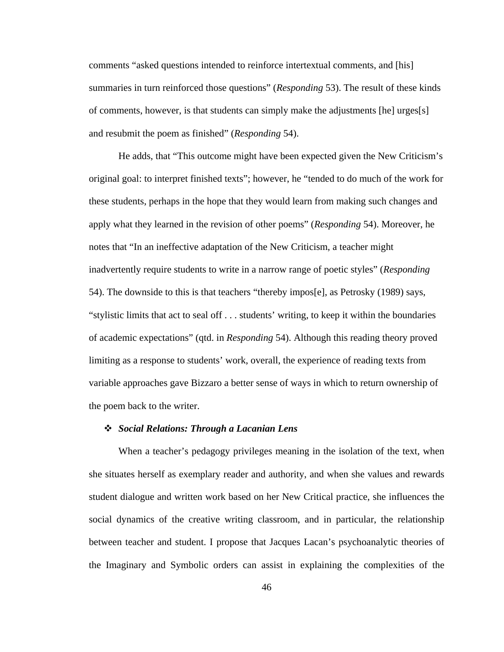comments "asked questions intended to reinforce intertextual comments, and [his] summaries in turn reinforced those questions" (*Responding* 53). The result of these kinds of comments, however, is that students can simply make the adjustments [he] urges[s] and resubmit the poem as finished" (*Responding* 54).

He adds, that "This outcome might have been expected given the New Criticism's original goal: to interpret finished texts"; however, he "tended to do much of the work for these students, perhaps in the hope that they would learn from making such changes and apply what they learned in the revision of other poems" (*Responding* 54). Moreover, he notes that "In an ineffective adaptation of the New Criticism, a teacher might inadvertently require students to write in a narrow range of poetic styles" (*Responding* 54). The downside to this is that teachers "thereby impos[e], as Petrosky (1989) says, "stylistic limits that act to seal off . . . students' writing, to keep it within the boundaries of academic expectations" (qtd. in *Responding* 54). Although this reading theory proved limiting as a response to students' work, overall, the experience of reading texts from variable approaches gave Bizzaro a better sense of ways in which to return ownership of the poem back to the writer.

### *Social Relations: Through a Lacanian Lens*

When a teacher's pedagogy privileges meaning in the isolation of the text, when she situates herself as exemplary reader and authority, and when she values and rewards student dialogue and written work based on her New Critical practice, she influences the social dynamics of the creative writing classroom, and in particular, the relationship between teacher and student. I propose that Jacques Lacan's psychoanalytic theories of the Imaginary and Symbolic orders can assist in explaining the complexities of the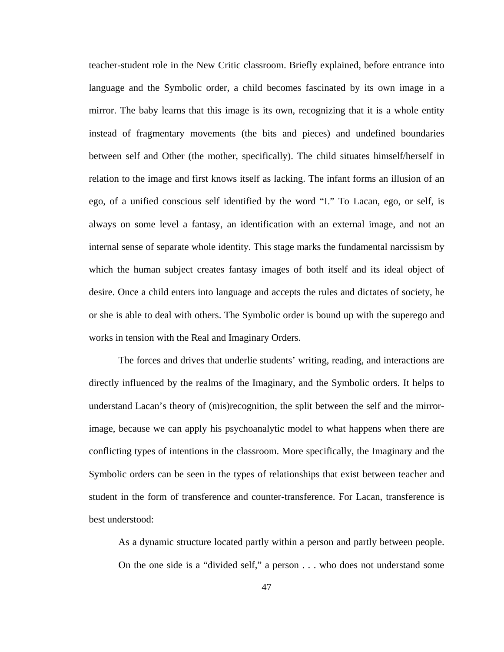teacher-student role in the New Critic classroom. Briefly explained, before entrance into language and the Symbolic order, a child becomes fascinated by its own image in a mirror. The baby learns that this image is its own, recognizing that it is a whole entity instead of fragmentary movements (the bits and pieces) and undefined boundaries between self and Other (the mother, specifically). The child situates himself/herself in relation to the image and first knows itself as lacking. The infant forms an illusion of an ego, of a unified conscious self identified by the word "I." To Lacan, ego, or self, is always on some level a fantasy, an identification with an external image, and not an internal sense of separate whole identity. This stage marks the fundamental narcissism by which the human subject creates fantasy images of both itself and its ideal object of desire. Once a child enters into language and accepts the rules and dictates of society, he or she is able to deal with others. The Symbolic order is bound up with the superego and works in tension with the Real and Imaginary Orders.

The forces and drives that underlie students' writing, reading, and interactions are directly influenced by the realms of the Imaginary, and the Symbolic orders. It helps to understand Lacan's theory of (mis)recognition, the split between the self and the mirrorimage, because we can apply his psychoanalytic model to what happens when there are conflicting types of intentions in the classroom. More specifically, the Imaginary and the Symbolic orders can be seen in the types of relationships that exist between teacher and student in the form of transference and counter-transference. For Lacan, transference is best understood:

As a dynamic structure located partly within a person and partly between people. On the one side is a "divided self," a person . . . who does not understand some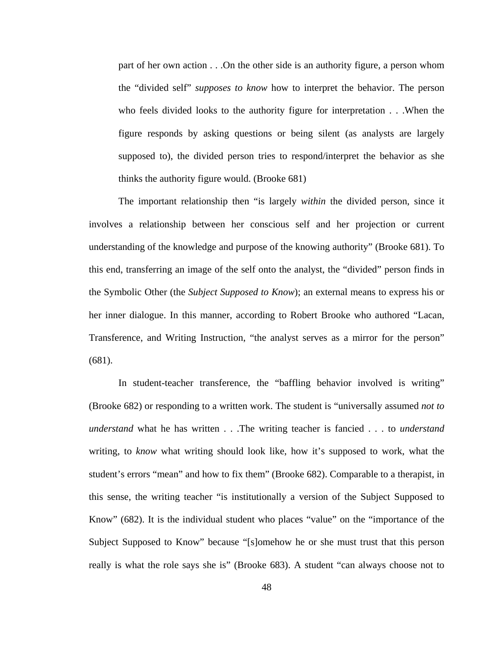part of her own action . . .On the other side is an authority figure, a person whom the "divided self" *supposes to know* how to interpret the behavior. The person who feels divided looks to the authority figure for interpretation . . .When the figure responds by asking questions or being silent (as analysts are largely supposed to), the divided person tries to respond/interpret the behavior as she thinks the authority figure would. (Brooke 681)

The important relationship then "is largely *within* the divided person, since it involves a relationship between her conscious self and her projection or current understanding of the knowledge and purpose of the knowing authority" (Brooke 681). To this end, transferring an image of the self onto the analyst, the "divided" person finds in the Symbolic Other (the *Subject Supposed to Know*); an external means to express his or her inner dialogue. In this manner, according to Robert Brooke who authored "Lacan, Transference, and Writing Instruction, "the analyst serves as a mirror for the person" (681).

In student-teacher transference, the "baffling behavior involved is writing" (Brooke 682) or responding to a written work. The student is "universally assumed *not to understand* what he has written . . .The writing teacher is fancied . . . to *understand* writing, to *know* what writing should look like, how it's supposed to work, what the student's errors "mean" and how to fix them" (Brooke 682). Comparable to a therapist, in this sense, the writing teacher "is institutionally a version of the Subject Supposed to Know" (682). It is the individual student who places "value" on the "importance of the Subject Supposed to Know" because "[s]omehow he or she must trust that this person really is what the role says she is" (Brooke 683). A student "can always choose not to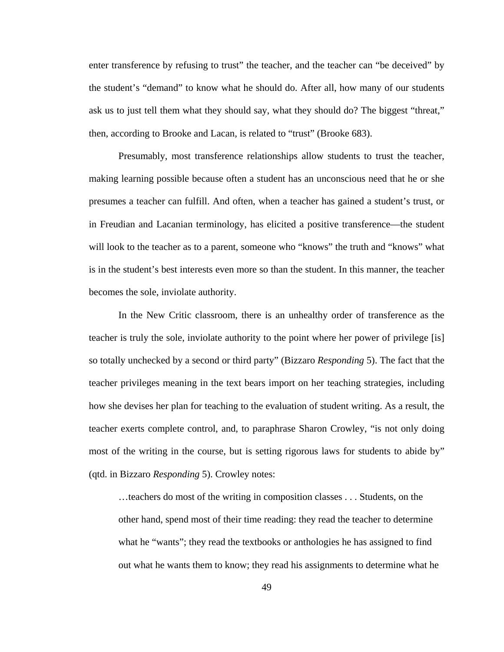enter transference by refusing to trust" the teacher, and the teacher can "be deceived" by the student's "demand" to know what he should do. After all, how many of our students ask us to just tell them what they should say, what they should do? The biggest "threat," then, according to Brooke and Lacan, is related to "trust" (Brooke 683).

Presumably, most transference relationships allow students to trust the teacher, making learning possible because often a student has an unconscious need that he or she presumes a teacher can fulfill. And often, when a teacher has gained a student's trust, or in Freudian and Lacanian terminology, has elicited a positive transference—the student will look to the teacher as to a parent, someone who "knows" the truth and "knows" what is in the student's best interests even more so than the student. In this manner, the teacher becomes the sole, inviolate authority.

 In the New Critic classroom, there is an unhealthy order of transference as the teacher is truly the sole, inviolate authority to the point where her power of privilege [is] so totally unchecked by a second or third party" (Bizzaro *Responding* 5). The fact that the teacher privileges meaning in the text bears import on her teaching strategies, including how she devises her plan for teaching to the evaluation of student writing. As a result, the teacher exerts complete control, and, to paraphrase Sharon Crowley, "is not only doing most of the writing in the course, but is setting rigorous laws for students to abide by" (qtd. in Bizzaro *Responding* 5). Crowley notes:

…teachers do most of the writing in composition classes . . . Students, on the other hand, spend most of their time reading: they read the teacher to determine what he "wants"; they read the textbooks or anthologies he has assigned to find out what he wants them to know; they read his assignments to determine what he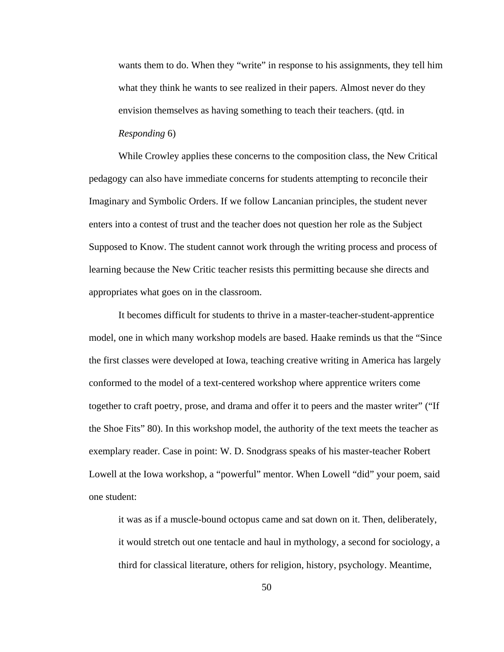wants them to do. When they "write" in response to his assignments, they tell him what they think he wants to see realized in their papers. Almost never do they envision themselves as having something to teach their teachers. (qtd. in

# *Responding* 6)

While Crowley applies these concerns to the composition class, the New Critical pedagogy can also have immediate concerns for students attempting to reconcile their Imaginary and Symbolic Orders. If we follow Lancanian principles, the student never enters into a contest of trust and the teacher does not question her role as the Subject Supposed to Know. The student cannot work through the writing process and process of learning because the New Critic teacher resists this permitting because she directs and appropriates what goes on in the classroom.

It becomes difficult for students to thrive in a master-teacher-student-apprentice model, one in which many workshop models are based. Haake reminds us that the "Since the first classes were developed at Iowa, teaching creative writing in America has largely conformed to the model of a text-centered workshop where apprentice writers come together to craft poetry, prose, and drama and offer it to peers and the master writer" ("If the Shoe Fits" 80). In this workshop model, the authority of the text meets the teacher as exemplary reader. Case in point: W. D. Snodgrass speaks of his master-teacher Robert Lowell at the Iowa workshop, a "powerful" mentor. When Lowell "did" your poem, said one student:

it was as if a muscle-bound octopus came and sat down on it. Then, deliberately, it would stretch out one tentacle and haul in mythology, a second for sociology, a third for classical literature, others for religion, history, psychology. Meantime,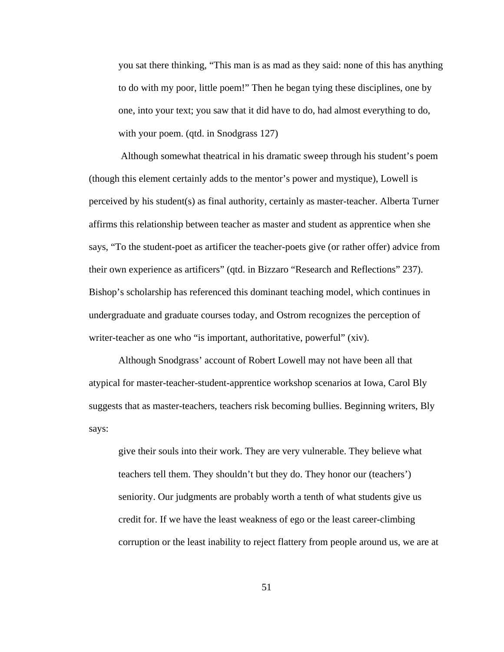you sat there thinking, "This man is as mad as they said: none of this has anything to do with my poor, little poem!" Then he began tying these disciplines, one by one, into your text; you saw that it did have to do, had almost everything to do, with your poem. (qtd. in Snodgrass 127)

 Although somewhat theatrical in his dramatic sweep through his student's poem (though this element certainly adds to the mentor's power and mystique), Lowell is perceived by his student(s) as final authority, certainly as master-teacher. Alberta Turner affirms this relationship between teacher as master and student as apprentice when she says, "To the student-poet as artificer the teacher-poets give (or rather offer) advice from their own experience as artificers" (qtd. in Bizzaro "Research and Reflections" 237). Bishop's scholarship has referenced this dominant teaching model, which continues in undergraduate and graduate courses today, and Ostrom recognizes the perception of writer-teacher as one who "is important, authoritative, powerful" (xiv).

Although Snodgrass' account of Robert Lowell may not have been all that atypical for master-teacher-student-apprentice workshop scenarios at Iowa, Carol Bly suggests that as master-teachers, teachers risk becoming bullies. Beginning writers, Bly says:

give their souls into their work. They are very vulnerable. They believe what teachers tell them. They shouldn't but they do. They honor our (teachers') seniority. Our judgments are probably worth a tenth of what students give us credit for. If we have the least weakness of ego or the least career-climbing corruption or the least inability to reject flattery from people around us, we are at

51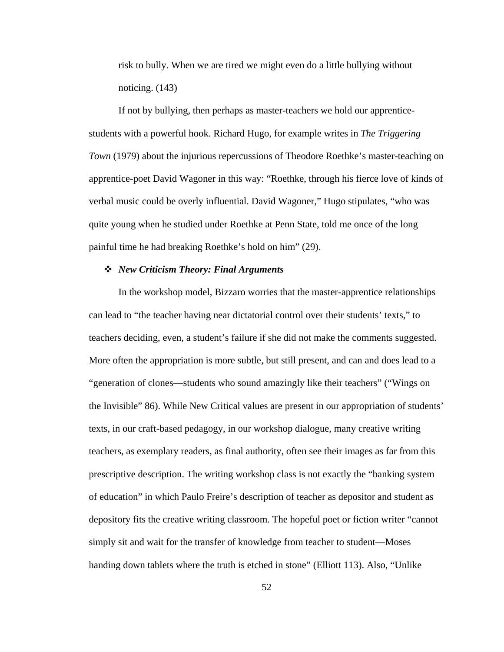risk to bully. When we are tired we might even do a little bullying without noticing. (143)

If not by bullying, then perhaps as master-teachers we hold our apprenticestudents with a powerful hook. Richard Hugo, for example writes in *The Triggering Town* (1979) about the injurious repercussions of Theodore Roethke's master-teaching on apprentice-poet David Wagoner in this way: "Roethke, through his fierce love of kinds of verbal music could be overly influential. David Wagoner," Hugo stipulates, "who was quite young when he studied under Roethke at Penn State, told me once of the long painful time he had breaking Roethke's hold on him" (29).

### *New Criticism Theory: Final Arguments*

In the workshop model, Bizzaro worries that the master-apprentice relationships can lead to "the teacher having near dictatorial control over their students' texts," to teachers deciding, even, a student's failure if she did not make the comments suggested. More often the appropriation is more subtle, but still present, and can and does lead to a "generation of clones—students who sound amazingly like their teachers" ("Wings on the Invisible" 86). While New Critical values are present in our appropriation of students' texts, in our craft-based pedagogy, in our workshop dialogue, many creative writing teachers, as exemplary readers, as final authority, often see their images as far from this prescriptive description. The writing workshop class is not exactly the "banking system of education" in which Paulo Freire's description of teacher as depositor and student as depository fits the creative writing classroom. The hopeful poet or fiction writer "cannot simply sit and wait for the transfer of knowledge from teacher to student—Moses handing down tablets where the truth is etched in stone" (Elliott 113). Also, "Unlike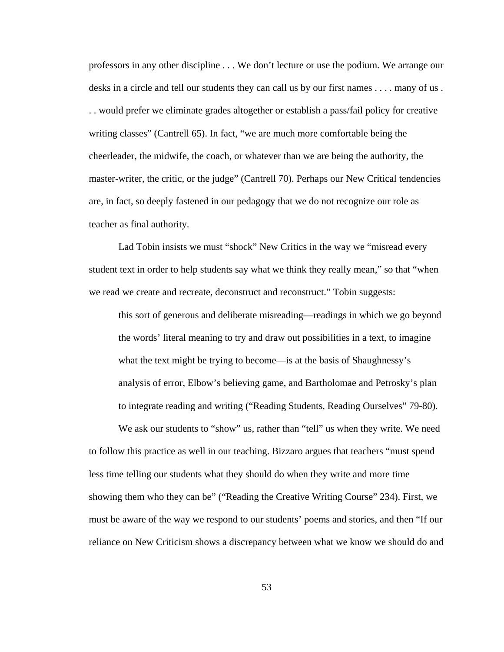professors in any other discipline . . . We don't lecture or use the podium. We arrange our desks in a circle and tell our students they can call us by our first names . . . . many of us . . . would prefer we eliminate grades altogether or establish a pass/fail policy for creative writing classes" (Cantrell 65). In fact, "we are much more comfortable being the cheerleader, the midwife, the coach, or whatever than we are being the authority, the master-writer, the critic, or the judge" (Cantrell 70). Perhaps our New Critical tendencies are, in fact, so deeply fastened in our pedagogy that we do not recognize our role as teacher as final authority.

Lad Tobin insists we must "shock" New Critics in the way we "misread every student text in order to help students say what we think they really mean," so that "when we read we create and recreate, deconstruct and reconstruct." Tobin suggests:

this sort of generous and deliberate misreading—readings in which we go beyond the words' literal meaning to try and draw out possibilities in a text, to imagine what the text might be trying to become—is at the basis of Shaughnessy's analysis of error, Elbow's believing game, and Bartholomae and Petrosky's plan to integrate reading and writing ("Reading Students, Reading Ourselves" 79-80).

We ask our students to "show" us, rather than "tell" us when they write. We need to follow this practice as well in our teaching. Bizzaro argues that teachers "must spend less time telling our students what they should do when they write and more time showing them who they can be" ("Reading the Creative Writing Course" 234). First, we must be aware of the way we respond to our students' poems and stories, and then "If our reliance on New Criticism shows a discrepancy between what we know we should do and

53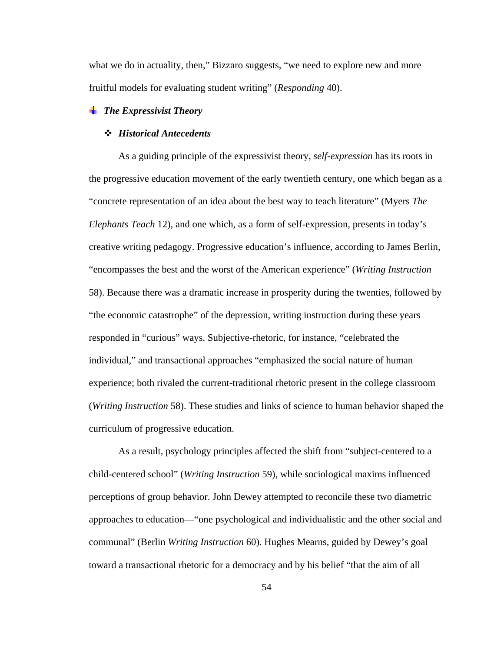what we do in actuality, then," Bizzaro suggests, "we need to explore new and more fruitful models for evaluating student writing" (*Responding* 40).

# *The Expressivist Theory*

### *Historical Antecedents*

As a guiding principle of the expressivist theory, *self-expression* has its roots in the progressive education movement of the early twentieth century, one which began as a "concrete representation of an idea about the best way to teach literature" (Myers *The Elephants Teach* 12), and one which, as a form of self-expression, presents in today's creative writing pedagogy. Progressive education's influence, according to James Berlin, "encompasses the best and the worst of the American experience" (*Writing Instruction* 58). Because there was a dramatic increase in prosperity during the twenties, followed by "the economic catastrophe" of the depression, writing instruction during these years responded in "curious" ways. Subjective-rhetoric, for instance, "celebrated the individual," and transactional approaches "emphasized the social nature of human experience; both rivaled the current-traditional rhetoric present in the college classroom (*Writing Instruction* 58). These studies and links of science to human behavior shaped the curriculum of progressive education.

As a result, psychology principles affected the shift from "subject-centered to a child-centered school" (*Writing Instruction* 59), while sociological maxims influenced perceptions of group behavior. John Dewey attempted to reconcile these two diametric approaches to education—"one psychological and individualistic and the other social and communal" (Berlin *Writing Instruction* 60). Hughes Mearns, guided by Dewey's goal toward a transactional rhetoric for a democracy and by his belief "that the aim of all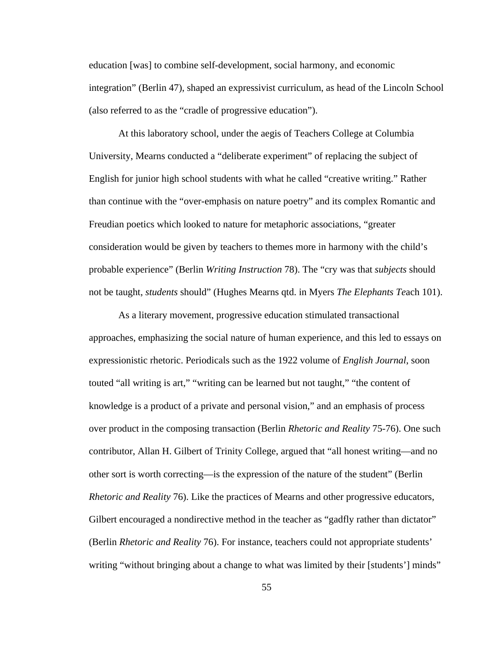education [was] to combine self-development, social harmony, and economic integration" (Berlin 47), shaped an expressivist curriculum, as head of the Lincoln School (also referred to as the "cradle of progressive education").

At this laboratory school, under the aegis of Teachers College at Columbia University, Mearns conducted a "deliberate experiment" of replacing the subject of English for junior high school students with what he called "creative writing." Rather than continue with the "over-emphasis on nature poetry" and its complex Romantic and Freudian poetics which looked to nature for metaphoric associations, "greater consideration would be given by teachers to themes more in harmony with the child's probable experience" (Berlin *Writing Instruction* 78). The "cry was that *subjects* should not be taught, *students* should" (Hughes Mearns qtd. in Myers *The Elephants Te*ach 101).

As a literary movement, progressive education stimulated transactional approaches, emphasizing the social nature of human experience, and this led to essays on expressionistic rhetoric. Periodicals such as the 1922 volume of *English Journal*, soon touted "all writing is art," "writing can be learned but not taught," "the content of knowledge is a product of a private and personal vision," and an emphasis of process over product in the composing transaction (Berlin *Rhetoric and Reality* 75-76). One such contributor, Allan H. Gilbert of Trinity College, argued that "all honest writing—and no other sort is worth correcting—is the expression of the nature of the student" (Berlin *Rhetoric and Reality* 76). Like the practices of Mearns and other progressive educators, Gilbert encouraged a nondirective method in the teacher as "gadfly rather than dictator" (Berlin *Rhetoric and Reality* 76). For instance, teachers could not appropriate students' writing "without bringing about a change to what was limited by their [students'] minds"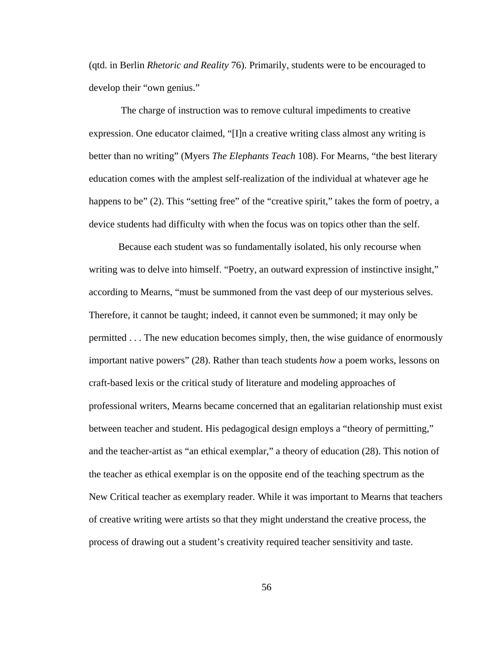(qtd. in Berlin *Rhetoric and Reality* 76). Primarily, students were to be encouraged to develop their "own genius."

 The charge of instruction was to remove cultural impediments to creative expression. One educator claimed, "[I]n a creative writing class almost any writing is better than no writing" (Myers *The Elephants Teach* 108). For Mearns, "the best literary education comes with the amplest self-realization of the individual at whatever age he happens to be" (2). This "setting free" of the "creative spirit," takes the form of poetry, a device students had difficulty with when the focus was on topics other than the self.

Because each student was so fundamentally isolated, his only recourse when writing was to delve into himself. "Poetry, an outward expression of instinctive insight," according to Mearns, "must be summoned from the vast deep of our mysterious selves. Therefore, it cannot be taught; indeed, it cannot even be summoned; it may only be permitted . . . The new education becomes simply, then, the wise guidance of enormously important native powers" (28). Rather than teach students *how* a poem works, lessons on craft-based lexis or the critical study of literature and modeling approaches of professional writers, Mearns became concerned that an egalitarian relationship must exist between teacher and student. His pedagogical design employs a "theory of permitting," and the teacher-artist as "an ethical exemplar," a theory of education (28). This notion of the teacher as ethical exemplar is on the opposite end of the teaching spectrum as the New Critical teacher as exemplary reader. While it was important to Mearns that teachers of creative writing were artists so that they might understand the creative process, the process of drawing out a student's creativity required teacher sensitivity and taste.

56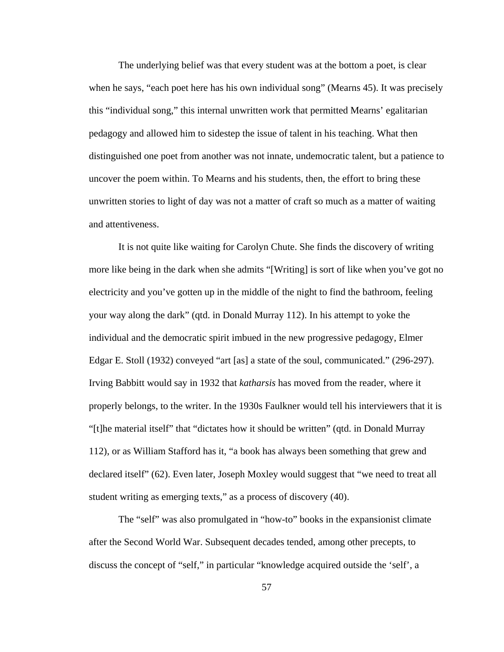The underlying belief was that every student was at the bottom a poet, is clear when he says, "each poet here has his own individual song" (Mearns 45). It was precisely this "individual song," this internal unwritten work that permitted Mearns' egalitarian pedagogy and allowed him to sidestep the issue of talent in his teaching. What then distinguished one poet from another was not innate, undemocratic talent, but a patience to uncover the poem within. To Mearns and his students, then, the effort to bring these unwritten stories to light of day was not a matter of craft so much as a matter of waiting and attentiveness.

It is not quite like waiting for Carolyn Chute. She finds the discovery of writing more like being in the dark when she admits "[Writing] is sort of like when you've got no electricity and you've gotten up in the middle of the night to find the bathroom, feeling your way along the dark" (qtd. in Donald Murray 112). In his attempt to yoke the individual and the democratic spirit imbued in the new progressive pedagogy, Elmer Edgar E. Stoll (1932) conveyed "art [as] a state of the soul, communicated." (296-297). Irving Babbitt would say in 1932 that *katharsis* has moved from the reader, where it properly belongs, to the writer. In the 1930s Faulkner would tell his interviewers that it is "[t]he material itself" that "dictates how it should be written" (qtd. in Donald Murray 112), or as William Stafford has it, "a book has always been something that grew and declared itself" (62). Even later, Joseph Moxley would suggest that "we need to treat all student writing as emerging texts," as a process of discovery (40).

The "self" was also promulgated in "how-to" books in the expansionist climate after the Second World War. Subsequent decades tended, among other precepts, to discuss the concept of "self," in particular "knowledge acquired outside the 'self', a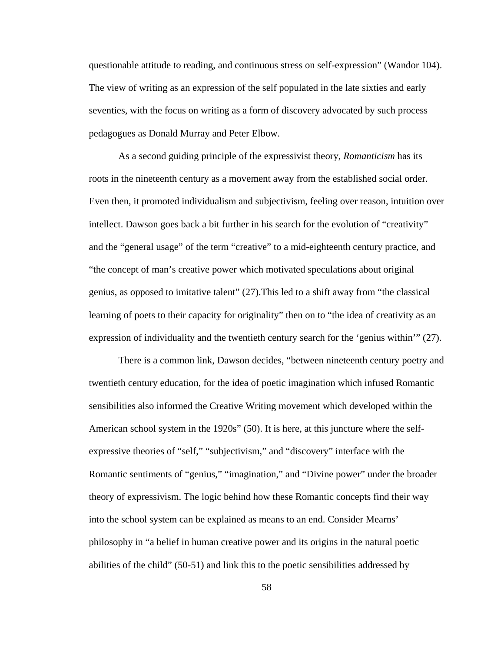questionable attitude to reading, and continuous stress on self-expression" (Wandor 104). The view of writing as an expression of the self populated in the late sixties and early seventies, with the focus on writing as a form of discovery advocated by such process pedagogues as Donald Murray and Peter Elbow.

 As a second guiding principle of the expressivist theory, *Romanticism* has its roots in the nineteenth century as a movement away from the established social order. Even then, it promoted individualism and subjectivism, feeling over reason, intuition over intellect. Dawson goes back a bit further in his search for the evolution of "creativity" and the "general usage" of the term "creative" to a mid-eighteenth century practice, and "the concept of man's creative power which motivated speculations about original genius, as opposed to imitative talent" (27).This led to a shift away from "the classical learning of poets to their capacity for originality" then on to "the idea of creativity as an expression of individuality and the twentieth century search for the 'genius within'" (27).

There is a common link, Dawson decides, "between nineteenth century poetry and twentieth century education, for the idea of poetic imagination which infused Romantic sensibilities also informed the Creative Writing movement which developed within the American school system in the 1920s" (50). It is here, at this juncture where the selfexpressive theories of "self," "subjectivism," and "discovery" interface with the Romantic sentiments of "genius," "imagination," and "Divine power" under the broader theory of expressivism. The logic behind how these Romantic concepts find their way into the school system can be explained as means to an end. Consider Mearns' philosophy in "a belief in human creative power and its origins in the natural poetic abilities of the child" (50-51) and link this to the poetic sensibilities addressed by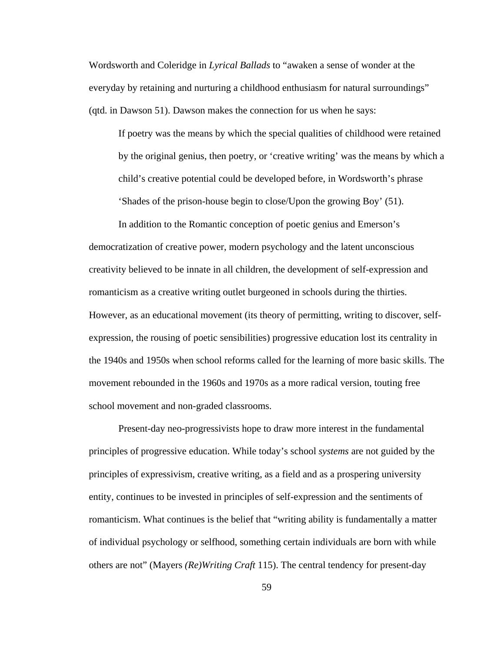Wordsworth and Coleridge in *Lyrical Ballads* to "awaken a sense of wonder at the everyday by retaining and nurturing a childhood enthusiasm for natural surroundings" (qtd. in Dawson 51). Dawson makes the connection for us when he says:

If poetry was the means by which the special qualities of childhood were retained by the original genius, then poetry, or 'creative writing' was the means by which a child's creative potential could be developed before, in Wordsworth's phrase 'Shades of the prison-house begin to close/Upon the growing Boy' (51).

In addition to the Romantic conception of poetic genius and Emerson's democratization of creative power, modern psychology and the latent unconscious creativity believed to be innate in all children, the development of self-expression and romanticism as a creative writing outlet burgeoned in schools during the thirties. However, as an educational movement (its theory of permitting, writing to discover, selfexpression, the rousing of poetic sensibilities) progressive education lost its centrality in the 1940s and 1950s when school reforms called for the learning of more basic skills. The movement rebounded in the 1960s and 1970s as a more radical version, touting free school movement and non-graded classrooms.

Present-day neo-progressivists hope to draw more interest in the fundamental principles of progressive education. While today's school *systems* are not guided by the principles of expressivism, creative writing, as a field and as a prospering university entity, continues to be invested in principles of self-expression and the sentiments of romanticism. What continues is the belief that "writing ability is fundamentally a matter of individual psychology or selfhood, something certain individuals are born with while others are not" (Mayers *(Re)Writing Craft* 115). The central tendency for present-day

59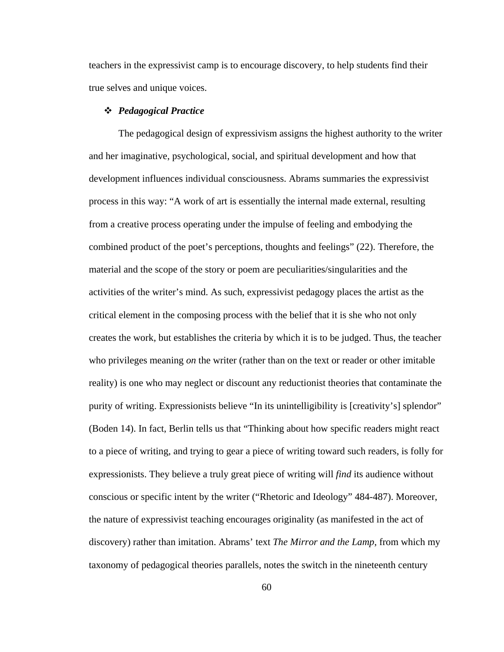teachers in the expressivist camp is to encourage discovery, to help students find their true selves and unique voices.

# *Pedagogical Practice*

The pedagogical design of expressivism assigns the highest authority to the writer and her imaginative, psychological, social, and spiritual development and how that development influences individual consciousness. Abrams summaries the expressivist process in this way: "A work of art is essentially the internal made external, resulting from a creative process operating under the impulse of feeling and embodying the combined product of the poet's perceptions, thoughts and feelings" (22). Therefore, the material and the scope of the story or poem are peculiarities/singularities and the activities of the writer's mind. As such, expressivist pedagogy places the artist as the critical element in the composing process with the belief that it is she who not only creates the work, but establishes the criteria by which it is to be judged. Thus, the teacher who privileges meaning *on* the writer (rather than on the text or reader or other imitable reality) is one who may neglect or discount any reductionist theories that contaminate the purity of writing. Expressionists believe "In its unintelligibility is [creativity's] splendor" (Boden 14). In fact, Berlin tells us that "Thinking about how specific readers might react to a piece of writing, and trying to gear a piece of writing toward such readers, is folly for expressionists. They believe a truly great piece of writing will *find* its audience without conscious or specific intent by the writer ("Rhetoric and Ideology" 484-487). Moreover, the nature of expressivist teaching encourages originality (as manifested in the act of discovery) rather than imitation. Abrams' text *The Mirror and the Lamp*, from which my taxonomy of pedagogical theories parallels, notes the switch in the nineteenth century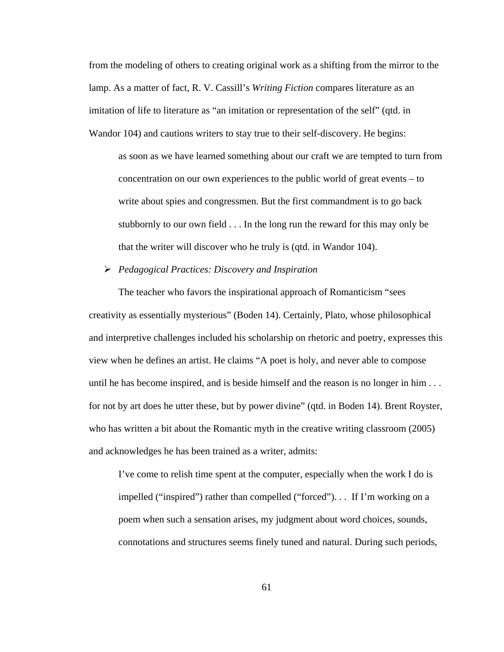from the modeling of others to creating original work as a shifting from the mirror to the lamp. As a matter of fact, R. V. Cassill's *Writing Fiction* compares literature as an imitation of life to literature as "an imitation or representation of the self" (qtd. in Wandor 104) and cautions writers to stay true to their self-discovery. He begins:

as soon as we have learned something about our craft we are tempted to turn from concentration on our own experiences to the public world of great events – to write about spies and congressmen. But the first commandment is to go back stubbornly to our own field . . . In the long run the reward for this may only be that the writer will discover who he truly is (qtd. in Wandor 104).

### ¾ *Pedagogical Practices: Discovery and Inspiration*

The teacher who favors the inspirational approach of Romanticism "sees creativity as essentially mysterious" (Boden 14). Certainly, Plato, whose philosophical and interpretive challenges included his scholarship on rhetoric and poetry, expresses this view when he defines an artist. He claims "A poet is holy, and never able to compose until he has become inspired, and is beside himself and the reason is no longer in him . . . for not by art does he utter these, but by power divine" (qtd. in Boden 14). Brent Royster, who has written a bit about the Romantic myth in the creative writing classroom (2005) and acknowledges he has been trained as a writer, admits:

I've come to relish time spent at the computer, especially when the work I do is impelled ("inspired") rather than compelled ("forced"). . . If I'm working on a poem when such a sensation arises, my judgment about word choices, sounds, connotations and structures seems finely tuned and natural. During such periods,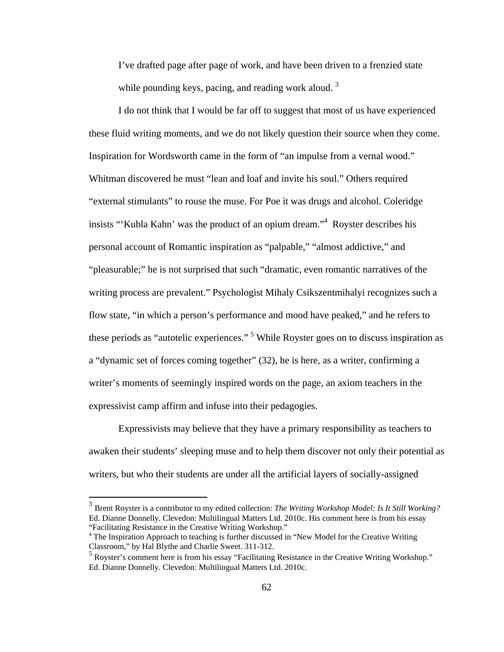I've drafted page after page of work, and have been driven to a frenzied state while pounding keys, pacing, and reading work aloud.<sup>3</sup>

I do not think that I would be far off to suggest that most of us have experienced these fluid writing moments, and we do not likely question their source when they come. Inspiration for Wordsworth came in the form of "an impulse from a vernal wood." Whitman discovered he must "lean and loaf and invite his soul." Others required "external stimulants" to rouse the muse. For Poe it was drugs and alcohol. Coleridge insists "Kubla Kahn' was the product of an opium dream."<sup>4</sup> Royster describes his personal account of Romantic inspiration as "palpable," "almost addictive," and "pleasurable;" he is not surprised that such "dramatic, even romantic narratives of the writing process are prevalent." Psychologist Mihaly Csikszentmihalyi recognizes such a flow state, "in which a person's performance and mood have peaked," and he refers to these periods as "autotelic experiences."<sup>5</sup> While Royster goes on to discuss inspiration as a "dynamic set of forces coming together" (32), he is here, as a writer, confirming a writer's moments of seemingly inspired words on the page, an axiom teachers in the expressivist camp affirm and infuse into their pedagogies.

Expressivists may believe that they have a primary responsibility as teachers to awaken their students' sleeping muse and to help them discover not only their potential as writers, but who their students are under all the artificial layers of socially-assigned

1

<sup>3</sup> Brent Royster is a contributor to my edited collection: *The Writing Workshop Model: Is It Still Working?* Ed. Dianne Donnelly. Clevedon: Multilingual Matters Ltd. 2010c. His comment here is from his essay "Facilitating Resistance in the Creative Writing Workshop."

<sup>&</sup>lt;sup>4</sup> The Inspiration Approach to teaching is further discussed in "New Model for the Creative Writing Classroom," by Hal Blythe and Charlie Sweet. 311-312.

<sup>5</sup> Royster's comment here is from his essay "Facilitating Resistance in the Creative Writing Workshop." Ed. Dianne Donnelly. Clevedon: Multilingual Matters Ltd. 2010c.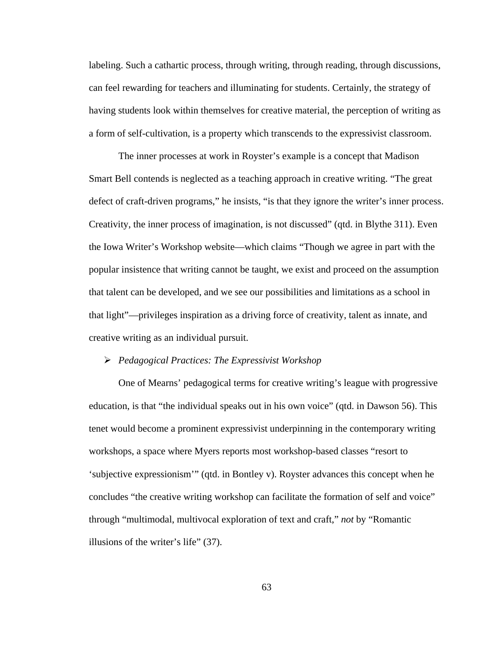labeling. Such a cathartic process, through writing, through reading, through discussions, can feel rewarding for teachers and illuminating for students. Certainly, the strategy of having students look within themselves for creative material, the perception of writing as a form of self-cultivation, is a property which transcends to the expressivist classroom.

The inner processes at work in Royster's example is a concept that Madison Smart Bell contends is neglected as a teaching approach in creative writing. "The great defect of craft-driven programs," he insists, "is that they ignore the writer's inner process. Creativity, the inner process of imagination, is not discussed" (qtd. in Blythe 311). Even the Iowa Writer's Workshop website—which claims "Though we agree in part with the popular insistence that writing cannot be taught, we exist and proceed on the assumption that talent can be developed, and we see our possibilities and limitations as a school in that light"—privileges inspiration as a driving force of creativity, talent as innate, and creative writing as an individual pursuit.

### ¾ *Pedagogical Practices: The Expressivist Workshop*

One of Mearns' pedagogical terms for creative writing's league with progressive education, is that "the individual speaks out in his own voice" (qtd. in Dawson 56). This tenet would become a prominent expressivist underpinning in the contemporary writing workshops, a space where Myers reports most workshop-based classes "resort to 'subjective expressionism'" (qtd. in Bontley v). Royster advances this concept when he concludes "the creative writing workshop can facilitate the formation of self and voice" through "multimodal, multivocal exploration of text and craft," *not* by "Romantic illusions of the writer's life" (37).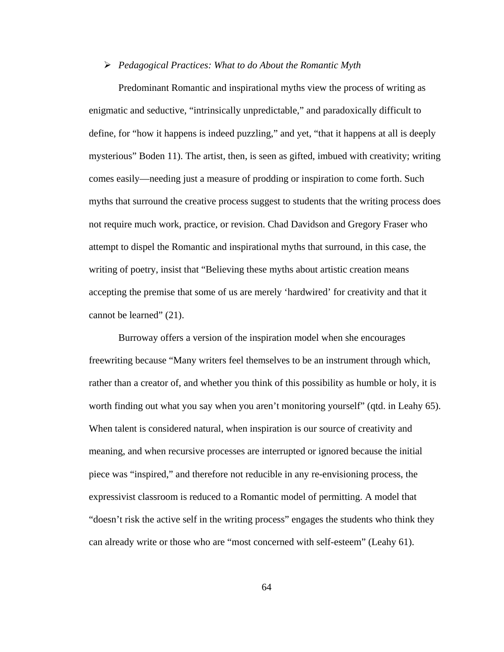### ¾ *Pedagogical Practices: What to do About the Romantic Myth*

Predominant Romantic and inspirational myths view the process of writing as enigmatic and seductive, "intrinsically unpredictable," and paradoxically difficult to define, for "how it happens is indeed puzzling," and yet, "that it happens at all is deeply mysterious" Boden 11). The artist, then, is seen as gifted, imbued with creativity; writing comes easily—needing just a measure of prodding or inspiration to come forth. Such myths that surround the creative process suggest to students that the writing process does not require much work, practice, or revision. Chad Davidson and Gregory Fraser who attempt to dispel the Romantic and inspirational myths that surround, in this case, the writing of poetry, insist that "Believing these myths about artistic creation means accepting the premise that some of us are merely 'hardwired' for creativity and that it cannot be learned" (21).

Burroway offers a version of the inspiration model when she encourages freewriting because "Many writers feel themselves to be an instrument through which, rather than a creator of, and whether you think of this possibility as humble or holy, it is worth finding out what you say when you aren't monitoring yourself" (qtd. in Leahy 65). When talent is considered natural, when inspiration is our source of creativity and meaning, and when recursive processes are interrupted or ignored because the initial piece was "inspired," and therefore not reducible in any re-envisioning process, the expressivist classroom is reduced to a Romantic model of permitting. A model that "doesn't risk the active self in the writing process" engages the students who think they can already write or those who are "most concerned with self-esteem" (Leahy 61).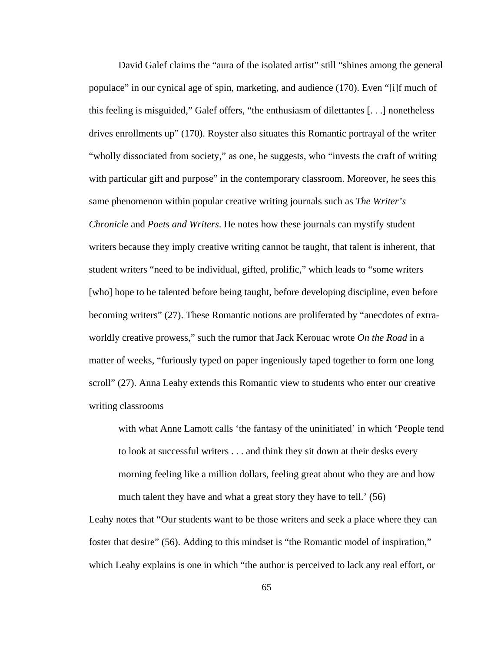David Galef claims the "aura of the isolated artist" still "shines among the general populace" in our cynical age of spin, marketing, and audience (170). Even "[i]f much of this feeling is misguided," Galef offers, "the enthusiasm of dilettantes [. . .] nonetheless drives enrollments up" (170). Royster also situates this Romantic portrayal of the writer "wholly dissociated from society," as one, he suggests, who "invests the craft of writing with particular gift and purpose" in the contemporary classroom. Moreover, he sees this same phenomenon within popular creative writing journals such as *The Writer's Chronicle* and *Poets and Writers*. He notes how these journals can mystify student writers because they imply creative writing cannot be taught, that talent is inherent, that student writers "need to be individual, gifted, prolific," which leads to "some writers [who] hope to be talented before being taught, before developing discipline, even before becoming writers" (27). These Romantic notions are proliferated by "anecdotes of extraworldly creative prowess," such the rumor that Jack Kerouac wrote *On the Road* in a matter of weeks, "furiously typed on paper ingeniously taped together to form one long scroll" (27). Anna Leahy extends this Romantic view to students who enter our creative writing classrooms

with what Anne Lamott calls 'the fantasy of the uninitiated' in which 'People tend to look at successful writers . . . and think they sit down at their desks every morning feeling like a million dollars, feeling great about who they are and how much talent they have and what a great story they have to tell.' (56)

Leahy notes that "Our students want to be those writers and seek a place where they can foster that desire" (56). Adding to this mindset is "the Romantic model of inspiration," which Leahy explains is one in which "the author is perceived to lack any real effort, or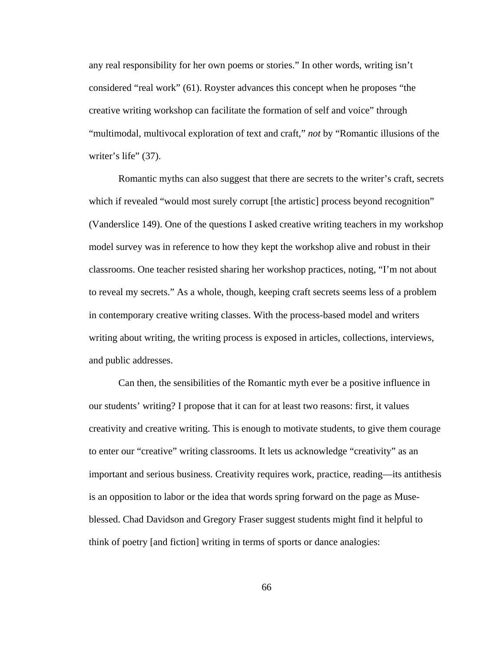any real responsibility for her own poems or stories." In other words, writing isn't considered "real work" (61). Royster advances this concept when he proposes "the creative writing workshop can facilitate the formation of self and voice" through "multimodal, multivocal exploration of text and craft," *not* by "Romantic illusions of the writer's life" (37).

Romantic myths can also suggest that there are secrets to the writer's craft, secrets which if revealed "would most surely corrupt [the artistic] process beyond recognition" (Vanderslice 149). One of the questions I asked creative writing teachers in my workshop model survey was in reference to how they kept the workshop alive and robust in their classrooms. One teacher resisted sharing her workshop practices, noting, "I'm not about to reveal my secrets." As a whole, though, keeping craft secrets seems less of a problem in contemporary creative writing classes. With the process-based model and writers writing about writing, the writing process is exposed in articles, collections, interviews, and public addresses.

Can then, the sensibilities of the Romantic myth ever be a positive influence in our students' writing? I propose that it can for at least two reasons: first, it values creativity and creative writing. This is enough to motivate students, to give them courage to enter our "creative" writing classrooms. It lets us acknowledge "creativity" as an important and serious business. Creativity requires work, practice, reading—its antithesis is an opposition to labor or the idea that words spring forward on the page as Museblessed. Chad Davidson and Gregory Fraser suggest students might find it helpful to think of poetry [and fiction] writing in terms of sports or dance analogies: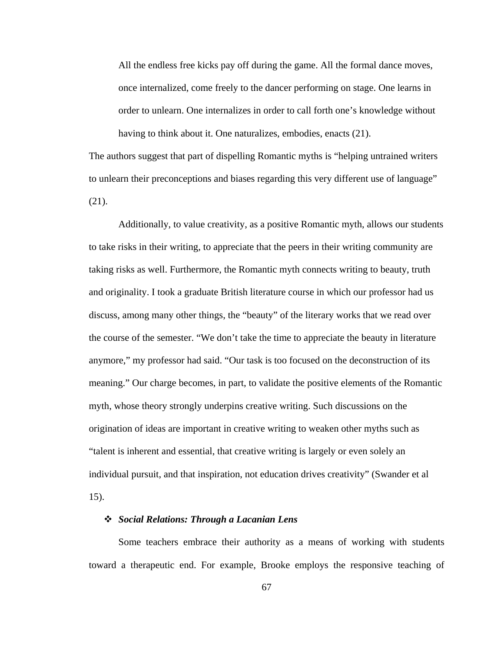All the endless free kicks pay off during the game. All the formal dance moves, once internalized, come freely to the dancer performing on stage. One learns in order to unlearn. One internalizes in order to call forth one's knowledge without having to think about it. One naturalizes, embodies, enacts (21).

The authors suggest that part of dispelling Romantic myths is "helping untrained writers to unlearn their preconceptions and biases regarding this very different use of language" (21).

Additionally, to value creativity, as a positive Romantic myth, allows our students to take risks in their writing, to appreciate that the peers in their writing community are taking risks as well. Furthermore, the Romantic myth connects writing to beauty, truth and originality. I took a graduate British literature course in which our professor had us discuss, among many other things, the "beauty" of the literary works that we read over the course of the semester. "We don't take the time to appreciate the beauty in literature anymore," my professor had said. "Our task is too focused on the deconstruction of its meaning." Our charge becomes, in part, to validate the positive elements of the Romantic myth, whose theory strongly underpins creative writing. Such discussions on the origination of ideas are important in creative writing to weaken other myths such as "talent is inherent and essential, that creative writing is largely or even solely an individual pursuit, and that inspiration, not education drives creativity" (Swander et al 15).

# *Social Relations: Through a Lacanian Lens*

Some teachers embrace their authority as a means of working with students toward a therapeutic end. For example, Brooke employs the responsive teaching of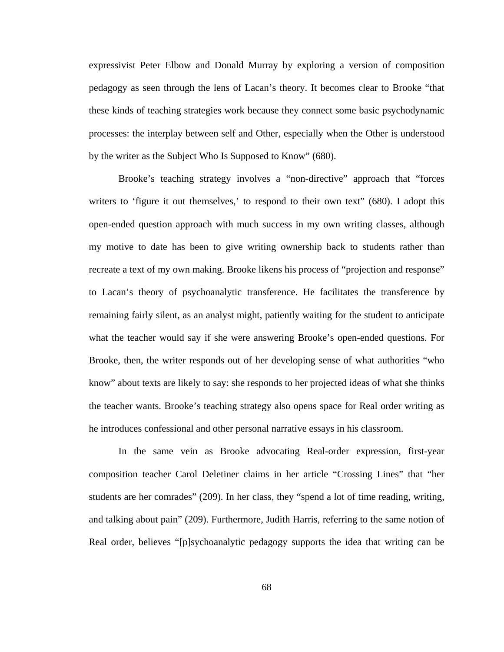expressivist Peter Elbow and Donald Murray by exploring a version of composition pedagogy as seen through the lens of Lacan's theory. It becomes clear to Brooke "that these kinds of teaching strategies work because they connect some basic psychodynamic processes: the interplay between self and Other, especially when the Other is understood by the writer as the Subject Who Is Supposed to Know" (680).

 Brooke's teaching strategy involves a "non-directive" approach that "forces writers to 'figure it out themselves,' to respond to their own text" (680). I adopt this open-ended question approach with much success in my own writing classes, although my motive to date has been to give writing ownership back to students rather than recreate a text of my own making. Brooke likens his process of "projection and response" to Lacan's theory of psychoanalytic transference. He facilitates the transference by remaining fairly silent, as an analyst might, patiently waiting for the student to anticipate what the teacher would say if she were answering Brooke's open-ended questions. For Brooke, then, the writer responds out of her developing sense of what authorities "who know" about texts are likely to say: she responds to her projected ideas of what she thinks the teacher wants. Brooke's teaching strategy also opens space for Real order writing as he introduces confessional and other personal narrative essays in his classroom.

 In the same vein as Brooke advocating Real-order expression, first-year composition teacher Carol Deletiner claims in her article "Crossing Lines" that "her students are her comrades" (209). In her class, they "spend a lot of time reading, writing, and talking about pain" (209). Furthermore, Judith Harris, referring to the same notion of Real order, believes "[p]sychoanalytic pedagogy supports the idea that writing can be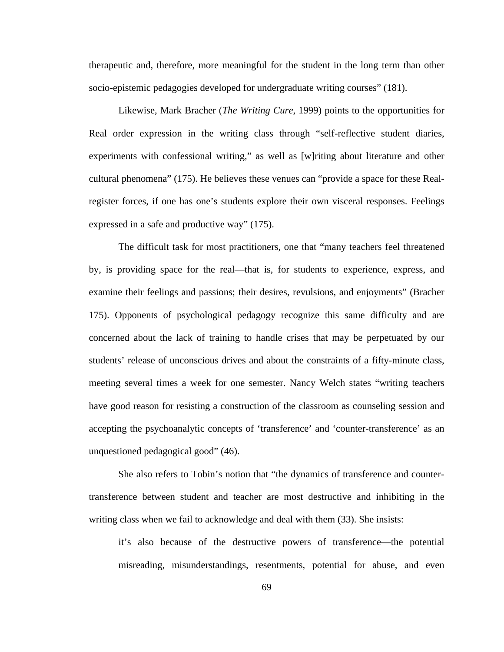therapeutic and, therefore, more meaningful for the student in the long term than other socio-epistemic pedagogies developed for undergraduate writing courses" (181).

Likewise, Mark Bracher (*The Writing Cure*, 1999) points to the opportunities for Real order expression in the writing class through "self-reflective student diaries, experiments with confessional writing," as well as [w]riting about literature and other cultural phenomena" (175). He believes these venues can "provide a space for these Realregister forces, if one has one's students explore their own visceral responses. Feelings expressed in a safe and productive way" (175).

 The difficult task for most practitioners, one that "many teachers feel threatened by, is providing space for the real—that is, for students to experience, express, and examine their feelings and passions; their desires, revulsions, and enjoyments" (Bracher 175). Opponents of psychological pedagogy recognize this same difficulty and are concerned about the lack of training to handle crises that may be perpetuated by our students' release of unconscious drives and about the constraints of a fifty-minute class, meeting several times a week for one semester. Nancy Welch states "writing teachers have good reason for resisting a construction of the classroom as counseling session and accepting the psychoanalytic concepts of 'transference' and 'counter-transference' as an unquestioned pedagogical good" (46).

 She also refers to Tobin's notion that "the dynamics of transference and countertransference between student and teacher are most destructive and inhibiting in the writing class when we fail to acknowledge and deal with them (33). She insists:

it's also because of the destructive powers of transference—the potential misreading, misunderstandings, resentments, potential for abuse, and even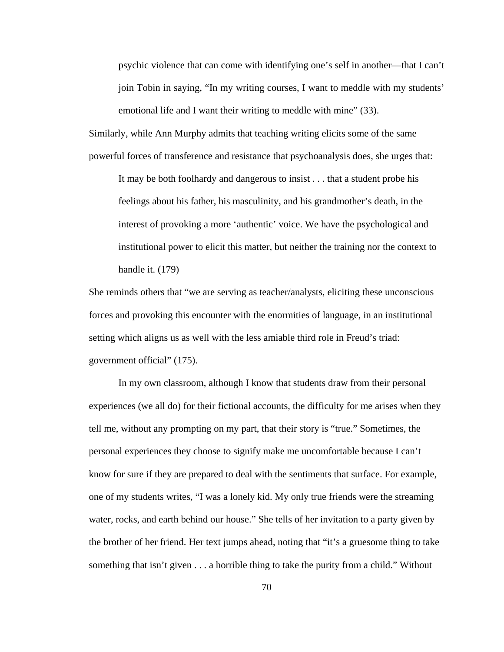psychic violence that can come with identifying one's self in another—that I can't join Tobin in saying, "In my writing courses, I want to meddle with my students' emotional life and I want their writing to meddle with mine" (33).

Similarly, while Ann Murphy admits that teaching writing elicits some of the same powerful forces of transference and resistance that psychoanalysis does, she urges that:

It may be both foolhardy and dangerous to insist . . . that a student probe his feelings about his father, his masculinity, and his grandmother's death, in the interest of provoking a more 'authentic' voice. We have the psychological and institutional power to elicit this matter, but neither the training nor the context to handle it. (179)

She reminds others that "we are serving as teacher/analysts, eliciting these unconscious forces and provoking this encounter with the enormities of language, in an institutional setting which aligns us as well with the less amiable third role in Freud's triad: government official" (175).

 In my own classroom, although I know that students draw from their personal experiences (we all do) for their fictional accounts, the difficulty for me arises when they tell me, without any prompting on my part, that their story is "true." Sometimes, the personal experiences they choose to signify make me uncomfortable because I can't know for sure if they are prepared to deal with the sentiments that surface. For example, one of my students writes, "I was a lonely kid. My only true friends were the streaming water, rocks, and earth behind our house." She tells of her invitation to a party given by the brother of her friend. Her text jumps ahead, noting that "it's a gruesome thing to take something that isn't given . . . a horrible thing to take the purity from a child." Without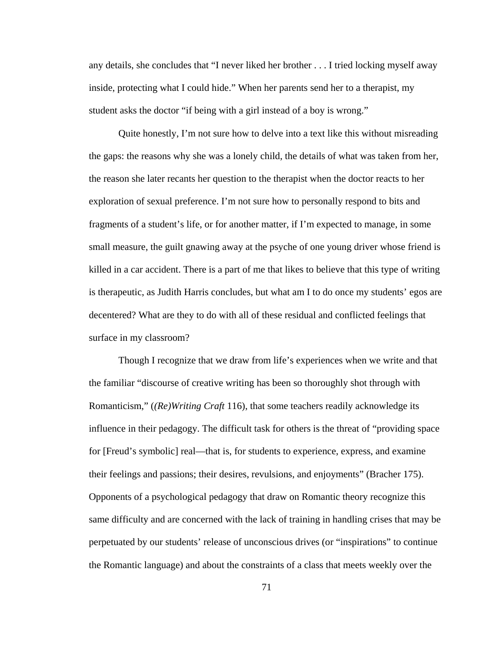any details, she concludes that "I never liked her brother . . . I tried locking myself away inside, protecting what I could hide." When her parents send her to a therapist, my student asks the doctor "if being with a girl instead of a boy is wrong."

Quite honestly, I'm not sure how to delve into a text like this without misreading the gaps: the reasons why she was a lonely child, the details of what was taken from her, the reason she later recants her question to the therapist when the doctor reacts to her exploration of sexual preference. I'm not sure how to personally respond to bits and fragments of a student's life, or for another matter, if I'm expected to manage, in some small measure, the guilt gnawing away at the psyche of one young driver whose friend is killed in a car accident. There is a part of me that likes to believe that this type of writing is therapeutic, as Judith Harris concludes, but what am I to do once my students' egos are decentered? What are they to do with all of these residual and conflicted feelings that surface in my classroom?

Though I recognize that we draw from life's experiences when we write and that the familiar "discourse of creative writing has been so thoroughly shot through with Romanticism," (*(Re)Writing Craft* 116), that some teachers readily acknowledge its influence in their pedagogy. The difficult task for others is the threat of "providing space for [Freud's symbolic] real—that is, for students to experience, express, and examine their feelings and passions; their desires, revulsions, and enjoyments" (Bracher 175). Opponents of a psychological pedagogy that draw on Romantic theory recognize this same difficulty and are concerned with the lack of training in handling crises that may be perpetuated by our students' release of unconscious drives (or "inspirations" to continue the Romantic language) and about the constraints of a class that meets weekly over the

71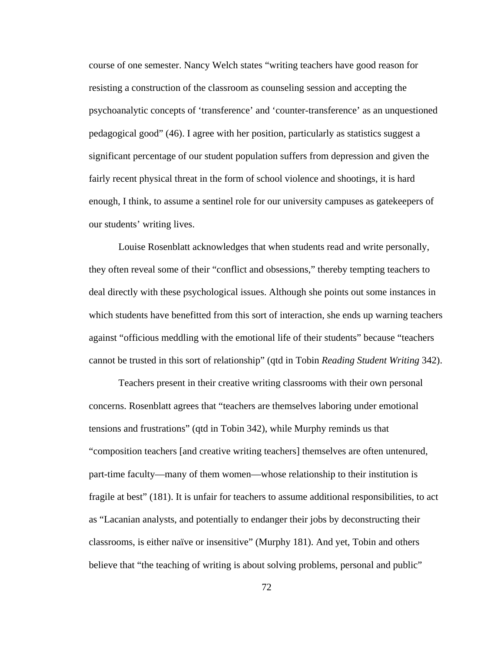course of one semester. Nancy Welch states "writing teachers have good reason for resisting a construction of the classroom as counseling session and accepting the psychoanalytic concepts of 'transference' and 'counter-transference' as an unquestioned pedagogical good" (46). I agree with her position, particularly as statistics suggest a significant percentage of our student population suffers from depression and given the fairly recent physical threat in the form of school violence and shootings, it is hard enough, I think, to assume a sentinel role for our university campuses as gatekeepers of our students' writing lives.

Louise Rosenblatt acknowledges that when students read and write personally, they often reveal some of their "conflict and obsessions," thereby tempting teachers to deal directly with these psychological issues. Although she points out some instances in which students have benefitted from this sort of interaction, she ends up warning teachers against "officious meddling with the emotional life of their students" because "teachers cannot be trusted in this sort of relationship" (qtd in Tobin *Reading Student Writing* 342).

Teachers present in their creative writing classrooms with their own personal concerns. Rosenblatt agrees that "teachers are themselves laboring under emotional tensions and frustrations" (qtd in Tobin 342), while Murphy reminds us that "composition teachers [and creative writing teachers] themselves are often untenured, part-time faculty—many of them women—whose relationship to their institution is fragile at best" (181). It is unfair for teachers to assume additional responsibilities, to act as "Lacanian analysts, and potentially to endanger their jobs by deconstructing their classrooms, is either naïve or insensitive" (Murphy 181). And yet, Tobin and others believe that "the teaching of writing is about solving problems, personal and public"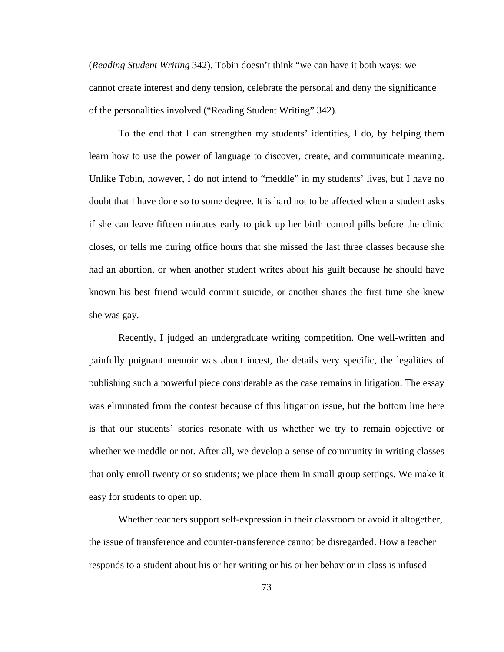(*Reading Student Writing* 342). Tobin doesn't think "we can have it both ways: we cannot create interest and deny tension, celebrate the personal and deny the significance of the personalities involved ("Reading Student Writing" 342).

 To the end that I can strengthen my students' identities, I do, by helping them learn how to use the power of language to discover, create, and communicate meaning. Unlike Tobin, however, I do not intend to "meddle" in my students' lives, but I have no doubt that I have done so to some degree. It is hard not to be affected when a student asks if she can leave fifteen minutes early to pick up her birth control pills before the clinic closes, or tells me during office hours that she missed the last three classes because she had an abortion, or when another student writes about his guilt because he should have known his best friend would commit suicide, or another shares the first time she knew she was gay.

Recently, I judged an undergraduate writing competition. One well-written and painfully poignant memoir was about incest, the details very specific, the legalities of publishing such a powerful piece considerable as the case remains in litigation. The essay was eliminated from the contest because of this litigation issue, but the bottom line here is that our students' stories resonate with us whether we try to remain objective or whether we meddle or not. After all, we develop a sense of community in writing classes that only enroll twenty or so students; we place them in small group settings. We make it easy for students to open up.

Whether teachers support self-expression in their classroom or avoid it altogether, the issue of transference and counter-transference cannot be disregarded. How a teacher responds to a student about his or her writing or his or her behavior in class is infused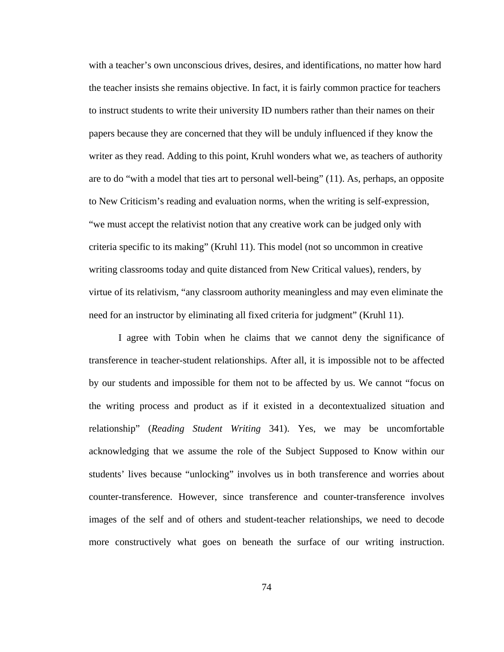with a teacher's own unconscious drives, desires, and identifications, no matter how hard the teacher insists she remains objective. In fact, it is fairly common practice for teachers to instruct students to write their university ID numbers rather than their names on their papers because they are concerned that they will be unduly influenced if they know the writer as they read. Adding to this point, Kruhl wonders what we, as teachers of authority are to do "with a model that ties art to personal well-being" (11). As, perhaps, an opposite to New Criticism's reading and evaluation norms, when the writing is self-expression, "we must accept the relativist notion that any creative work can be judged only with criteria specific to its making" (Kruhl 11). This model (not so uncommon in creative writing classrooms today and quite distanced from New Critical values), renders, by virtue of its relativism, "any classroom authority meaningless and may even eliminate the need for an instructor by eliminating all fixed criteria for judgment" (Kruhl 11).

 I agree with Tobin when he claims that we cannot deny the significance of transference in teacher-student relationships. After all, it is impossible not to be affected by our students and impossible for them not to be affected by us. We cannot "focus on the writing process and product as if it existed in a decontextualized situation and relationship" (*Reading Student Writing* 341). Yes, we may be uncomfortable acknowledging that we assume the role of the Subject Supposed to Know within our students' lives because "unlocking" involves us in both transference and worries about counter-transference. However, since transference and counter-transference involves images of the self and of others and student-teacher relationships, we need to decode more constructively what goes on beneath the surface of our writing instruction.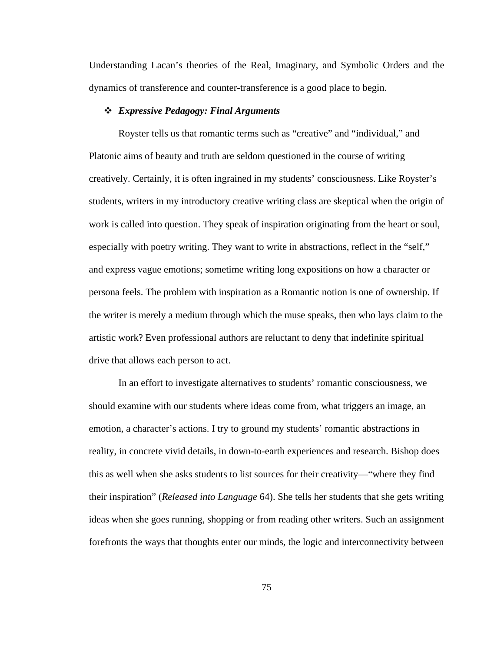Understanding Lacan's theories of the Real, Imaginary, and Symbolic Orders and the dynamics of transference and counter-transference is a good place to begin.

## *Expressive Pedagogy: Final Arguments*

Royster tells us that romantic terms such as "creative" and "individual," and Platonic aims of beauty and truth are seldom questioned in the course of writing creatively. Certainly, it is often ingrained in my students' consciousness. Like Royster's students, writers in my introductory creative writing class are skeptical when the origin of work is called into question. They speak of inspiration originating from the heart or soul, especially with poetry writing. They want to write in abstractions, reflect in the "self," and express vague emotions; sometime writing long expositions on how a character or persona feels. The problem with inspiration as a Romantic notion is one of ownership. If the writer is merely a medium through which the muse speaks, then who lays claim to the artistic work? Even professional authors are reluctant to deny that indefinite spiritual drive that allows each person to act.

In an effort to investigate alternatives to students' romantic consciousness, we should examine with our students where ideas come from, what triggers an image, an emotion, a character's actions. I try to ground my students' romantic abstractions in reality, in concrete vivid details, in down-to-earth experiences and research. Bishop does this as well when she asks students to list sources for their creativity—"where they find their inspiration" (*Released into Language* 64). She tells her students that she gets writing ideas when she goes running, shopping or from reading other writers. Such an assignment forefronts the ways that thoughts enter our minds, the logic and interconnectivity between

75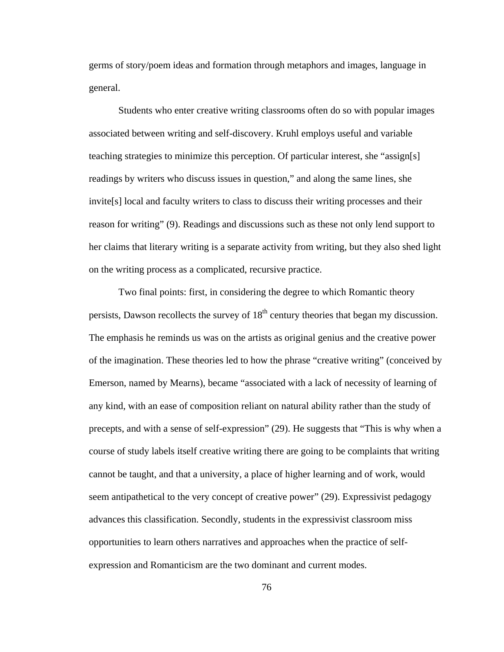germs of story/poem ideas and formation through metaphors and images, language in general.

Students who enter creative writing classrooms often do so with popular images associated between writing and self-discovery. Kruhl employs useful and variable teaching strategies to minimize this perception. Of particular interest, she "assign[s] readings by writers who discuss issues in question," and along the same lines, she invite[s] local and faculty writers to class to discuss their writing processes and their reason for writing" (9). Readings and discussions such as these not only lend support to her claims that literary writing is a separate activity from writing, but they also shed light on the writing process as a complicated, recursive practice.

Two final points: first, in considering the degree to which Romantic theory persists, Dawson recollects the survey of  $18<sup>th</sup>$  century theories that began my discussion. The emphasis he reminds us was on the artists as original genius and the creative power of the imagination. These theories led to how the phrase "creative writing" (conceived by Emerson, named by Mearns), became "associated with a lack of necessity of learning of any kind, with an ease of composition reliant on natural ability rather than the study of precepts, and with a sense of self-expression" (29). He suggests that "This is why when a course of study labels itself creative writing there are going to be complaints that writing cannot be taught, and that a university, a place of higher learning and of work, would seem antipathetical to the very concept of creative power" (29). Expressivist pedagogy advances this classification. Secondly, students in the expressivist classroom miss opportunities to learn others narratives and approaches when the practice of selfexpression and Romanticism are the two dominant and current modes.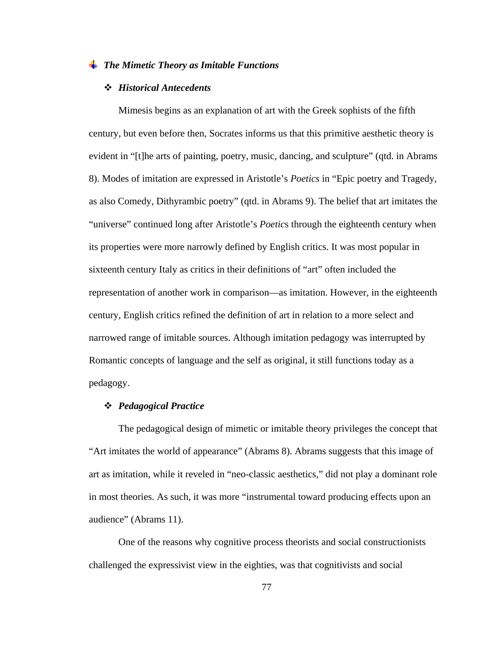## *The Mimetic Theory as Imitable Functions*

### *Historical Antecedents*

Mimesis begins as an explanation of art with the Greek sophists of the fifth century, but even before then, Socrates informs us that this primitive aesthetic theory is evident in "[t]he arts of painting, poetry, music, dancing, and sculpture" (qtd. in Abrams 8). Modes of imitation are expressed in Aristotle's *Poetics* in "Epic poetry and Tragedy, as also Comedy, Dithyrambic poetry" (qtd. in Abrams 9). The belief that art imitates the "universe" continued long after Aristotle's *Poetic*s through the eighteenth century when its properties were more narrowly defined by English critics. It was most popular in sixteenth century Italy as critics in their definitions of "art" often included the representation of another work in comparison—as imitation. However, in the eighteenth century, English critics refined the definition of art in relation to a more select and narrowed range of imitable sources. Although imitation pedagogy was interrupted by Romantic concepts of language and the self as original, it still functions today as a pedagogy.

# *Pedagogical Practice*

The pedagogical design of mimetic or imitable theory privileges the concept that "Art imitates the world of appearance" (Abrams 8). Abrams suggests that this image of art as imitation, while it reveled in "neo-classic aesthetics," did not play a dominant role in most theories. As such, it was more "instrumental toward producing effects upon an audience" (Abrams 11).

One of the reasons why cognitive process theorists and social constructionists challenged the expressivist view in the eighties, was that cognitivists and social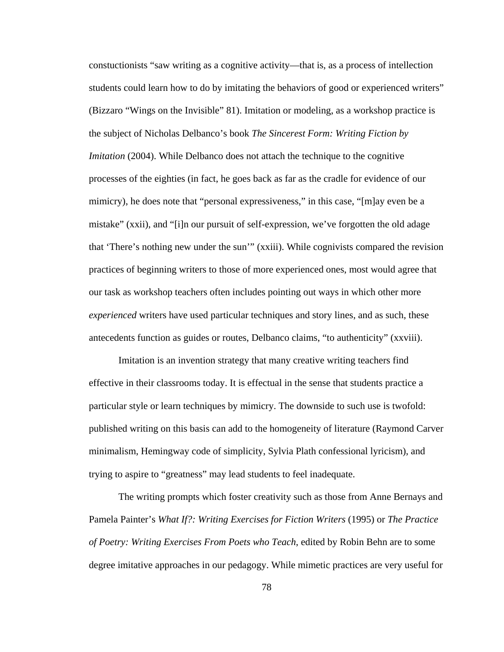constuctionists "saw writing as a cognitive activity—that is, as a process of intellection students could learn how to do by imitating the behaviors of good or experienced writers" (Bizzaro "Wings on the Invisible" 81). Imitation or modeling, as a workshop practice is the subject of Nicholas Delbanco's book *The Sincerest Form: Writing Fiction by Imitation* (2004). While Delbanco does not attach the technique to the cognitive processes of the eighties (in fact, he goes back as far as the cradle for evidence of our mimicry), he does note that "personal expressiveness," in this case, "[m]ay even be a mistake" (xxii), and "[i]n our pursuit of self-expression, we've forgotten the old adage that 'There's nothing new under the sun'" (xxiii). While cognivists compared the revision practices of beginning writers to those of more experienced ones, most would agree that our task as workshop teachers often includes pointing out ways in which other more *experienced* writers have used particular techniques and story lines, and as such, these antecedents function as guides or routes, Delbanco claims, "to authenticity" (xxviii).

Imitation is an invention strategy that many creative writing teachers find effective in their classrooms today. It is effectual in the sense that students practice a particular style or learn techniques by mimicry. The downside to such use is twofold: published writing on this basis can add to the homogeneity of literature (Raymond Carver minimalism, Hemingway code of simplicity, Sylvia Plath confessional lyricism), and trying to aspire to "greatness" may lead students to feel inadequate.

The writing prompts which foster creativity such as those from Anne Bernays and Pamela Painter's *What If?: Writing Exercises for Fiction Writers* (1995) or *The Practice of Poetry: Writing Exercises From Poets who Teach*, edited by Robin Behn are to some degree imitative approaches in our pedagogy. While mimetic practices are very useful for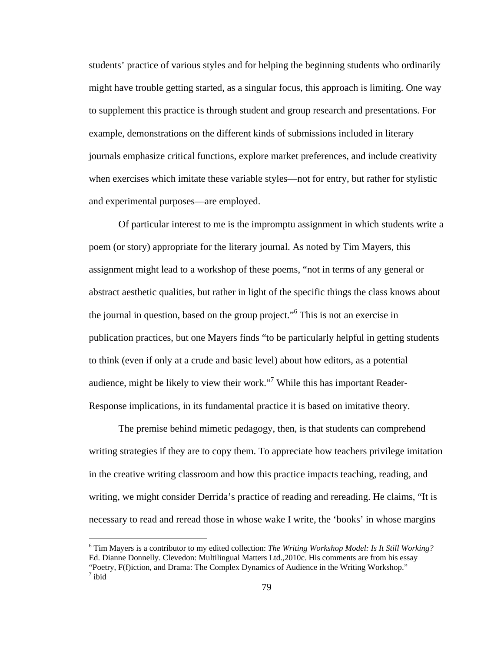students' practice of various styles and for helping the beginning students who ordinarily might have trouble getting started, as a singular focus, this approach is limiting. One way to supplement this practice is through student and group research and presentations. For example, demonstrations on the different kinds of submissions included in literary journals emphasize critical functions, explore market preferences, and include creativity when exercises which imitate these variable styles—not for entry, but rather for stylistic and experimental purposes—are employed.

Of particular interest to me is the impromptu assignment in which students write a poem (or story) appropriate for the literary journal. As noted by Tim Mayers, this assignment might lead to a workshop of these poems, "not in terms of any general or abstract aesthetic qualities, but rather in light of the specific things the class knows about the journal in question, based on the group project."<sup>6</sup> This is not an exercise in publication practices, but one Mayers finds "to be particularly helpful in getting students to think (even if only at a crude and basic level) about how editors, as a potential audience, might be likely to view their work."<sup>7</sup> While this has important Reader-Response implications, in its fundamental practice it is based on imitative theory.

The premise behind mimetic pedagogy, then, is that students can comprehend writing strategies if they are to copy them. To appreciate how teachers privilege imitation in the creative writing classroom and how this practice impacts teaching, reading, and writing, we might consider Derrida's practice of reading and rereading. He claims, "It is necessary to read and reread those in whose wake I write, the 'books' in whose margins

 $\overline{a}$ 

<sup>6</sup> Tim Mayers is a contributor to my edited collection: *The Writing Workshop Model: Is It Still Working?* Ed. Dianne Donnelly. Clevedon: Multilingual Matters Ltd.,2010c. His comments are from his essay "Poetry, F(f)iction, and Drama: The Complex Dynamics of Audience in the Writing Workshop." 7  $7$  ibid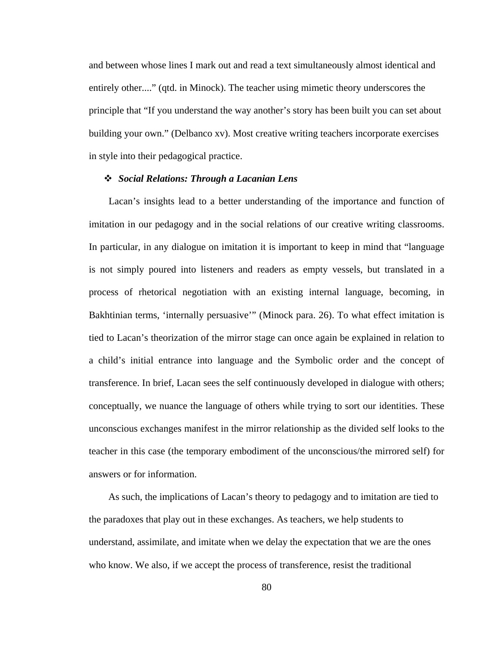and between whose lines I mark out and read a text simultaneously almost identical and entirely other...." (qtd. in Minock). The teacher using mimetic theory underscores the principle that "If you understand the way another's story has been built you can set about building your own." (Delbanco xv). Most creative writing teachers incorporate exercises in style into their pedagogical practice.

### *Social Relations: Through a Lacanian Lens*

Lacan's insights lead to a better understanding of the importance and function of imitation in our pedagogy and in the social relations of our creative writing classrooms. In particular, in any dialogue on imitation it is important to keep in mind that "language is not simply poured into listeners and readers as empty vessels, but translated in a process of rhetorical negotiation with an existing internal language, becoming, in Bakhtinian terms, 'internally persuasive'" (Minock para. 26). To what effect imitation is tied to Lacan's theorization of the mirror stage can once again be explained in relation to a child's initial entrance into language and the Symbolic order and the concept of transference. In brief, Lacan sees the self continuously developed in dialogue with others; conceptually, we nuance the language of others while trying to sort our identities. These unconscious exchanges manifest in the mirror relationship as the divided self looks to the teacher in this case (the temporary embodiment of the unconscious/the mirrored self) for answers or for information.

As such, the implications of Lacan's theory to pedagogy and to imitation are tied to the paradoxes that play out in these exchanges. As teachers, we help students to understand, assimilate, and imitate when we delay the expectation that we are the ones who know. We also, if we accept the process of transference, resist the traditional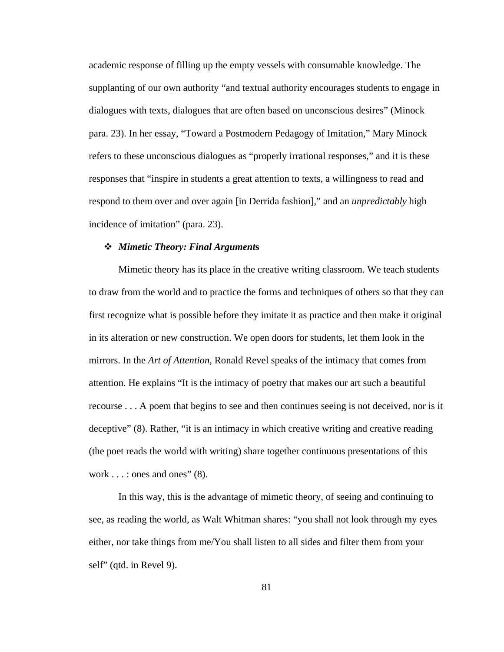academic response of filling up the empty vessels with consumable knowledge. The supplanting of our own authority "and textual authority encourages students to engage in dialogues with texts, dialogues that are often based on unconscious desires" (Minock para. 23). In her essay, "Toward a Postmodern Pedagogy of Imitation," Mary Minock refers to these unconscious dialogues as "properly irrational responses," and it is these responses that "inspire in students a great attention to texts, a willingness to read and respond to them over and over again [in Derrida fashion]," and an *unpredictably* high incidence of imitation" (para. 23).

## *Mimetic Theory: Final Argument***s**

Mimetic theory has its place in the creative writing classroom. We teach students to draw from the world and to practice the forms and techniques of others so that they can first recognize what is possible before they imitate it as practice and then make it original in its alteration or new construction. We open doors for students, let them look in the mirrors. In the *Art of Attention*, Ronald Revel speaks of the intimacy that comes from attention. He explains "It is the intimacy of poetry that makes our art such a beautiful recourse . . . A poem that begins to see and then continues seeing is not deceived, nor is it deceptive" (8). Rather, "it is an intimacy in which creative writing and creative reading (the poet reads the world with writing) share together continuous presentations of this work  $\ldots$ : ones and ones" (8).

In this way, this is the advantage of mimetic theory, of seeing and continuing to see, as reading the world, as Walt Whitman shares: "you shall not look through my eyes either, nor take things from me/You shall listen to all sides and filter them from your self" (qtd. in Revel 9).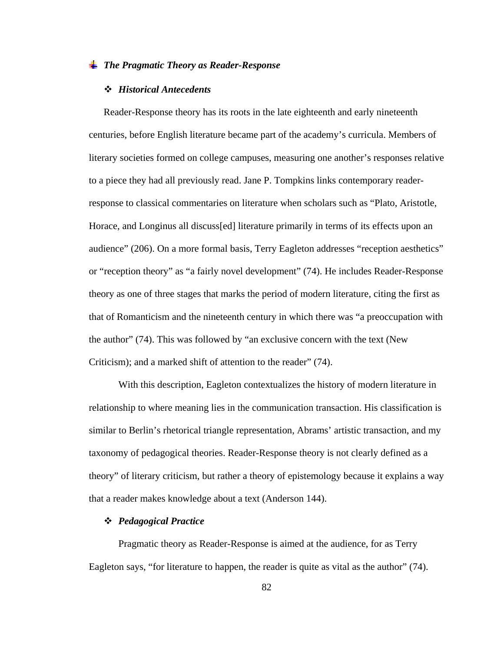# *The Pragmatic Theory as Reader-Response*

#### *Historical Antecedents*

Reader-Response theory has its roots in the late eighteenth and early nineteenth centuries, before English literature became part of the academy's curricula. Members of literary societies formed on college campuses, measuring one another's responses relative to a piece they had all previously read. Jane P. Tompkins links contemporary readerresponse to classical commentaries on literature when scholars such as "Plato, Aristotle, Horace, and Longinus all discuss[ed] literature primarily in terms of its effects upon an audience" (206). On a more formal basis, Terry Eagleton addresses "reception aesthetics" or "reception theory" as "a fairly novel development" (74). He includes Reader-Response theory as one of three stages that marks the period of modern literature, citing the first as that of Romanticism and the nineteenth century in which there was "a preoccupation with the author" (74). This was followed by "an exclusive concern with the text (New Criticism); and a marked shift of attention to the reader" (74).

With this description, Eagleton contextualizes the history of modern literature in relationship to where meaning lies in the communication transaction. His classification is similar to Berlin's rhetorical triangle representation, Abrams' artistic transaction, and my taxonomy of pedagogical theories. Reader-Response theory is not clearly defined as a theory" of literary criticism, but rather a theory of epistemology because it explains a way that a reader makes knowledge about a text (Anderson 144).

## *Pedagogical Practice*

Pragmatic theory as Reader-Response is aimed at the audience, for as Terry Eagleton says, "for literature to happen, the reader is quite as vital as the author" (74).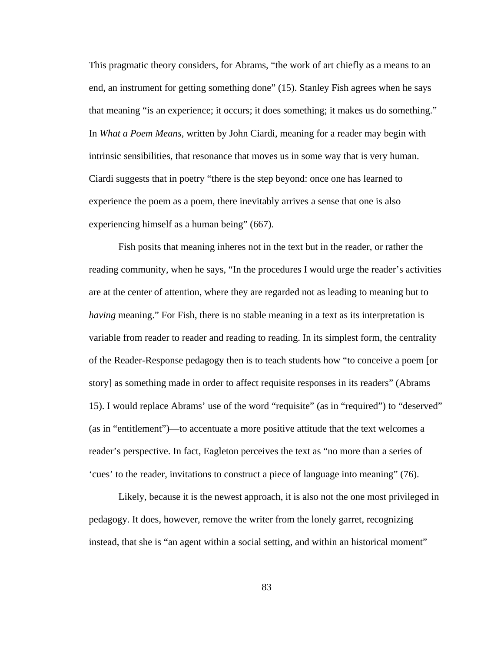This pragmatic theory considers, for Abrams, "the work of art chiefly as a means to an end, an instrument for getting something done" (15). Stanley Fish agrees when he says that meaning "is an experience; it occurs; it does something; it makes us do something." In *What a Poem Means*, written by John Ciardi, meaning for a reader may begin with intrinsic sensibilities, that resonance that moves us in some way that is very human. Ciardi suggests that in poetry "there is the step beyond: once one has learned to experience the poem as a poem, there inevitably arrives a sense that one is also experiencing himself as a human being" (667).

Fish posits that meaning inheres not in the text but in the reader, or rather the reading community, when he says, "In the procedures I would urge the reader's activities are at the center of attention, where they are regarded not as leading to meaning but to *having* meaning." For Fish, there is no stable meaning in a text as its interpretation is variable from reader to reader and reading to reading. In its simplest form, the centrality of the Reader-Response pedagogy then is to teach students how "to conceive a poem [or story] as something made in order to affect requisite responses in its readers" (Abrams 15). I would replace Abrams' use of the word "requisite" (as in "required") to "deserved" (as in "entitlement")—to accentuate a more positive attitude that the text welcomes a reader's perspective. In fact, Eagleton perceives the text as "no more than a series of 'cues' to the reader, invitations to construct a piece of language into meaning" (76).

Likely, because it is the newest approach, it is also not the one most privileged in pedagogy. It does, however, remove the writer from the lonely garret, recognizing instead, that she is "an agent within a social setting, and within an historical moment"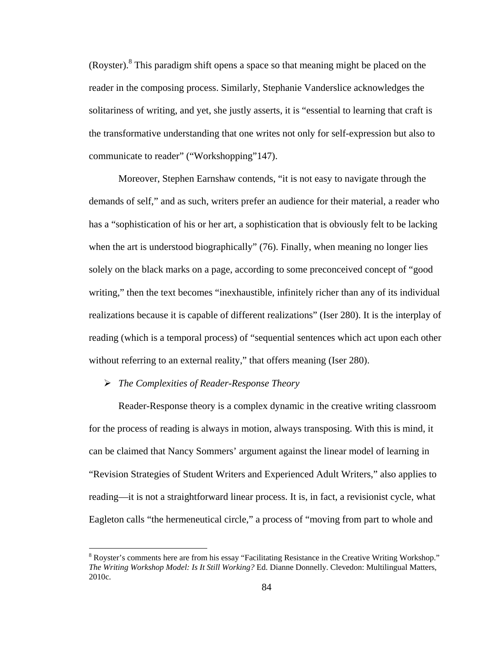(Royster). $8$  This paradigm shift opens a space so that meaning might be placed on the reader in the composing process. Similarly, Stephanie Vanderslice acknowledges the solitariness of writing, and yet, she justly asserts, it is "essential to learning that craft is the transformative understanding that one writes not only for self-expression but also to communicate to reader" ("Workshopping"147).

Moreover, Stephen Earnshaw contends, "it is not easy to navigate through the demands of self," and as such, writers prefer an audience for their material, a reader who has a "sophistication of his or her art, a sophistication that is obviously felt to be lacking when the art is understood biographically" (76). Finally, when meaning no longer lies solely on the black marks on a page, according to some preconceived concept of "good writing," then the text becomes "inexhaustible, infinitely richer than any of its individual realizations because it is capable of different realizations" (Iser 280). It is the interplay of reading (which is a temporal process) of "sequential sentences which act upon each other without referring to an external reality," that offers meaning (Iser 280).

# ¾ *The Complexities of Reader-Response Theory*

 $\overline{a}$ 

Reader-Response theory is a complex dynamic in the creative writing classroom for the process of reading is always in motion, always transposing. With this is mind, it can be claimed that Nancy Sommers' argument against the linear model of learning in "Revision Strategies of Student Writers and Experienced Adult Writers," also applies to reading—it is not a straightforward linear process. It is, in fact, a revisionist cycle, what Eagleton calls "the hermeneutical circle," a process of "moving from part to whole and

<sup>&</sup>lt;sup>8</sup> Royster's comments here are from his essay "Facilitating Resistance in the Creative Writing Workshop." *The Writing Workshop Model: Is It Still Working?* Ed. Dianne Donnelly. Clevedon: Multilingual Matters, 2010c.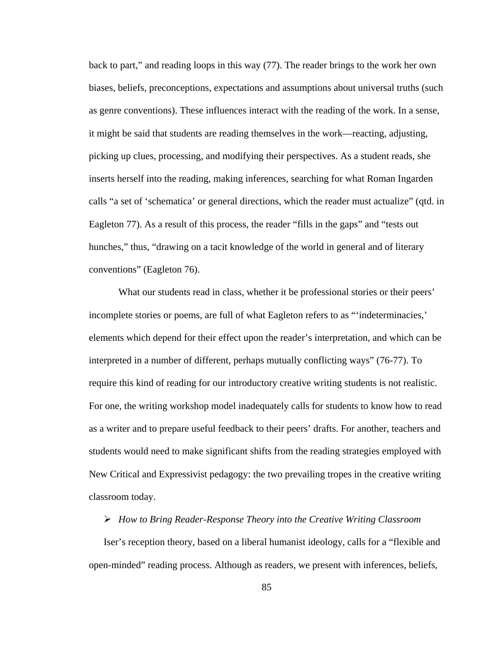back to part," and reading loops in this way (77). The reader brings to the work her own biases, beliefs, preconceptions, expectations and assumptions about universal truths (such as genre conventions). These influences interact with the reading of the work. In a sense, it might be said that students are reading themselves in the work—reacting, adjusting, picking up clues, processing, and modifying their perspectives. As a student reads, she inserts herself into the reading, making inferences, searching for what Roman Ingarden calls "a set of 'schematica' or general directions, which the reader must actualize" (qtd. in Eagleton 77). As a result of this process, the reader "fills in the gaps" and "tests out hunches," thus, "drawing on a tacit knowledge of the world in general and of literary conventions" (Eagleton 76).

What our students read in class, whether it be professional stories or their peers' incomplete stories or poems, are full of what Eagleton refers to as "'indeterminacies,' elements which depend for their effect upon the reader's interpretation, and which can be interpreted in a number of different, perhaps mutually conflicting ways" (76-77). To require this kind of reading for our introductory creative writing students is not realistic. For one, the writing workshop model inadequately calls for students to know how to read as a writer and to prepare useful feedback to their peers' drafts. For another, teachers and students would need to make significant shifts from the reading strategies employed with New Critical and Expressivist pedagogy: the two prevailing tropes in the creative writing classroom today.

## ¾ *How to Bring Reader-Response Theory into the Creative Writing Classroom*

Iser's reception theory, based on a liberal humanist ideology, calls for a "flexible and open-minded" reading process. Although as readers, we present with inferences, beliefs,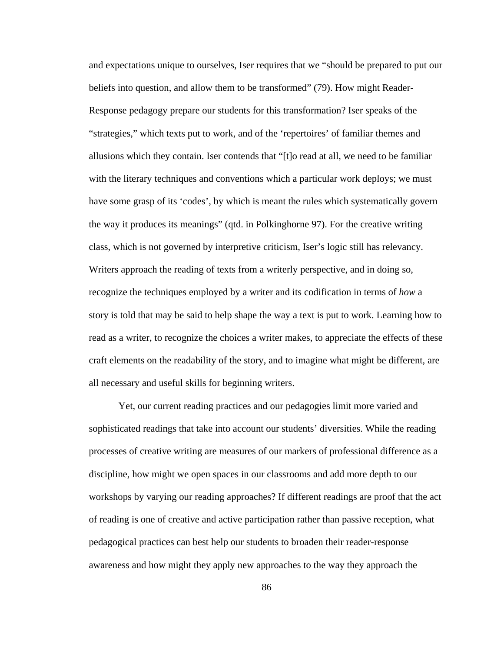and expectations unique to ourselves, Iser requires that we "should be prepared to put our beliefs into question, and allow them to be transformed" (79). How might Reader-Response pedagogy prepare our students for this transformation? Iser speaks of the "strategies," which texts put to work, and of the 'repertoires' of familiar themes and allusions which they contain. Iser contends that "[t]o read at all, we need to be familiar with the literary techniques and conventions which a particular work deploys; we must have some grasp of its 'codes', by which is meant the rules which systematically govern the way it produces its meanings" (qtd. in Polkinghorne 97). For the creative writing class, which is not governed by interpretive criticism, Iser's logic still has relevancy. Writers approach the reading of texts from a writerly perspective, and in doing so, recognize the techniques employed by a writer and its codification in terms of *how* a story is told that may be said to help shape the way a text is put to work. Learning how to read as a writer, to recognize the choices a writer makes, to appreciate the effects of these craft elements on the readability of the story, and to imagine what might be different, are all necessary and useful skills for beginning writers.

Yet, our current reading practices and our pedagogies limit more varied and sophisticated readings that take into account our students' diversities. While the reading processes of creative writing are measures of our markers of professional difference as a discipline, how might we open spaces in our classrooms and add more depth to our workshops by varying our reading approaches? If different readings are proof that the act of reading is one of creative and active participation rather than passive reception, what pedagogical practices can best help our students to broaden their reader-response awareness and how might they apply new approaches to the way they approach the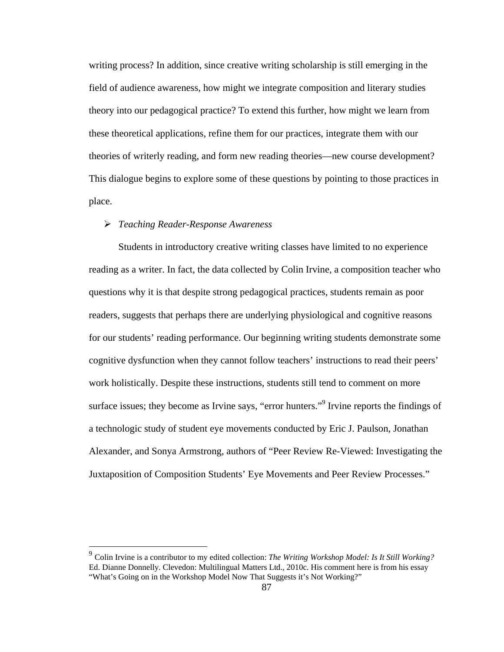writing process? In addition, since creative writing scholarship is still emerging in the field of audience awareness, how might we integrate composition and literary studies theory into our pedagogical practice? To extend this further, how might we learn from these theoretical applications, refine them for our practices, integrate them with our theories of writerly reading, and form new reading theories—new course development? This dialogue begins to explore some of these questions by pointing to those practices in place.

# ¾ *Teaching Reader-Response Awareness*

 $\overline{a}$ 

Students in introductory creative writing classes have limited to no experience reading as a writer. In fact, the data collected by Colin Irvine, a composition teacher who questions why it is that despite strong pedagogical practices, students remain as poor readers, suggests that perhaps there are underlying physiological and cognitive reasons for our students' reading performance. Our beginning writing students demonstrate some cognitive dysfunction when they cannot follow teachers' instructions to read their peers' work holistically. Despite these instructions, students still tend to comment on more surface issues; they become as Irvine says, "error hunters."<sup>9</sup> Irvine reports the findings of a technologic study of student eye movements conducted by Eric J. Paulson, Jonathan Alexander, and Sonya Armstrong, authors of "Peer Review Re-Viewed: Investigating the Juxtaposition of Composition Students' Eye Movements and Peer Review Processes."

<sup>9</sup> Colin Irvine is a contributor to my edited collection: *The Writing Workshop Model: Is It Still Working?* Ed. Dianne Donnelly. Clevedon: Multilingual Matters Ltd., 2010c. His comment here is from his essay "What's Going on in the Workshop Model Now That Suggests it's Not Working?"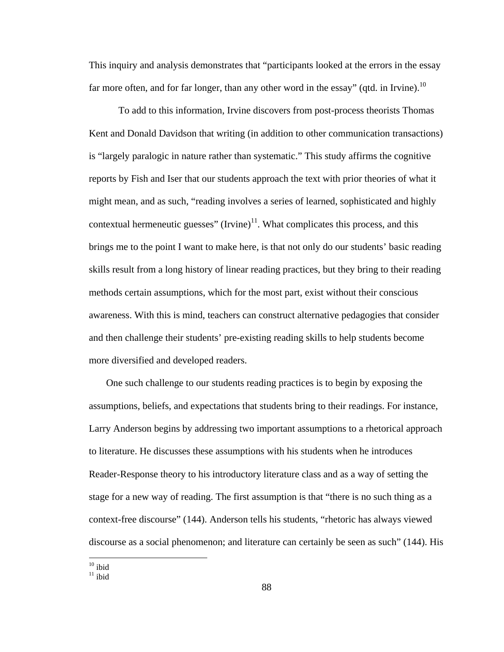This inquiry and analysis demonstrates that "participants looked at the errors in the essay far more often, and for far longer, than any other word in the essay" (qtd. in Irvine).<sup>10</sup>

To add to this information, Irvine discovers from post-process theorists Thomas Kent and Donald Davidson that writing (in addition to other communication transactions) is "largely paralogic in nature rather than systematic." This study affirms the cognitive reports by Fish and Iser that our students approach the text with prior theories of what it might mean, and as such, "reading involves a series of learned, sophisticated and highly contextual hermeneutic guesses" (Irvine) $11$ . What complicates this process, and this brings me to the point I want to make here, is that not only do our students' basic reading skills result from a long history of linear reading practices, but they bring to their reading methods certain assumptions, which for the most part, exist without their conscious awareness. With this is mind, teachers can construct alternative pedagogies that consider and then challenge their students' pre-existing reading skills to help students become more diversified and developed readers.

 One such challenge to our students reading practices is to begin by exposing the assumptions, beliefs, and expectations that students bring to their readings. For instance, Larry Anderson begins by addressing two important assumptions to a rhetorical approach to literature. He discusses these assumptions with his students when he introduces Reader-Response theory to his introductory literature class and as a way of setting the stage for a new way of reading. The first assumption is that "there is no such thing as a context-free discourse" (144). Anderson tells his students, "rhetoric has always viewed discourse as a social phenomenon; and literature can certainly be seen as such" (144). His

 $10$  ibid

1

 $11$  ibid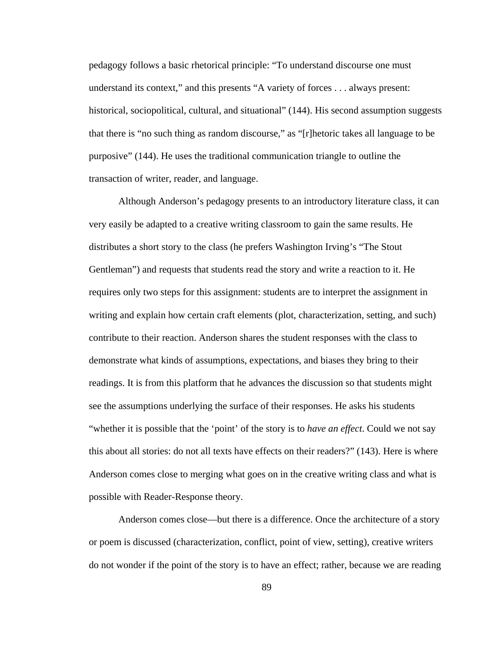pedagogy follows a basic rhetorical principle: "To understand discourse one must understand its context," and this presents "A variety of forces . . . always present: historical, sociopolitical, cultural, and situational" (144). His second assumption suggests that there is "no such thing as random discourse," as "[r]hetoric takes all language to be purposive" (144). He uses the traditional communication triangle to outline the transaction of writer, reader, and language.

 Although Anderson's pedagogy presents to an introductory literature class, it can very easily be adapted to a creative writing classroom to gain the same results. He distributes a short story to the class (he prefers Washington Irving's "The Stout Gentleman") and requests that students read the story and write a reaction to it. He requires only two steps for this assignment: students are to interpret the assignment in writing and explain how certain craft elements (plot, characterization, setting, and such) contribute to their reaction. Anderson shares the student responses with the class to demonstrate what kinds of assumptions, expectations, and biases they bring to their readings. It is from this platform that he advances the discussion so that students might see the assumptions underlying the surface of their responses. He asks his students "whether it is possible that the 'point' of the story is to *have an effect*. Could we not say this about all stories: do not all texts have effects on their readers?" (143). Here is where Anderson comes close to merging what goes on in the creative writing class and what is possible with Reader-Response theory.

Anderson comes close—but there is a difference. Once the architecture of a story or poem is discussed (characterization, conflict, point of view, setting), creative writers do not wonder if the point of the story is to have an effect; rather, because we are reading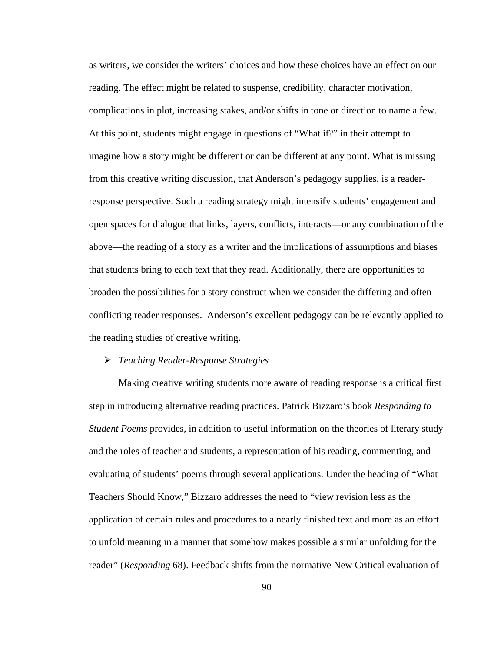as writers, we consider the writers' choices and how these choices have an effect on our reading. The effect might be related to suspense, credibility, character motivation, complications in plot, increasing stakes, and/or shifts in tone or direction to name a few. At this point, students might engage in questions of "What if?" in their attempt to imagine how a story might be different or can be different at any point. What is missing from this creative writing discussion, that Anderson's pedagogy supplies, is a readerresponse perspective. Such a reading strategy might intensify students' engagement and open spaces for dialogue that links, layers, conflicts, interacts—or any combination of the above—the reading of a story as a writer and the implications of assumptions and biases that students bring to each text that they read. Additionally, there are opportunities to broaden the possibilities for a story construct when we consider the differing and often conflicting reader responses. Anderson's excellent pedagogy can be relevantly applied to the reading studies of creative writing.

#### ¾ *Teaching Reader-Response Strategies*

Making creative writing students more aware of reading response is a critical first step in introducing alternative reading practices. Patrick Bizzaro's book *Responding to Student Poems* provides, in addition to useful information on the theories of literary study and the roles of teacher and students, a representation of his reading, commenting, and evaluating of students' poems through several applications. Under the heading of "What Teachers Should Know," Bizzaro addresses the need to "view revision less as the application of certain rules and procedures to a nearly finished text and more as an effort to unfold meaning in a manner that somehow makes possible a similar unfolding for the reader" (*Responding* 68). Feedback shifts from the normative New Critical evaluation of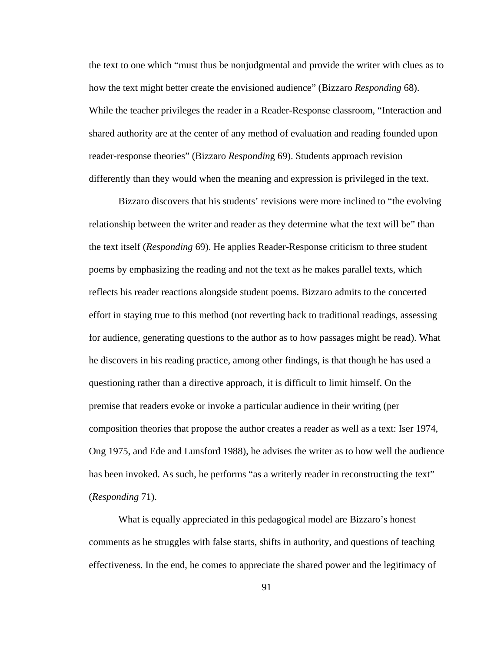the text to one which "must thus be nonjudgmental and provide the writer with clues as to how the text might better create the envisioned audience" (Bizzaro *Responding* 68). While the teacher privileges the reader in a Reader-Response classroom, "Interaction and shared authority are at the center of any method of evaluation and reading founded upon reader-response theories" (Bizzaro *Respondin*g 69). Students approach revision differently than they would when the meaning and expression is privileged in the text.

Bizzaro discovers that his students' revisions were more inclined to "the evolving relationship between the writer and reader as they determine what the text will be" than the text itself (*Responding* 69). He applies Reader-Response criticism to three student poems by emphasizing the reading and not the text as he makes parallel texts, which reflects his reader reactions alongside student poems. Bizzaro admits to the concerted effort in staying true to this method (not reverting back to traditional readings, assessing for audience, generating questions to the author as to how passages might be read). What he discovers in his reading practice, among other findings, is that though he has used a questioning rather than a directive approach, it is difficult to limit himself. On the premise that readers evoke or invoke a particular audience in their writing (per composition theories that propose the author creates a reader as well as a text: Iser 1974, Ong 1975, and Ede and Lunsford 1988), he advises the writer as to how well the audience has been invoked. As such, he performs "as a writerly reader in reconstructing the text" (*Responding* 71).

What is equally appreciated in this pedagogical model are Bizzaro's honest comments as he struggles with false starts, shifts in authority, and questions of teaching effectiveness. In the end, he comes to appreciate the shared power and the legitimacy of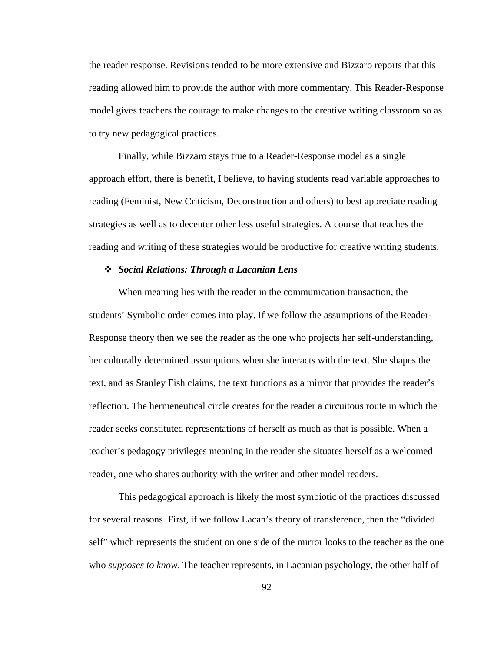the reader response. Revisions tended to be more extensive and Bizzaro reports that this reading allowed him to provide the author with more commentary. This Reader-Response model gives teachers the courage to make changes to the creative writing classroom so as to try new pedagogical practices.

Finally, while Bizzaro stays true to a Reader-Response model as a single approach effort, there is benefit, I believe, to having students read variable approaches to reading (Feminist, New Criticism, Deconstruction and others) to best appreciate reading strategies as well as to decenter other less useful strategies. A course that teaches the reading and writing of these strategies would be productive for creative writing students.

#### *Social Relations: Through a Lacanian Lens*

When meaning lies with the reader in the communication transaction, the students' Symbolic order comes into play. If we follow the assumptions of the Reader-Response theory then we see the reader as the one who projects her self-understanding, her culturally determined assumptions when she interacts with the text. She shapes the text, and as Stanley Fish claims, the text functions as a mirror that provides the reader's reflection. The hermeneutical circle creates for the reader a circuitous route in which the reader seeks constituted representations of herself as much as that is possible. When a teacher's pedagogy privileges meaning in the reader she situates herself as a welcomed reader, one who shares authority with the writer and other model readers.

This pedagogical approach is likely the most symbiotic of the practices discussed for several reasons. First, if we follow Lacan's theory of transference, then the "divided self" which represents the student on one side of the mirror looks to the teacher as the one who *supposes to know*. The teacher represents, in Lacanian psychology, the other half of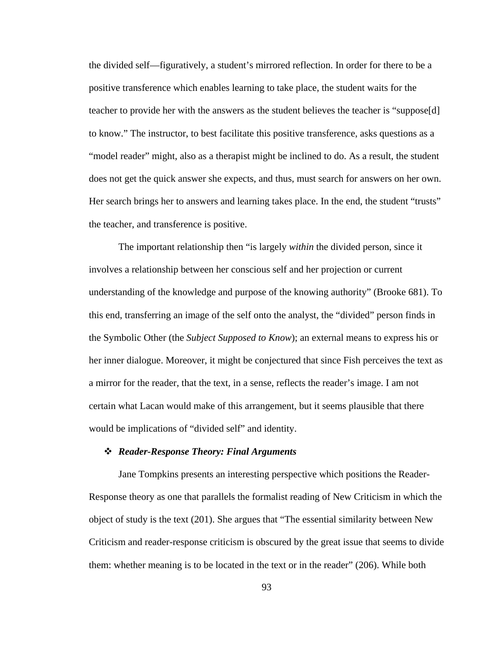the divided self—figuratively, a student's mirrored reflection. In order for there to be a positive transference which enables learning to take place, the student waits for the teacher to provide her with the answers as the student believes the teacher is "suppose[d] to know." The instructor, to best facilitate this positive transference, asks questions as a "model reader" might, also as a therapist might be inclined to do. As a result, the student does not get the quick answer she expects, and thus, must search for answers on her own. Her search brings her to answers and learning takes place. In the end, the student "trusts" the teacher, and transference is positive.

The important relationship then "is largely *within* the divided person, since it involves a relationship between her conscious self and her projection or current understanding of the knowledge and purpose of the knowing authority" (Brooke 681). To this end, transferring an image of the self onto the analyst, the "divided" person finds in the Symbolic Other (the *Subject Supposed to Know*); an external means to express his or her inner dialogue. Moreover, it might be conjectured that since Fish perceives the text as a mirror for the reader, that the text, in a sense, reflects the reader's image. I am not certain what Lacan would make of this arrangement, but it seems plausible that there would be implications of "divided self" and identity.

#### *Reader-Response Theory: Final Arguments*

 Jane Tompkins presents an interesting perspective which positions the Reader-Response theory as one that parallels the formalist reading of New Criticism in which the object of study is the text (201). She argues that "The essential similarity between New Criticism and reader-response criticism is obscured by the great issue that seems to divide them: whether meaning is to be located in the text or in the reader" (206). While both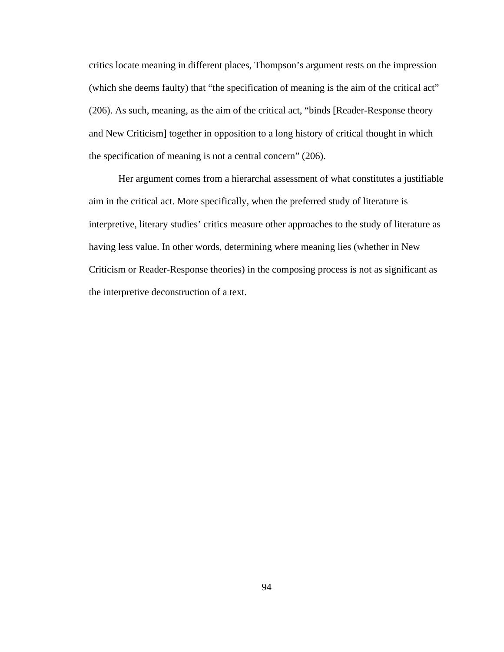critics locate meaning in different places, Thompson's argument rests on the impression (which she deems faulty) that "the specification of meaning is the aim of the critical act" (206). As such, meaning, as the aim of the critical act, "binds [Reader-Response theory and New Criticism] together in opposition to a long history of critical thought in which the specification of meaning is not a central concern" (206).

Her argument comes from a hierarchal assessment of what constitutes a justifiable aim in the critical act. More specifically, when the preferred study of literature is interpretive, literary studies' critics measure other approaches to the study of literature as having less value. In other words, determining where meaning lies (whether in New Criticism or Reader-Response theories) in the composing process is not as significant as the interpretive deconstruction of a text.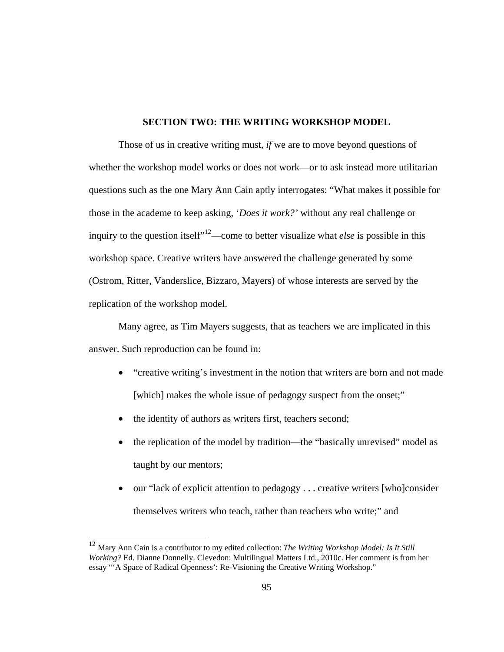# **SECTION TWO: THE WRITING WORKSHOP MODEL**

Those of us in creative writing must, *if* we are to move beyond questions of whether the workshop model works or does not work—or to ask instead more utilitarian questions such as the one Mary Ann Cain aptly interrogates: "What makes it possible for those in the academe to keep asking, '*Does it work?'* without any real challenge or inquiry to the question itself"12—come to better visualize what *else* is possible in this workshop space. Creative writers have answered the challenge generated by some (Ostrom, Ritter, Vanderslice, Bizzaro, Mayers) of whose interests are served by the replication of the workshop model.

Many agree, as Tim Mayers suggests, that as teachers we are implicated in this answer. Such reproduction can be found in:

- "creative writing's investment in the notion that writers are born and not made [which] makes the whole issue of pedagogy suspect from the onset;"
- the identity of authors as writers first, teachers second;

 $\overline{a}$ 

- the replication of the model by tradition—the "basically unrevised" model as taught by our mentors;
- our "lack of explicit attention to pedagogy . . . creative writers [who]consider themselves writers who teach, rather than teachers who write;" and

<sup>&</sup>lt;sup>12</sup> Mary Ann Cain is a contributor to my edited collection: *The Writing Workshop Model: Is It Still Working?* Ed. Dianne Donnelly. Clevedon: Multilingual Matters Ltd., 2010c. Her comment is from her essay "'A Space of Radical Openness': Re-Visioning the Creative Writing Workshop."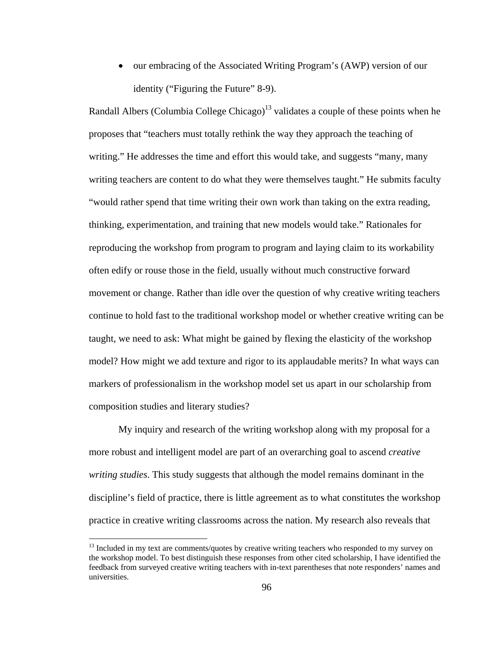• our embracing of the Associated Writing Program's (AWP) version of our identity ("Figuring the Future" 8-9).

Randall Albers (Columbia College Chicago)<sup>13</sup> validates a couple of these points when he proposes that "teachers must totally rethink the way they approach the teaching of writing." He addresses the time and effort this would take, and suggests "many, many writing teachers are content to do what they were themselves taught." He submits faculty "would rather spend that time writing their own work than taking on the extra reading, thinking, experimentation, and training that new models would take." Rationales for reproducing the workshop from program to program and laying claim to its workability often edify or rouse those in the field, usually without much constructive forward movement or change. Rather than idle over the question of why creative writing teachers continue to hold fast to the traditional workshop model or whether creative writing can be taught, we need to ask: What might be gained by flexing the elasticity of the workshop model? How might we add texture and rigor to its applaudable merits? In what ways can markers of professionalism in the workshop model set us apart in our scholarship from composition studies and literary studies?

My inquiry and research of the writing workshop along with my proposal for a more robust and intelligent model are part of an overarching goal to ascend *creative writing studies*. This study suggests that although the model remains dominant in the discipline's field of practice, there is little agreement as to what constitutes the workshop practice in creative writing classrooms across the nation. My research also reveals that

 $\overline{a}$ 

<sup>&</sup>lt;sup>13</sup> Included in my text are comments/quotes by creative writing teachers who responded to my survey on the workshop model. To best distinguish these responses from other cited scholarship, I have identified the feedback from surveyed creative writing teachers with in-text parentheses that note responders' names and universities.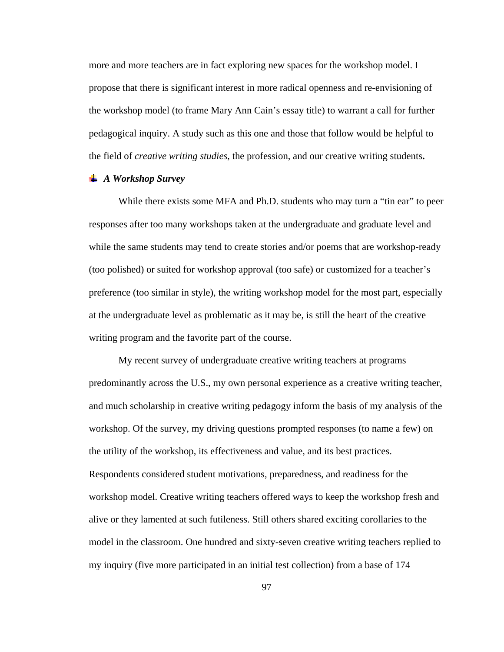more and more teachers are in fact exploring new spaces for the workshop model. I propose that there is significant interest in more radical openness and re-envisioning of the workshop model (to frame Mary Ann Cain's essay title) to warrant a call for further pedagogical inquiry. A study such as this one and those that follow would be helpful to the field of *creative writing studies*, the profession, and our creative writing students**.** 

## *A Workshop Survey*

While there exists some MFA and Ph.D. students who may turn a "tin ear" to peer responses after too many workshops taken at the undergraduate and graduate level and while the same students may tend to create stories and/or poems that are workshop-ready (too polished) or suited for workshop approval (too safe) or customized for a teacher's preference (too similar in style), the writing workshop model for the most part, especially at the undergraduate level as problematic as it may be, is still the heart of the creative writing program and the favorite part of the course.

My recent survey of undergraduate creative writing teachers at programs predominantly across the U.S., my own personal experience as a creative writing teacher, and much scholarship in creative writing pedagogy inform the basis of my analysis of the workshop. Of the survey, my driving questions prompted responses (to name a few) on the utility of the workshop, its effectiveness and value, and its best practices. Respondents considered student motivations, preparedness, and readiness for the workshop model. Creative writing teachers offered ways to keep the workshop fresh and alive or they lamented at such futileness. Still others shared exciting corollaries to the model in the classroom. One hundred and sixty-seven creative writing teachers replied to my inquiry (five more participated in an initial test collection) from a base of 174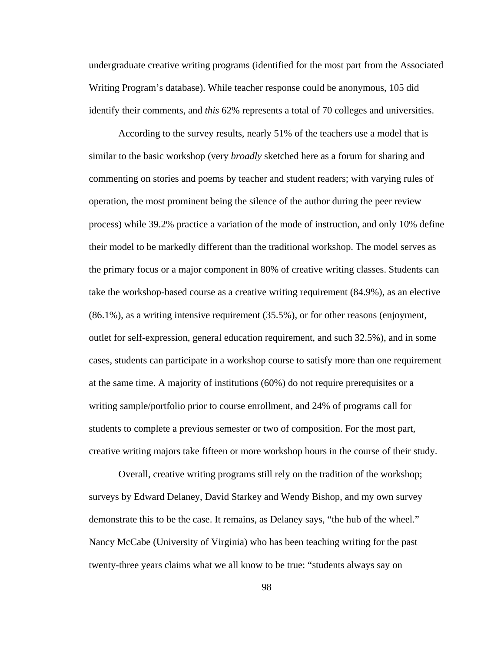undergraduate creative writing programs (identified for the most part from the Associated Writing Program's database). While teacher response could be anonymous, 105 did identify their comments, and *this* 62% represents a total of 70 colleges and universities.

According to the survey results, nearly 51% of the teachers use a model that is similar to the basic workshop (very *broadly* sketched here as a forum for sharing and commenting on stories and poems by teacher and student readers; with varying rules of operation, the most prominent being the silence of the author during the peer review process) while 39.2% practice a variation of the mode of instruction, and only 10% define their model to be markedly different than the traditional workshop. The model serves as the primary focus or a major component in 80% of creative writing classes. Students can take the workshop-based course as a creative writing requirement (84.9%), as an elective (86.1%), as a writing intensive requirement (35.5%), or for other reasons (enjoyment, outlet for self-expression, general education requirement, and such 32.5%), and in some cases, students can participate in a workshop course to satisfy more than one requirement at the same time. A majority of institutions (60%) do not require prerequisites or a writing sample/portfolio prior to course enrollment, and 24% of programs call for students to complete a previous semester or two of composition. For the most part, creative writing majors take fifteen or more workshop hours in the course of their study.

Overall, creative writing programs still rely on the tradition of the workshop; surveys by Edward Delaney, David Starkey and Wendy Bishop, and my own survey demonstrate this to be the case. It remains, as Delaney says, "the hub of the wheel." Nancy McCabe (University of Virginia) who has been teaching writing for the past twenty-three years claims what we all know to be true: "students always say on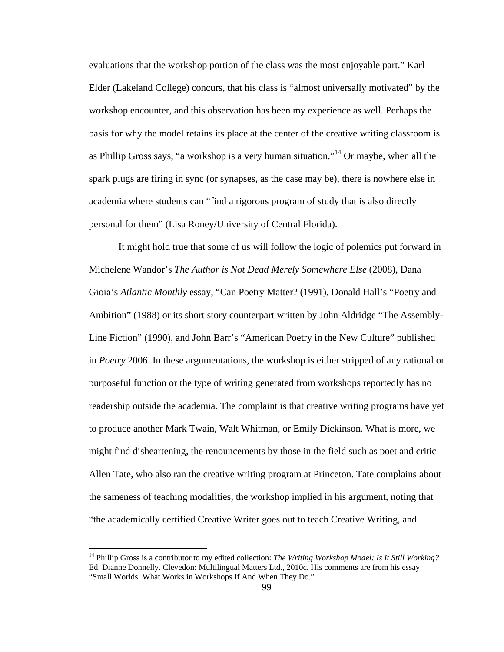evaluations that the workshop portion of the class was the most enjoyable part." Karl Elder (Lakeland College) concurs, that his class is "almost universally motivated" by the workshop encounter, and this observation has been my experience as well. Perhaps the basis for why the model retains its place at the center of the creative writing classroom is as Phillip Gross says, "a workshop is a very human situation."<sup>14</sup> Or maybe, when all the spark plugs are firing in sync (or synapses, as the case may be), there is nowhere else in academia where students can "find a rigorous program of study that is also directly personal for them" (Lisa Roney/University of Central Florida).

It might hold true that some of us will follow the logic of polemics put forward in Michelene Wandor's *The Author is Not Dead Merely Somewhere Else* (2008), Dana Gioia's *Atlantic Monthly* essay, "Can Poetry Matter? (1991), Donald Hall's "Poetry and Ambition" (1988) or its short story counterpart written by John Aldridge "The Assembly-Line Fiction" (1990), and John Barr's "American Poetry in the New Culture" published in *Poetry* 2006. In these argumentations, the workshop is either stripped of any rational or purposeful function or the type of writing generated from workshops reportedly has no readership outside the academia. The complaint is that creative writing programs have yet to produce another Mark Twain, Walt Whitman, or Emily Dickinson. What is more, we might find disheartening, the renouncements by those in the field such as poet and critic Allen Tate, who also ran the creative writing program at Princeton. Tate complains about the sameness of teaching modalities, the workshop implied in his argument, noting that "the academically certified Creative Writer goes out to teach Creative Writing, and

 $\overline{a}$ 

<sup>14</sup> Phillip Gross is a contributor to my edited collection: *The Writing Workshop Model: Is It Still Working?* Ed. Dianne Donnelly. Clevedon: Multilingual Matters Ltd., 2010c. His comments are from his essay "Small Worlds: What Works in Workshops If And When They Do."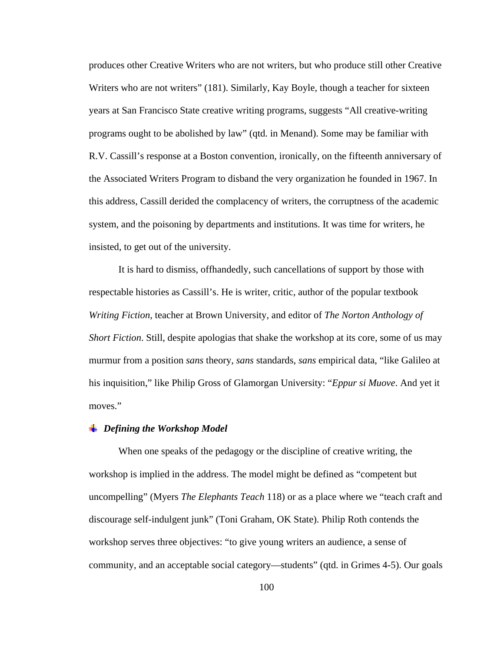produces other Creative Writers who are not writers, but who produce still other Creative Writers who are not writers" (181). Similarly, Kay Boyle, though a teacher for sixteen years at San Francisco State creative writing programs, suggests "All creative-writing programs ought to be abolished by law" (qtd. in Menand). Some may be familiar with R.V. Cassill's response at a Boston convention, ironically, on the fifteenth anniversary of the Associated Writers Program to disband the very organization he founded in 1967. In this address, Cassill derided the complacency of writers, the corruptness of the academic system, and the poisoning by departments and institutions. It was time for writers, he insisted, to get out of the university.

It is hard to dismiss, offhandedly, such cancellations of support by those with respectable histories as Cassill's. He is writer, critic, author of the popular textbook *Writing Fiction*, teacher at Brown University, and editor of *The Norton Anthology of Short Fiction*. Still, despite apologias that shake the workshop at its core, some of us may murmur from a position *sans* theory, *sans* standards, *sans* empirical data, "like Galileo at his inquisition," like Philip Gross of Glamorgan University: "*Eppur si Muove*. And yet it moves."

# *Defining the Workshop Model*

When one speaks of the pedagogy or the discipline of creative writing, the workshop is implied in the address. The model might be defined as "competent but uncompelling" (Myers *The Elephants Teach* 118) or as a place where we "teach craft and discourage self-indulgent junk" (Toni Graham, OK State). Philip Roth contends the workshop serves three objectives: "to give young writers an audience, a sense of community, and an acceptable social category—students" (qtd. in Grimes 4-5). Our goals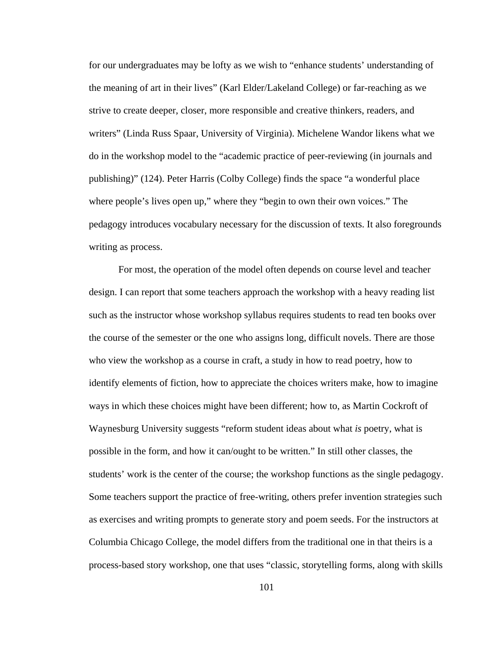for our undergraduates may be lofty as we wish to "enhance students' understanding of the meaning of art in their lives" (Karl Elder/Lakeland College) or far-reaching as we strive to create deeper, closer, more responsible and creative thinkers, readers, and writers" (Linda Russ Spaar, University of Virginia). Michelene Wandor likens what we do in the workshop model to the "academic practice of peer-reviewing (in journals and publishing)" (124). Peter Harris (Colby College) finds the space "a wonderful place where people's lives open up," where they "begin to own their own voices." The pedagogy introduces vocabulary necessary for the discussion of texts. It also foregrounds writing as process.

For most, the operation of the model often depends on course level and teacher design. I can report that some teachers approach the workshop with a heavy reading list such as the instructor whose workshop syllabus requires students to read ten books over the course of the semester or the one who assigns long, difficult novels. There are those who view the workshop as a course in craft, a study in how to read poetry, how to identify elements of fiction, how to appreciate the choices writers make, how to imagine ways in which these choices might have been different; how to, as Martin Cockroft of Waynesburg University suggests "reform student ideas about what *is* poetry, what is possible in the form, and how it can/ought to be written." In still other classes, the students' work is the center of the course; the workshop functions as the single pedagogy. Some teachers support the practice of free-writing, others prefer invention strategies such as exercises and writing prompts to generate story and poem seeds. For the instructors at Columbia Chicago College, the model differs from the traditional one in that theirs is a process-based story workshop, one that uses "classic, storytelling forms, along with skills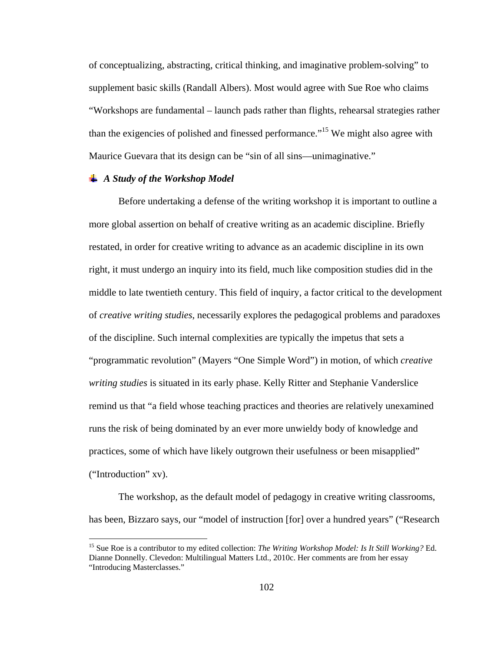of conceptualizing, abstracting, critical thinking, and imaginative problem-solving" to supplement basic skills (Randall Albers). Most would agree with Sue Roe who claims "Workshops are fundamental – launch pads rather than flights, rehearsal strategies rather than the exigencies of polished and finessed performance."<sup>15</sup> We might also agree with Maurice Guevara that its design can be "sin of all sins—unimaginative."

## *A Study of the Workshop Model*

 $\overline{a}$ 

Before undertaking a defense of the writing workshop it is important to outline a more global assertion on behalf of creative writing as an academic discipline. Briefly restated, in order for creative writing to advance as an academic discipline in its own right, it must undergo an inquiry into its field, much like composition studies did in the middle to late twentieth century. This field of inquiry, a factor critical to the development of *creative writing studies*, necessarily explores the pedagogical problems and paradoxes of the discipline. Such internal complexities are typically the impetus that sets a "programmatic revolution" (Mayers "One Simple Word") in motion, of which *creative writing studies* is situated in its early phase. Kelly Ritter and Stephanie Vanderslice remind us that "a field whose teaching practices and theories are relatively unexamined runs the risk of being dominated by an ever more unwieldy body of knowledge and practices, some of which have likely outgrown their usefulness or been misapplied" ("Introduction" xv).

The workshop, as the default model of pedagogy in creative writing classrooms, has been, Bizzaro says, our "model of instruction [for] over a hundred years" ("Research

<sup>&</sup>lt;sup>15</sup> Sue Roe is a contributor to my edited collection: *The Writing Workshop Model: Is It Still Working?* Ed. Dianne Donnelly. Clevedon: Multilingual Matters Ltd., 2010c. Her comments are from her essay "Introducing Masterclasses."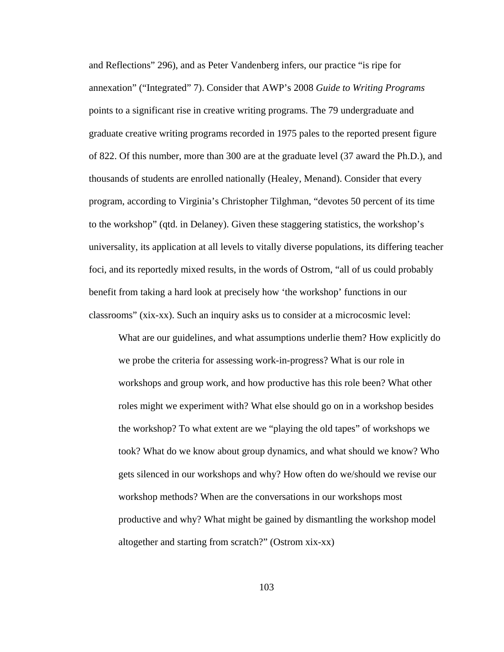and Reflections" 296), and as Peter Vandenberg infers, our practice "is ripe for annexation" ("Integrated" 7). Consider that AWP's 2008 *Guide to Writing Programs*  points to a significant rise in creative writing programs. The 79 undergraduate and graduate creative writing programs recorded in 1975 pales to the reported present figure of 822. Of this number, more than 300 are at the graduate level (37 award the Ph.D.), and thousands of students are enrolled nationally (Healey, Menand). Consider that every program, according to Virginia's Christopher Tilghman, "devotes 50 percent of its time to the workshop" (qtd. in Delaney). Given these staggering statistics, the workshop's universality, its application at all levels to vitally diverse populations, its differing teacher foci, and its reportedly mixed results, in the words of Ostrom, "all of us could probably benefit from taking a hard look at precisely how 'the workshop' functions in our classrooms" (xix-xx). Such an inquiry asks us to consider at a microcosmic level:

What are our guidelines, and what assumptions underlie them? How explicitly do we probe the criteria for assessing work-in-progress? What is our role in workshops and group work, and how productive has this role been? What other roles might we experiment with? What else should go on in a workshop besides the workshop? To what extent are we "playing the old tapes" of workshops we took? What do we know about group dynamics, and what should we know? Who gets silenced in our workshops and why? How often do we/should we revise our workshop methods? When are the conversations in our workshops most productive and why? What might be gained by dismantling the workshop model altogether and starting from scratch?" (Ostrom xix-xx)

103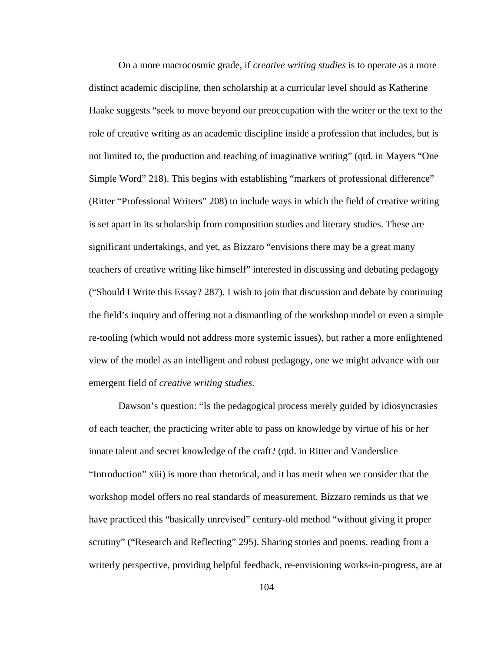On a more macrocosmic grade, if *creative writing studies* is to operate as a more distinct academic discipline, then scholarship at a curricular level should as Katherine Haake suggests "seek to move beyond our preoccupation with the writer or the text to the role of creative writing as an academic discipline inside a profession that includes, but is not limited to, the production and teaching of imaginative writing" (qtd. in Mayers "One Simple Word" 218). This begins with establishing "markers of professional difference" (Ritter "Professional Writers" 208) to include ways in which the field of creative writing is set apart in its scholarship from composition studies and literary studies. These are significant undertakings, and yet, as Bizzaro "envisions there may be a great many teachers of creative writing like himself" interested in discussing and debating pedagogy ("Should I Write this Essay? 287). I wish to join that discussion and debate by continuing the field's inquiry and offering not a dismantling of the workshop model or even a simple re-tooling (which would not address more systemic issues), but rather a more enlightened view of the model as an intelligent and robust pedagogy, one we might advance with our emergent field of *creative writing studies*.

 Dawson's question: "Is the pedagogical process merely guided by idiosyncrasies of each teacher, the practicing writer able to pass on knowledge by virtue of his or her innate talent and secret knowledge of the craft? (qtd. in Ritter and Vanderslice "Introduction" xiii) is more than rhetorical, and it has merit when we consider that the workshop model offers no real standards of measurement. Bizzaro reminds us that we have practiced this "basically unrevised" century-old method "without giving it proper scrutiny" ("Research and Reflecting" 295). Sharing stories and poems, reading from a writerly perspective, providing helpful feedback, re-envisioning works-in-progress, are at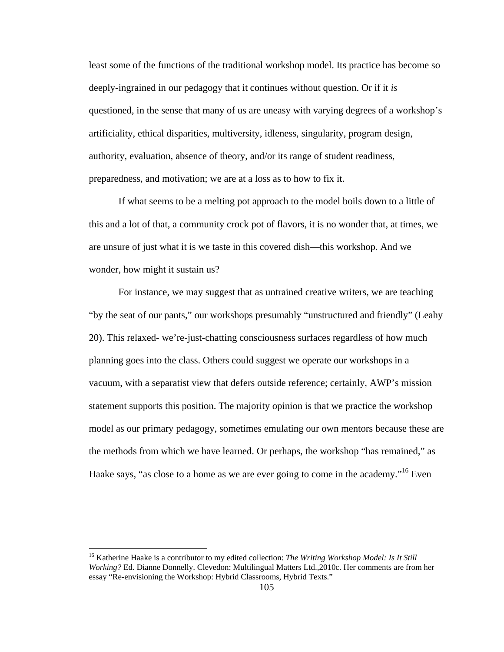least some of the functions of the traditional workshop model. Its practice has become so deeply-ingrained in our pedagogy that it continues without question. Or if it *is* questioned, in the sense that many of us are uneasy with varying degrees of a workshop's artificiality, ethical disparities, multiversity, idleness, singularity, program design, authority, evaluation, absence of theory, and/or its range of student readiness, preparedness, and motivation; we are at a loss as to how to fix it.

If what seems to be a melting pot approach to the model boils down to a little of this and a lot of that, a community crock pot of flavors, it is no wonder that, at times, we are unsure of just what it is we taste in this covered dish—this workshop. And we wonder, how might it sustain us?

For instance, we may suggest that as untrained creative writers, we are teaching "by the seat of our pants," our workshops presumably "unstructured and friendly" (Leahy 20). This relaxed- we're-just-chatting consciousness surfaces regardless of how much planning goes into the class. Others could suggest we operate our workshops in a vacuum, with a separatist view that defers outside reference; certainly, AWP's mission statement supports this position. The majority opinion is that we practice the workshop model as our primary pedagogy, sometimes emulating our own mentors because these are the methods from which we have learned. Or perhaps, the workshop "has remained," as Haake says, "as close to a home as we are ever going to come in the academy."<sup>16</sup> Even

<u>.</u>

<sup>16</sup> Katherine Haake is a contributor to my edited collection: *The Writing Workshop Model: Is It Still Working?* Ed. Dianne Donnelly. Clevedon: Multilingual Matters Ltd.,2010c. Her comments are from her essay "Re-envisioning the Workshop: Hybrid Classrooms, Hybrid Texts."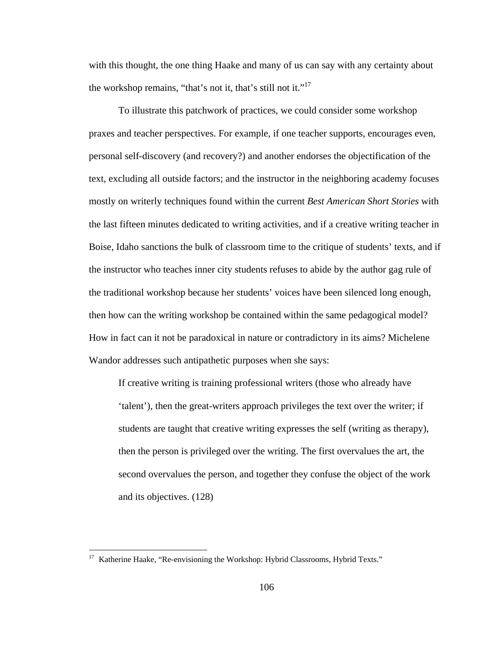with this thought, the one thing Haake and many of us can say with any certainty about the workshop remains, "that's not it, that's still not it."<sup>17</sup>

To illustrate this patchwork of practices, we could consider some workshop praxes and teacher perspectives. For example, if one teacher supports, encourages even, personal self-discovery (and recovery?) and another endorses the objectification of the text, excluding all outside factors; and the instructor in the neighboring academy focuses mostly on writerly techniques found within the current *Best American Short Stories* with the last fifteen minutes dedicated to writing activities, and if a creative writing teacher in Boise, Idaho sanctions the bulk of classroom time to the critique of students' texts, and if the instructor who teaches inner city students refuses to abide by the author gag rule of the traditional workshop because her students' voices have been silenced long enough, then how can the writing workshop be contained within the same pedagogical model? How in fact can it not be paradoxical in nature or contradictory in its aims? Michelene Wandor addresses such antipathetic purposes when she says:

If creative writing is training professional writers (those who already have 'talent'), then the great-writers approach privileges the text over the writer; if students are taught that creative writing expresses the self (writing as therapy), then the person is privileged over the writing. The first overvalues the art, the second overvalues the person, and together they confuse the object of the work and its objectives. (128)

 $\overline{a}$ 

<sup>&</sup>lt;sup>17</sup> Katherine Haake, "Re-envisioning the Workshop: Hybrid Classrooms, Hybrid Texts."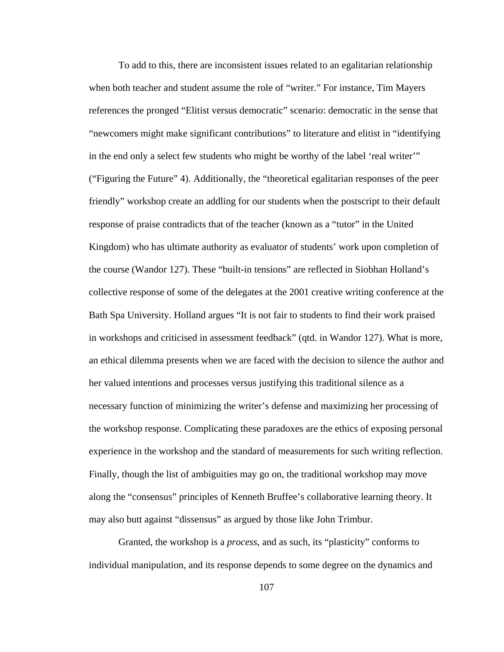To add to this, there are inconsistent issues related to an egalitarian relationship when both teacher and student assume the role of "writer." For instance, Tim Mayers references the pronged "Elitist versus democratic" scenario: democratic in the sense that "newcomers might make significant contributions" to literature and elitist in "identifying in the end only a select few students who might be worthy of the label 'real writer'" ("Figuring the Future" 4). Additionally, the "theoretical egalitarian responses of the peer friendly" workshop create an addling for our students when the postscript to their default response of praise contradicts that of the teacher (known as a "tutor" in the United Kingdom) who has ultimate authority as evaluator of students' work upon completion of the course (Wandor 127). These "built-in tensions" are reflected in Siobhan Holland's collective response of some of the delegates at the 2001 creative writing conference at the Bath Spa University. Holland argues "It is not fair to students to find their work praised in workshops and criticised in assessment feedback" (qtd. in Wandor 127). What is more, an ethical dilemma presents when we are faced with the decision to silence the author and her valued intentions and processes versus justifying this traditional silence as a necessary function of minimizing the writer's defense and maximizing her processing of the workshop response. Complicating these paradoxes are the ethics of exposing personal experience in the workshop and the standard of measurements for such writing reflection. Finally, though the list of ambiguities may go on, the traditional workshop may move along the "consensus" principles of Kenneth Bruffee's collaborative learning theory. It may also butt against "dissensus" as argued by those like John Trimbur.

Granted, the workshop is a *process*, and as such, its "plasticity" conforms to individual manipulation, and its response depends to some degree on the dynamics and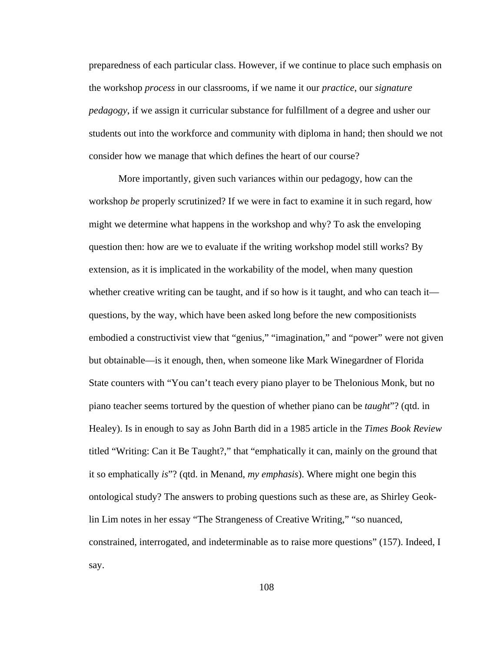preparedness of each particular class. However, if we continue to place such emphasis on the workshop *process* in our classrooms, if we name it our *practice*, our *signature pedagogy*, if we assign it curricular substance for fulfillment of a degree and usher our students out into the workforce and community with diploma in hand; then should we not consider how we manage that which defines the heart of our course?

More importantly, given such variances within our pedagogy, how can the workshop *be* properly scrutinized? If we were in fact to examine it in such regard, how might we determine what happens in the workshop and why? To ask the enveloping question then: how are we to evaluate if the writing workshop model still works? By extension, as it is implicated in the workability of the model, when many question whether creative writing can be taught, and if so how is it taught, and who can teach it questions, by the way, which have been asked long before the new compositionists embodied a constructivist view that "genius," "imagination," and "power" were not given but obtainable—is it enough, then, when someone like Mark Winegardner of Florida State counters with "You can't teach every piano player to be Thelonious Monk, but no piano teacher seems tortured by the question of whether piano can be *taught*"? (qtd. in Healey). Is in enough to say as John Barth did in a 1985 article in the *Times Book Review* titled "Writing: Can it Be Taught?," that "emphatically it can, mainly on the ground that it so emphatically *is*"? (qtd. in Menand, *my emphasis*). Where might one begin this ontological study? The answers to probing questions such as these are, as Shirley Geoklin Lim notes in her essay "The Strangeness of Creative Writing," "so nuanced, constrained, interrogated, and indeterminable as to raise more questions" (157). Indeed, I say.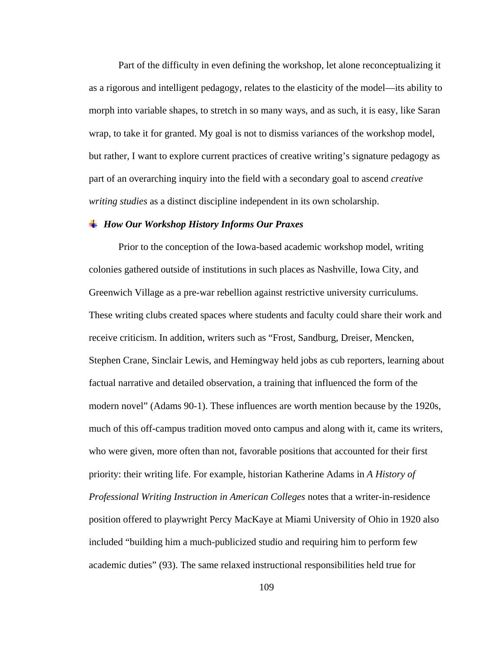Part of the difficulty in even defining the workshop, let alone reconceptualizing it as a rigorous and intelligent pedagogy, relates to the elasticity of the model—its ability to morph into variable shapes, to stretch in so many ways, and as such, it is easy, like Saran wrap, to take it for granted. My goal is not to dismiss variances of the workshop model, but rather, I want to explore current practices of creative writing's signature pedagogy as part of an overarching inquiry into the field with a secondary goal to ascend *creative writing studies* as a distinct discipline independent in its own scholarship.

#### *How Our Workshop History Informs Our Praxes*

Prior to the conception of the Iowa-based academic workshop model, writing colonies gathered outside of institutions in such places as Nashville, Iowa City, and Greenwich Village as a pre-war rebellion against restrictive university curriculums. These writing clubs created spaces where students and faculty could share their work and receive criticism. In addition, writers such as "Frost, Sandburg, Dreiser, Mencken, Stephen Crane, Sinclair Lewis, and Hemingway held jobs as cub reporters, learning about factual narrative and detailed observation, a training that influenced the form of the modern novel" (Adams 90-1). These influences are worth mention because by the 1920s, much of this off-campus tradition moved onto campus and along with it, came its writers, who were given, more often than not, favorable positions that accounted for their first priority: their writing life. For example, historian Katherine Adams in *A History of Professional Writing Instruction in American Colleges* notes that a writer-in-residence position offered to playwright Percy MacKaye at Miami University of Ohio in 1920 also included "building him a much-publicized studio and requiring him to perform few academic duties" (93). The same relaxed instructional responsibilities held true for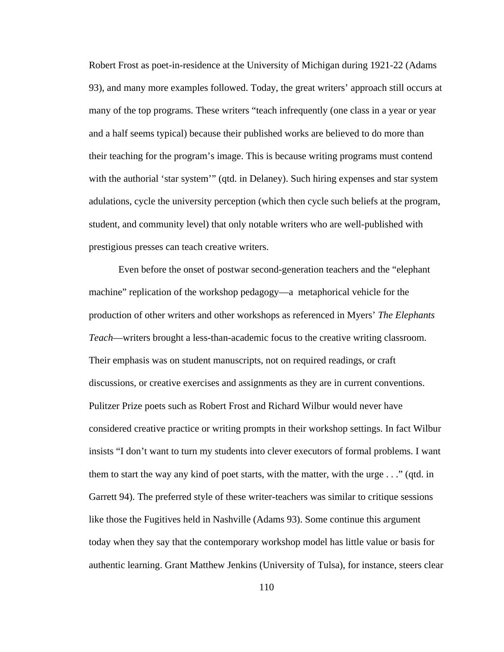Robert Frost as poet-in-residence at the University of Michigan during 1921-22 (Adams 93), and many more examples followed. Today, the great writers' approach still occurs at many of the top programs. These writers "teach infrequently (one class in a year or year and a half seems typical) because their published works are believed to do more than their teaching for the program's image. This is because writing programs must contend with the authorial 'star system'" (qtd. in Delaney). Such hiring expenses and star system adulations, cycle the university perception (which then cycle such beliefs at the program, student, and community level) that only notable writers who are well-published with prestigious presses can teach creative writers.

Even before the onset of postwar second-generation teachers and the "elephant machine" replication of the workshop pedagogy—a metaphorical vehicle for the production of other writers and other workshops as referenced in Myers' *The Elephants Teach*—writers brought a less-than-academic focus to the creative writing classroom. Their emphasis was on student manuscripts, not on required readings, or craft discussions, or creative exercises and assignments as they are in current conventions. Pulitzer Prize poets such as Robert Frost and Richard Wilbur would never have considered creative practice or writing prompts in their workshop settings. In fact Wilbur insists "I don't want to turn my students into clever executors of formal problems. I want them to start the way any kind of poet starts, with the matter, with the urge  $\dots$ " (qtd. in Garrett 94). The preferred style of these writer-teachers was similar to critique sessions like those the Fugitives held in Nashville (Adams 93). Some continue this argument today when they say that the contemporary workshop model has little value or basis for authentic learning. Grant Matthew Jenkins (University of Tulsa), for instance, steers clear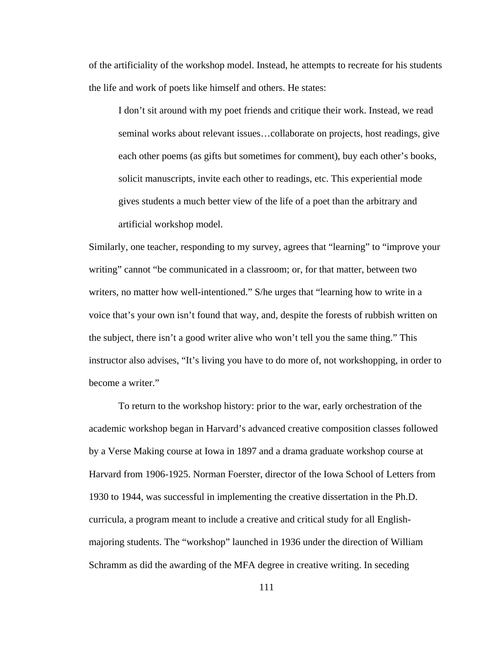of the artificiality of the workshop model. Instead, he attempts to recreate for his students the life and work of poets like himself and others. He states:

I don't sit around with my poet friends and critique their work. Instead, we read seminal works about relevant issues…collaborate on projects, host readings, give each other poems (as gifts but sometimes for comment), buy each other's books, solicit manuscripts, invite each other to readings, etc. This experiential mode gives students a much better view of the life of a poet than the arbitrary and artificial workshop model.

Similarly, one teacher, responding to my survey, agrees that "learning" to "improve your writing" cannot "be communicated in a classroom; or, for that matter, between two writers, no matter how well-intentioned." S/he urges that "learning how to write in a voice that's your own isn't found that way, and, despite the forests of rubbish written on the subject, there isn't a good writer alive who won't tell you the same thing." This instructor also advises, "It's living you have to do more of, not workshopping, in order to become a writer."

To return to the workshop history: prior to the war, early orchestration of the academic workshop began in Harvard's advanced creative composition classes followed by a Verse Making course at Iowa in 1897 and a drama graduate workshop course at Harvard from 1906-1925. Norman Foerster, director of the Iowa School of Letters from 1930 to 1944, was successful in implementing the creative dissertation in the Ph.D. curricula, a program meant to include a creative and critical study for all Englishmajoring students. The "workshop" launched in 1936 under the direction of William Schramm as did the awarding of the MFA degree in creative writing. In seceding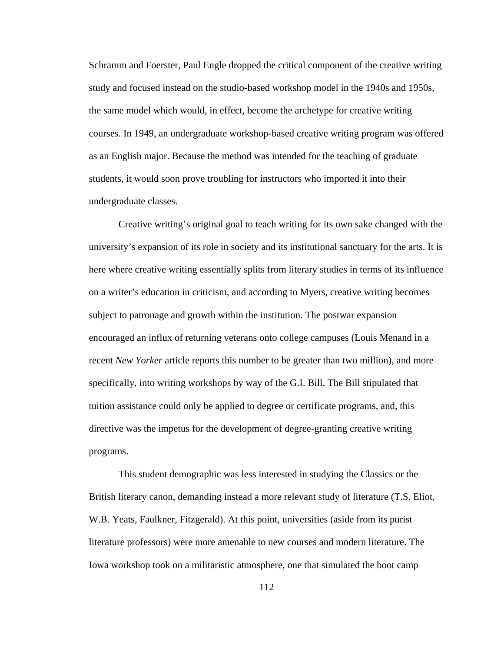Schramm and Foerster, Paul Engle dropped the critical component of the creative writing study and focused instead on the studio-based workshop model in the 1940s and 1950s, the same model which would, in effect, become the archetype for creative writing courses. In 1949, an undergraduate workshop-based creative writing program was offered as an English major. Because the method was intended for the teaching of graduate students, it would soon prove troubling for instructors who imported it into their undergraduate classes.

Creative writing's original goal to teach writing for its own sake changed with the university's expansion of its role in society and its institutional sanctuary for the arts. It is here where creative writing essentially splits from literary studies in terms of its influence on a writer's education in criticism, and according to Myers, creative writing becomes subject to patronage and growth within the institution. The postwar expansion encouraged an influx of returning veterans onto college campuses (Louis Menand in a recent *New Yorker* article reports this number to be greater than two million), and more specifically, into writing workshops by way of the G.I. Bill. The Bill stipulated that tuition assistance could only be applied to degree or certificate programs, and, this directive was the impetus for the development of degree-granting creative writing programs.

This student demographic was less interested in studying the Classics or the British literary canon, demanding instead a more relevant study of literature (T.S. Eliot, W.B. Yeats, Faulkner, Fitzgerald). At this point, universities (aside from its purist literature professors) were more amenable to new courses and modern literature. The Iowa workshop took on a militaristic atmosphere, one that simulated the boot camp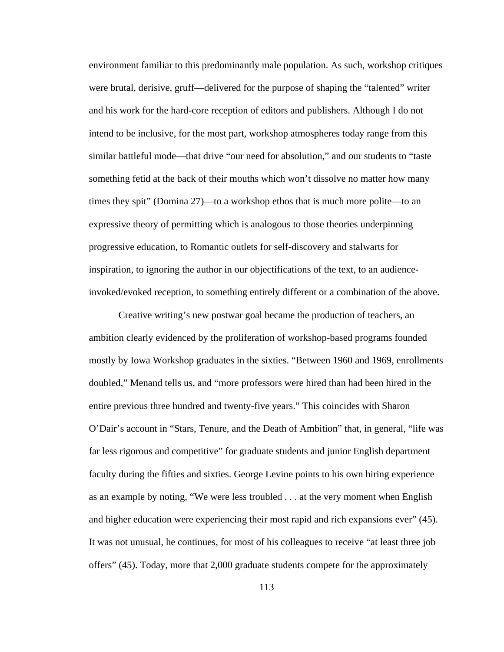environment familiar to this predominantly male population. As such, workshop critiques were brutal, derisive, gruff—delivered for the purpose of shaping the "talented" writer and his work for the hard-core reception of editors and publishers. Although I do not intend to be inclusive, for the most part, workshop atmospheres today range from this similar battleful mode—that drive "our need for absolution," and our students to "taste something fetid at the back of their mouths which won't dissolve no matter how many times they spit" (Domina 27)—to a workshop ethos that is much more polite—to an expressive theory of permitting which is analogous to those theories underpinning progressive education, to Romantic outlets for self-discovery and stalwarts for inspiration, to ignoring the author in our objectifications of the text, to an audienceinvoked/evoked reception, to something entirely different or a combination of the above.

Creative writing's new postwar goal became the production of teachers, an ambition clearly evidenced by the proliferation of workshop-based programs founded mostly by Iowa Workshop graduates in the sixties. "Between 1960 and 1969, enrollments doubled," Menand tells us, and "more professors were hired than had been hired in the entire previous three hundred and twenty-five years." This coincides with Sharon O'Dair's account in "Stars, Tenure, and the Death of Ambition" that, in general, "life was far less rigorous and competitive" for graduate students and junior English department faculty during the fifties and sixties. George Levine points to his own hiring experience as an example by noting, "We were less troubled . . . at the very moment when English and higher education were experiencing their most rapid and rich expansions ever" (45). It was not unusual, he continues, for most of his colleagues to receive "at least three job offers" (45). Today, more that 2,000 graduate students compete for the approximately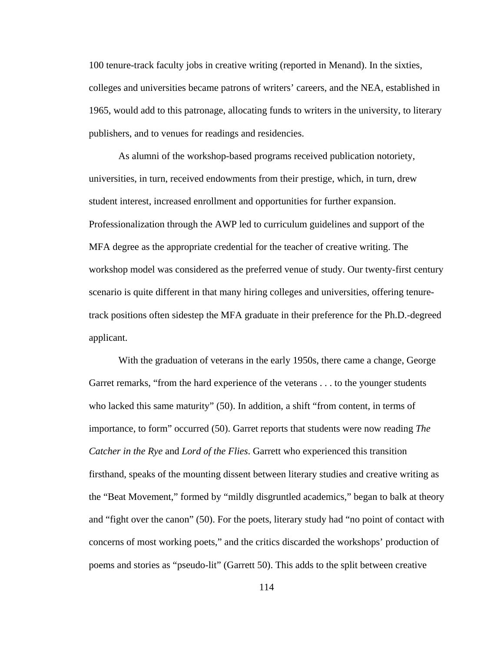100 tenure-track faculty jobs in creative writing (reported in Menand). In the sixties, colleges and universities became patrons of writers' careers, and the NEA, established in 1965, would add to this patronage, allocating funds to writers in the university, to literary publishers, and to venues for readings and residencies.

As alumni of the workshop-based programs received publication notoriety, universities, in turn, received endowments from their prestige, which, in turn, drew student interest, increased enrollment and opportunities for further expansion. Professionalization through the AWP led to curriculum guidelines and support of the MFA degree as the appropriate credential for the teacher of creative writing. The workshop model was considered as the preferred venue of study. Our twenty-first century scenario is quite different in that many hiring colleges and universities, offering tenuretrack positions often sidestep the MFA graduate in their preference for the Ph.D.-degreed applicant.

With the graduation of veterans in the early 1950s, there came a change, George Garret remarks, "from the hard experience of the veterans . . . to the younger students who lacked this same maturity" (50). In addition, a shift "from content, in terms of importance, to form" occurred (50). Garret reports that students were now reading *The Catcher in the Rye* and *Lord of the Flies*. Garrett who experienced this transition firsthand, speaks of the mounting dissent between literary studies and creative writing as the "Beat Movement," formed by "mildly disgruntled academics," began to balk at theory and "fight over the canon" (50). For the poets, literary study had "no point of contact with concerns of most working poets," and the critics discarded the workshops' production of poems and stories as "pseudo-lit" (Garrett 50). This adds to the split between creative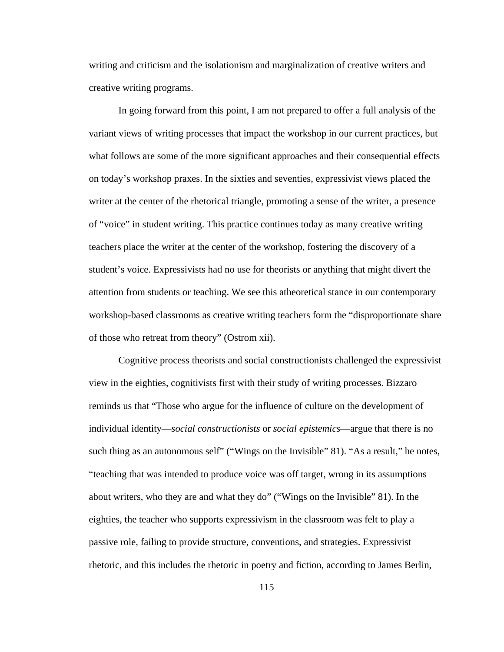writing and criticism and the isolationism and marginalization of creative writers and creative writing programs.

In going forward from this point, I am not prepared to offer a full analysis of the variant views of writing processes that impact the workshop in our current practices, but what follows are some of the more significant approaches and their consequential effects on today's workshop praxes. In the sixties and seventies, expressivist views placed the writer at the center of the rhetorical triangle, promoting a sense of the writer, a presence of "voice" in student writing. This practice continues today as many creative writing teachers place the writer at the center of the workshop, fostering the discovery of a student's voice. Expressivists had no use for theorists or anything that might divert the attention from students or teaching. We see this atheoretical stance in our contemporary workshop-based classrooms as creative writing teachers form the "disproportionate share of those who retreat from theory" (Ostrom xii).

Cognitive process theorists and social constructionists challenged the expressivist view in the eighties, cognitivists first with their study of writing processes. Bizzaro reminds us that "Those who argue for the influence of culture on the development of individual identity—*social constructionists* or *social epistemics*—argue that there is no such thing as an autonomous self" ("Wings on the Invisible" 81). "As a result," he notes, "teaching that was intended to produce voice was off target, wrong in its assumptions about writers, who they are and what they do" ("Wings on the Invisible" 81). In the eighties, the teacher who supports expressivism in the classroom was felt to play a passive role, failing to provide structure, conventions, and strategies. Expressivist rhetoric, and this includes the rhetoric in poetry and fiction, according to James Berlin,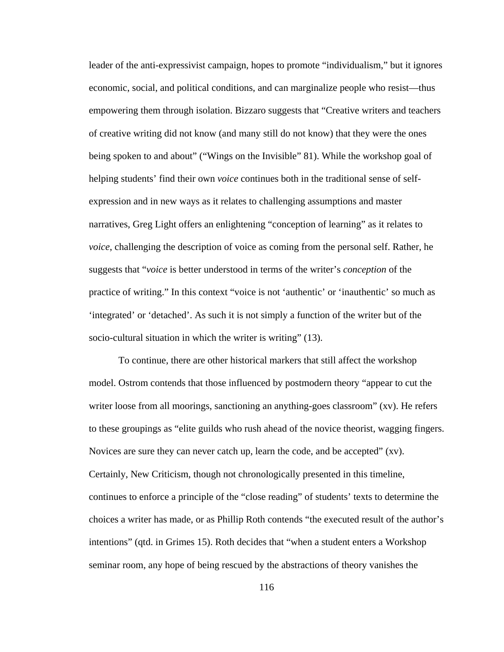leader of the anti-expressivist campaign, hopes to promote "individualism," but it ignores economic, social, and political conditions, and can marginalize people who resist—thus empowering them through isolation. Bizzaro suggests that "Creative writers and teachers of creative writing did not know (and many still do not know) that they were the ones being spoken to and about" ("Wings on the Invisible" 81). While the workshop goal of helping students' find their own *voice* continues both in the traditional sense of selfexpression and in new ways as it relates to challenging assumptions and master narratives, Greg Light offers an enlightening "conception of learning" as it relates to *voice*, challenging the description of voice as coming from the personal self. Rather, he suggests that "*voice* is better understood in terms of the writer's *conception* of the practice of writing." In this context "voice is not 'authentic' or 'inauthentic' so much as 'integrated' or 'detached'. As such it is not simply a function of the writer but of the socio-cultural situation in which the writer is writing" (13).

To continue, there are other historical markers that still affect the workshop model. Ostrom contends that those influenced by postmodern theory "appear to cut the writer loose from all moorings, sanctioning an anything-goes classroom" (xv). He refers to these groupings as "elite guilds who rush ahead of the novice theorist, wagging fingers. Novices are sure they can never catch up, learn the code, and be accepted" (xv). Certainly, New Criticism, though not chronologically presented in this timeline, continues to enforce a principle of the "close reading" of students' texts to determine the choices a writer has made, or as Phillip Roth contends "the executed result of the author's intentions" (qtd. in Grimes 15). Roth decides that "when a student enters a Workshop seminar room, any hope of being rescued by the abstractions of theory vanishes the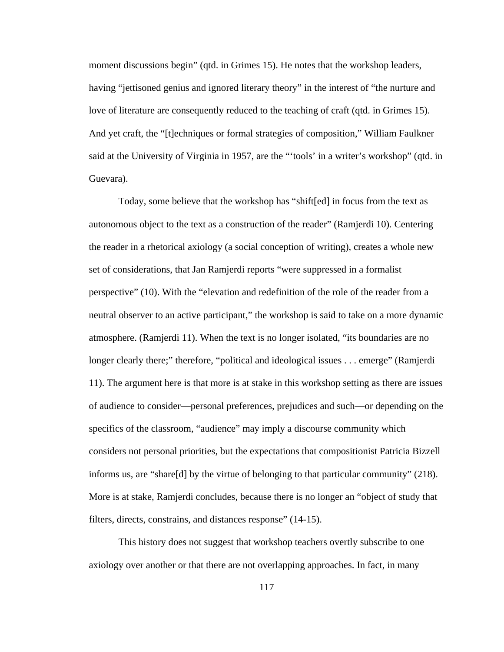moment discussions begin" (qtd. in Grimes 15). He notes that the workshop leaders, having "jettisoned genius and ignored literary theory" in the interest of "the nurture and love of literature are consequently reduced to the teaching of craft (qtd. in Grimes 15). And yet craft, the "[t]echniques or formal strategies of composition," William Faulkner said at the University of Virginia in 1957, are the "'tools' in a writer's workshop" (qtd. in Guevara).

Today, some believe that the workshop has "shift[ed] in focus from the text as autonomous object to the text as a construction of the reader" (Ramjerdi 10). Centering the reader in a rhetorical axiology (a social conception of writing), creates a whole new set of considerations, that Jan Ramjerdi reports "were suppressed in a formalist perspective" (10). With the "elevation and redefinition of the role of the reader from a neutral observer to an active participant," the workshop is said to take on a more dynamic atmosphere. (Ramjerdi 11). When the text is no longer isolated, "its boundaries are no longer clearly there;" therefore, "political and ideological issues . . . emerge" (Ramjerdi 11). The argument here is that more is at stake in this workshop setting as there are issues of audience to consider—personal preferences, prejudices and such—or depending on the specifics of the classroom, "audience" may imply a discourse community which considers not personal priorities, but the expectations that compositionist Patricia Bizzell informs us, are "share[d] by the virtue of belonging to that particular community" (218). More is at stake, Ramjerdi concludes, because there is no longer an "object of study that filters, directs, constrains, and distances response" (14-15).

This history does not suggest that workshop teachers overtly subscribe to one axiology over another or that there are not overlapping approaches. In fact, in many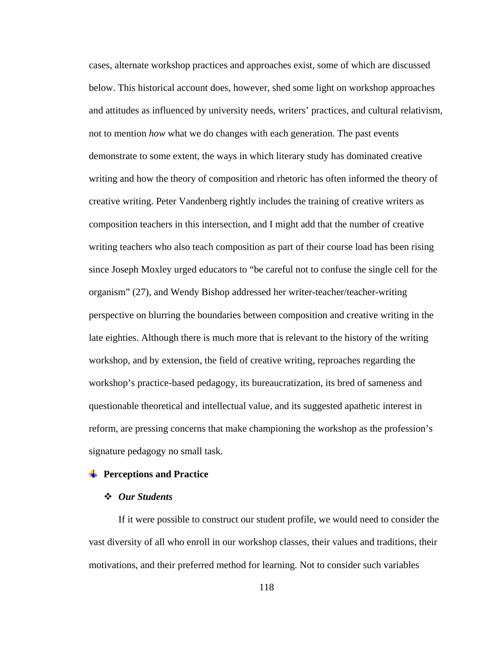cases, alternate workshop practices and approaches exist, some of which are discussed below. This historical account does, however, shed some light on workshop approaches and attitudes as influenced by university needs, writers' practices, and cultural relativism, not to mention *how* what we do changes with each generation. The past events demonstrate to some extent, the ways in which literary study has dominated creative writing and how the theory of composition and rhetoric has often informed the theory of creative writing. Peter Vandenberg rightly includes the training of creative writers as composition teachers in this intersection, and I might add that the number of creative writing teachers who also teach composition as part of their course load has been rising since Joseph Moxley urged educators to "be careful not to confuse the single cell for the organism" (27), and Wendy Bishop addressed her writer-teacher/teacher-writing perspective on blurring the boundaries between composition and creative writing in the late eighties. Although there is much more that is relevant to the history of the writing workshop, and by extension, the field of creative writing, reproaches regarding the workshop's practice-based pedagogy, its bureaucratization, its bred of sameness and questionable theoretical and intellectual value, and its suggested apathetic interest in reform, are pressing concerns that make championing the workshop as the profession's signature pedagogy no small task.

#### **Perceptions and Practice**

## *Our Students*

If it were possible to construct our student profile, we would need to consider the vast diversity of all who enroll in our workshop classes, their values and traditions, their motivations, and their preferred method for learning. Not to consider such variables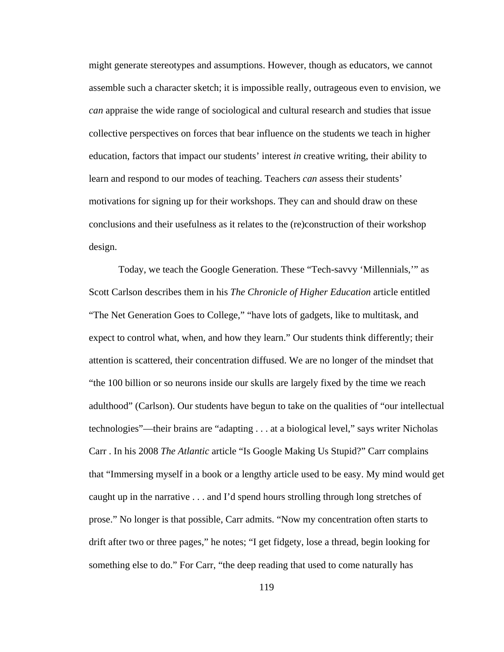might generate stereotypes and assumptions. However, though as educators, we cannot assemble such a character sketch; it is impossible really, outrageous even to envision, we *can* appraise the wide range of sociological and cultural research and studies that issue collective perspectives on forces that bear influence on the students we teach in higher education, factors that impact our students' interest *in* creative writing, their ability to learn and respond to our modes of teaching. Teachers *can* assess their students' motivations for signing up for their workshops. They can and should draw on these conclusions and their usefulness as it relates to the (re)construction of their workshop design.

Today, we teach the Google Generation. These "Tech-savvy 'Millennials,'" as Scott Carlson describes them in his *The Chronicle of Higher Education* article entitled "The Net Generation Goes to College," "have lots of gadgets, like to multitask, and expect to control what, when, and how they learn." Our students think differently; their attention is scattered, their concentration diffused. We are no longer of the mindset that "the 100 billion or so neurons inside our skulls are largely fixed by the time we reach adulthood" (Carlson). Our students have begun to take on the qualities of "our intellectual technologies"—their brains are "adapting . . . at a biological level," says writer Nicholas Carr . In his 2008 *The Atlantic* article "Is Google Making Us Stupid?" Carr complains that "Immersing myself in a book or a lengthy article used to be easy. My mind would get caught up in the narrative . . . and I'd spend hours strolling through long stretches of prose." No longer is that possible, Carr admits. "Now my concentration often starts to drift after two or three pages," he notes; "I get fidgety, lose a thread, begin looking for something else to do." For Carr, "the deep reading that used to come naturally has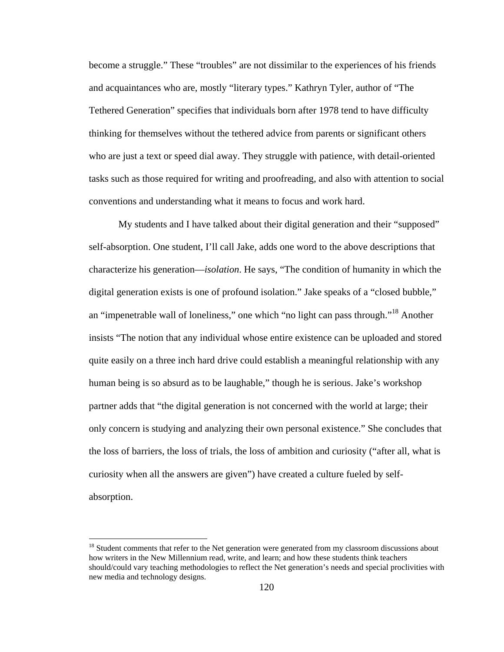become a struggle." These "troubles" are not dissimilar to the experiences of his friends and acquaintances who are, mostly "literary types." Kathryn Tyler, author of "The Tethered Generation" specifies that individuals born after 1978 tend to have difficulty thinking for themselves without the tethered advice from parents or significant others who are just a text or speed dial away. They struggle with patience, with detail-oriented tasks such as those required for writing and proofreading, and also with attention to social conventions and understanding what it means to focus and work hard.

My students and I have talked about their digital generation and their "supposed" self-absorption. One student, I'll call Jake, adds one word to the above descriptions that characterize his generation—*isolation*. He says, "The condition of humanity in which the digital generation exists is one of profound isolation." Jake speaks of a "closed bubble," an "impenetrable wall of loneliness," one which "no light can pass through."<sup>18</sup> Another insists "The notion that any individual whose entire existence can be uploaded and stored quite easily on a three inch hard drive could establish a meaningful relationship with any human being is so absurd as to be laughable," though he is serious. Jake's workshop partner adds that "the digital generation is not concerned with the world at large; their only concern is studying and analyzing their own personal existence." She concludes that the loss of barriers, the loss of trials, the loss of ambition and curiosity ("after all, what is curiosity when all the answers are given") have created a culture fueled by selfabsorption.

 $\overline{a}$ 

<sup>&</sup>lt;sup>18</sup> Student comments that refer to the Net generation were generated from my classroom discussions about how writers in the New Millennium read, write, and learn; and how these students think teachers should/could vary teaching methodologies to reflect the Net generation's needs and special proclivities with new media and technology designs.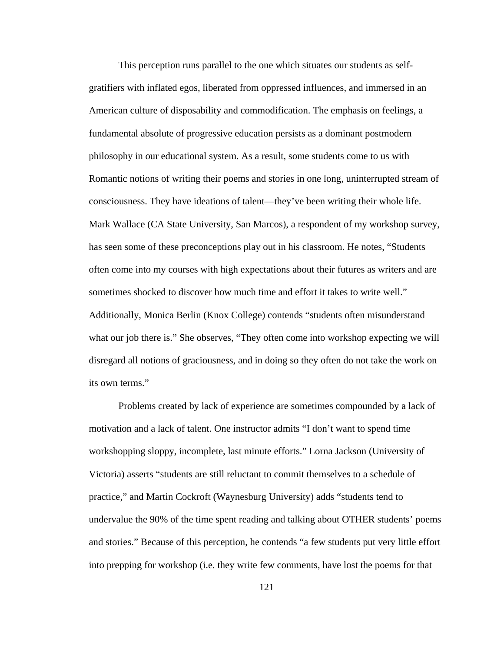This perception runs parallel to the one which situates our students as selfgratifiers with inflated egos, liberated from oppressed influences, and immersed in an American culture of disposability and commodification. The emphasis on feelings, a fundamental absolute of progressive education persists as a dominant postmodern philosophy in our educational system. As a result, some students come to us with Romantic notions of writing their poems and stories in one long, uninterrupted stream of consciousness. They have ideations of talent—they've been writing their whole life. Mark Wallace (CA State University, San Marcos), a respondent of my workshop survey, has seen some of these preconceptions play out in his classroom. He notes, "Students often come into my courses with high expectations about their futures as writers and are sometimes shocked to discover how much time and effort it takes to write well." Additionally, Monica Berlin (Knox College) contends "students often misunderstand what our job there is." She observes, "They often come into workshop expecting we will disregard all notions of graciousness, and in doing so they often do not take the work on its own terms."

Problems created by lack of experience are sometimes compounded by a lack of motivation and a lack of talent. One instructor admits "I don't want to spend time workshopping sloppy, incomplete, last minute efforts." Lorna Jackson (University of Victoria) asserts "students are still reluctant to commit themselves to a schedule of practice," and Martin Cockroft (Waynesburg University) adds "students tend to undervalue the 90% of the time spent reading and talking about OTHER students' poems and stories." Because of this perception, he contends "a few students put very little effort into prepping for workshop (i.e. they write few comments, have lost the poems for that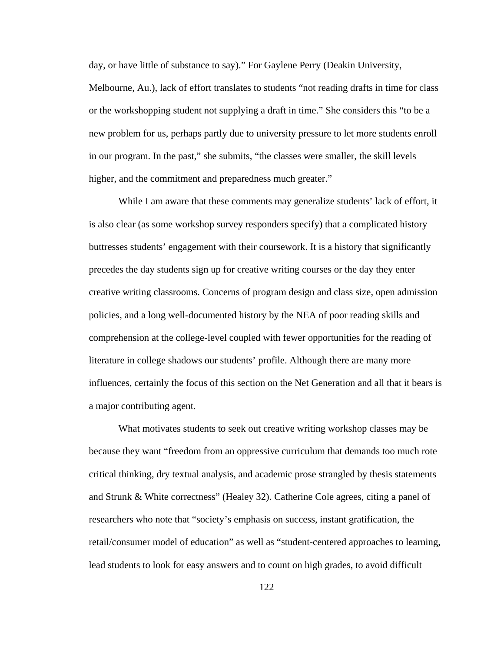day, or have little of substance to say)." For Gaylene Perry (Deakin University, Melbourne, Au.), lack of effort translates to students "not reading drafts in time for class or the workshopping student not supplying a draft in time." She considers this "to be a new problem for us, perhaps partly due to university pressure to let more students enroll in our program. In the past," she submits, "the classes were smaller, the skill levels higher, and the commitment and preparedness much greater."

While I am aware that these comments may generalize students' lack of effort, it is also clear (as some workshop survey responders specify) that a complicated history buttresses students' engagement with their coursework. It is a history that significantly precedes the day students sign up for creative writing courses or the day they enter creative writing classrooms. Concerns of program design and class size, open admission policies, and a long well-documented history by the NEA of poor reading skills and comprehension at the college-level coupled with fewer opportunities for the reading of literature in college shadows our students' profile. Although there are many more influences, certainly the focus of this section on the Net Generation and all that it bears is a major contributing agent.

What motivates students to seek out creative writing workshop classes may be because they want "freedom from an oppressive curriculum that demands too much rote critical thinking, dry textual analysis, and academic prose strangled by thesis statements and Strunk & White correctness" (Healey 32). Catherine Cole agrees, citing a panel of researchers who note that "society's emphasis on success, instant gratification, the retail/consumer model of education" as well as "student-centered approaches to learning, lead students to look for easy answers and to count on high grades, to avoid difficult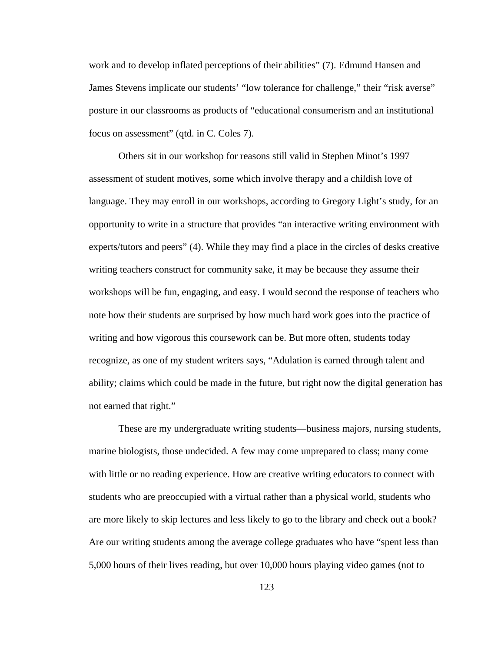work and to develop inflated perceptions of their abilities" (7). Edmund Hansen and James Stevens implicate our students' "low tolerance for challenge," their "risk averse" posture in our classrooms as products of "educational consumerism and an institutional focus on assessment" (qtd. in C. Coles 7).

Others sit in our workshop for reasons still valid in Stephen Minot's 1997 assessment of student motives, some which involve therapy and a childish love of language. They may enroll in our workshops, according to Gregory Light's study, for an opportunity to write in a structure that provides "an interactive writing environment with experts/tutors and peers" (4). While they may find a place in the circles of desks creative writing teachers construct for community sake, it may be because they assume their workshops will be fun, engaging, and easy. I would second the response of teachers who note how their students are surprised by how much hard work goes into the practice of writing and how vigorous this coursework can be. But more often, students today recognize, as one of my student writers says, "Adulation is earned through talent and ability; claims which could be made in the future, but right now the digital generation has not earned that right."

These are my undergraduate writing students—business majors, nursing students, marine biologists, those undecided. A few may come unprepared to class; many come with little or no reading experience. How are creative writing educators to connect with students who are preoccupied with a virtual rather than a physical world, students who are more likely to skip lectures and less likely to go to the library and check out a book? Are our writing students among the average college graduates who have "spent less than 5,000 hours of their lives reading, but over 10,000 hours playing video games (not to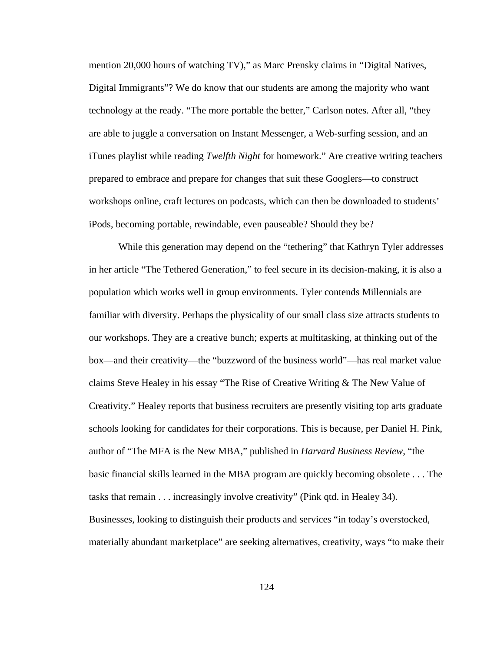mention 20,000 hours of watching TV)," as Marc Prensky claims in "Digital Natives, Digital Immigrants"? We do know that our students are among the majority who want technology at the ready. "The more portable the better," Carlson notes. After all, "they are able to juggle a conversation on Instant Messenger, a Web-surfing session, and an iTunes playlist while reading *Twelfth Night* for homework." Are creative writing teachers prepared to embrace and prepare for changes that suit these Googlers—to construct workshops online, craft lectures on podcasts, which can then be downloaded to students' iPods, becoming portable, rewindable, even pauseable? Should they be?

While this generation may depend on the "tethering" that Kathryn Tyler addresses in her article "The Tethered Generation," to feel secure in its decision-making, it is also a population which works well in group environments. Tyler contends Millennials are familiar with diversity. Perhaps the physicality of our small class size attracts students to our workshops. They are a creative bunch; experts at multitasking, at thinking out of the box—and their creativity—the "buzzword of the business world"—has real market value claims Steve Healey in his essay "The Rise of Creative Writing & The New Value of Creativity." Healey reports that business recruiters are presently visiting top arts graduate schools looking for candidates for their corporations. This is because, per Daniel H. Pink, author of "The MFA is the New MBA," published in *Harvard Business Review*, "the basic financial skills learned in the MBA program are quickly becoming obsolete . . . The tasks that remain . . . increasingly involve creativity" (Pink qtd. in Healey 34). Businesses, looking to distinguish their products and services "in today's overstocked, materially abundant marketplace" are seeking alternatives, creativity, ways "to make their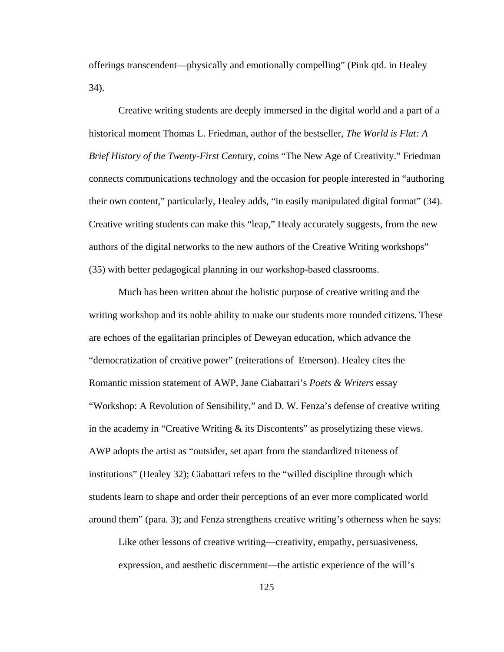offerings transcendent—physically and emotionally compelling" (Pink qtd. in Healey 34).

Creative writing students are deeply immersed in the digital world and a part of a historical moment Thomas L. Friedman, author of the bestseller, *The World is Flat: A Brief History of the Twenty-First Cent*ury, coins "The New Age of Creativity." Friedman connects communications technology and the occasion for people interested in "authoring their own content," particularly, Healey adds, "in easily manipulated digital format" (34). Creative writing students can make this "leap," Healy accurately suggests, from the new authors of the digital networks to the new authors of the Creative Writing workshops" (35) with better pedagogical planning in our workshop-based classrooms.

Much has been written about the holistic purpose of creative writing and the writing workshop and its noble ability to make our students more rounded citizens. These are echoes of the egalitarian principles of Deweyan education, which advance the "democratization of creative power" (reiterations of Emerson). Healey cites the Romantic mission statement of AWP, Jane Ciabattari's *Poets & Writers* essay "Workshop: A Revolution of Sensibility," and D. W. Fenza's defense of creative writing in the academy in "Creative Writing  $\&$  its Discontents" as proselytizing these views. AWP adopts the artist as "outsider, set apart from the standardized triteness of institutions" (Healey 32); Ciabattari refers to the "willed discipline through which students learn to shape and order their perceptions of an ever more complicated world around them" (para. 3); and Fenza strengthens creative writing's otherness when he says:

Like other lessons of creative writing—creativity, empathy, persuasiveness, expression, and aesthetic discernment—the artistic experience of the will's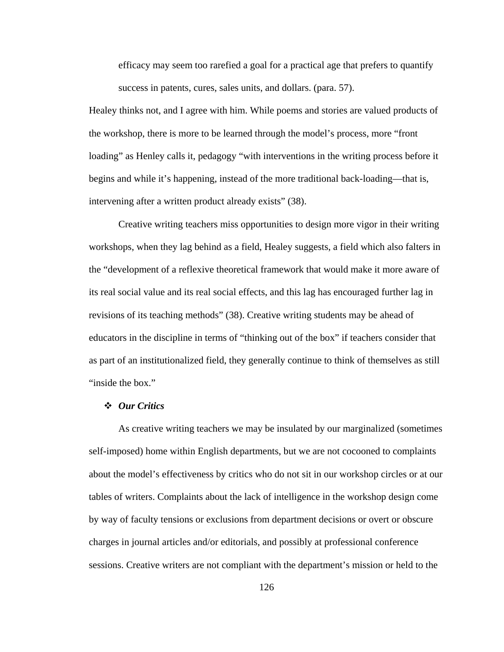efficacy may seem too rarefied a goal for a practical age that prefers to quantify success in patents, cures, sales units, and dollars. (para. 57).

Healey thinks not, and I agree with him. While poems and stories are valued products of the workshop, there is more to be learned through the model's process, more "front loading" as Henley calls it, pedagogy "with interventions in the writing process before it begins and while it's happening, instead of the more traditional back-loading—that is, intervening after a written product already exists" (38).

Creative writing teachers miss opportunities to design more vigor in their writing workshops, when they lag behind as a field, Healey suggests, a field which also falters in the "development of a reflexive theoretical framework that would make it more aware of its real social value and its real social effects, and this lag has encouraged further lag in revisions of its teaching methods" (38). Creative writing students may be ahead of educators in the discipline in terms of "thinking out of the box" if teachers consider that as part of an institutionalized field, they generally continue to think of themselves as still "inside the box."

# *Our Critics*

As creative writing teachers we may be insulated by our marginalized (sometimes self-imposed) home within English departments, but we are not cocooned to complaints about the model's effectiveness by critics who do not sit in our workshop circles or at our tables of writers. Complaints about the lack of intelligence in the workshop design come by way of faculty tensions or exclusions from department decisions or overt or obscure charges in journal articles and/or editorials, and possibly at professional conference sessions. Creative writers are not compliant with the department's mission or held to the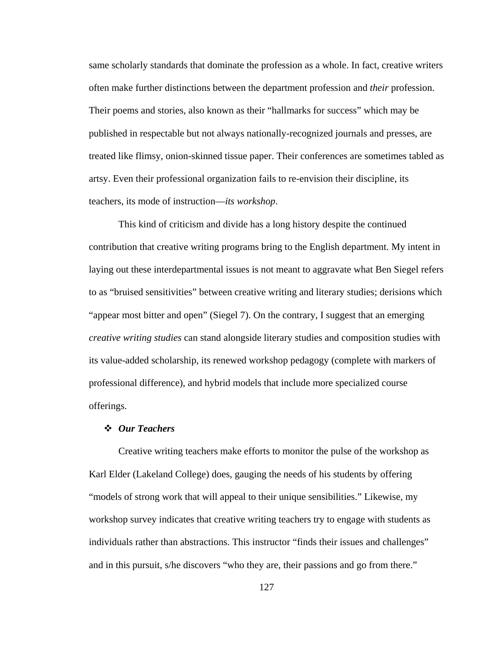same scholarly standards that dominate the profession as a whole. In fact, creative writers often make further distinctions between the department profession and *their* profession. Their poems and stories, also known as their "hallmarks for success" which may be published in respectable but not always nationally-recognized journals and presses, are treated like flimsy, onion-skinned tissue paper. Their conferences are sometimes tabled as artsy. Even their professional organization fails to re-envision their discipline, its teachers, its mode of instruction—*its workshop*.

This kind of criticism and divide has a long history despite the continued contribution that creative writing programs bring to the English department. My intent in laying out these interdepartmental issues is not meant to aggravate what Ben Siegel refers to as "bruised sensitivities" between creative writing and literary studies; derisions which "appear most bitter and open" (Siegel 7). On the contrary, I suggest that an emerging *creative writing studies* can stand alongside literary studies and composition studies with its value-added scholarship, its renewed workshop pedagogy (complete with markers of professional difference), and hybrid models that include more specialized course offerings.

#### *Our Teachers*

Creative writing teachers make efforts to monitor the pulse of the workshop as Karl Elder (Lakeland College) does, gauging the needs of his students by offering "models of strong work that will appeal to their unique sensibilities." Likewise, my workshop survey indicates that creative writing teachers try to engage with students as individuals rather than abstractions. This instructor "finds their issues and challenges" and in this pursuit, s/he discovers "who they are, their passions and go from there."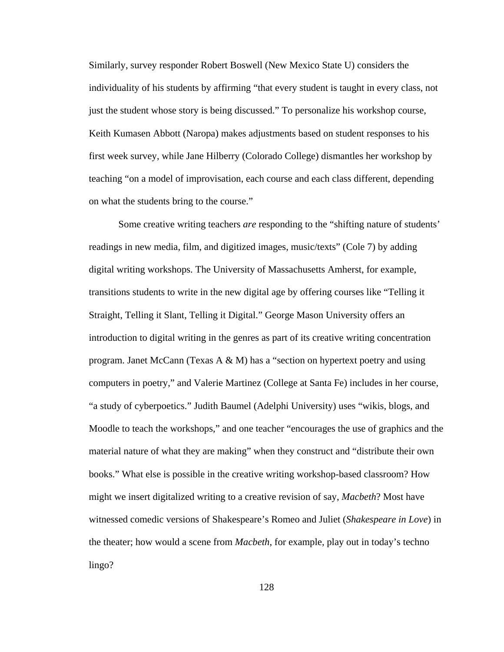Similarly, survey responder Robert Boswell (New Mexico State U) considers the individuality of his students by affirming "that every student is taught in every class, not just the student whose story is being discussed." To personalize his workshop course, Keith Kumasen Abbott (Naropa) makes adjustments based on student responses to his first week survey, while Jane Hilberry (Colorado College) dismantles her workshop by teaching "on a model of improvisation, each course and each class different, depending on what the students bring to the course."

Some creative writing teachers *are* responding to the "shifting nature of students' readings in new media, film, and digitized images, music/texts" (Cole 7) by adding digital writing workshops. The University of Massachusetts Amherst, for example, transitions students to write in the new digital age by offering courses like "Telling it Straight, Telling it Slant, Telling it Digital." George Mason University offers an introduction to digital writing in the genres as part of its creative writing concentration program. Janet McCann (Texas A & M) has a "section on hypertext poetry and using computers in poetry," and Valerie Martinez (College at Santa Fe) includes in her course, "a study of cyberpoetics." Judith Baumel (Adelphi University) uses "wikis, blogs, and Moodle to teach the workshops," and one teacher "encourages the use of graphics and the material nature of what they are making" when they construct and "distribute their own books." What else is possible in the creative writing workshop-based classroom? How might we insert digitalized writing to a creative revision of say, *Macbeth*? Most have witnessed comedic versions of Shakespeare's Romeo and Juliet (*Shakespeare in Love*) in the theater; how would a scene from *Macbeth*, for example, play out in today's techno lingo?

128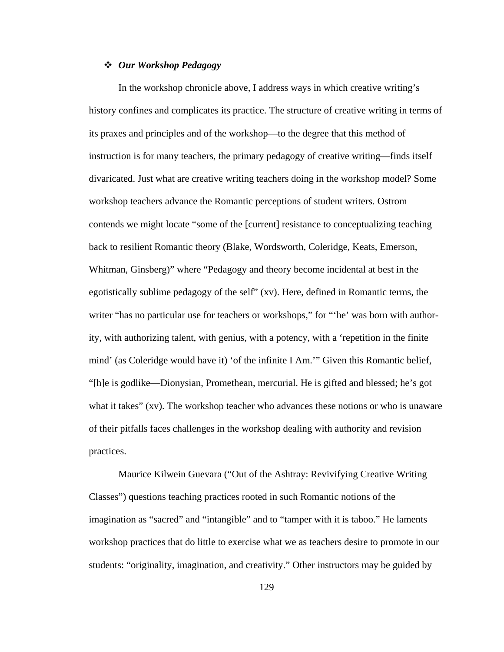# *Our Workshop Pedagogy*

In the workshop chronicle above, I address ways in which creative writing's history confines and complicates its practice. The structure of creative writing in terms of its praxes and principles and of the workshop—to the degree that this method of instruction is for many teachers, the primary pedagogy of creative writing—finds itself divaricated. Just what are creative writing teachers doing in the workshop model? Some workshop teachers advance the Romantic perceptions of student writers. Ostrom contends we might locate "some of the [current] resistance to conceptualizing teaching back to resilient Romantic theory (Blake, Wordsworth, Coleridge, Keats, Emerson, Whitman, Ginsberg)" where "Pedagogy and theory become incidental at best in the egotistically sublime pedagogy of the self" (xv). Here, defined in Romantic terms, the writer "has no particular use for teachers or workshops," for "'he' was born with authority, with authorizing talent, with genius, with a potency, with a 'repetition in the finite mind' (as Coleridge would have it) 'of the infinite I Am.'" Given this Romantic belief, "[h]e is godlike—Dionysian, Promethean, mercurial. He is gifted and blessed; he's got what it takes" (xv). The workshop teacher who advances these notions or who is unaware of their pitfalls faces challenges in the workshop dealing with authority and revision practices.

Maurice Kilwein Guevara ("Out of the Ashtray: Revivifying Creative Writing Classes") questions teaching practices rooted in such Romantic notions of the imagination as "sacred" and "intangible" and to "tamper with it is taboo." He laments workshop practices that do little to exercise what we as teachers desire to promote in our students: "originality, imagination, and creativity." Other instructors may be guided by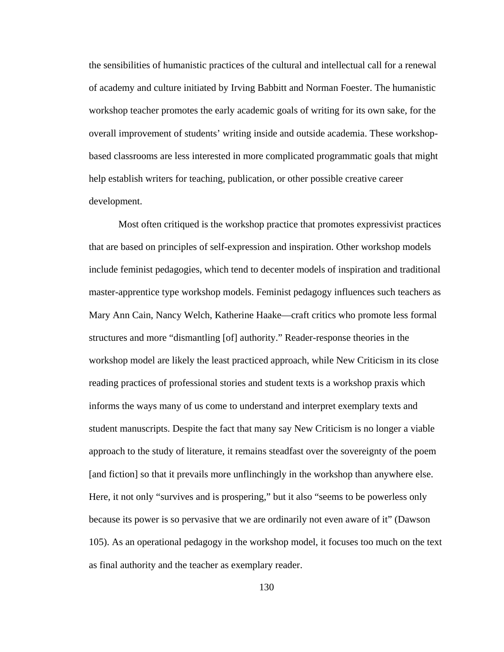the sensibilities of humanistic practices of the cultural and intellectual call for a renewal of academy and culture initiated by Irving Babbitt and Norman Foester. The humanistic workshop teacher promotes the early academic goals of writing for its own sake, for the overall improvement of students' writing inside and outside academia. These workshopbased classrooms are less interested in more complicated programmatic goals that might help establish writers for teaching, publication, or other possible creative career development.

Most often critiqued is the workshop practice that promotes expressivist practices that are based on principles of self-expression and inspiration. Other workshop models include feminist pedagogies, which tend to decenter models of inspiration and traditional master-apprentice type workshop models. Feminist pedagogy influences such teachers as Mary Ann Cain, Nancy Welch, Katherine Haake—craft critics who promote less formal structures and more "dismantling [of] authority." Reader-response theories in the workshop model are likely the least practiced approach, while New Criticism in its close reading practices of professional stories and student texts is a workshop praxis which informs the ways many of us come to understand and interpret exemplary texts and student manuscripts. Despite the fact that many say New Criticism is no longer a viable approach to the study of literature, it remains steadfast over the sovereignty of the poem [and fiction] so that it prevails more unflinchingly in the workshop than anywhere else. Here, it not only "survives and is prospering," but it also "seems to be powerless only because its power is so pervasive that we are ordinarily not even aware of it" (Dawson 105). As an operational pedagogy in the workshop model, it focuses too much on the text as final authority and the teacher as exemplary reader.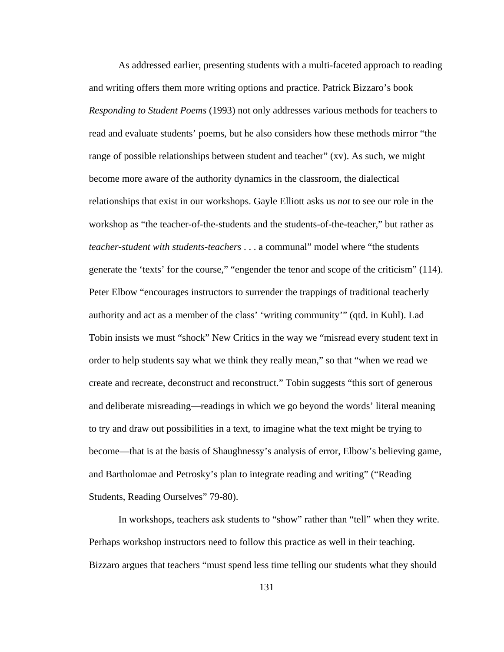As addressed earlier, presenting students with a multi-faceted approach to reading and writing offers them more writing options and practice. Patrick Bizzaro's book *Responding to Student Poems* (1993) not only addresses various methods for teachers to read and evaluate students' poems, but he also considers how these methods mirror "the range of possible relationships between student and teacher" (xv). As such, we might become more aware of the authority dynamics in the classroom, the dialectical relationships that exist in our workshops. Gayle Elliott asks us *not* to see our role in the workshop as "the teacher-of-the-students and the students-of-the-teacher," but rather as *teacher-student with students-teachers* . . . a communal" model where "the students generate the 'texts' for the course," "engender the tenor and scope of the criticism" (114). Peter Elbow "encourages instructors to surrender the trappings of traditional teacherly authority and act as a member of the class' 'writing community'" (qtd. in Kuhl). Lad Tobin insists we must "shock" New Critics in the way we "misread every student text in order to help students say what we think they really mean," so that "when we read we create and recreate, deconstruct and reconstruct." Tobin suggests "this sort of generous and deliberate misreading—readings in which we go beyond the words' literal meaning to try and draw out possibilities in a text, to imagine what the text might be trying to become—that is at the basis of Shaughnessy's analysis of error, Elbow's believing game, and Bartholomae and Petrosky's plan to integrate reading and writing" ("Reading Students, Reading Ourselves" 79-80).

In workshops, teachers ask students to "show" rather than "tell" when they write. Perhaps workshop instructors need to follow this practice as well in their teaching. Bizzaro argues that teachers "must spend less time telling our students what they should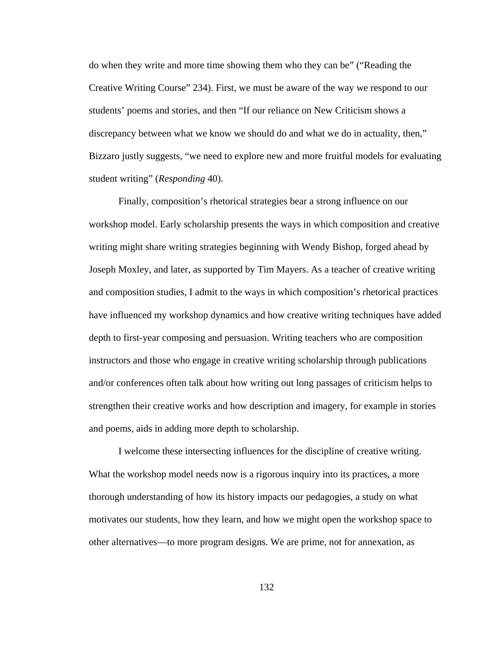do when they write and more time showing them who they can be" ("Reading the Creative Writing Course" 234). First, we must be aware of the way we respond to our students' poems and stories, and then "If our reliance on New Criticism shows a discrepancy between what we know we should do and what we do in actuality, then," Bizzaro justly suggests, "we need to explore new and more fruitful models for evaluating student writing" (*Responding* 40).

Finally, composition's rhetorical strategies bear a strong influence on our workshop model. Early scholarship presents the ways in which composition and creative writing might share writing strategies beginning with Wendy Bishop, forged ahead by Joseph Moxley, and later, as supported by Tim Mayers. As a teacher of creative writing and composition studies, I admit to the ways in which composition's rhetorical practices have influenced my workshop dynamics and how creative writing techniques have added depth to first-year composing and persuasion. Writing teachers who are composition instructors and those who engage in creative writing scholarship through publications and/or conferences often talk about how writing out long passages of criticism helps to strengthen their creative works and how description and imagery, for example in stories and poems, aids in adding more depth to scholarship.

I welcome these intersecting influences for the discipline of creative writing. What the workshop model needs now is a rigorous inquiry into its practices, a more thorough understanding of how its history impacts our pedagogies, a study on what motivates our students, how they learn, and how we might open the workshop space to other alternatives—to more program designs. We are prime, not for annexation, as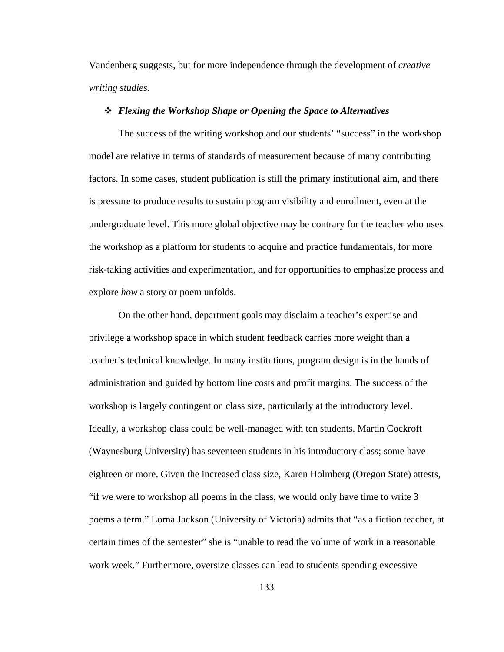Vandenberg suggests, but for more independence through the development of *creative writing studies*.

## *Flexing the Workshop Shape or Opening the Space to Alternatives*

The success of the writing workshop and our students' "success" in the workshop model are relative in terms of standards of measurement because of many contributing factors. In some cases, student publication is still the primary institutional aim, and there is pressure to produce results to sustain program visibility and enrollment, even at the undergraduate level. This more global objective may be contrary for the teacher who uses the workshop as a platform for students to acquire and practice fundamentals, for more risk-taking activities and experimentation, and for opportunities to emphasize process and explore *how* a story or poem unfolds.

On the other hand, department goals may disclaim a teacher's expertise and privilege a workshop space in which student feedback carries more weight than a teacher's technical knowledge. In many institutions, program design is in the hands of administration and guided by bottom line costs and profit margins. The success of the workshop is largely contingent on class size, particularly at the introductory level. Ideally, a workshop class could be well-managed with ten students. Martin Cockroft (Waynesburg University) has seventeen students in his introductory class; some have eighteen or more. Given the increased class size, Karen Holmberg (Oregon State) attests, "if we were to workshop all poems in the class, we would only have time to write 3 poems a term." Lorna Jackson (University of Victoria) admits that "as a fiction teacher, at certain times of the semester" she is "unable to read the volume of work in a reasonable work week." Furthermore, oversize classes can lead to students spending excessive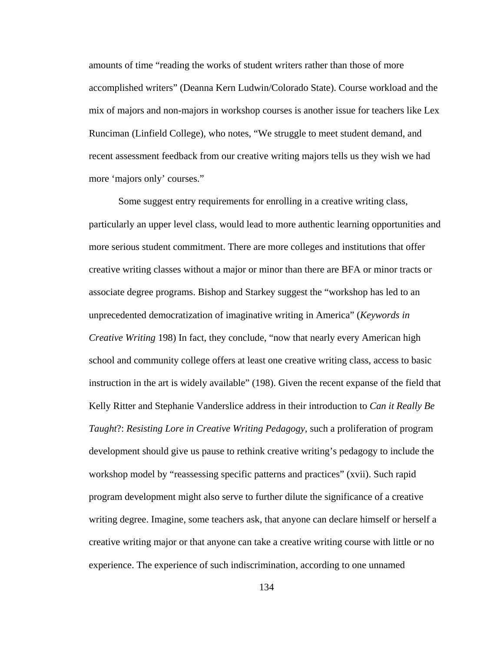amounts of time "reading the works of student writers rather than those of more accomplished writers" (Deanna Kern Ludwin/Colorado State). Course workload and the mix of majors and non-majors in workshop courses is another issue for teachers like Lex Runciman (Linfield College), who notes, "We struggle to meet student demand, and recent assessment feedback from our creative writing majors tells us they wish we had more 'majors only' courses."

Some suggest entry requirements for enrolling in a creative writing class, particularly an upper level class, would lead to more authentic learning opportunities and more serious student commitment. There are more colleges and institutions that offer creative writing classes without a major or minor than there are BFA or minor tracts or associate degree programs. Bishop and Starkey suggest the "workshop has led to an unprecedented democratization of imaginative writing in America" (*Keywords in Creative Writing* 198) In fact, they conclude, "now that nearly every American high school and community college offers at least one creative writing class, access to basic instruction in the art is widely available" (198). Given the recent expanse of the field that Kelly Ritter and Stephanie Vanderslice address in their introduction to *Can it Really Be Taught*?: *Resisting Lore in Creative Writing Pedagogy*, such a proliferation of program development should give us pause to rethink creative writing's pedagogy to include the workshop model by "reassessing specific patterns and practices" (xvii). Such rapid program development might also serve to further dilute the significance of a creative writing degree. Imagine, some teachers ask, that anyone can declare himself or herself a creative writing major or that anyone can take a creative writing course with little or no experience. The experience of such indiscrimination, according to one unnamed

134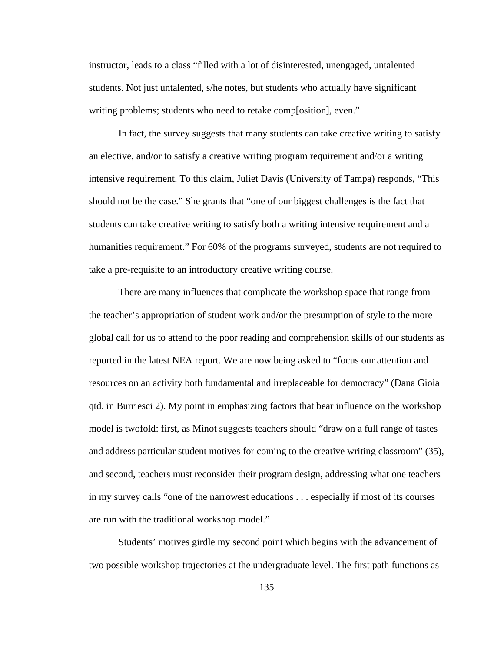instructor, leads to a class "filled with a lot of disinterested, unengaged, untalented students. Not just untalented, s/he notes, but students who actually have significant writing problems; students who need to retake comp[osition], even."

In fact, the survey suggests that many students can take creative writing to satisfy an elective, and/or to satisfy a creative writing program requirement and/or a writing intensive requirement. To this claim, Juliet Davis (University of Tampa) responds, "This should not be the case." She grants that "one of our biggest challenges is the fact that students can take creative writing to satisfy both a writing intensive requirement and a humanities requirement." For 60% of the programs surveyed, students are not required to take a pre-requisite to an introductory creative writing course.

There are many influences that complicate the workshop space that range from the teacher's appropriation of student work and/or the presumption of style to the more global call for us to attend to the poor reading and comprehension skills of our students as reported in the latest NEA report. We are now being asked to "focus our attention and resources on an activity both fundamental and irreplaceable for democracy" (Dana Gioia qtd. in Burriesci 2). My point in emphasizing factors that bear influence on the workshop model is twofold: first, as Minot suggests teachers should "draw on a full range of tastes and address particular student motives for coming to the creative writing classroom" (35), and second, teachers must reconsider their program design, addressing what one teachers in my survey calls "one of the narrowest educations . . . especially if most of its courses are run with the traditional workshop model."

Students' motives girdle my second point which begins with the advancement of two possible workshop trajectories at the undergraduate level. The first path functions as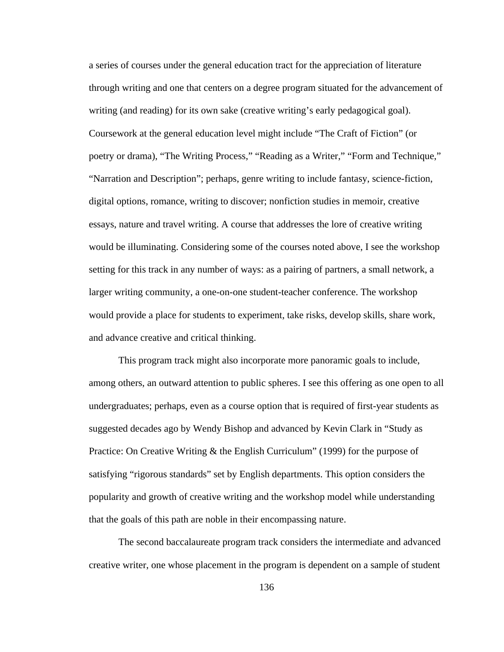a series of courses under the general education tract for the appreciation of literature through writing and one that centers on a degree program situated for the advancement of writing (and reading) for its own sake (creative writing's early pedagogical goal). Coursework at the general education level might include "The Craft of Fiction" (or poetry or drama), "The Writing Process," "Reading as a Writer," "Form and Technique," "Narration and Description"; perhaps, genre writing to include fantasy, science-fiction, digital options, romance, writing to discover; nonfiction studies in memoir, creative essays, nature and travel writing. A course that addresses the lore of creative writing would be illuminating. Considering some of the courses noted above, I see the workshop setting for this track in any number of ways: as a pairing of partners, a small network, a larger writing community, a one-on-one student-teacher conference. The workshop would provide a place for students to experiment, take risks, develop skills, share work, and advance creative and critical thinking.

This program track might also incorporate more panoramic goals to include, among others, an outward attention to public spheres. I see this offering as one open to all undergraduates; perhaps, even as a course option that is required of first-year students as suggested decades ago by Wendy Bishop and advanced by Kevin Clark in "Study as Practice: On Creative Writing & the English Curriculum" (1999) for the purpose of satisfying "rigorous standards" set by English departments. This option considers the popularity and growth of creative writing and the workshop model while understanding that the goals of this path are noble in their encompassing nature.

The second baccalaureate program track considers the intermediate and advanced creative writer, one whose placement in the program is dependent on a sample of student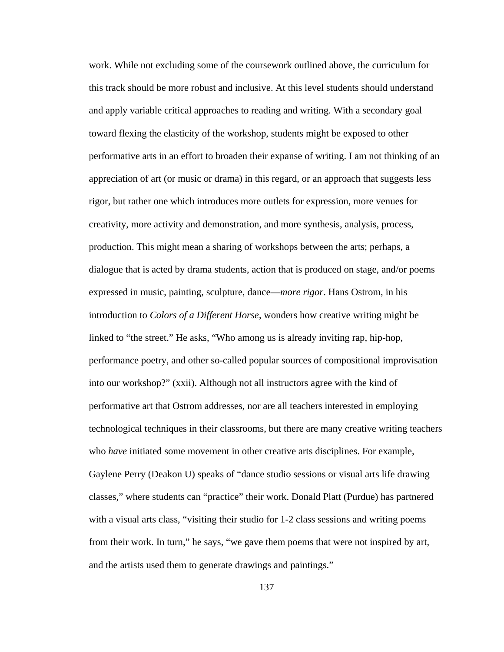work. While not excluding some of the coursework outlined above, the curriculum for this track should be more robust and inclusive. At this level students should understand and apply variable critical approaches to reading and writing. With a secondary goal toward flexing the elasticity of the workshop, students might be exposed to other performative arts in an effort to broaden their expanse of writing. I am not thinking of an appreciation of art (or music or drama) in this regard, or an approach that suggests less rigor, but rather one which introduces more outlets for expression, more venues for creativity, more activity and demonstration, and more synthesis, analysis, process, production. This might mean a sharing of workshops between the arts; perhaps, a dialogue that is acted by drama students, action that is produced on stage, and/or poems expressed in music, painting, sculpture, dance—*more rigor*. Hans Ostrom, in his introduction to *Colors of a Different Horse*, wonders how creative writing might be linked to "the street." He asks, "Who among us is already inviting rap, hip-hop, performance poetry, and other so-called popular sources of compositional improvisation into our workshop?" (xxii). Although not all instructors agree with the kind of performative art that Ostrom addresses, nor are all teachers interested in employing technological techniques in their classrooms, but there are many creative writing teachers who *have* initiated some movement in other creative arts disciplines. For example, Gaylene Perry (Deakon U) speaks of "dance studio sessions or visual arts life drawing classes," where students can "practice" their work. Donald Platt (Purdue) has partnered with a visual arts class, "visiting their studio for 1-2 class sessions and writing poems from their work. In turn," he says, "we gave them poems that were not inspired by art, and the artists used them to generate drawings and paintings."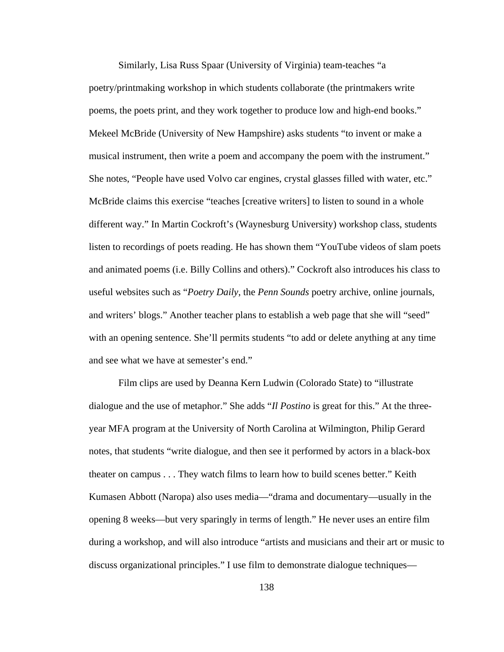Similarly, Lisa Russ Spaar (University of Virginia) team-teaches "a poetry/printmaking workshop in which students collaborate (the printmakers write poems, the poets print, and they work together to produce low and high-end books." Mekeel McBride (University of New Hampshire) asks students "to invent or make a musical instrument, then write a poem and accompany the poem with the instrument." She notes, "People have used Volvo car engines, crystal glasses filled with water, etc." McBride claims this exercise "teaches [creative writers] to listen to sound in a whole different way." In Martin Cockroft's (Waynesburg University) workshop class, students listen to recordings of poets reading. He has shown them "YouTube videos of slam poets and animated poems (i.e. Billy Collins and others)." Cockroft also introduces his class to useful websites such as "*Poetry Daily*, the *Penn Sounds* poetry archive, online journals, and writers' blogs." Another teacher plans to establish a web page that she will "seed" with an opening sentence. She'll permits students "to add or delete anything at any time and see what we have at semester's end."

Film clips are used by Deanna Kern Ludwin (Colorado State) to "illustrate dialogue and the use of metaphor." She adds "*Il Postino* is great for this." At the threeyear MFA program at the University of North Carolina at Wilmington, Philip Gerard notes, that students "write dialogue, and then see it performed by actors in a black-box theater on campus . . . They watch films to learn how to build scenes better." Keith Kumasen Abbott (Naropa) also uses media—"drama and documentary—usually in the opening 8 weeks—but very sparingly in terms of length." He never uses an entire film during a workshop, and will also introduce "artists and musicians and their art or music to discuss organizational principles." I use film to demonstrate dialogue techniques—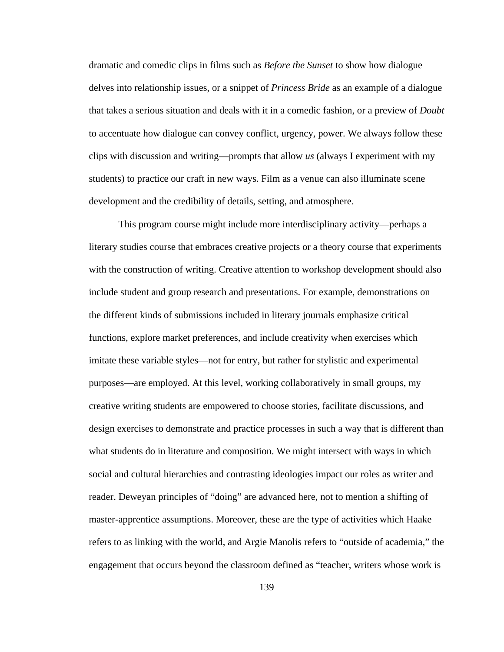dramatic and comedic clips in films such as *Before the Sunset* to show how dialogue delves into relationship issues, or a snippet of *Princess Bride* as an example of a dialogue that takes a serious situation and deals with it in a comedic fashion, or a preview of *Doubt* to accentuate how dialogue can convey conflict, urgency, power. We always follow these clips with discussion and writing—prompts that allow *us* (always I experiment with my students) to practice our craft in new ways. Film as a venue can also illuminate scene development and the credibility of details, setting, and atmosphere.

This program course might include more interdisciplinary activity—perhaps a literary studies course that embraces creative projects or a theory course that experiments with the construction of writing. Creative attention to workshop development should also include student and group research and presentations. For example, demonstrations on the different kinds of submissions included in literary journals emphasize critical functions, explore market preferences, and include creativity when exercises which imitate these variable styles—not for entry, but rather for stylistic and experimental purposes—are employed. At this level, working collaboratively in small groups, my creative writing students are empowered to choose stories, facilitate discussions, and design exercises to demonstrate and practice processes in such a way that is different than what students do in literature and composition. We might intersect with ways in which social and cultural hierarchies and contrasting ideologies impact our roles as writer and reader. Deweyan principles of "doing" are advanced here, not to mention a shifting of master-apprentice assumptions. Moreover, these are the type of activities which Haake refers to as linking with the world, and Argie Manolis refers to "outside of academia," the engagement that occurs beyond the classroom defined as "teacher, writers whose work is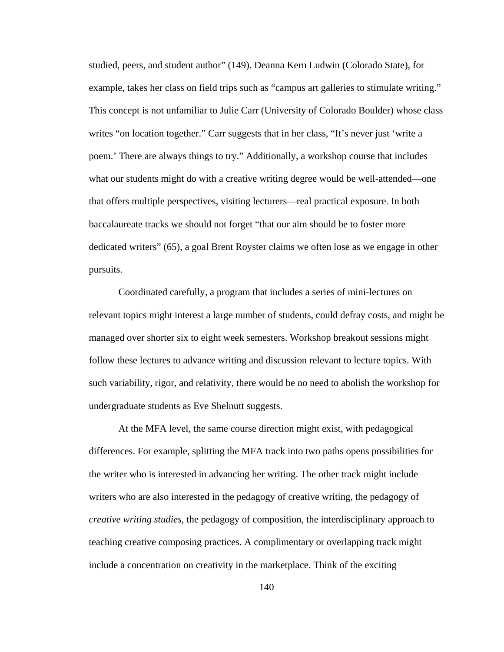studied, peers, and student author" (149). Deanna Kern Ludwin (Colorado State), for example, takes her class on field trips such as "campus art galleries to stimulate writing." This concept is not unfamiliar to Julie Carr (University of Colorado Boulder) whose class writes "on location together." Carr suggests that in her class, "It's never just 'write a poem.' There are always things to try." Additionally, a workshop course that includes what our students might do with a creative writing degree would be well-attended—one that offers multiple perspectives, visiting lecturers—real practical exposure. In both baccalaureate tracks we should not forget "that our aim should be to foster more dedicated writers" (65), a goal Brent Royster claims we often lose as we engage in other pursuits.

Coordinated carefully, a program that includes a series of mini-lectures on relevant topics might interest a large number of students, could defray costs, and might be managed over shorter six to eight week semesters. Workshop breakout sessions might follow these lectures to advance writing and discussion relevant to lecture topics. With such variability, rigor, and relativity, there would be no need to abolish the workshop for undergraduate students as Eve Shelnutt suggests.

At the MFA level, the same course direction might exist, with pedagogical differences. For example, splitting the MFA track into two paths opens possibilities for the writer who is interested in advancing her writing. The other track might include writers who are also interested in the pedagogy of creative writing, the pedagogy of *creative writing studies*, the pedagogy of composition, the interdisciplinary approach to teaching creative composing practices. A complimentary or overlapping track might include a concentration on creativity in the marketplace. Think of the exciting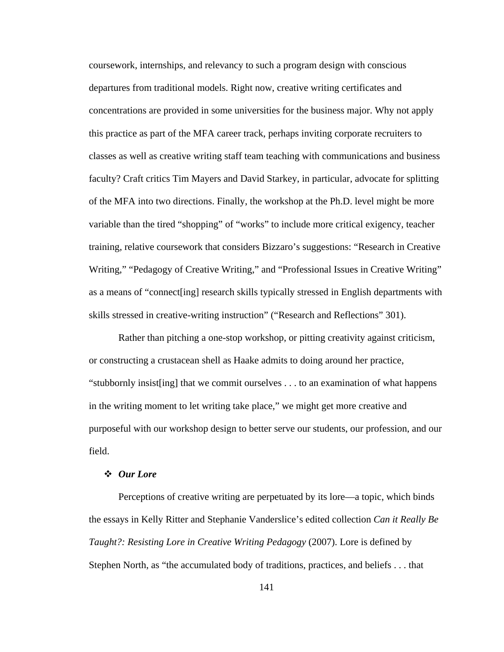coursework, internships, and relevancy to such a program design with conscious departures from traditional models. Right now, creative writing certificates and concentrations are provided in some universities for the business major. Why not apply this practice as part of the MFA career track, perhaps inviting corporate recruiters to classes as well as creative writing staff team teaching with communications and business faculty? Craft critics Tim Mayers and David Starkey, in particular, advocate for splitting of the MFA into two directions. Finally, the workshop at the Ph.D. level might be more variable than the tired "shopping" of "works" to include more critical exigency, teacher training, relative coursework that considers Bizzaro's suggestions: "Research in Creative Writing," "Pedagogy of Creative Writing," and "Professional Issues in Creative Writing" as a means of "connect[ing] research skills typically stressed in English departments with skills stressed in creative-writing instruction" ("Research and Reflections" 301).

Rather than pitching a one-stop workshop, or pitting creativity against criticism, or constructing a crustacean shell as Haake admits to doing around her practice, "stubbornly insist[ing] that we commit ourselves . . . to an examination of what happens in the writing moment to let writing take place," we might get more creative and purposeful with our workshop design to better serve our students, our profession, and our field.

# *Our Lore*

Perceptions of creative writing are perpetuated by its lore—a topic, which binds the essays in Kelly Ritter and Stephanie Vanderslice's edited collection *Can it Really Be Taught?: Resisting Lore in Creative Writing Pedagogy* (2007). Lore is defined by Stephen North, as "the accumulated body of traditions, practices, and beliefs . . . that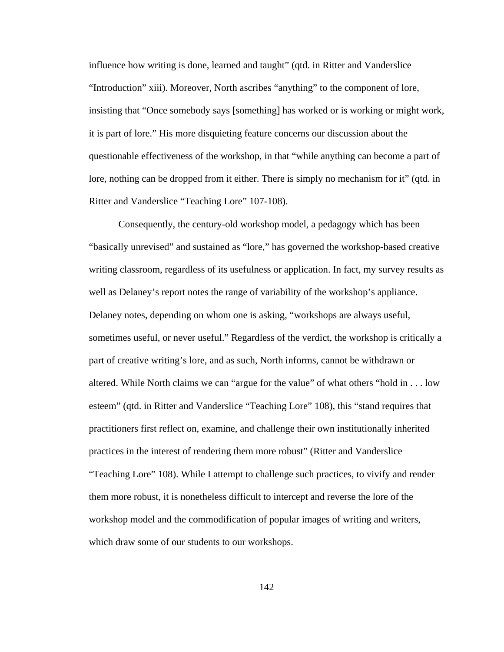influence how writing is done, learned and taught" (qtd. in Ritter and Vanderslice "Introduction" xiii). Moreover, North ascribes "anything" to the component of lore, insisting that "Once somebody says [something] has worked or is working or might work, it is part of lore." His more disquieting feature concerns our discussion about the questionable effectiveness of the workshop, in that "while anything can become a part of lore, nothing can be dropped from it either. There is simply no mechanism for it" (qtd. in Ritter and Vanderslice "Teaching Lore" 107-108).

Consequently, the century-old workshop model, a pedagogy which has been "basically unrevised" and sustained as "lore," has governed the workshop-based creative writing classroom, regardless of its usefulness or application. In fact, my survey results as well as Delaney's report notes the range of variability of the workshop's appliance. Delaney notes, depending on whom one is asking, "workshops are always useful, sometimes useful, or never useful." Regardless of the verdict, the workshop is critically a part of creative writing's lore, and as such, North informs, cannot be withdrawn or altered. While North claims we can "argue for the value" of what others "hold in . . . low esteem" (qtd. in Ritter and Vanderslice "Teaching Lore" 108), this "stand requires that practitioners first reflect on, examine, and challenge their own institutionally inherited practices in the interest of rendering them more robust" (Ritter and Vanderslice "Teaching Lore" 108). While I attempt to challenge such practices, to vivify and render them more robust, it is nonetheless difficult to intercept and reverse the lore of the workshop model and the commodification of popular images of writing and writers, which draw some of our students to our workshops.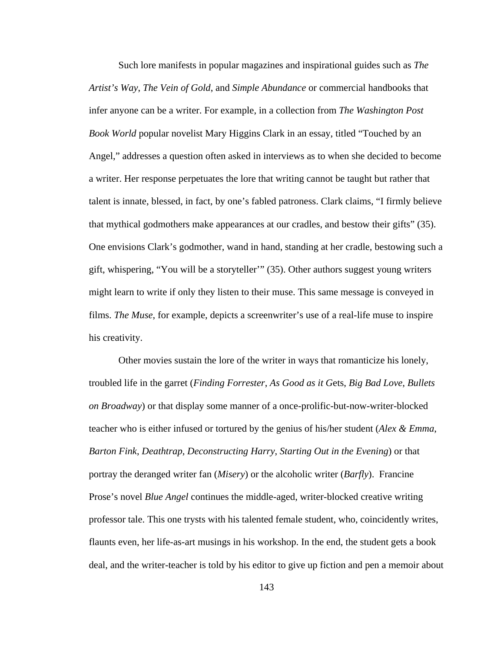Such lore manifests in popular magazines and inspirational guides such as *The Artist's Way*, *The Vein of Gold*, and *Simple Abundance* or commercial handbooks that infer anyone can be a writer. For example, in a collection from *The Washington Post Book World* popular novelist Mary Higgins Clark in an essay, titled "Touched by an Angel," addresses a question often asked in interviews as to when she decided to become a writer. Her response perpetuates the lore that writing cannot be taught but rather that talent is innate, blessed, in fact, by one's fabled patroness. Clark claims, "I firmly believe that mythical godmothers make appearances at our cradles, and bestow their gifts" (35). One envisions Clark's godmother, wand in hand, standing at her cradle, bestowing such a gift, whispering, "You will be a storyteller'" (35). Other authors suggest young writers might learn to write if only they listen to their muse. This same message is conveyed in films. *The Muse*, for example, depicts a screenwriter's use of a real-life muse to inspire his creativity.

Other movies sustain the lore of the writer in ways that romanticize his lonely, troubled life in the garret (*Finding Forrester*, *As Good as it G*ets, *Big Bad Love*, *Bullets on Broadway*) or that display some manner of a once-prolific-but-now-writer-blocked teacher who is either infused or tortured by the genius of his/her student (*Alex & Emma*, *Barton Fink*, *Deathtrap*, *Deconstructing Harry*, *Starting Out in the Evening*) or that portray the deranged writer fan (*Misery*) or the alcoholic writer (*Barfly*). Francine Prose's novel *Blue Angel* continues the middle-aged, writer-blocked creative writing professor tale. This one trysts with his talented female student, who, coincidently writes, flaunts even, her life-as-art musings in his workshop. In the end, the student gets a book deal, and the writer-teacher is told by his editor to give up fiction and pen a memoir about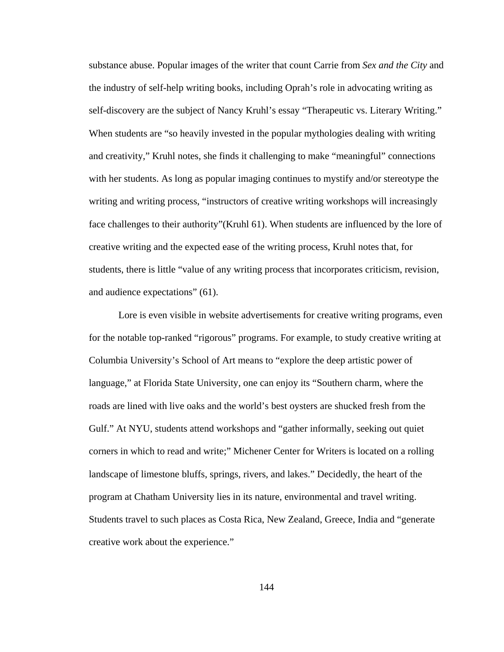substance abuse. Popular images of the writer that count Carrie from *Sex and the City* and the industry of self-help writing books, including Oprah's role in advocating writing as self-discovery are the subject of Nancy Kruhl's essay "Therapeutic vs. Literary Writing." When students are "so heavily invested in the popular mythologies dealing with writing and creativity," Kruhl notes, she finds it challenging to make "meaningful" connections with her students. As long as popular imaging continues to mystify and/or stereotype the writing and writing process, "instructors of creative writing workshops will increasingly face challenges to their authority"(Kruhl 61). When students are influenced by the lore of creative writing and the expected ease of the writing process, Kruhl notes that, for students, there is little "value of any writing process that incorporates criticism, revision, and audience expectations" (61).

Lore is even visible in website advertisements for creative writing programs, even for the notable top-ranked "rigorous" programs. For example, to study creative writing at Columbia University's School of Art means to "explore the deep artistic power of language," at Florida State University, one can enjoy its "Southern charm, where the roads are lined with live oaks and the world's best oysters are shucked fresh from the Gulf." At NYU, students attend workshops and "gather informally, seeking out quiet corners in which to read and write;" Michener Center for Writers is located on a rolling landscape of limestone bluffs, springs, rivers, and lakes." Decidedly, the heart of the program at Chatham University lies in its nature, environmental and travel writing. Students travel to such places as Costa Rica, New Zealand, Greece, India and "generate creative work about the experience."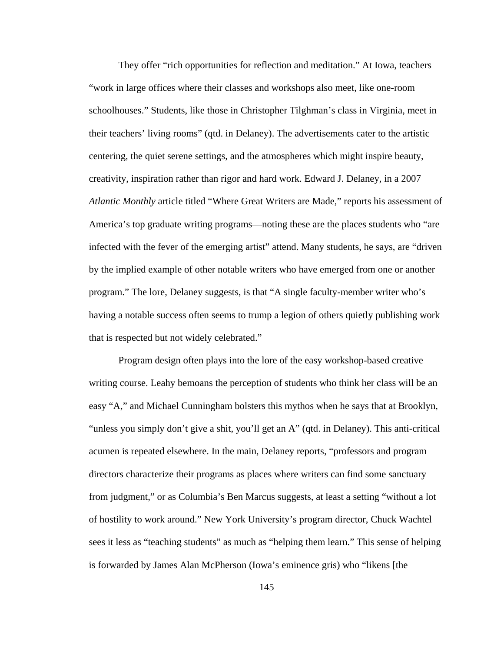They offer "rich opportunities for reflection and meditation." At Iowa, teachers "work in large offices where their classes and workshops also meet, like one-room schoolhouses." Students, like those in Christopher Tilghman's class in Virginia, meet in their teachers' living rooms" (qtd. in Delaney). The advertisements cater to the artistic centering, the quiet serene settings, and the atmospheres which might inspire beauty, creativity, inspiration rather than rigor and hard work. Edward J. Delaney, in a 2007 *Atlantic Monthly* article titled "Where Great Writers are Made," reports his assessment of America's top graduate writing programs—noting these are the places students who "are infected with the fever of the emerging artist" attend. Many students, he says, are "driven by the implied example of other notable writers who have emerged from one or another program." The lore, Delaney suggests, is that "A single faculty-member writer who's having a notable success often seems to trump a legion of others quietly publishing work that is respected but not widely celebrated."

Program design often plays into the lore of the easy workshop-based creative writing course. Leahy bemoans the perception of students who think her class will be an easy "A," and Michael Cunningham bolsters this mythos when he says that at Brooklyn, "unless you simply don't give a shit, you'll get an A" (qtd. in Delaney). This anti-critical acumen is repeated elsewhere. In the main, Delaney reports, "professors and program directors characterize their programs as places where writers can find some sanctuary from judgment," or as Columbia's Ben Marcus suggests, at least a setting "without a lot of hostility to work around." New York University's program director, Chuck Wachtel sees it less as "teaching students" as much as "helping them learn." This sense of helping is forwarded by James Alan McPherson (Iowa's eminence gris) who "likens [the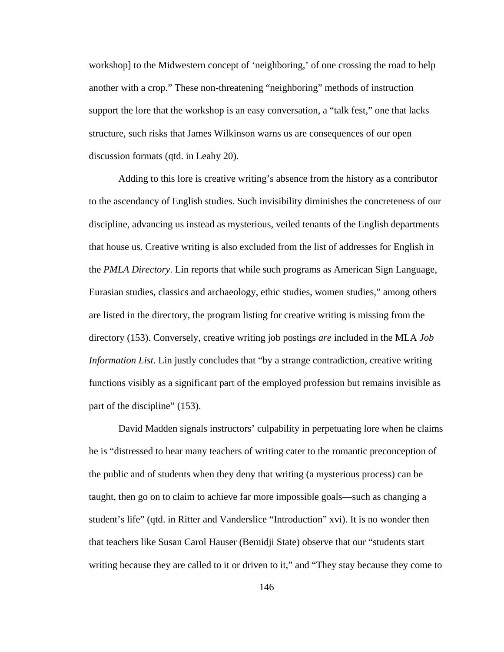workshop] to the Midwestern concept of 'neighboring,' of one crossing the road to help another with a crop." These non-threatening "neighboring" methods of instruction support the lore that the workshop is an easy conversation, a "talk fest," one that lacks structure, such risks that James Wilkinson warns us are consequences of our open discussion formats (qtd. in Leahy 20).

Adding to this lore is creative writing's absence from the history as a contributor to the ascendancy of English studies. Such invisibility diminishes the concreteness of our discipline, advancing us instead as mysterious, veiled tenants of the English departments that house us. Creative writing is also excluded from the list of addresses for English in the *PMLA Directory*. Lin reports that while such programs as American Sign Language, Eurasian studies, classics and archaeology, ethic studies, women studies," among others are listed in the directory, the program listing for creative writing is missing from the directory (153). Conversely, creative writing job postings *are* included in the MLA *Job Information List*. Lin justly concludes that "by a strange contradiction, creative writing functions visibly as a significant part of the employed profession but remains invisible as part of the discipline" (153).

David Madden signals instructors' culpability in perpetuating lore when he claims he is "distressed to hear many teachers of writing cater to the romantic preconception of the public and of students when they deny that writing (a mysterious process) can be taught, then go on to claim to achieve far more impossible goals—such as changing a student's life" (qtd. in Ritter and Vanderslice "Introduction" xvi). It is no wonder then that teachers like Susan Carol Hauser (Bemidji State) observe that our "students start writing because they are called to it or driven to it," and "They stay because they come to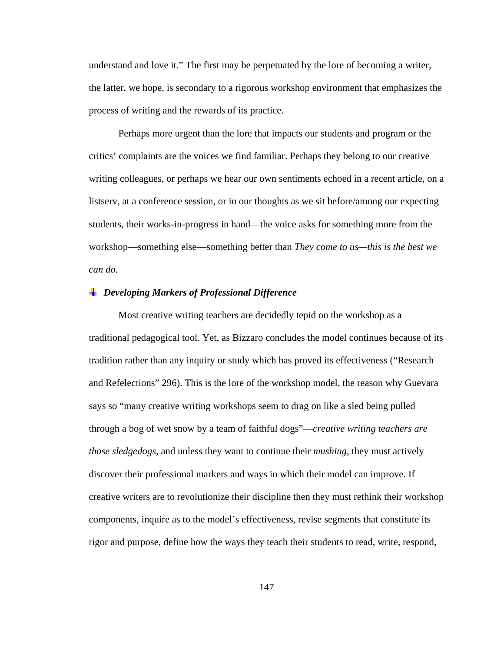understand and love it." The first may be perpetuated by the lore of becoming a writer, the latter, we hope, is secondary to a rigorous workshop environment that emphasizes the process of writing and the rewards of its practice.

 Perhaps more urgent than the lore that impacts our students and program or the critics' complaints are the voices we find familiar. Perhaps they belong to our creative writing colleagues, or perhaps we hear our own sentiments echoed in a recent article, on a listserv, at a conference session, or in our thoughts as we sit before/among our expecting students, their works-in-progress in hand—the voice asks for something more from the workshop—something else—something better than *They come to us—this is the best we can do.*

# *Developing Markers of Professional Difference*

Most creative writing teachers are decidedly tepid on the workshop as a traditional pedagogical tool. Yet, as Bizzaro concludes the model continues because of its tradition rather than any inquiry or study which has proved its effectiveness ("Research and Refelections" 296). This is the lore of the workshop model, the reason why Guevara says so "many creative writing workshops seem to drag on like a sled being pulled through a bog of wet snow by a team of faithful dogs"—*creative writing teachers are those sledgedogs*, and unless they want to continue their *mushing*, they must actively discover their professional markers and ways in which their model can improve. If creative writers are to revolutionize their discipline then they must rethink their workshop components, inquire as to the model's effectiveness, revise segments that constitute its rigor and purpose, define how the ways they teach their students to read, write, respond,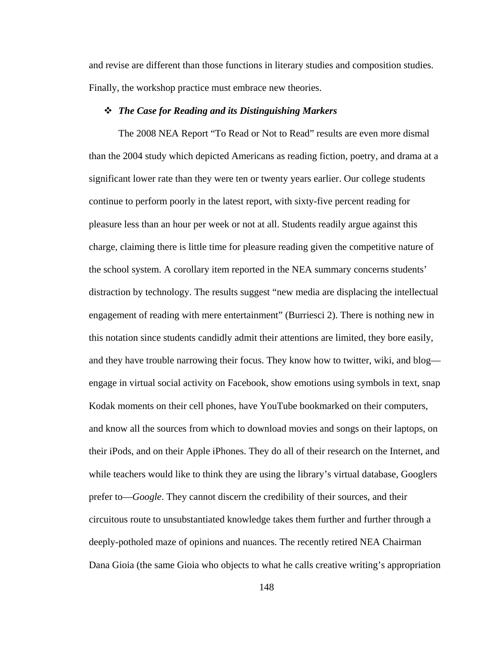and revise are different than those functions in literary studies and composition studies. Finally, the workshop practice must embrace new theories.

#### *The Case for Reading and its Distinguishing Markers*

The 2008 NEA Report "To Read or Not to Read" results are even more dismal than the 2004 study which depicted Americans as reading fiction, poetry, and drama at a significant lower rate than they were ten or twenty years earlier. Our college students continue to perform poorly in the latest report, with sixty-five percent reading for pleasure less than an hour per week or not at all. Students readily argue against this charge, claiming there is little time for pleasure reading given the competitive nature of the school system. A corollary item reported in the NEA summary concerns students' distraction by technology. The results suggest "new media are displacing the intellectual engagement of reading with mere entertainment" (Burriesci 2). There is nothing new in this notation since students candidly admit their attentions are limited, they bore easily, and they have trouble narrowing their focus. They know how to twitter, wiki, and blog engage in virtual social activity on Facebook, show emotions using symbols in text, snap Kodak moments on their cell phones, have YouTube bookmarked on their computers, and know all the sources from which to download movies and songs on their laptops, on their iPods, and on their Apple iPhones. They do all of their research on the Internet, and while teachers would like to think they are using the library's virtual database, Googlers prefer to—*Google*. They cannot discern the credibility of their sources, and their circuitous route to unsubstantiated knowledge takes them further and further through a deeply-potholed maze of opinions and nuances. The recently retired NEA Chairman Dana Gioia (the same Gioia who objects to what he calls creative writing's appropriation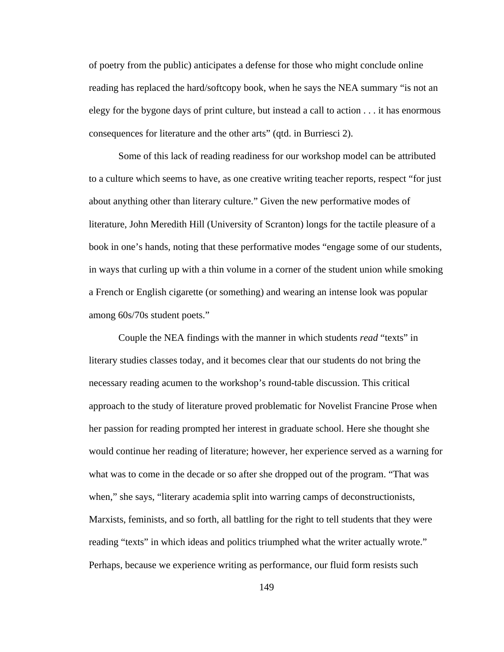of poetry from the public) anticipates a defense for those who might conclude online reading has replaced the hard/softcopy book, when he says the NEA summary "is not an elegy for the bygone days of print culture, but instead a call to action . . . it has enormous consequences for literature and the other arts" (qtd. in Burriesci 2).

Some of this lack of reading readiness for our workshop model can be attributed to a culture which seems to have, as one creative writing teacher reports, respect "for just about anything other than literary culture." Given the new performative modes of literature, John Meredith Hill (University of Scranton) longs for the tactile pleasure of a book in one's hands, noting that these performative modes "engage some of our students, in ways that curling up with a thin volume in a corner of the student union while smoking a French or English cigarette (or something) and wearing an intense look was popular among 60s/70s student poets."

Couple the NEA findings with the manner in which students *read* "texts" in literary studies classes today, and it becomes clear that our students do not bring the necessary reading acumen to the workshop's round-table discussion. This critical approach to the study of literature proved problematic for Novelist Francine Prose when her passion for reading prompted her interest in graduate school. Here she thought she would continue her reading of literature; however, her experience served as a warning for what was to come in the decade or so after she dropped out of the program. "That was when," she says, "literary academia split into warring camps of deconstructionists, Marxists, feminists, and so forth, all battling for the right to tell students that they were reading "texts" in which ideas and politics triumphed what the writer actually wrote." Perhaps, because we experience writing as performance, our fluid form resists such

149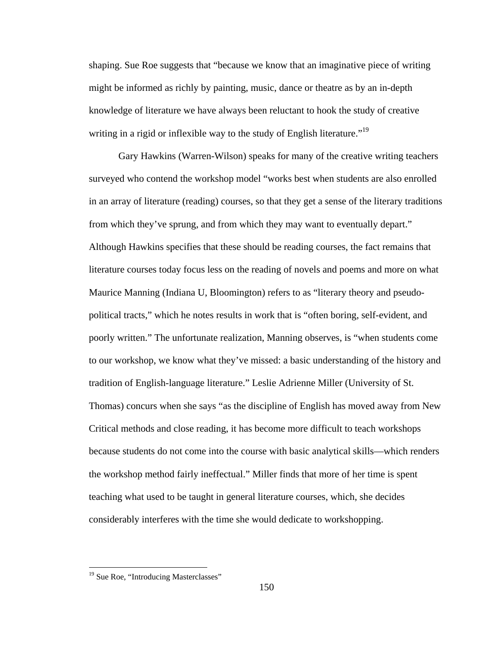shaping. Sue Roe suggests that "because we know that an imaginative piece of writing might be informed as richly by painting, music, dance or theatre as by an in-depth knowledge of literature we have always been reluctant to hook the study of creative writing in a rigid or inflexible way to the study of English literature."<sup>19</sup>

Gary Hawkins (Warren-Wilson) speaks for many of the creative writing teachers surveyed who contend the workshop model "works best when students are also enrolled in an array of literature (reading) courses, so that they get a sense of the literary traditions from which they've sprung, and from which they may want to eventually depart." Although Hawkins specifies that these should be reading courses, the fact remains that literature courses today focus less on the reading of novels and poems and more on what Maurice Manning (Indiana U, Bloomington) refers to as "literary theory and pseudopolitical tracts," which he notes results in work that is "often boring, self-evident, and poorly written." The unfortunate realization, Manning observes, is "when students come to our workshop, we know what they've missed: a basic understanding of the history and tradition of English-language literature." Leslie Adrienne Miller (University of St. Thomas) concurs when she says "as the discipline of English has moved away from New Critical methods and close reading, it has become more difficult to teach workshops because students do not come into the course with basic analytical skills—which renders the workshop method fairly ineffectual." Miller finds that more of her time is spent teaching what used to be taught in general literature courses, which, she decides considerably interferes with the time she would dedicate to workshopping.

 $\overline{a}$ 

<sup>&</sup>lt;sup>19</sup> Sue Roe, "Introducing Masterclasses"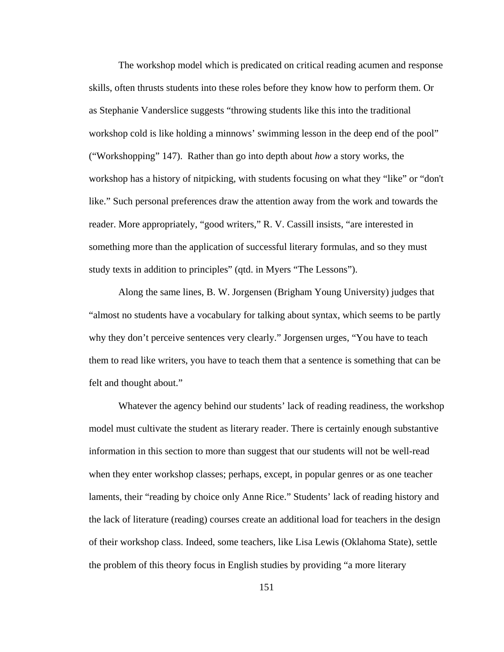The workshop model which is predicated on critical reading acumen and response skills, often thrusts students into these roles before they know how to perform them. Or as Stephanie Vanderslice suggests "throwing students like this into the traditional workshop cold is like holding a minnows' swimming lesson in the deep end of the pool" ("Workshopping" 147). Rather than go into depth about *how* a story works, the workshop has a history of nitpicking, with students focusing on what they "like" or "don't like." Such personal preferences draw the attention away from the work and towards the reader. More appropriately, "good writers," R. V. Cassill insists, "are interested in something more than the application of successful literary formulas, and so they must study texts in addition to principles" (qtd. in Myers "The Lessons").

Along the same lines, B. W. Jorgensen (Brigham Young University) judges that "almost no students have a vocabulary for talking about syntax, which seems to be partly why they don't perceive sentences very clearly." Jorgensen urges, "You have to teach them to read like writers, you have to teach them that a sentence is something that can be felt and thought about."

Whatever the agency behind our students' lack of reading readiness, the workshop model must cultivate the student as literary reader. There is certainly enough substantive information in this section to more than suggest that our students will not be well-read when they enter workshop classes; perhaps, except, in popular genres or as one teacher laments, their "reading by choice only Anne Rice." Students' lack of reading history and the lack of literature (reading) courses create an additional load for teachers in the design of their workshop class. Indeed, some teachers, like Lisa Lewis (Oklahoma State), settle the problem of this theory focus in English studies by providing "a more literary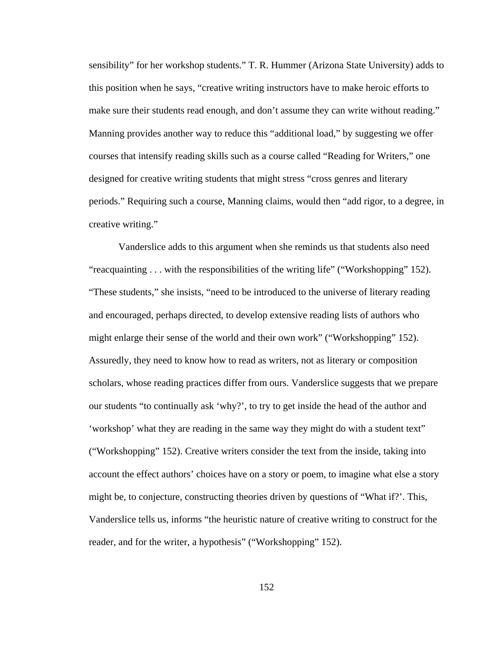sensibility" for her workshop students." T. R. Hummer (Arizona State University) adds to this position when he says, "creative writing instructors have to make heroic efforts to make sure their students read enough, and don't assume they can write without reading." Manning provides another way to reduce this "additional load," by suggesting we offer courses that intensify reading skills such as a course called "Reading for Writers," one designed for creative writing students that might stress "cross genres and literary periods." Requiring such a course, Manning claims, would then "add rigor, to a degree, in creative writing."

Vanderslice adds to this argument when she reminds us that students also need "reacquainting . . . with the responsibilities of the writing life" ("Workshopping" 152). "These students," she insists, "need to be introduced to the universe of literary reading and encouraged, perhaps directed, to develop extensive reading lists of authors who might enlarge their sense of the world and their own work" ("Workshopping" 152). Assuredly, they need to know how to read as writers, not as literary or composition scholars, whose reading practices differ from ours. Vanderslice suggests that we prepare our students "to continually ask 'why?', to try to get inside the head of the author and 'workshop' what they are reading in the same way they might do with a student text" ("Workshopping" 152). Creative writers consider the text from the inside, taking into account the effect authors' choices have on a story or poem, to imagine what else a story might be, to conjecture, constructing theories driven by questions of "What if?'. This, Vanderslice tells us, informs "the heuristic nature of creative writing to construct for the reader, and for the writer, a hypothesis" ("Workshopping" 152).

152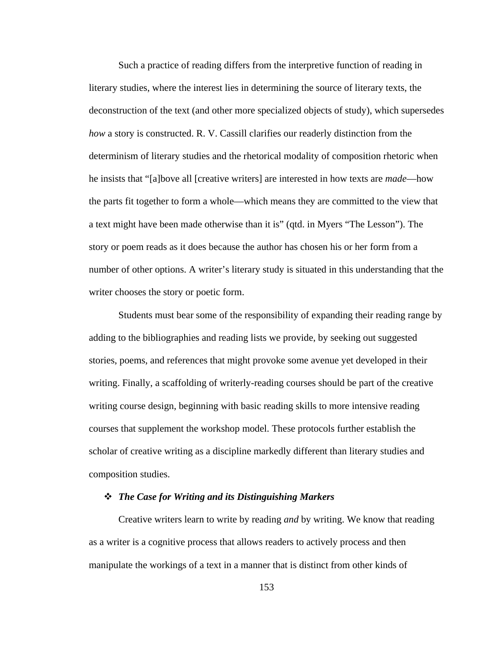Such a practice of reading differs from the interpretive function of reading in literary studies, where the interest lies in determining the source of literary texts, the deconstruction of the text (and other more specialized objects of study), which supersedes *how* a story is constructed. R. V. Cassill clarifies our readerly distinction from the determinism of literary studies and the rhetorical modality of composition rhetoric when he insists that "[a]bove all [creative writers] are interested in how texts are *made*—how the parts fit together to form a whole—which means they are committed to the view that a text might have been made otherwise than it is" (qtd. in Myers "The Lesson"). The story or poem reads as it does because the author has chosen his or her form from a number of other options. A writer's literary study is situated in this understanding that the writer chooses the story or poetic form.

Students must bear some of the responsibility of expanding their reading range by adding to the bibliographies and reading lists we provide, by seeking out suggested stories, poems, and references that might provoke some avenue yet developed in their writing. Finally, a scaffolding of writerly-reading courses should be part of the creative writing course design, beginning with basic reading skills to more intensive reading courses that supplement the workshop model. These protocols further establish the scholar of creative writing as a discipline markedly different than literary studies and composition studies.

## *The Case for Writing and its Distinguishing Markers*

 Creative writers learn to write by reading *and* by writing. We know that reading as a writer is a cognitive process that allows readers to actively process and then manipulate the workings of a text in a manner that is distinct from other kinds of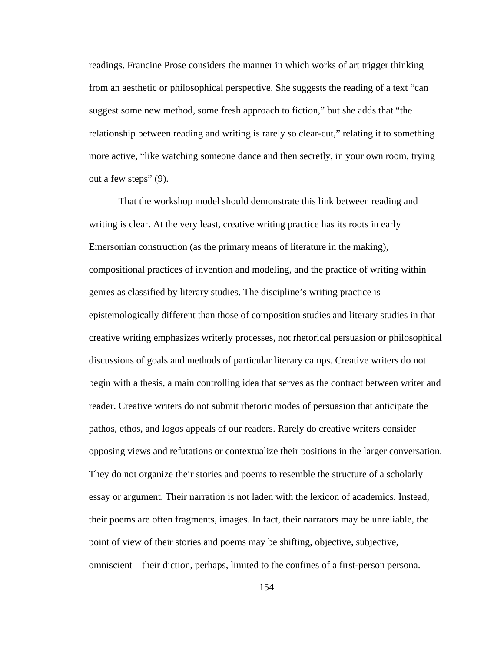readings. Francine Prose considers the manner in which works of art trigger thinking from an aesthetic or philosophical perspective. She suggests the reading of a text "can suggest some new method, some fresh approach to fiction," but she adds that "the relationship between reading and writing is rarely so clear-cut," relating it to something more active, "like watching someone dance and then secretly, in your own room, trying out a few steps" (9).

That the workshop model should demonstrate this link between reading and writing is clear. At the very least, creative writing practice has its roots in early Emersonian construction (as the primary means of literature in the making), compositional practices of invention and modeling, and the practice of writing within genres as classified by literary studies. The discipline's writing practice is epistemologically different than those of composition studies and literary studies in that creative writing emphasizes writerly processes, not rhetorical persuasion or philosophical discussions of goals and methods of particular literary camps. Creative writers do not begin with a thesis, a main controlling idea that serves as the contract between writer and reader. Creative writers do not submit rhetoric modes of persuasion that anticipate the pathos, ethos, and logos appeals of our readers. Rarely do creative writers consider opposing views and refutations or contextualize their positions in the larger conversation. They do not organize their stories and poems to resemble the structure of a scholarly essay or argument. Their narration is not laden with the lexicon of academics. Instead, their poems are often fragments, images. In fact, their narrators may be unreliable, the point of view of their stories and poems may be shifting, objective, subjective, omniscient—their diction, perhaps, limited to the confines of a first-person persona.

154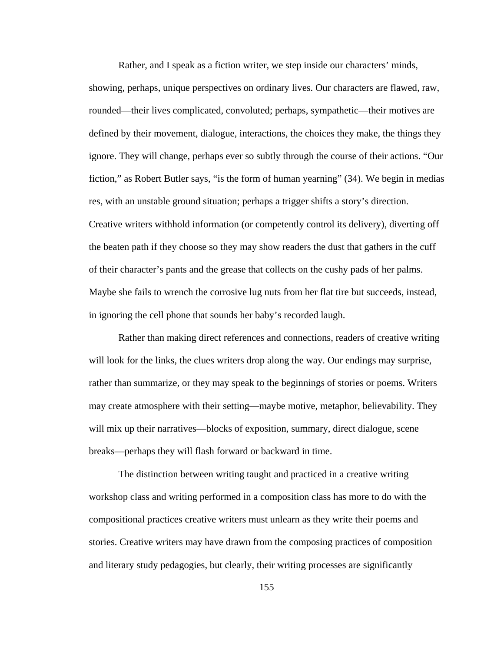Rather, and I speak as a fiction writer, we step inside our characters' minds, showing, perhaps, unique perspectives on ordinary lives. Our characters are flawed, raw, rounded—their lives complicated, convoluted; perhaps, sympathetic—their motives are defined by their movement, dialogue, interactions, the choices they make, the things they ignore. They will change, perhaps ever so subtly through the course of their actions. "Our fiction," as Robert Butler says, "is the form of human yearning" (34). We begin in medias res, with an unstable ground situation; perhaps a trigger shifts a story's direction. Creative writers withhold information (or competently control its delivery), diverting off the beaten path if they choose so they may show readers the dust that gathers in the cuff of their character's pants and the grease that collects on the cushy pads of her palms. Maybe she fails to wrench the corrosive lug nuts from her flat tire but succeeds, instead, in ignoring the cell phone that sounds her baby's recorded laugh.

Rather than making direct references and connections, readers of creative writing will look for the links, the clues writers drop along the way. Our endings may surprise, rather than summarize, or they may speak to the beginnings of stories or poems. Writers may create atmosphere with their setting—maybe motive, metaphor, believability. They will mix up their narratives—blocks of exposition, summary, direct dialogue, scene breaks—perhaps they will flash forward or backward in time.

The distinction between writing taught and practiced in a creative writing workshop class and writing performed in a composition class has more to do with the compositional practices creative writers must unlearn as they write their poems and stories. Creative writers may have drawn from the composing practices of composition and literary study pedagogies, but clearly, their writing processes are significantly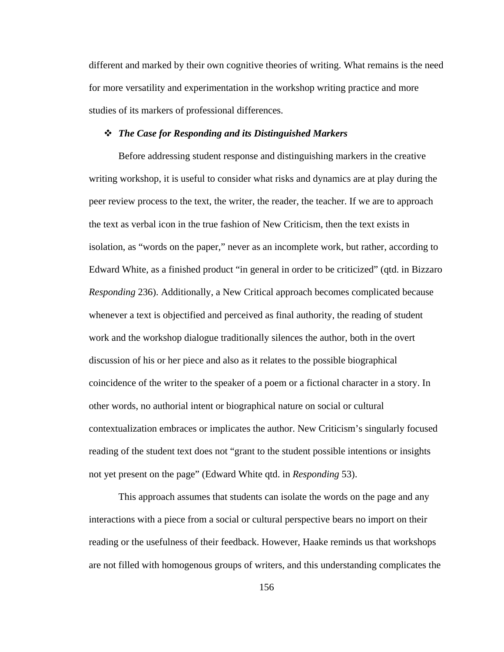different and marked by their own cognitive theories of writing. What remains is the need for more versatility and experimentation in the workshop writing practice and more studies of its markers of professional differences.

# *The Case for Responding and its Distinguished Markers*

Before addressing student response and distinguishing markers in the creative writing workshop, it is useful to consider what risks and dynamics are at play during the peer review process to the text, the writer, the reader, the teacher. If we are to approach the text as verbal icon in the true fashion of New Criticism, then the text exists in isolation, as "words on the paper," never as an incomplete work, but rather, according to Edward White, as a finished product "in general in order to be criticized" (qtd. in Bizzaro *Responding* 236). Additionally, a New Critical approach becomes complicated because whenever a text is objectified and perceived as final authority, the reading of student work and the workshop dialogue traditionally silences the author, both in the overt discussion of his or her piece and also as it relates to the possible biographical coincidence of the writer to the speaker of a poem or a fictional character in a story. In other words, no authorial intent or biographical nature on social or cultural contextualization embraces or implicates the author. New Criticism's singularly focused reading of the student text does not "grant to the student possible intentions or insights not yet present on the page" (Edward White qtd. in *Responding* 53).

This approach assumes that students can isolate the words on the page and any interactions with a piece from a social or cultural perspective bears no import on their reading or the usefulness of their feedback. However, Haake reminds us that workshops are not filled with homogenous groups of writers, and this understanding complicates the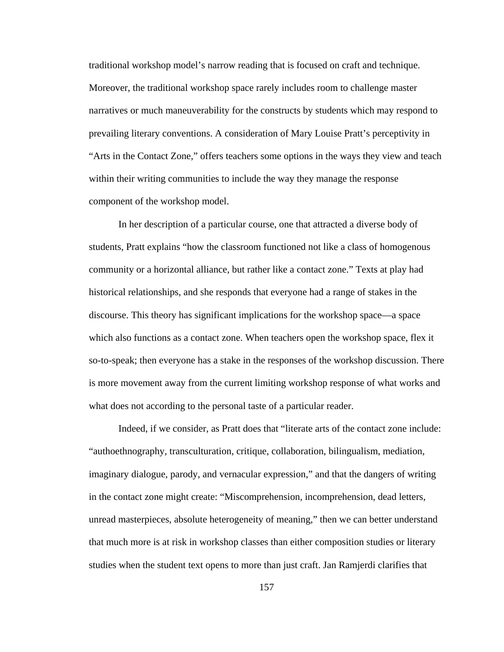traditional workshop model's narrow reading that is focused on craft and technique. Moreover, the traditional workshop space rarely includes room to challenge master narratives or much maneuverability for the constructs by students which may respond to prevailing literary conventions. A consideration of Mary Louise Pratt's perceptivity in "Arts in the Contact Zone," offers teachers some options in the ways they view and teach within their writing communities to include the way they manage the response component of the workshop model.

In her description of a particular course, one that attracted a diverse body of students, Pratt explains "how the classroom functioned not like a class of homogenous community or a horizontal alliance, but rather like a contact zone." Texts at play had historical relationships, and she responds that everyone had a range of stakes in the discourse. This theory has significant implications for the workshop space—a space which also functions as a contact zone. When teachers open the workshop space, flex it so-to-speak; then everyone has a stake in the responses of the workshop discussion. There is more movement away from the current limiting workshop response of what works and what does not according to the personal taste of a particular reader.

Indeed, if we consider, as Pratt does that "literate arts of the contact zone include: "authoethnography, transculturation, critique, collaboration, bilingualism, mediation, imaginary dialogue, parody, and vernacular expression," and that the dangers of writing in the contact zone might create: "Miscomprehension, incomprehension, dead letters, unread masterpieces, absolute heterogeneity of meaning," then we can better understand that much more is at risk in workshop classes than either composition studies or literary studies when the student text opens to more than just craft. Jan Ramjerdi clarifies that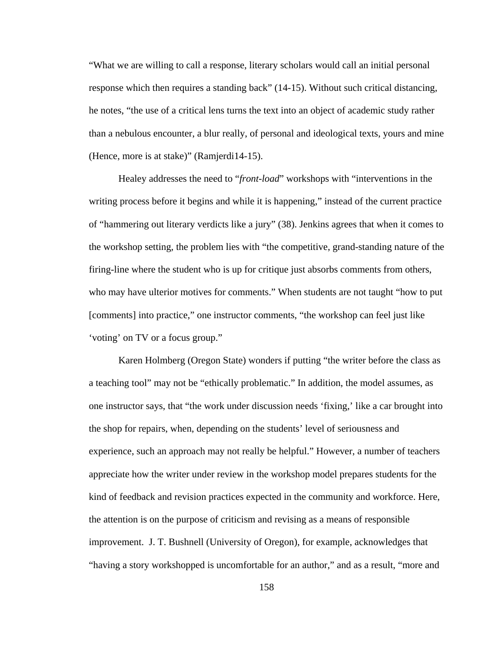"What we are willing to call a response, literary scholars would call an initial personal response which then requires a standing back" (14-15). Without such critical distancing, he notes, "the use of a critical lens turns the text into an object of academic study rather than a nebulous encounter, a blur really, of personal and ideological texts, yours and mine (Hence, more is at stake)" (Ramjerdi14-15).

Healey addresses the need to "*front-load*" workshops with "interventions in the writing process before it begins and while it is happening," instead of the current practice of "hammering out literary verdicts like a jury" (38). Jenkins agrees that when it comes to the workshop setting, the problem lies with "the competitive, grand-standing nature of the firing-line where the student who is up for critique just absorbs comments from others, who may have ulterior motives for comments." When students are not taught "how to put [comments] into practice," one instructor comments, "the workshop can feel just like 'voting' on TV or a focus group."

Karen Holmberg (Oregon State) wonders if putting "the writer before the class as a teaching tool" may not be "ethically problematic." In addition, the model assumes, as one instructor says, that "the work under discussion needs 'fixing,' like a car brought into the shop for repairs, when, depending on the students' level of seriousness and experience, such an approach may not really be helpful." However, a number of teachers appreciate how the writer under review in the workshop model prepares students for the kind of feedback and revision practices expected in the community and workforce. Here, the attention is on the purpose of criticism and revising as a means of responsible improvement. J. T. Bushnell (University of Oregon), for example, acknowledges that "having a story workshopped is uncomfortable for an author," and as a result, "more and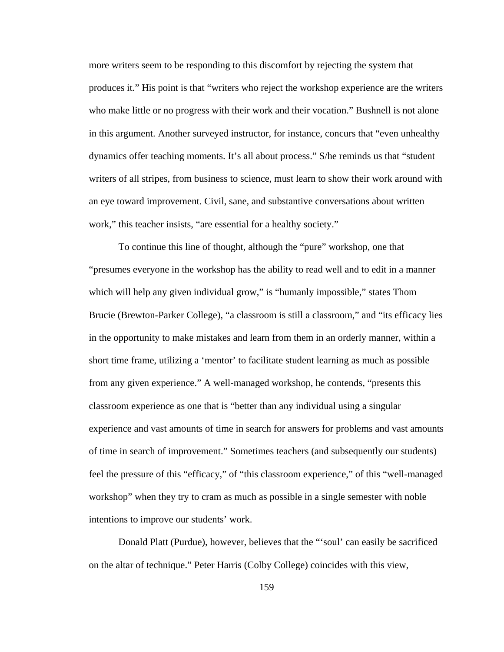more writers seem to be responding to this discomfort by rejecting the system that produces it." His point is that "writers who reject the workshop experience are the writers who make little or no progress with their work and their vocation." Bushnell is not alone in this argument. Another surveyed instructor, for instance, concurs that "even unhealthy dynamics offer teaching moments. It's all about process." S/he reminds us that "student writers of all stripes, from business to science, must learn to show their work around with an eye toward improvement. Civil, sane, and substantive conversations about written work," this teacher insists, "are essential for a healthy society."

To continue this line of thought, although the "pure" workshop, one that "presumes everyone in the workshop has the ability to read well and to edit in a manner which will help any given individual grow," is "humanly impossible," states Thom Brucie (Brewton-Parker College), "a classroom is still a classroom," and "its efficacy lies in the opportunity to make mistakes and learn from them in an orderly manner, within a short time frame, utilizing a 'mentor' to facilitate student learning as much as possible from any given experience." A well-managed workshop, he contends, "presents this classroom experience as one that is "better than any individual using a singular experience and vast amounts of time in search for answers for problems and vast amounts of time in search of improvement." Sometimes teachers (and subsequently our students) feel the pressure of this "efficacy," of "this classroom experience," of this "well-managed workshop" when they try to cram as much as possible in a single semester with noble intentions to improve our students' work.

Donald Platt (Purdue), however, believes that the "'soul' can easily be sacrificed on the altar of technique." Peter Harris (Colby College) coincides with this view,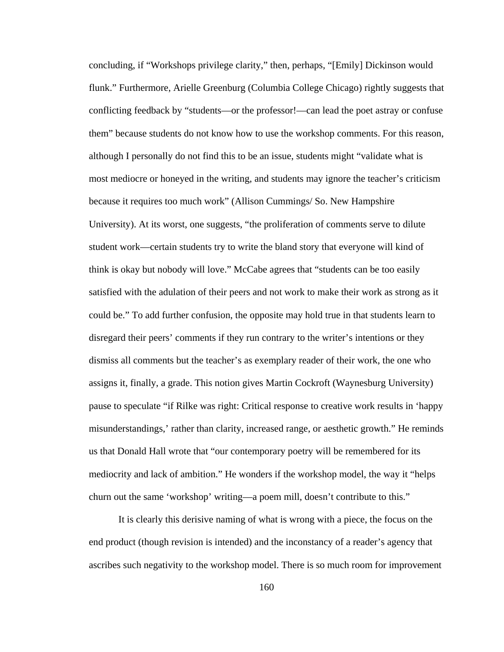concluding, if "Workshops privilege clarity," then, perhaps, "[Emily] Dickinson would flunk." Furthermore, Arielle Greenburg (Columbia College Chicago) rightly suggests that conflicting feedback by "students—or the professor!—can lead the poet astray or confuse them" because students do not know how to use the workshop comments. For this reason, although I personally do not find this to be an issue, students might "validate what is most mediocre or honeyed in the writing, and students may ignore the teacher's criticism because it requires too much work" (Allison Cummings/ So. New Hampshire University). At its worst, one suggests, "the proliferation of comments serve to dilute student work—certain students try to write the bland story that everyone will kind of think is okay but nobody will love." McCabe agrees that "students can be too easily satisfied with the adulation of their peers and not work to make their work as strong as it could be." To add further confusion, the opposite may hold true in that students learn to disregard their peers' comments if they run contrary to the writer's intentions or they dismiss all comments but the teacher's as exemplary reader of their work, the one who assigns it, finally, a grade. This notion gives Martin Cockroft (Waynesburg University) pause to speculate "if Rilke was right: Critical response to creative work results in 'happy misunderstandings,' rather than clarity, increased range, or aesthetic growth." He reminds us that Donald Hall wrote that "our contemporary poetry will be remembered for its mediocrity and lack of ambition." He wonders if the workshop model, the way it "helps churn out the same 'workshop' writing—a poem mill, doesn't contribute to this."

It is clearly this derisive naming of what is wrong with a piece, the focus on the end product (though revision is intended) and the inconstancy of a reader's agency that ascribes such negativity to the workshop model. There is so much room for improvement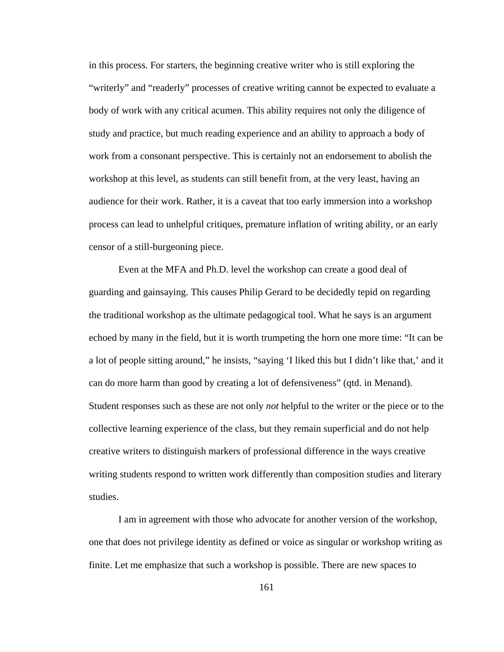in this process. For starters, the beginning creative writer who is still exploring the "writerly" and "readerly" processes of creative writing cannot be expected to evaluate a body of work with any critical acumen. This ability requires not only the diligence of study and practice, but much reading experience and an ability to approach a body of work from a consonant perspective. This is certainly not an endorsement to abolish the workshop at this level, as students can still benefit from, at the very least, having an audience for their work. Rather, it is a caveat that too early immersion into a workshop process can lead to unhelpful critiques, premature inflation of writing ability, or an early censor of a still-burgeoning piece.

Even at the MFA and Ph.D. level the workshop can create a good deal of guarding and gainsaying. This causes Philip Gerard to be decidedly tepid on regarding the traditional workshop as the ultimate pedagogical tool. What he says is an argument echoed by many in the field, but it is worth trumpeting the horn one more time: "It can be a lot of people sitting around," he insists, "saying 'I liked this but I didn't like that,' and it can do more harm than good by creating a lot of defensiveness" (qtd. in Menand). Student responses such as these are not only *not* helpful to the writer or the piece or to the collective learning experience of the class, but they remain superficial and do not help creative writers to distinguish markers of professional difference in the ways creative writing students respond to written work differently than composition studies and literary studies.

 I am in agreement with those who advocate for another version of the workshop, one that does not privilege identity as defined or voice as singular or workshop writing as finite. Let me emphasize that such a workshop is possible. There are new spaces to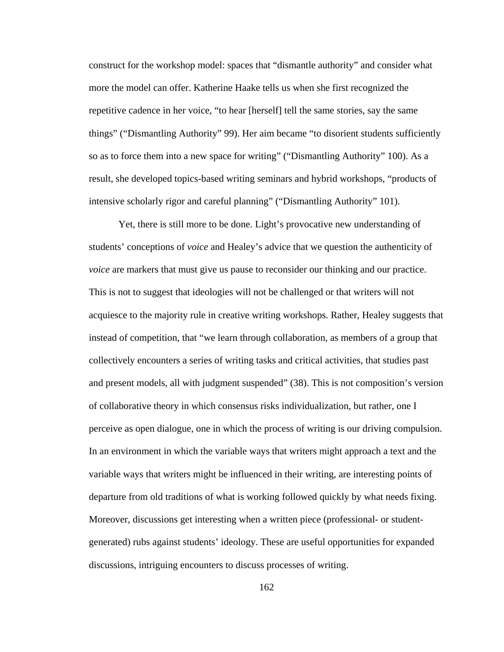construct for the workshop model: spaces that "dismantle authority" and consider what more the model can offer. Katherine Haake tells us when she first recognized the repetitive cadence in her voice, "to hear [herself] tell the same stories, say the same things" ("Dismantling Authority" 99). Her aim became "to disorient students sufficiently so as to force them into a new space for writing" ("Dismantling Authority" 100). As a result, she developed topics-based writing seminars and hybrid workshops, "products of intensive scholarly rigor and careful planning" ("Dismantling Authority" 101).

Yet, there is still more to be done. Light's provocative new understanding of students' conceptions of *voice* and Healey's advice that we question the authenticity of *voice* are markers that must give us pause to reconsider our thinking and our practice. This is not to suggest that ideologies will not be challenged or that writers will not acquiesce to the majority rule in creative writing workshops. Rather, Healey suggests that instead of competition, that "we learn through collaboration, as members of a group that collectively encounters a series of writing tasks and critical activities, that studies past and present models, all with judgment suspended" (38). This is not composition's version of collaborative theory in which consensus risks individualization, but rather, one I perceive as open dialogue, one in which the process of writing is our driving compulsion. In an environment in which the variable ways that writers might approach a text and the variable ways that writers might be influenced in their writing, are interesting points of departure from old traditions of what is working followed quickly by what needs fixing. Moreover, discussions get interesting when a written piece (professional- or studentgenerated) rubs against students' ideology. These are useful opportunities for expanded discussions, intriguing encounters to discuss processes of writing.

162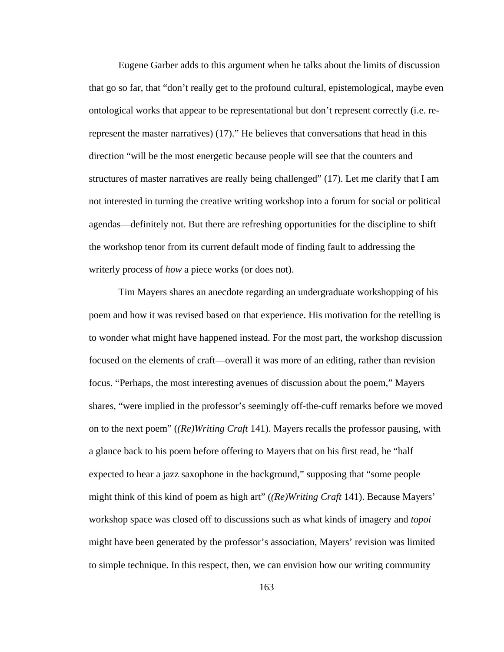Eugene Garber adds to this argument when he talks about the limits of discussion that go so far, that "don't really get to the profound cultural, epistemological, maybe even ontological works that appear to be representational but don't represent correctly (i.e. rerepresent the master narratives) (17)." He believes that conversations that head in this direction "will be the most energetic because people will see that the counters and structures of master narratives are really being challenged" (17). Let me clarify that I am not interested in turning the creative writing workshop into a forum for social or political agendas—definitely not. But there are refreshing opportunities for the discipline to shift the workshop tenor from its current default mode of finding fault to addressing the writerly process of *how* a piece works (or does not).

Tim Mayers shares an anecdote regarding an undergraduate workshopping of his poem and how it was revised based on that experience. His motivation for the retelling is to wonder what might have happened instead. For the most part, the workshop discussion focused on the elements of craft—overall it was more of an editing, rather than revision focus. "Perhaps, the most interesting avenues of discussion about the poem," Mayers shares, "were implied in the professor's seemingly off-the-cuff remarks before we moved on to the next poem" (*(Re)Writing Craft* 141). Mayers recalls the professor pausing, with a glance back to his poem before offering to Mayers that on his first read, he "half expected to hear a jazz saxophone in the background," supposing that "some people might think of this kind of poem as high art" (*(Re)Writing Craft* 141). Because Mayers' workshop space was closed off to discussions such as what kinds of imagery and *topoi* might have been generated by the professor's association, Mayers' revision was limited to simple technique. In this respect, then, we can envision how our writing community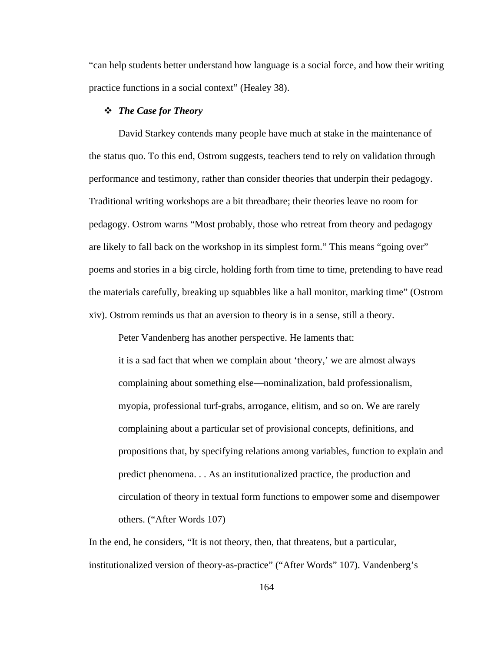"can help students better understand how language is a social force, and how their writing practice functions in a social context" (Healey 38).

#### *The Case for Theory*

David Starkey contends many people have much at stake in the maintenance of the status quo. To this end, Ostrom suggests, teachers tend to rely on validation through performance and testimony, rather than consider theories that underpin their pedagogy. Traditional writing workshops are a bit threadbare; their theories leave no room for pedagogy. Ostrom warns "Most probably, those who retreat from theory and pedagogy are likely to fall back on the workshop in its simplest form." This means "going over" poems and stories in a big circle, holding forth from time to time, pretending to have read the materials carefully, breaking up squabbles like a hall monitor, marking time" (Ostrom xiv). Ostrom reminds us that an aversion to theory is in a sense, still a theory.

Peter Vandenberg has another perspective. He laments that:

it is a sad fact that when we complain about 'theory,' we are almost always complaining about something else—nominalization, bald professionalism, myopia, professional turf-grabs, arrogance, elitism, and so on. We are rarely complaining about a particular set of provisional concepts, definitions, and propositions that, by specifying relations among variables, function to explain and predict phenomena. . . As an institutionalized practice, the production and circulation of theory in textual form functions to empower some and disempower others. ("After Words 107)

In the end, he considers, "It is not theory, then, that threatens, but a particular, institutionalized version of theory-as-practice" ("After Words" 107). Vandenberg's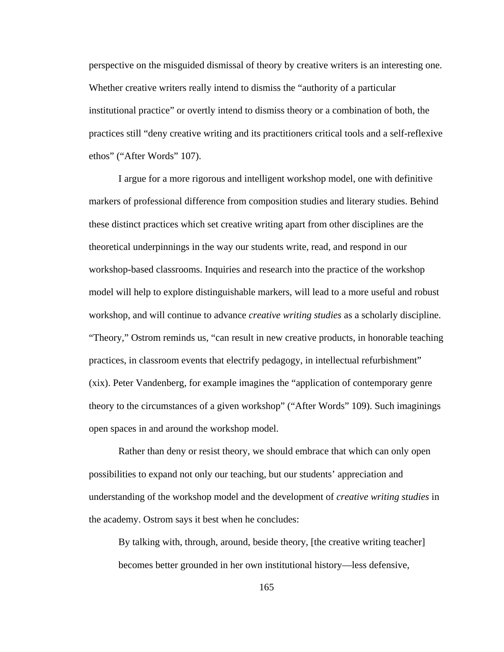perspective on the misguided dismissal of theory by creative writers is an interesting one. Whether creative writers really intend to dismiss the "authority of a particular institutional practice" or overtly intend to dismiss theory or a combination of both, the practices still "deny creative writing and its practitioners critical tools and a self-reflexive ethos" ("After Words" 107).

I argue for a more rigorous and intelligent workshop model, one with definitive markers of professional difference from composition studies and literary studies. Behind these distinct practices which set creative writing apart from other disciplines are the theoretical underpinnings in the way our students write, read, and respond in our workshop-based classrooms. Inquiries and research into the practice of the workshop model will help to explore distinguishable markers, will lead to a more useful and robust workshop, and will continue to advance *creative writing studies* as a scholarly discipline. "Theory," Ostrom reminds us, "can result in new creative products, in honorable teaching practices, in classroom events that electrify pedagogy, in intellectual refurbishment" (xix). Peter Vandenberg, for example imagines the "application of contemporary genre theory to the circumstances of a given workshop" ("After Words" 109). Such imaginings open spaces in and around the workshop model.

Rather than deny or resist theory, we should embrace that which can only open possibilities to expand not only our teaching, but our students' appreciation and understanding of the workshop model and the development of *creative writing studies* in the academy. Ostrom says it best when he concludes:

By talking with, through, around, beside theory, [the creative writing teacher] becomes better grounded in her own institutional history—less defensive,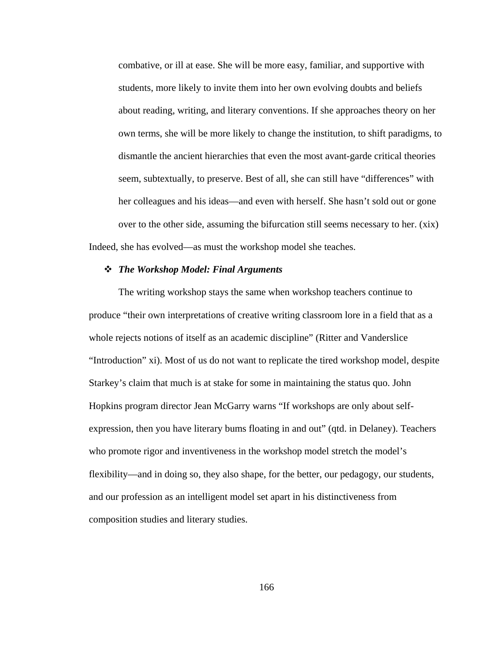combative, or ill at ease. She will be more easy, familiar, and supportive with students, more likely to invite them into her own evolving doubts and beliefs about reading, writing, and literary conventions. If she approaches theory on her own terms, she will be more likely to change the institution, to shift paradigms, to dismantle the ancient hierarchies that even the most avant-garde critical theories seem, subtextually, to preserve. Best of all, she can still have "differences" with her colleagues and his ideas—and even with herself. She hasn't sold out or gone over to the other side, assuming the bifurcation still seems necessary to her. (xix) Indeed, she has evolved—as must the workshop model she teaches.

## *The Workshop Model: Final Arguments*

 The writing workshop stays the same when workshop teachers continue to produce "their own interpretations of creative writing classroom lore in a field that as a whole rejects notions of itself as an academic discipline" (Ritter and Vanderslice "Introduction" xi). Most of us do not want to replicate the tired workshop model, despite Starkey's claim that much is at stake for some in maintaining the status quo. John Hopkins program director Jean McGarry warns "If workshops are only about selfexpression, then you have literary bums floating in and out" (qtd. in Delaney). Teachers who promote rigor and inventiveness in the workshop model stretch the model's flexibility—and in doing so, they also shape, for the better, our pedagogy, our students, and our profession as an intelligent model set apart in his distinctiveness from composition studies and literary studies.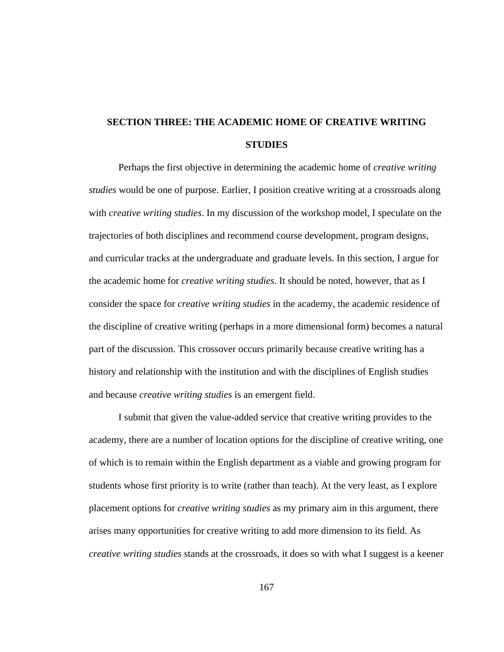# **SECTION THREE: THE ACADEMIC HOME OF CREATIVE WRITING STUDIES**

Perhaps the first objective in determining the academic home of *creative writing studies* would be one of purpose. Earlier, I position creative writing at a crossroads along with *creative writing studies*. In my discussion of the workshop model, I speculate on the trajectories of both disciplines and recommend course development, program designs, and curricular tracks at the undergraduate and graduate levels. In this section, I argue for the academic home for *creative writing studies*. It should be noted, however, that as I consider the space for *creative writing studies* in the academy, the academic residence of the discipline of creative writing (perhaps in a more dimensional form) becomes a natural part of the discussion. This crossover occurs primarily because creative writing has a history and relationship with the institution and with the disciplines of English studies and because *creative writing studies* is an emergent field.

I submit that given the value-added service that creative writing provides to the academy, there are a number of location options for the discipline of creative writing, one of which is to remain within the English department as a viable and growing program for students whose first priority is to write (rather than teach). At the very least, as I explore placement options for *creative writing studies* as my primary aim in this argument, there arises many opportunities for creative writing to add more dimension to its field. As *creative writing studies* stands at the crossroads, it does so with what I suggest is a keener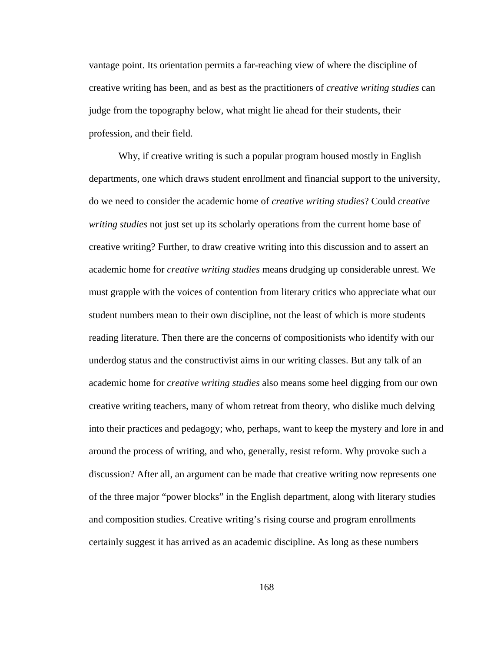vantage point. Its orientation permits a far-reaching view of where the discipline of creative writing has been, and as best as the practitioners of *creative writing studies* can judge from the topography below, what might lie ahead for their students, their profession, and their field.

Why, if creative writing is such a popular program housed mostly in English departments, one which draws student enrollment and financial support to the university, do we need to consider the academic home of *creative writing studies*? Could *creative writing studies* not just set up its scholarly operations from the current home base of creative writing? Further, to draw creative writing into this discussion and to assert an academic home for *creative writing studies* means drudging up considerable unrest. We must grapple with the voices of contention from literary critics who appreciate what our student numbers mean to their own discipline, not the least of which is more students reading literature. Then there are the concerns of compositionists who identify with our underdog status and the constructivist aims in our writing classes. But any talk of an academic home for *creative writing studies* also means some heel digging from our own creative writing teachers, many of whom retreat from theory, who dislike much delving into their practices and pedagogy; who, perhaps, want to keep the mystery and lore in and around the process of writing, and who, generally, resist reform. Why provoke such a discussion? After all, an argument can be made that creative writing now represents one of the three major "power blocks" in the English department, along with literary studies and composition studies. Creative writing's rising course and program enrollments certainly suggest it has arrived as an academic discipline. As long as these numbers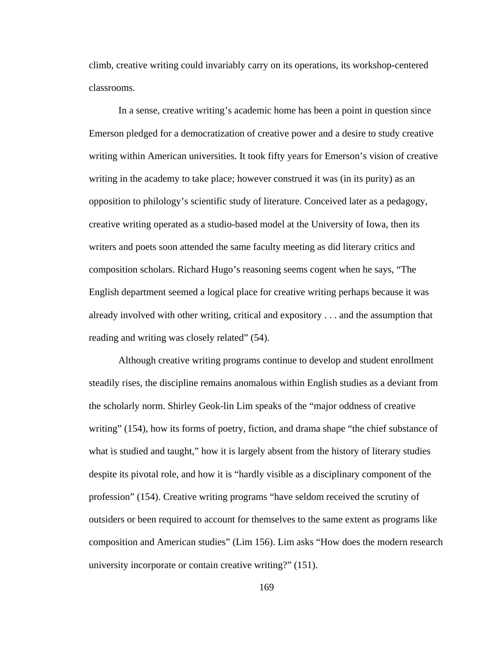climb, creative writing could invariably carry on its operations, its workshop-centered classrooms.

In a sense, creative writing's academic home has been a point in question since Emerson pledged for a democratization of creative power and a desire to study creative writing within American universities. It took fifty years for Emerson's vision of creative writing in the academy to take place; however construed it was (in its purity) as an opposition to philology's scientific study of literature. Conceived later as a pedagogy, creative writing operated as a studio-based model at the University of Iowa, then its writers and poets soon attended the same faculty meeting as did literary critics and composition scholars. Richard Hugo's reasoning seems cogent when he says, "The English department seemed a logical place for creative writing perhaps because it was already involved with other writing, critical and expository . . . and the assumption that reading and writing was closely related" (54).

Although creative writing programs continue to develop and student enrollment steadily rises, the discipline remains anomalous within English studies as a deviant from the scholarly norm. Shirley Geok-lin Lim speaks of the "major oddness of creative writing" (154), how its forms of poetry, fiction, and drama shape "the chief substance of what is studied and taught," how it is largely absent from the history of literary studies despite its pivotal role, and how it is "hardly visible as a disciplinary component of the profession" (154). Creative writing programs "have seldom received the scrutiny of outsiders or been required to account for themselves to the same extent as programs like composition and American studies" (Lim 156). Lim asks "How does the modern research university incorporate or contain creative writing?" (151).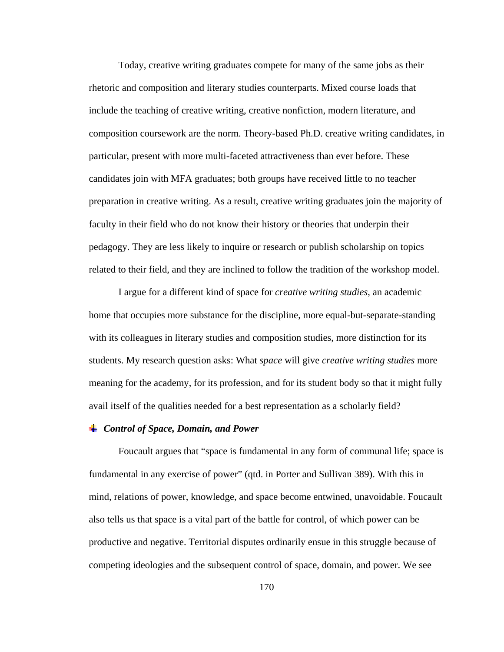Today, creative writing graduates compete for many of the same jobs as their rhetoric and composition and literary studies counterparts. Mixed course loads that include the teaching of creative writing, creative nonfiction, modern literature, and composition coursework are the norm. Theory-based Ph.D. creative writing candidates, in particular, present with more multi-faceted attractiveness than ever before. These candidates join with MFA graduates; both groups have received little to no teacher preparation in creative writing. As a result, creative writing graduates join the majority of faculty in their field who do not know their history or theories that underpin their pedagogy. They are less likely to inquire or research or publish scholarship on topics related to their field, and they are inclined to follow the tradition of the workshop model.

I argue for a different kind of space for *creative writing studies*, an academic home that occupies more substance for the discipline, more equal-but-separate-standing with its colleagues in literary studies and composition studies, more distinction for its students. My research question asks: What *space* will give *creative writing studies* more meaning for the academy, for its profession, and for its student body so that it might fully avail itself of the qualities needed for a best representation as a scholarly field?

## *Control of Space, Domain, and Power*

Foucault argues that "space is fundamental in any form of communal life; space is fundamental in any exercise of power" (qtd. in Porter and Sullivan 389). With this in mind, relations of power, knowledge, and space become entwined, unavoidable. Foucault also tells us that space is a vital part of the battle for control, of which power can be productive and negative. Territorial disputes ordinarily ensue in this struggle because of competing ideologies and the subsequent control of space, domain, and power. We see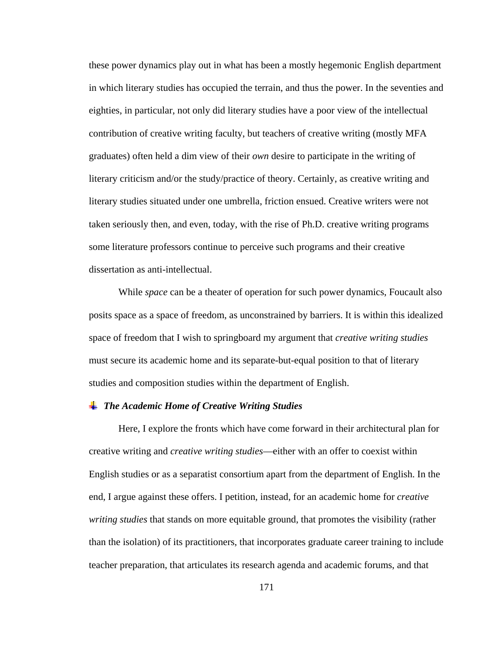these power dynamics play out in what has been a mostly hegemonic English department in which literary studies has occupied the terrain, and thus the power. In the seventies and eighties, in particular, not only did literary studies have a poor view of the intellectual contribution of creative writing faculty, but teachers of creative writing (mostly MFA graduates) often held a dim view of their *own* desire to participate in the writing of literary criticism and/or the study/practice of theory. Certainly, as creative writing and literary studies situated under one umbrella, friction ensued. Creative writers were not taken seriously then, and even, today, with the rise of Ph.D. creative writing programs some literature professors continue to perceive such programs and their creative dissertation as anti-intellectual.

While *space* can be a theater of operation for such power dynamics, Foucault also posits space as a space of freedom, as unconstrained by barriers. It is within this idealized space of freedom that I wish to springboard my argument that *creative writing studies* must secure its academic home and its separate-but-equal position to that of literary studies and composition studies within the department of English.

## *The Academic Home of Creative Writing Studies*

Here, I explore the fronts which have come forward in their architectural plan for creative writing and *creative writing studies*—either with an offer to coexist within English studies or as a separatist consortium apart from the department of English. In the end, I argue against these offers. I petition, instead, for an academic home for *creative writing studies* that stands on more equitable ground, that promotes the visibility (rather than the isolation) of its practitioners, that incorporates graduate career training to include teacher preparation, that articulates its research agenda and academic forums, and that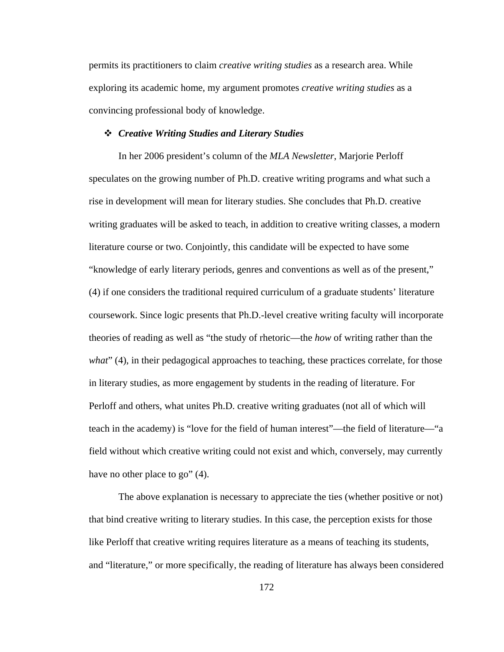permits its practitioners to claim *creative writing studies* as a research area. While exploring its academic home, my argument promotes *creative writing studies* as a convincing professional body of knowledge.

# *Creative Writing Studies and Literary Studies*

 In her 2006 president's column of the *MLA Newsletter*, Marjorie Perloff speculates on the growing number of Ph.D. creative writing programs and what such a rise in development will mean for literary studies. She concludes that Ph.D. creative writing graduates will be asked to teach, in addition to creative writing classes, a modern literature course or two. Conjointly, this candidate will be expected to have some "knowledge of early literary periods, genres and conventions as well as of the present," (4) if one considers the traditional required curriculum of a graduate students' literature coursework. Since logic presents that Ph.D.-level creative writing faculty will incorporate theories of reading as well as "the study of rhetoric—the *how* of writing rather than the *what*" (4), in their pedagogical approaches to teaching, these practices correlate, for those in literary studies, as more engagement by students in the reading of literature. For Perloff and others, what unites Ph.D. creative writing graduates (not all of which will teach in the academy) is "love for the field of human interest"—the field of literature—"a field without which creative writing could not exist and which, conversely, may currently have no other place to go" (4).

 The above explanation is necessary to appreciate the ties (whether positive or not) that bind creative writing to literary studies. In this case, the perception exists for those like Perloff that creative writing requires literature as a means of teaching its students, and "literature," or more specifically, the reading of literature has always been considered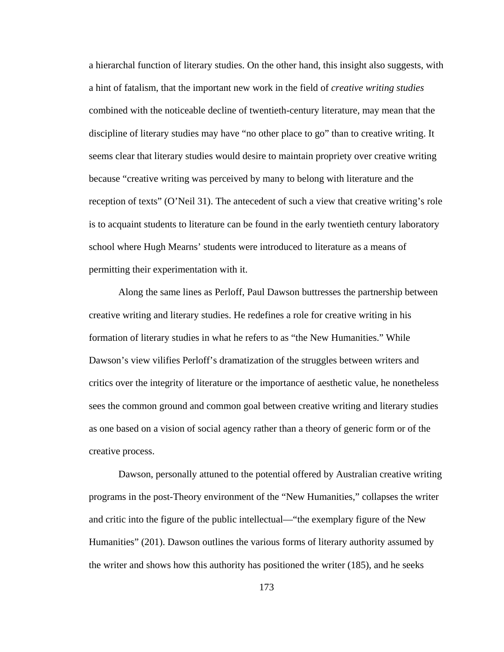a hierarchal function of literary studies. On the other hand, this insight also suggests, with a hint of fatalism, that the important new work in the field of *creative writing studies* combined with the noticeable decline of twentieth-century literature, may mean that the discipline of literary studies may have "no other place to go" than to creative writing. It seems clear that literary studies would desire to maintain propriety over creative writing because "creative writing was perceived by many to belong with literature and the reception of texts" (O'Neil 31). The antecedent of such a view that creative writing's role is to acquaint students to literature can be found in the early twentieth century laboratory school where Hugh Mearns' students were introduced to literature as a means of permitting their experimentation with it.

Along the same lines as Perloff, Paul Dawson buttresses the partnership between creative writing and literary studies. He redefines a role for creative writing in his formation of literary studies in what he refers to as "the New Humanities." While Dawson's view vilifies Perloff's dramatization of the struggles between writers and critics over the integrity of literature or the importance of aesthetic value, he nonetheless sees the common ground and common goal between creative writing and literary studies as one based on a vision of social agency rather than a theory of generic form or of the creative process.

Dawson, personally attuned to the potential offered by Australian creative writing programs in the post-Theory environment of the "New Humanities," collapses the writer and critic into the figure of the public intellectual—"the exemplary figure of the New Humanities" (201). Dawson outlines the various forms of literary authority assumed by the writer and shows how this authority has positioned the writer (185), and he seeks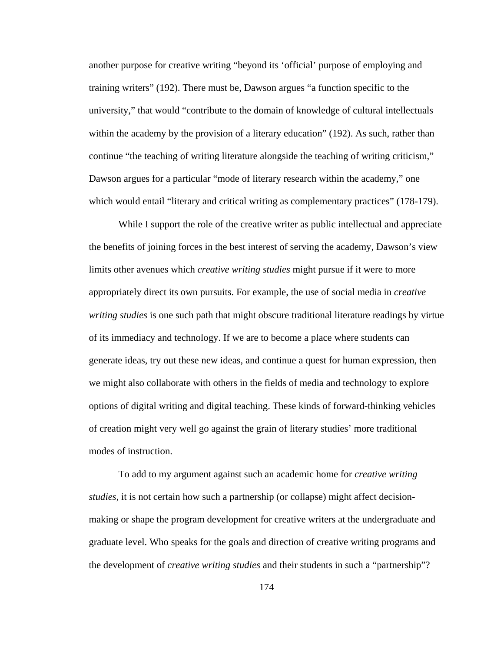another purpose for creative writing "beyond its 'official' purpose of employing and training writers" (192). There must be, Dawson argues "a function specific to the university," that would "contribute to the domain of knowledge of cultural intellectuals within the academy by the provision of a literary education" (192). As such, rather than continue "the teaching of writing literature alongside the teaching of writing criticism," Dawson argues for a particular "mode of literary research within the academy," one which would entail "literary and critical writing as complementary practices" (178-179).

While I support the role of the creative writer as public intellectual and appreciate the benefits of joining forces in the best interest of serving the academy, Dawson's view limits other avenues which *creative writing studies* might pursue if it were to more appropriately direct its own pursuits. For example, the use of social media in *creative writing studies* is one such path that might obscure traditional literature readings by virtue of its immediacy and technology. If we are to become a place where students can generate ideas, try out these new ideas, and continue a quest for human expression, then we might also collaborate with others in the fields of media and technology to explore options of digital writing and digital teaching. These kinds of forward-thinking vehicles of creation might very well go against the grain of literary studies' more traditional modes of instruction.

To add to my argument against such an academic home for *creative writing studies*, it is not certain how such a partnership (or collapse) might affect decisionmaking or shape the program development for creative writers at the undergraduate and graduate level. Who speaks for the goals and direction of creative writing programs and the development of *creative writing studies* and their students in such a "partnership"?

174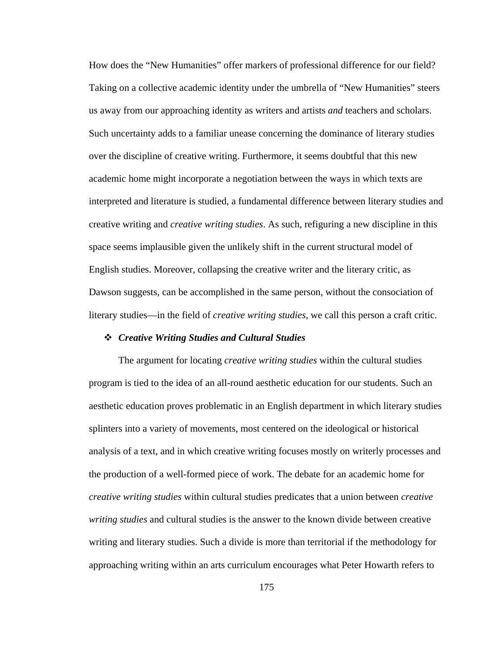How does the "New Humanities" offer markers of professional difference for our field? Taking on a collective academic identity under the umbrella of "New Humanities" steers us away from our approaching identity as writers and artists *and* teachers and scholars. Such uncertainty adds to a familiar unease concerning the dominance of literary studies over the discipline of creative writing. Furthermore, it seems doubtful that this new academic home might incorporate a negotiation between the ways in which texts are interpreted and literature is studied, a fundamental difference between literary studies and creative writing and *creative writing studies*. As such, refiguring a new discipline in this space seems implausible given the unlikely shift in the current structural model of English studies. Moreover, collapsing the creative writer and the literary critic, as Dawson suggests, can be accomplished in the same person, without the consociation of literary studies—in the field of *creative writing studies*, we call this person a craft critic.

### *Creative Writing Studies and Cultural Studies*

The argument for locating *creative writing studies* within the cultural studies program is tied to the idea of an all-round aesthetic education for our students. Such an aesthetic education proves problematic in an English department in which literary studies splinters into a variety of movements, most centered on the ideological or historical analysis of a text, and in which creative writing focuses mostly on writerly processes and the production of a well-formed piece of work. The debate for an academic home for *creative writing studies* within cultural studies predicates that a union between *creative writing studies* and cultural studies is the answer to the known divide between creative writing and literary studies. Such a divide is more than territorial if the methodology for approaching writing within an arts curriculum encourages what Peter Howarth refers to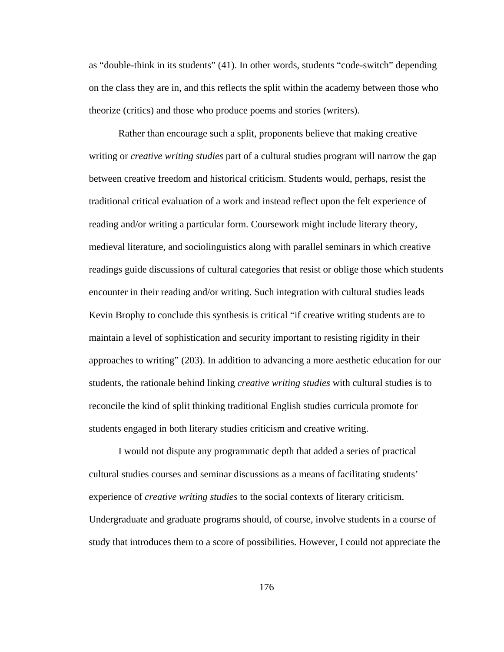as "double-think in its students" (41). In other words, students "code-switch" depending on the class they are in, and this reflects the split within the academy between those who theorize (critics) and those who produce poems and stories (writers).

Rather than encourage such a split, proponents believe that making creative writing or *creative writing studies* part of a cultural studies program will narrow the gap between creative freedom and historical criticism. Students would, perhaps, resist the traditional critical evaluation of a work and instead reflect upon the felt experience of reading and/or writing a particular form. Coursework might include literary theory, medieval literature, and sociolinguistics along with parallel seminars in which creative readings guide discussions of cultural categories that resist or oblige those which students encounter in their reading and/or writing. Such integration with cultural studies leads Kevin Brophy to conclude this synthesis is critical "if creative writing students are to maintain a level of sophistication and security important to resisting rigidity in their approaches to writing" (203). In addition to advancing a more aesthetic education for our students, the rationale behind linking *creative writing studies* with cultural studies is to reconcile the kind of split thinking traditional English studies curricula promote for students engaged in both literary studies criticism and creative writing.

 I would not dispute any programmatic depth that added a series of practical cultural studies courses and seminar discussions as a means of facilitating students' experience of *creative writing studies* to the social contexts of literary criticism. Undergraduate and graduate programs should, of course, involve students in a course of study that introduces them to a score of possibilities. However, I could not appreciate the

176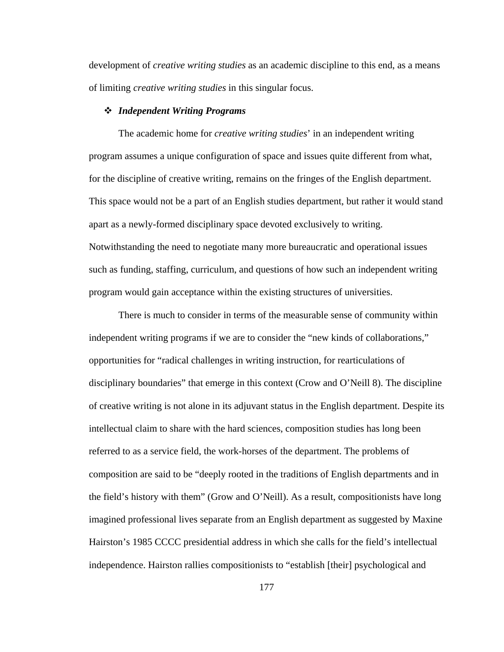development of *creative writing studies* as an academic discipline to this end, as a means of limiting *creative writing studies* in this singular focus.

### *Independent Writing Programs*

The academic home for *creative writing studies*' in an independent writing program assumes a unique configuration of space and issues quite different from what, for the discipline of creative writing, remains on the fringes of the English department. This space would not be a part of an English studies department, but rather it would stand apart as a newly-formed disciplinary space devoted exclusively to writing. Notwithstanding the need to negotiate many more bureaucratic and operational issues such as funding, staffing, curriculum, and questions of how such an independent writing program would gain acceptance within the existing structures of universities.

There is much to consider in terms of the measurable sense of community within independent writing programs if we are to consider the "new kinds of collaborations," opportunities for "radical challenges in writing instruction, for rearticulations of disciplinary boundaries" that emerge in this context (Crow and O'Neill 8). The discipline of creative writing is not alone in its adjuvant status in the English department. Despite its intellectual claim to share with the hard sciences, composition studies has long been referred to as a service field, the work-horses of the department. The problems of composition are said to be "deeply rooted in the traditions of English departments and in the field's history with them" (Grow and O'Neill). As a result, compositionists have long imagined professional lives separate from an English department as suggested by Maxine Hairston's 1985 CCCC presidential address in which she calls for the field's intellectual independence. Hairston rallies compositionists to "establish [their] psychological and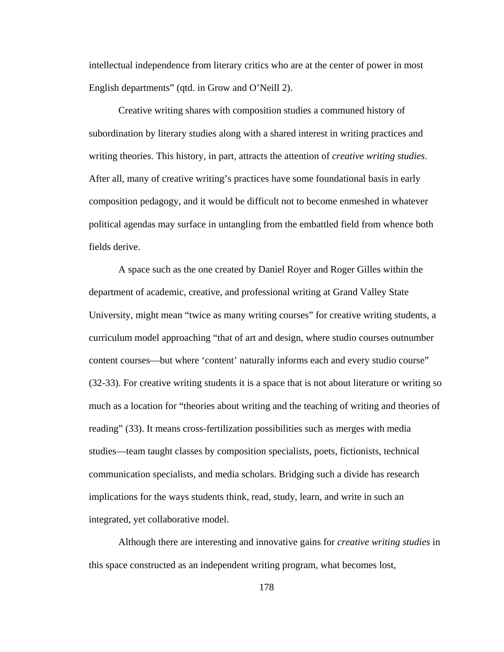intellectual independence from literary critics who are at the center of power in most English departments" (qtd. in Grow and O'Neill 2).

Creative writing shares with composition studies a communed history of subordination by literary studies along with a shared interest in writing practices and writing theories. This history, in part, attracts the attention of *creative writing studies*. After all, many of creative writing's practices have some foundational basis in early composition pedagogy, and it would be difficult not to become enmeshed in whatever political agendas may surface in untangling from the embattled field from whence both fields derive.

A space such as the one created by Daniel Royer and Roger Gilles within the department of academic, creative, and professional writing at Grand Valley State University, might mean "twice as many writing courses" for creative writing students, a curriculum model approaching "that of art and design, where studio courses outnumber content courses—but where 'content' naturally informs each and every studio course" (32-33). For creative writing students it is a space that is not about literature or writing so much as a location for "theories about writing and the teaching of writing and theories of reading" (33). It means cross-fertilization possibilities such as merges with media studies—team taught classes by composition specialists, poets, fictionists, technical communication specialists, and media scholars. Bridging such a divide has research implications for the ways students think, read, study, learn, and write in such an integrated, yet collaborative model.

Although there are interesting and innovative gains for *creative writing studies* in this space constructed as an independent writing program, what becomes lost,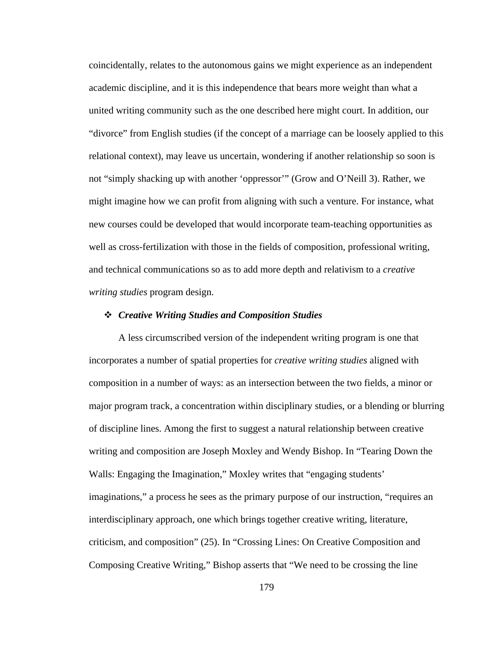coincidentally, relates to the autonomous gains we might experience as an independent academic discipline, and it is this independence that bears more weight than what a united writing community such as the one described here might court. In addition, our "divorce" from English studies (if the concept of a marriage can be loosely applied to this relational context), may leave us uncertain, wondering if another relationship so soon is not "simply shacking up with another 'oppressor'" (Grow and O'Neill 3). Rather, we might imagine how we can profit from aligning with such a venture. For instance, what new courses could be developed that would incorporate team-teaching opportunities as well as cross-fertilization with those in the fields of composition, professional writing, and technical communications so as to add more depth and relativism to a *creative writing studies* program design.

### *Creative Writing Studies and Composition Studies*

 A less circumscribed version of the independent writing program is one that incorporates a number of spatial properties for *creative writing studies* aligned with composition in a number of ways: as an intersection between the two fields, a minor or major program track, a concentration within disciplinary studies, or a blending or blurring of discipline lines. Among the first to suggest a natural relationship between creative writing and composition are Joseph Moxley and Wendy Bishop. In "Tearing Down the Walls: Engaging the Imagination," Moxley writes that "engaging students' imaginations," a process he sees as the primary purpose of our instruction, "requires an interdisciplinary approach, one which brings together creative writing, literature, criticism, and composition" (25). In "Crossing Lines: On Creative Composition and Composing Creative Writing," Bishop asserts that "We need to be crossing the line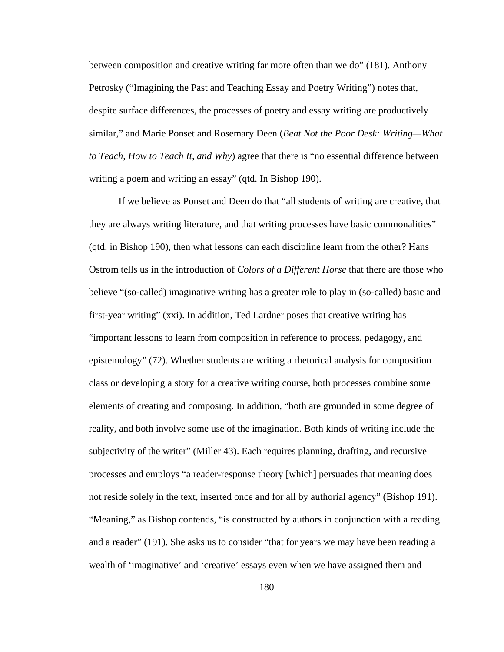between composition and creative writing far more often than we do" (181). Anthony Petrosky ("Imagining the Past and Teaching Essay and Poetry Writing") notes that, despite surface differences, the processes of poetry and essay writing are productively similar," and Marie Ponset and Rosemary Deen (*Beat Not the Poor Desk: Writing—What to Teach, How to Teach It, and Why*) agree that there is "no essential difference between writing a poem and writing an essay" (qtd. In Bishop 190).

If we believe as Ponset and Deen do that "all students of writing are creative, that they are always writing literature, and that writing processes have basic commonalities" (qtd. in Bishop 190), then what lessons can each discipline learn from the other? Hans Ostrom tells us in the introduction of *Colors of a Different Horse* that there are those who believe "(so-called) imaginative writing has a greater role to play in (so-called) basic and first-year writing" (xxi). In addition, Ted Lardner poses that creative writing has "important lessons to learn from composition in reference to process, pedagogy, and epistemology" (72). Whether students are writing a rhetorical analysis for composition class or developing a story for a creative writing course, both processes combine some elements of creating and composing. In addition, "both are grounded in some degree of reality, and both involve some use of the imagination. Both kinds of writing include the subjectivity of the writer" (Miller 43). Each requires planning, drafting, and recursive processes and employs "a reader-response theory [which] persuades that meaning does not reside solely in the text, inserted once and for all by authorial agency" (Bishop 191). "Meaning," as Bishop contends, "is constructed by authors in conjunction with a reading and a reader" (191). She asks us to consider "that for years we may have been reading a wealth of 'imaginative' and 'creative' essays even when we have assigned them and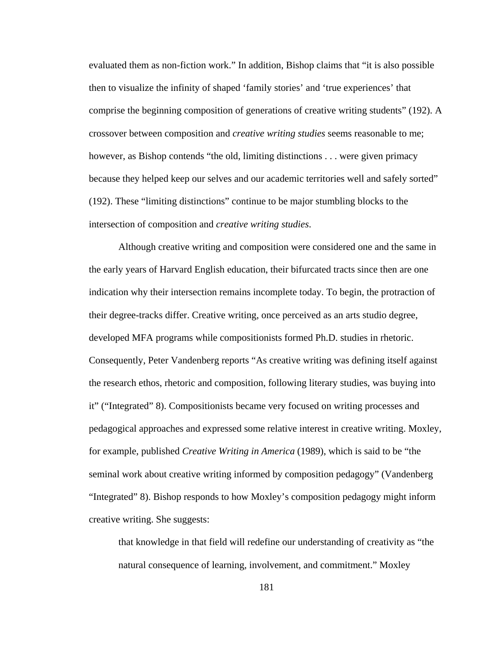evaluated them as non-fiction work." In addition, Bishop claims that "it is also possible then to visualize the infinity of shaped 'family stories' and 'true experiences' that comprise the beginning composition of generations of creative writing students" (192). A crossover between composition and *creative writing studies* seems reasonable to me; however, as Bishop contends "the old, limiting distinctions . . . were given primacy because they helped keep our selves and our academic territories well and safely sorted" (192). These "limiting distinctions" continue to be major stumbling blocks to the intersection of composition and *creative writing studies*.

Although creative writing and composition were considered one and the same in the early years of Harvard English education, their bifurcated tracts since then are one indication why their intersection remains incomplete today. To begin, the protraction of their degree-tracks differ. Creative writing, once perceived as an arts studio degree, developed MFA programs while compositionists formed Ph.D. studies in rhetoric. Consequently, Peter Vandenberg reports "As creative writing was defining itself against the research ethos, rhetoric and composition, following literary studies, was buying into it" ("Integrated" 8). Compositionists became very focused on writing processes and pedagogical approaches and expressed some relative interest in creative writing. Moxley, for example, published *Creative Writing in America* (1989), which is said to be "the seminal work about creative writing informed by composition pedagogy" (Vandenberg "Integrated" 8). Bishop responds to how Moxley's composition pedagogy might inform creative writing. She suggests:

that knowledge in that field will redefine our understanding of creativity as "the natural consequence of learning, involvement, and commitment." Moxley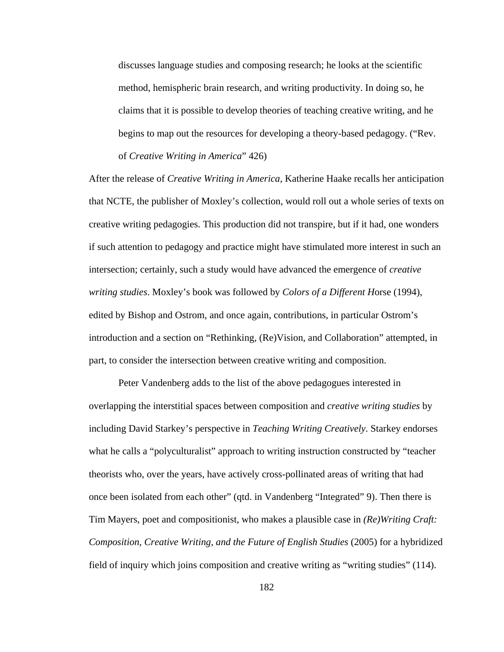discusses language studies and composing research; he looks at the scientific method, hemispheric brain research, and writing productivity. In doing so, he claims that it is possible to develop theories of teaching creative writing, and he begins to map out the resources for developing a theory-based pedagogy. ("Rev. of *Creative Writing in America*" 426)

After the release of *Creative Writing in America*, Katherine Haake recalls her anticipation that NCTE, the publisher of Moxley's collection, would roll out a whole series of texts on creative writing pedagogies. This production did not transpire, but if it had, one wonders if such attention to pedagogy and practice might have stimulated more interest in such an intersection; certainly, such a study would have advanced the emergence of *creative writing studies*. Moxley's book was followed by *Colors of a Different H*orse (1994), edited by Bishop and Ostrom, and once again, contributions, in particular Ostrom's introduction and a section on "Rethinking, (Re)Vision, and Collaboration" attempted, in part, to consider the intersection between creative writing and composition.

Peter Vandenberg adds to the list of the above pedagogues interested in overlapping the interstitial spaces between composition and *creative writing studies* by including David Starkey's perspective in *Teaching Writing Creatively*. Starkey endorses what he calls a "polyculturalist" approach to writing instruction constructed by "teacher theorists who, over the years, have actively cross-pollinated areas of writing that had once been isolated from each other" (qtd. in Vandenberg "Integrated" 9). Then there is Tim Mayers, poet and compositionist, who makes a plausible case in *(Re)Writing Craft: Composition, Creative Writing, and the Future of English Studies* (2005) for a hybridized field of inquiry which joins composition and creative writing as "writing studies" (114).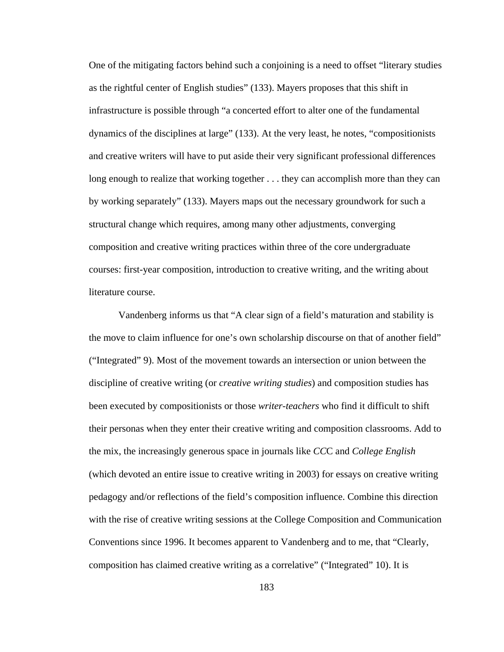One of the mitigating factors behind such a conjoining is a need to offset "literary studies as the rightful center of English studies" (133). Mayers proposes that this shift in infrastructure is possible through "a concerted effort to alter one of the fundamental dynamics of the disciplines at large" (133). At the very least, he notes, "compositionists and creative writers will have to put aside their very significant professional differences long enough to realize that working together . . . they can accomplish more than they can by working separately" (133). Mayers maps out the necessary groundwork for such a structural change which requires, among many other adjustments, converging composition and creative writing practices within three of the core undergraduate courses: first-year composition, introduction to creative writing, and the writing about literature course.

Vandenberg informs us that "A clear sign of a field's maturation and stability is the move to claim influence for one's own scholarship discourse on that of another field" ("Integrated" 9). Most of the movement towards an intersection or union between the discipline of creative writing (or *creative writing studies*) and composition studies has been executed by compositionists or those *writer-teachers* who find it difficult to shift their personas when they enter their creative writing and composition classrooms. Add to the mix, the increasingly generous space in journals like *CC*C and *College English*  (which devoted an entire issue to creative writing in 2003) for essays on creative writing pedagogy and/or reflections of the field's composition influence. Combine this direction with the rise of creative writing sessions at the College Composition and Communication Conventions since 1996. It becomes apparent to Vandenberg and to me, that "Clearly, composition has claimed creative writing as a correlative" ("Integrated" 10). It is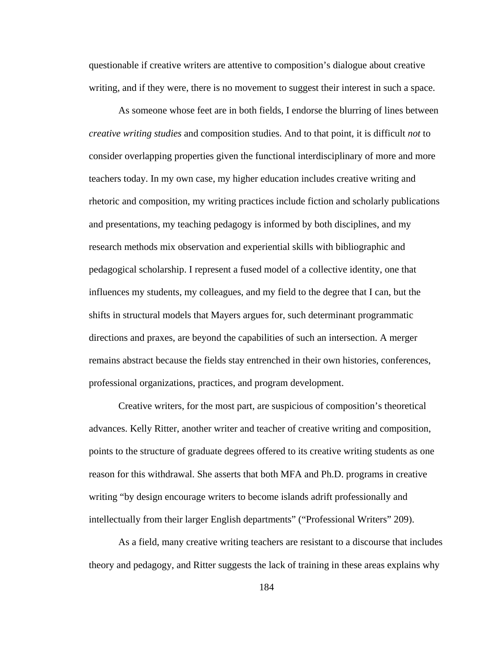questionable if creative writers are attentive to composition's dialogue about creative writing, and if they were, there is no movement to suggest their interest in such a space.

As someone whose feet are in both fields, I endorse the blurring of lines between *creative writing studies* and composition studies. And to that point, it is difficult *not* to consider overlapping properties given the functional interdisciplinary of more and more teachers today. In my own case, my higher education includes creative writing and rhetoric and composition, my writing practices include fiction and scholarly publications and presentations, my teaching pedagogy is informed by both disciplines, and my research methods mix observation and experiential skills with bibliographic and pedagogical scholarship. I represent a fused model of a collective identity, one that influences my students, my colleagues, and my field to the degree that I can, but the shifts in structural models that Mayers argues for, such determinant programmatic directions and praxes, are beyond the capabilities of such an intersection. A merger remains abstract because the fields stay entrenched in their own histories, conferences, professional organizations, practices, and program development.

Creative writers, for the most part, are suspicious of composition's theoretical advances. Kelly Ritter, another writer and teacher of creative writing and composition, points to the structure of graduate degrees offered to its creative writing students as one reason for this withdrawal. She asserts that both MFA and Ph.D. programs in creative writing "by design encourage writers to become islands adrift professionally and intellectually from their larger English departments" ("Professional Writers" 209).

As a field, many creative writing teachers are resistant to a discourse that includes theory and pedagogy, and Ritter suggests the lack of training in these areas explains why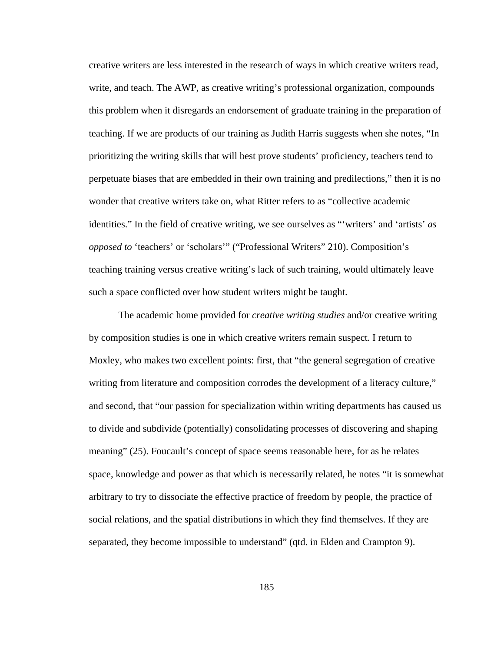creative writers are less interested in the research of ways in which creative writers read, write, and teach. The AWP, as creative writing's professional organization, compounds this problem when it disregards an endorsement of graduate training in the preparation of teaching. If we are products of our training as Judith Harris suggests when she notes, "In prioritizing the writing skills that will best prove students' proficiency, teachers tend to perpetuate biases that are embedded in their own training and predilections," then it is no wonder that creative writers take on, what Ritter refers to as "collective academic identities." In the field of creative writing, we see ourselves as "'writers' and 'artists' *as opposed to* 'teachers' or 'scholars'" ("Professional Writers" 210). Composition's teaching training versus creative writing's lack of such training, would ultimately leave such a space conflicted over how student writers might be taught.

The academic home provided for *creative writing studies* and/or creative writing by composition studies is one in which creative writers remain suspect. I return to Moxley, who makes two excellent points: first, that "the general segregation of creative writing from literature and composition corrodes the development of a literacy culture," and second, that "our passion for specialization within writing departments has caused us to divide and subdivide (potentially) consolidating processes of discovering and shaping meaning" (25). Foucault's concept of space seems reasonable here, for as he relates space, knowledge and power as that which is necessarily related, he notes "it is somewhat arbitrary to try to dissociate the effective practice of freedom by people, the practice of social relations, and the spatial distributions in which they find themselves. If they are separated, they become impossible to understand" (qtd. in Elden and Crampton 9).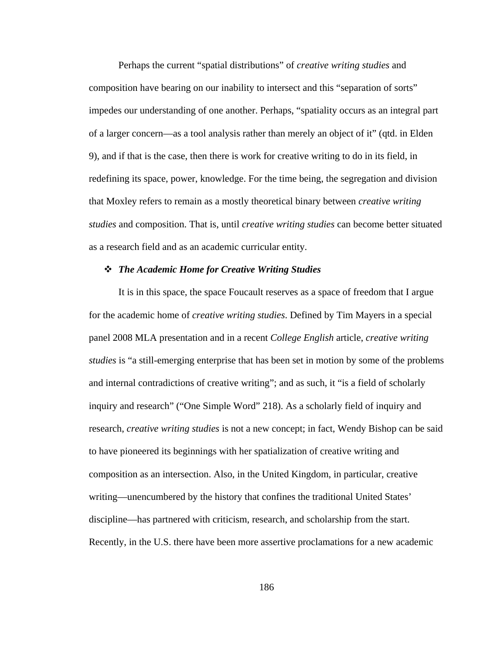Perhaps the current "spatial distributions" of *creative writing studies* and composition have bearing on our inability to intersect and this "separation of sorts" impedes our understanding of one another. Perhaps, "spatiality occurs as an integral part of a larger concern—as a tool analysis rather than merely an object of it" (qtd. in Elden 9), and if that is the case, then there is work for creative writing to do in its field, in redefining its space, power, knowledge. For the time being, the segregation and division that Moxley refers to remain as a mostly theoretical binary between *creative writing studies* and composition. That is, until *creative writing studies* can become better situated as a research field and as an academic curricular entity.

#### *The Academic Home for Creative Writing Studies*

It is in this space, the space Foucault reserves as a space of freedom that I argue for the academic home of *creative writing studies*. Defined by Tim Mayers in a special panel 2008 MLA presentation and in a recent *College English* article, *creative writing studies* is "a still-emerging enterprise that has been set in motion by some of the problems and internal contradictions of creative writing"; and as such, it "is a field of scholarly inquiry and research" ("One Simple Word" 218). As a scholarly field of inquiry and research, *creative writing studies* is not a new concept; in fact, Wendy Bishop can be said to have pioneered its beginnings with her spatialization of creative writing and composition as an intersection. Also, in the United Kingdom, in particular, creative writing—unencumbered by the history that confines the traditional United States' discipline—has partnered with criticism, research, and scholarship from the start. Recently, in the U.S. there have been more assertive proclamations for a new academic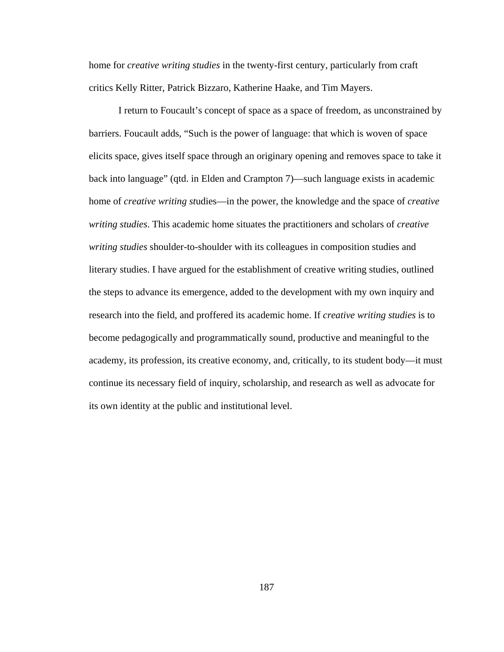home for *creative writing studies* in the twenty-first century, particularly from craft critics Kelly Ritter, Patrick Bizzaro, Katherine Haake, and Tim Mayers.

I return to Foucault's concept of space as a space of freedom, as unconstrained by barriers. Foucault adds, "Such is the power of language: that which is woven of space elicits space, gives itself space through an originary opening and removes space to take it back into language" (qtd. in Elden and Crampton 7)—such language exists in academic home of *creative writing st*udies—in the power, the knowledge and the space of *creative writing studies*. This academic home situates the practitioners and scholars of *creative writing studies* shoulder-to-shoulder with its colleagues in composition studies and literary studies. I have argued for the establishment of creative writing studies, outlined the steps to advance its emergence, added to the development with my own inquiry and research into the field, and proffered its academic home. If *creative writing studies* is to become pedagogically and programmatically sound, productive and meaningful to the academy, its profession, its creative economy, and, critically, to its student body—it must continue its necessary field of inquiry, scholarship, and research as well as advocate for its own identity at the public and institutional level.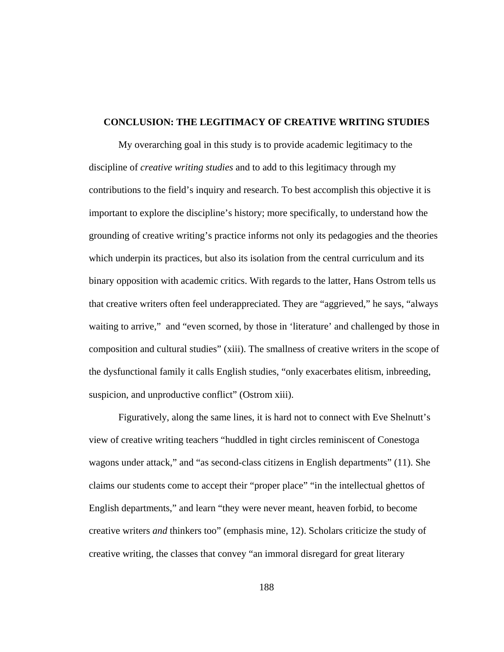# **CONCLUSION: THE LEGITIMACY OF CREATIVE WRITING STUDIES**

My overarching goal in this study is to provide academic legitimacy to the discipline of *creative writing studies* and to add to this legitimacy through my contributions to the field's inquiry and research. To best accomplish this objective it is important to explore the discipline's history; more specifically, to understand how the grounding of creative writing's practice informs not only its pedagogies and the theories which underpin its practices, but also its isolation from the central curriculum and its binary opposition with academic critics. With regards to the latter, Hans Ostrom tells us that creative writers often feel underappreciated. They are "aggrieved," he says, "always waiting to arrive," and "even scorned, by those in 'literature' and challenged by those in composition and cultural studies" (xiii). The smallness of creative writers in the scope of the dysfunctional family it calls English studies, "only exacerbates elitism, inbreeding, suspicion, and unproductive conflict" (Ostrom xiii).

Figuratively, along the same lines, it is hard not to connect with Eve Shelnutt's view of creative writing teachers "huddled in tight circles reminiscent of Conestoga wagons under attack," and "as second-class citizens in English departments" (11). She claims our students come to accept their "proper place" "in the intellectual ghettos of English departments," and learn "they were never meant, heaven forbid, to become creative writers *and* thinkers too" (emphasis mine, 12). Scholars criticize the study of creative writing, the classes that convey "an immoral disregard for great literary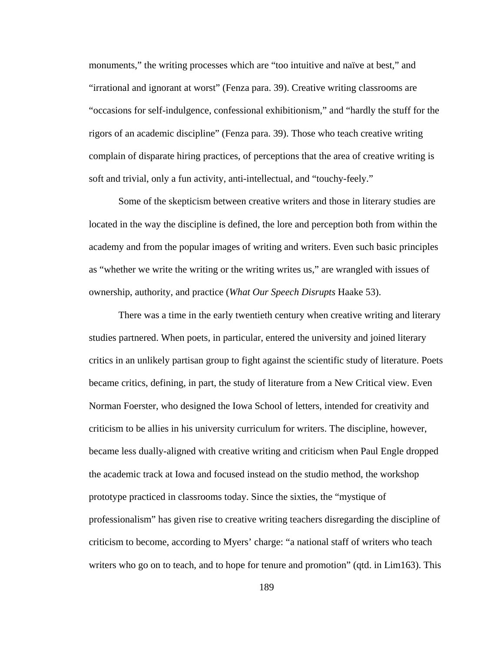monuments," the writing processes which are "too intuitive and naïve at best," and "irrational and ignorant at worst" (Fenza para. 39). Creative writing classrooms are "occasions for self-indulgence, confessional exhibitionism," and "hardly the stuff for the rigors of an academic discipline" (Fenza para. 39). Those who teach creative writing complain of disparate hiring practices, of perceptions that the area of creative writing is soft and trivial, only a fun activity, anti-intellectual, and "touchy-feely."

Some of the skepticism between creative writers and those in literary studies are located in the way the discipline is defined, the lore and perception both from within the academy and from the popular images of writing and writers. Even such basic principles as "whether we write the writing or the writing writes us," are wrangled with issues of ownership, authority, and practice (*What Our Speech Disrupts* Haake 53).

There was a time in the early twentieth century when creative writing and literary studies partnered. When poets, in particular, entered the university and joined literary critics in an unlikely partisan group to fight against the scientific study of literature. Poets became critics, defining, in part, the study of literature from a New Critical view. Even Norman Foerster, who designed the Iowa School of letters, intended for creativity and criticism to be allies in his university curriculum for writers. The discipline, however, became less dually-aligned with creative writing and criticism when Paul Engle dropped the academic track at Iowa and focused instead on the studio method, the workshop prototype practiced in classrooms today. Since the sixties, the "mystique of professionalism" has given rise to creative writing teachers disregarding the discipline of criticism to become, according to Myers' charge: "a national staff of writers who teach writers who go on to teach, and to hope for tenure and promotion" (qtd. in Lim163). This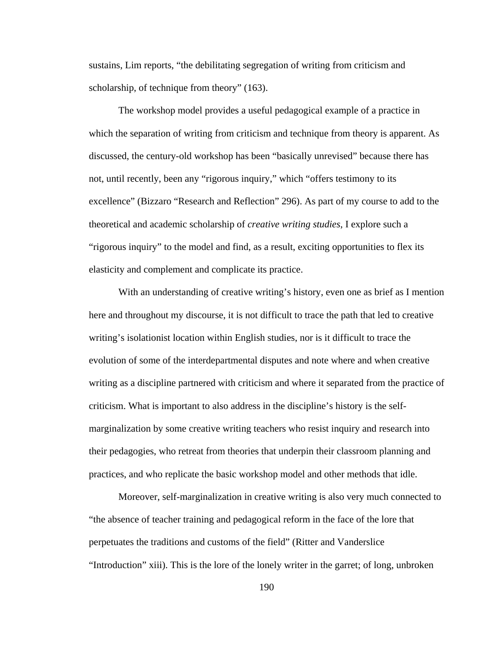sustains, Lim reports, "the debilitating segregation of writing from criticism and scholarship, of technique from theory" (163).

The workshop model provides a useful pedagogical example of a practice in which the separation of writing from criticism and technique from theory is apparent. As discussed, the century-old workshop has been "basically unrevised" because there has not, until recently, been any "rigorous inquiry," which "offers testimony to its excellence" (Bizzaro "Research and Reflection" 296). As part of my course to add to the theoretical and academic scholarship of *creative writing studies*, I explore such a "rigorous inquiry" to the model and find, as a result, exciting opportunities to flex its elasticity and complement and complicate its practice.

With an understanding of creative writing's history, even one as brief as I mention here and throughout my discourse, it is not difficult to trace the path that led to creative writing's isolationist location within English studies, nor is it difficult to trace the evolution of some of the interdepartmental disputes and note where and when creative writing as a discipline partnered with criticism and where it separated from the practice of criticism. What is important to also address in the discipline's history is the selfmarginalization by some creative writing teachers who resist inquiry and research into their pedagogies, who retreat from theories that underpin their classroom planning and practices, and who replicate the basic workshop model and other methods that idle.

Moreover, self-marginalization in creative writing is also very much connected to "the absence of teacher training and pedagogical reform in the face of the lore that perpetuates the traditions and customs of the field" (Ritter and Vanderslice "Introduction" xiii). This is the lore of the lonely writer in the garret; of long, unbroken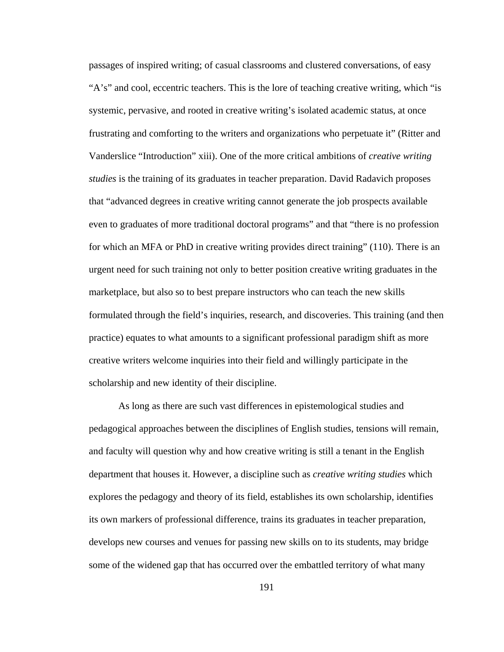passages of inspired writing; of casual classrooms and clustered conversations, of easy "A's" and cool, eccentric teachers. This is the lore of teaching creative writing, which "is systemic, pervasive, and rooted in creative writing's isolated academic status, at once frustrating and comforting to the writers and organizations who perpetuate it" (Ritter and Vanderslice "Introduction" xiii). One of the more critical ambitions of *creative writing studies* is the training of its graduates in teacher preparation. David Radavich proposes that "advanced degrees in creative writing cannot generate the job prospects available even to graduates of more traditional doctoral programs" and that "there is no profession for which an MFA or PhD in creative writing provides direct training" (110). There is an urgent need for such training not only to better position creative writing graduates in the marketplace, but also so to best prepare instructors who can teach the new skills formulated through the field's inquiries, research, and discoveries. This training (and then practice) equates to what amounts to a significant professional paradigm shift as more creative writers welcome inquiries into their field and willingly participate in the scholarship and new identity of their discipline.

As long as there are such vast differences in epistemological studies and pedagogical approaches between the disciplines of English studies, tensions will remain, and faculty will question why and how creative writing is still a tenant in the English department that houses it. However, a discipline such as *creative writing studies* which explores the pedagogy and theory of its field, establishes its own scholarship, identifies its own markers of professional difference, trains its graduates in teacher preparation, develops new courses and venues for passing new skills on to its students, may bridge some of the widened gap that has occurred over the embattled territory of what many

191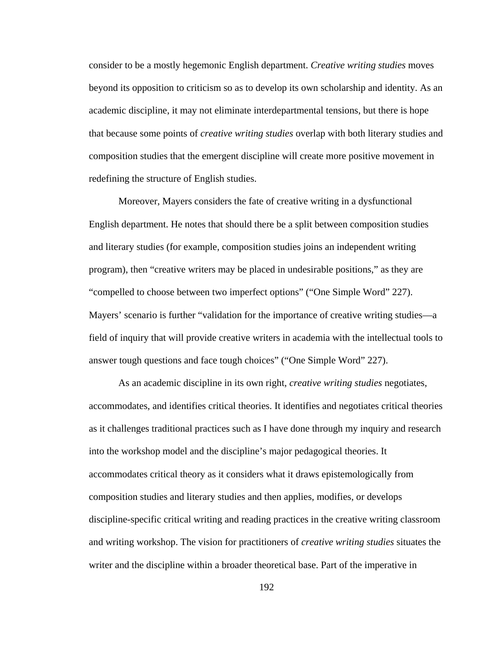consider to be a mostly hegemonic English department. *Creative writing studies* moves beyond its opposition to criticism so as to develop its own scholarship and identity. As an academic discipline, it may not eliminate interdepartmental tensions, but there is hope that because some points of *creative writing studies* overlap with both literary studies and composition studies that the emergent discipline will create more positive movement in redefining the structure of English studies.

Moreover, Mayers considers the fate of creative writing in a dysfunctional English department. He notes that should there be a split between composition studies and literary studies (for example, composition studies joins an independent writing program), then "creative writers may be placed in undesirable positions," as they are "compelled to choose between two imperfect options" ("One Simple Word" 227). Mayers' scenario is further "validation for the importance of creative writing studies—a field of inquiry that will provide creative writers in academia with the intellectual tools to answer tough questions and face tough choices" ("One Simple Word" 227).

As an academic discipline in its own right, *creative writing studies* negotiates, accommodates, and identifies critical theories. It identifies and negotiates critical theories as it challenges traditional practices such as I have done through my inquiry and research into the workshop model and the discipline's major pedagogical theories. It accommodates critical theory as it considers what it draws epistemologically from composition studies and literary studies and then applies, modifies, or develops discipline-specific critical writing and reading practices in the creative writing classroom and writing workshop. The vision for practitioners of *creative writing studies* situates the writer and the discipline within a broader theoretical base. Part of the imperative in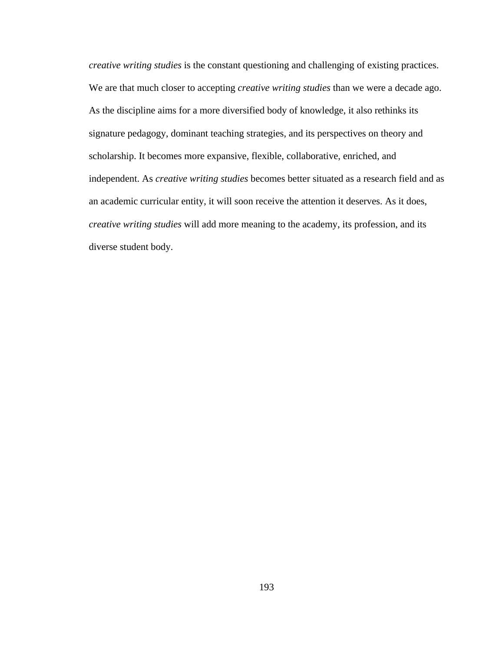*creative writing studies* is the constant questioning and challenging of existing practices. We are that much closer to accepting *creative writing studies* than we were a decade ago. As the discipline aims for a more diversified body of knowledge, it also rethinks its signature pedagogy, dominant teaching strategies, and its perspectives on theory and scholarship. It becomes more expansive, flexible, collaborative, enriched, and independent. As *creative writing studies* becomes better situated as a research field and as an academic curricular entity, it will soon receive the attention it deserves. As it does, *creative writing studies* will add more meaning to the academy, its profession, and its diverse student body.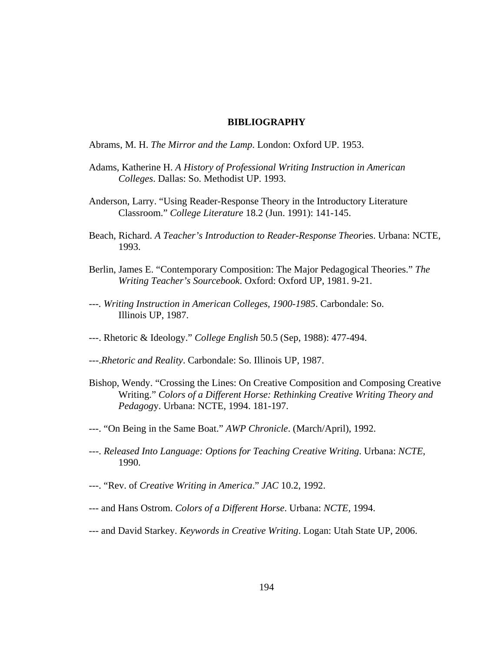# **BIBLIOGRAPHY**

Abrams, M. H. *The Mirror and the Lamp*. London: Oxford UP. 1953.

- Adams, Katherine H. *A History of Professional Writing Instruction in American Colleges*. Dallas: So. Methodist UP. 1993.
- Anderson, Larry. "Using Reader-Response Theory in the Introductory Literature Classroom." *College Literature* 18.2 (Jun. 1991): 141-145.
- Beach, Richard. *A Teacher's Introduction to Reader-Response Theor*ies. Urbana: NCTE, 1993.
- Berlin, James E. "Contemporary Composition: The Major Pedagogical Theories." *The Writing Teacher's Sourcebook*. Oxford: Oxford UP, 1981. 9-21.
- *---. Writing Instruction in American Colleges, 1900-1985*. Carbondale: So. Illinois UP, 1987.
- ---. Rhetoric & Ideology." *College English* 50.5 (Sep, 1988): 477-494.
- ---.*Rhetoric and Reality*. Carbondale: So. Illinois UP, 1987.
- Bishop, Wendy. "Crossing the Lines: On Creative Composition and Composing Creative Writing." *Colors of a Different Horse: Rethinking Creative Writing Theory and Pedagog*y. Urbana: NCTE, 1994. 181-197.
- ---. "On Being in the Same Boat." *AWP Chronicle*. (March/April), 1992.
- ---. *Released Into Language: Options for Teaching Creative Writing*. Urbana: *NCTE*, 1990.
- ---. "Rev. of *Creative Writing in America*." *JAC* 10.2, 1992.
- --- and Hans Ostrom. *Colors of a Different Horse*. Urbana: *NCTE*, 1994.
- --- and David Starkey. *Keywords in Creative Writing*. Logan: Utah State UP, 2006.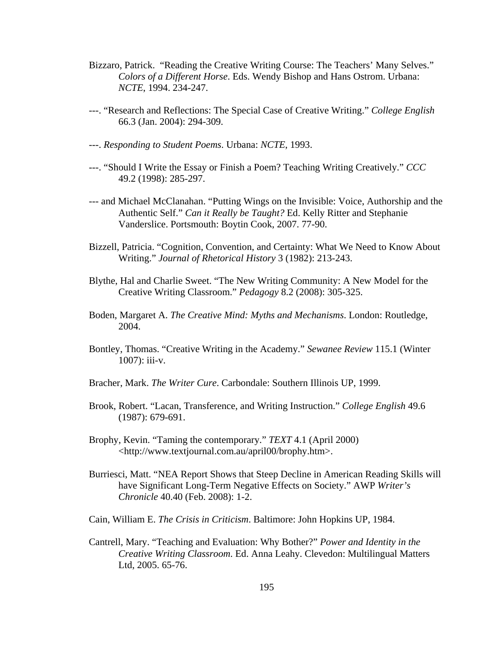- Bizzaro, Patrick. "Reading the Creative Writing Course: The Teachers' Many Selves." *Colors of a Different Horse*. Eds. Wendy Bishop and Hans Ostrom. Urbana: *NCTE*, 1994. 234-247.
- ---. "Research and Reflections: The Special Case of Creative Writing." *College English* 66.3 (Jan. 2004): 294-309.
- ---. *Responding to Student Poems*. Urbana: *NCTE*, 1993.
- ---. "Should I Write the Essay or Finish a Poem? Teaching Writing Creatively." *CCC* 49.2 (1998): 285-297.
- --- and Michael McClanahan. "Putting Wings on the Invisible: Voice, Authorship and the Authentic Self." *Can it Really be Taught?* Ed. Kelly Ritter and Stephanie Vanderslice. Portsmouth: Boytin Cook, 2007. 77-90.
- Bizzell, Patricia. "Cognition, Convention, and Certainty: What We Need to Know About Writing." *Journal of Rhetorical History* 3 (1982): 213-243.
- Blythe, Hal and Charlie Sweet. "The New Writing Community: A New Model for the Creative Writing Classroom." *Pedagogy* 8.2 (2008): 305-325.
- Boden, Margaret A. *The Creative Mind: Myths and Mechanisms*. London: Routledge, 2004.
- Bontley, Thomas. "Creative Writing in the Academy." *Sewanee Review* 115.1 (Winter 1007): iii-v.
- Bracher, Mark. *The Writer Cure*. Carbondale: Southern Illinois UP, 1999.
- Brook, Robert. "Lacan, Transference, and Writing Instruction." *College English* 49.6 (1987): 679-691.
- Brophy, Kevin. "Taming the contemporary." *TEXT* 4.1 (April 2000) <http://www.textjournal.com.au/april00/brophy.htm>.
- Burriesci, Matt. "NEA Report Shows that Steep Decline in American Reading Skills will have Significant Long-Term Negative Effects on Society." AWP *Writer's Chronicle* 40.40 (Feb. 2008): 1-2.
- Cain, William E. *The Crisis in Criticism*. Baltimore: John Hopkins UP, 1984.
- Cantrell, Mary. "Teaching and Evaluation: Why Bother?" *Power and Identity in the Creative Writing Classroom*. Ed. Anna Leahy. Clevedon: Multilingual Matters Ltd, 2005. 65-76.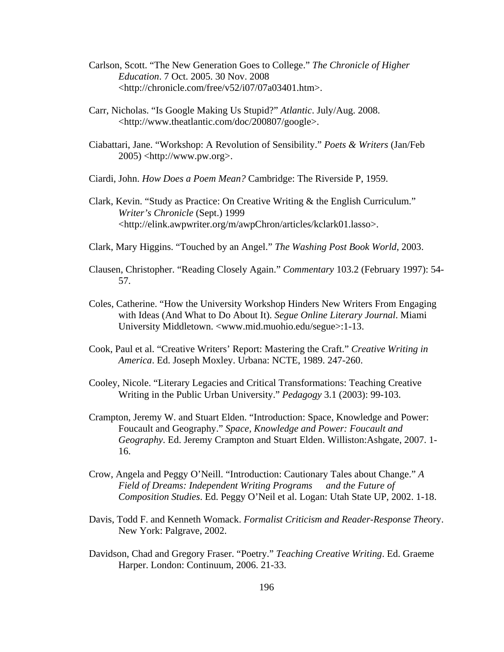- Carlson, Scott. "The New Generation Goes to College." *The Chronicle of Higher Education*. 7 Oct. 2005. 30 Nov. 2008 <http://chronicle.com/free/v52/i07/07a03401.htm>.
- Carr, Nicholas. "Is Google Making Us Stupid?" *Atlantic*. July/Aug. 2008. <http://www.theatlantic.com/doc/200807/google>.
- Ciabattari, Jane. "Workshop: A Revolution of Sensibility." *Poets & Writers* (Jan/Feb 2005) <http://www.pw.org>.
- Ciardi, John. *How Does a Poem Mean?* Cambridge: The Riverside P, 1959.
- Clark, Kevin. "Study as Practice: On Creative Writing & the English Curriculum." *Writer's Chronicle* (Sept.) 1999 <http://elink.awpwriter.org/m/awpChron/articles/kclark01.lasso>.
- Clark, Mary Higgins. "Touched by an Angel." *The Washing Post Book World*, 2003.
- Clausen, Christopher. "Reading Closely Again." *Commentary* 103.2 (February 1997): 54- 57.
- Coles, Catherine. "How the University Workshop Hinders New Writers From Engaging with Ideas (And What to Do About It). *Segue Online Literary Journal*. Miami University Middletown. <www.mid.muohio.edu/segue>:1-13.
- Cook, Paul et al. "Creative Writers' Report: Mastering the Craft." *Creative Writing in America*. Ed. Joseph Moxley. Urbana: NCTE, 1989. 247-260.
- Cooley, Nicole. "Literary Legacies and Critical Transformations: Teaching Creative Writing in the Public Urban University." *Pedagogy* 3.1 (2003): 99-103.
- Crampton, Jeremy W. and Stuart Elden. "Introduction: Space, Knowledge and Power: Foucault and Geography." *Space, Knowledge and Power: Foucault and Geography*. Ed. Jeremy Crampton and Stuart Elden. Williston:Ashgate, 2007. 1- 16.
- Crow, Angela and Peggy O'Neill. "Introduction: Cautionary Tales about Change." *A Field of Dreams: Independent Writing Programs and the Future of Composition Studies*. Ed. Peggy O'Neil et al. Logan: Utah State UP, 2002. 1-18.
- Davis, Todd F. and Kenneth Womack. *Formalist Criticism and Reader-Response The*ory. New York: Palgrave, 2002.
- Davidson, Chad and Gregory Fraser. "Poetry." *Teaching Creative Writing*. Ed. Graeme Harper. London: Continuum, 2006. 21-33.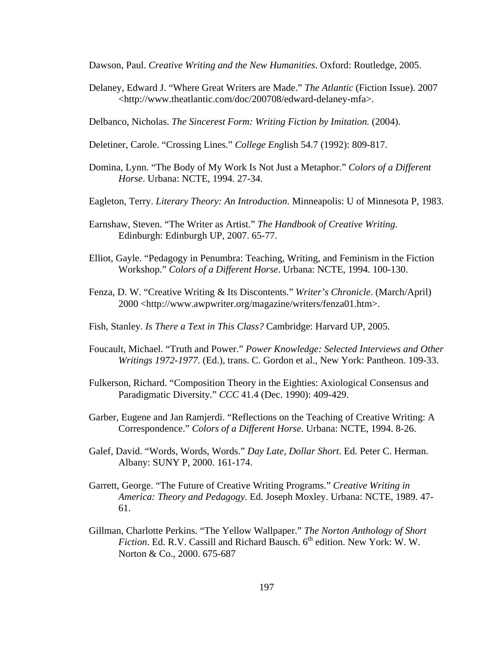Dawson, Paul. *Creative Writing and the New Humanities*. Oxford: Routledge, 2005.

- Delaney, Edward J. "Where Great Writers are Made." *The Atlantic* (Fiction Issue). 2007 <http://www.theatlantic.com/doc/200708/edward-delaney-mfa>.
- Delbanco, Nicholas. *The Sincerest Form: Writing Fiction by Imitation.* (2004).
- Deletiner, Carole. "Crossing Lines." *College Eng*lish 54.7 (1992): 809-817.
- Domina, Lynn. "The Body of My Work Is Not Just a Metaphor." *Colors of a Different Horse*. Urbana: NCTE, 1994. 27-34.
- Eagleton, Terry. *Literary Theory: An Introduction*. Minneapolis: U of Minnesota P, 1983.
- Earnshaw, Steven. "The Writer as Artist." *The Handbook of Creative Writing*. Edinburgh: Edinburgh UP, 2007. 65-77.
- Elliot, Gayle. "Pedagogy in Penumbra: Teaching, Writing, and Feminism in the Fiction Workshop." *Colors of a Different Horse*. Urbana: NCTE, 1994. 100-130.
- Fenza, D. W. "Creative Writing & Its Discontents." *Writer's Chronicle*. (March/April) 2000 <http://www.awpwriter.org/magazine/writers/fenza01.htm>.
- Fish, Stanley. *Is There a Text in This Class?* Cambridge: Harvard UP, 2005.
- Foucault, Michael. "Truth and Power." *Power Knowledge: Selected Interviews and Other Writings 1972-1977*. (Ed.), trans. C. Gordon et al., New York: Pantheon. 109-33.
- Fulkerson, Richard. "Composition Theory in the Eighties: Axiological Consensus and Paradigmatic Diversity." *CCC* 41.4 (Dec. 1990): 409-429.
- Garber, Eugene and Jan Ramjerdi. "Reflections on the Teaching of Creative Writing: A Correspondence." *Colors of a Different Horse*. Urbana: NCTE, 1994. 8-26.
- Galef, David. "Words, Words, Words." *Day Late, Dollar Short*. Ed. Peter C. Herman. Albany: SUNY P, 2000. 161-174.
- Garrett, George. "The Future of Creative Writing Programs." *Creative Writing in America: Theory and Pedagogy*. Ed. Joseph Moxley. Urbana: NCTE, 1989. 47- 61.
- Gillman, Charlotte Perkins. "The Yellow Wallpaper." *The Norton Anthology of Short Fiction*. Ed. R.V. Cassill and Richard Bausch. 6<sup>th</sup> edition. New York: W. W. Norton & Co., 2000. 675-687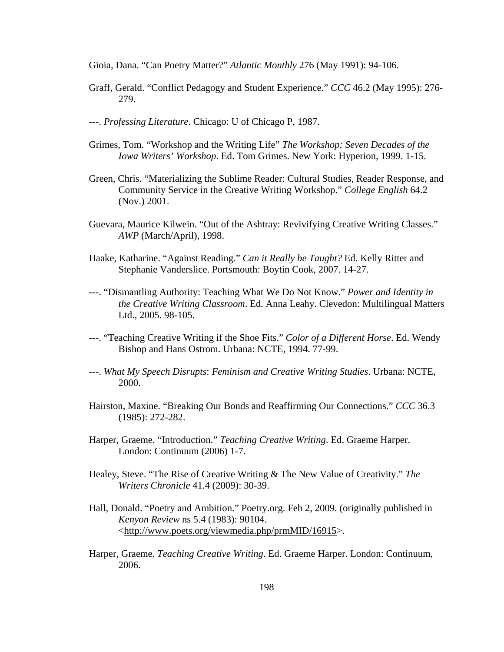- Gioia, Dana. "Can Poetry Matter?" *Atlantic Monthly* 276 (May 1991): 94-106.
- Graff, Gerald. "Conflict Pedagogy and Student Experience." *CCC* 46.2 (May 1995): 276- 279.
- ---. *Professing Literature*. Chicago: U of Chicago P, 1987.
- Grimes, Tom. "Workshop and the Writing Life" *The Workshop: Seven Decades of the Iowa Writers' Workshop*. Ed. Tom Grimes. New York: Hyperion, 1999. 1-15.
- Green, Chris. "Materializing the Sublime Reader: Cultural Studies, Reader Response, and Community Service in the Creative Writing Workshop." *College English* 64.2 (Nov.) 2001.
- Guevara, Maurice Kilwein. "Out of the Ashtray: Revivifying Creative Writing Classes." *AWP* (March/April), 1998.
- Haake, Katharine. "Against Reading." *Can it Really be Taught?* Ed. Kelly Ritter and Stephanie Vanderslice. Portsmouth: Boytin Cook, 2007. 14-27.
- ---. "Dismantling Authority: Teaching What We Do Not Know." *Power and Identity in the Creative Writing Classroom*. Ed. Anna Leahy. Clevedon: Multilingual Matters Ltd., 2005. 98-105.
- ---. "Teaching Creative Writing if the Shoe Fits." *Color of a Different Horse*. Ed. Wendy Bishop and Hans Ostrom. Urbana: NCTE, 1994. 77-99.
- ---. *What My Speech Disrupts*: *Feminism and Creative Writing Studies*. Urbana: NCTE, 2000.
- Hairston, Maxine. "Breaking Our Bonds and Reaffirming Our Connections." *CCC* 36.3 (1985): 272-282.
- Harper, Graeme. "Introduction." *Teaching Creative Writing*. Ed. Graeme Harper. London: Continuum (2006) 1-7.
- Healey, Steve. "The Rise of Creative Writing & The New Value of Creativity." *The Writers Chronicle* 41.4 (2009): 30-39.
- Hall, Donald. "Poetry and Ambition." Poetry.org. Feb 2, 2009. (originally published in *Kenyon Review* ns 5.4 (1983): 90104. <http://www.poets.org/viewmedia.php/prmMID/16915>.
- Harper, Graeme. *Teaching Creative Writing*. Ed. Graeme Harper. London: Continuum, 2006.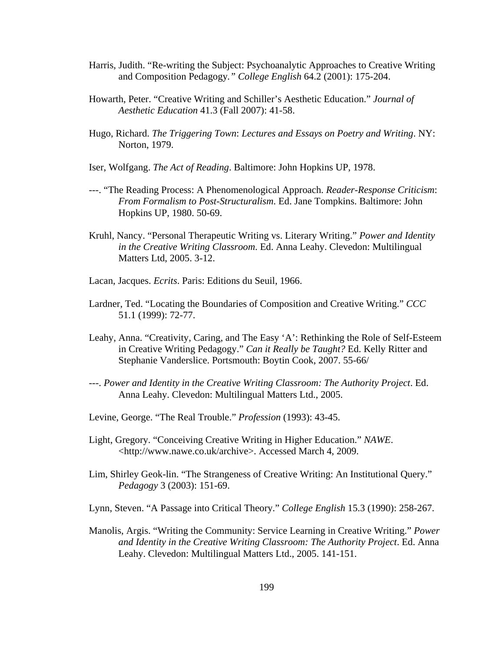- Harris, Judith. "Re-writing the Subject: Psychoanalytic Approaches to Creative Writing and Composition Pedagogy*." College English* 64.2 (2001): 175-204.
- Howarth, Peter. "Creative Writing and Schiller's Aesthetic Education." *Journal of Aesthetic Education* 41.3 (Fall 2007): 41-58.
- Hugo, Richard. *The Triggering Town*: *Lectures and Essays on Poetry and Writing*. NY: Norton, 1979.
- Iser, Wolfgang. *The Act of Reading*. Baltimore: John Hopkins UP, 1978.
- ---. "The Reading Process: A Phenomenological Approach. *Reader-Response Criticism*: *From Formalism to Post-Structuralism*. Ed. Jane Tompkins. Baltimore: John Hopkins UP, 1980. 50-69.
- Kruhl, Nancy. "Personal Therapeutic Writing vs. Literary Writing." *Power and Identity in the Creative Writing Classroom*. Ed. Anna Leahy. Clevedon: Multilingual Matters Ltd, 2005. 3-12.
- Lacan, Jacques. *Ecrits*. Paris: Editions du Seuil, 1966.
- Lardner, Ted. "Locating the Boundaries of Composition and Creative Writing." *CCC* 51.1 (1999): 72-77.
- Leahy, Anna. "Creativity, Caring, and The Easy 'A': Rethinking the Role of Self-Esteem in Creative Writing Pedagogy." *Can it Really be Taught?* Ed. Kelly Ritter and Stephanie Vanderslice. Portsmouth: Boytin Cook, 2007. 55-66/
- ---. *Power and Identity in the Creative Writing Classroom: The Authority Project*. Ed. Anna Leahy. Clevedon: Multilingual Matters Ltd., 2005.
- Levine, George. "The Real Trouble." *Profession* (1993): 43-45.
- Light, Gregory. "Conceiving Creative Writing in Higher Education." *NAWE*. <http://www.nawe.co.uk/archive>. Accessed March 4, 2009.
- Lim, Shirley Geok-lin. "The Strangeness of Creative Writing: An Institutional Query." *Pedagogy* 3 (2003): 151-69.
- Lynn, Steven. "A Passage into Critical Theory." *College English* 15.3 (1990): 258-267.
- Manolis, Argis. "Writing the Community: Service Learning in Creative Writing." *Power and Identity in the Creative Writing Classroom: The Authority Project*. Ed. Anna Leahy. Clevedon: Multilingual Matters Ltd., 2005. 141-151.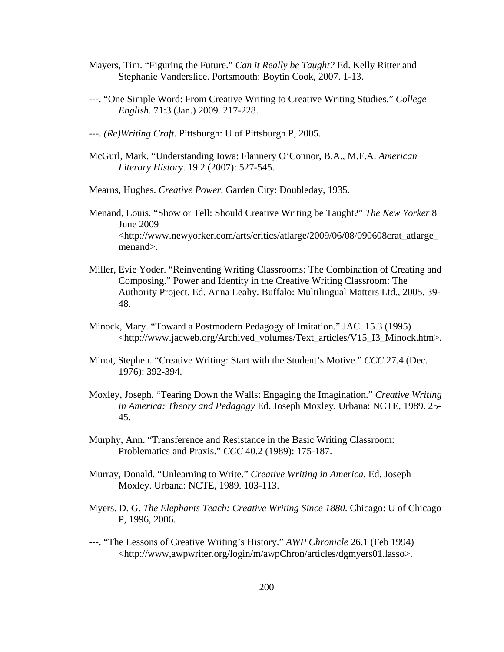- Mayers, Tim. "Figuring the Future." *Can it Really be Taught?* Ed. Kelly Ritter and Stephanie Vanderslice. Portsmouth: Boytin Cook, 2007. 1-13.
- ---. "One Simple Word: From Creative Writing to Creative Writing Studies." *College English*. 71:3 (Jan.) 2009. 217-228.
- ---. *(Re)Writing Craft*. Pittsburgh: U of Pittsburgh P, 2005.
- McGurl, Mark. "Understanding Iowa: Flannery O'Connor, B.A., M.F.A. *American Literary History*. 19.2 (2007): 527-545.
- Mearns, Hughes. *Creative Power*. Garden City: Doubleday, 1935.
- Menand, Louis. "Show or Tell: Should Creative Writing be Taught?" *The New Yorker* 8 June 2009 <http://www.newyorker.com/arts/critics/atlarge/2009/06/08/090608crat\_atlarge\_ menand>.
- Miller, Evie Yoder. "Reinventing Writing Classrooms: The Combination of Creating and Composing." Power and Identity in the Creative Writing Classroom: The Authority Project. Ed. Anna Leahy. Buffalo: Multilingual Matters Ltd., 2005. 39- 48.
- Minock, Mary. "Toward a Postmodern Pedagogy of Imitation." JAC. 15.3 (1995) <http://www.jacweb.org/Archived\_volumes/Text\_articles/V15\_I3\_Minock.htm>.
- Minot, Stephen. "Creative Writing: Start with the Student's Motive." *CCC* 27.4 (Dec. 1976): 392-394.
- Moxley, Joseph. "Tearing Down the Walls: Engaging the Imagination." *Creative Writing in America: Theory and Pedagogy* Ed. Joseph Moxley. Urbana: NCTE, 1989. 25- 45.
- Murphy, Ann. "Transference and Resistance in the Basic Writing Classroom: Problematics and Praxis." *CCC* 40.2 (1989): 175-187.
- Murray, Donald. "Unlearning to Write." *Creative Writing in America*. Ed. Joseph Moxley. Urbana: NCTE, 1989. 103-113.
- Myers. D. G. *The Elephants Teach: Creative Writing Since 1880*. Chicago: U of Chicago P, 1996, 2006.
- ---. "The Lessons of Creative Writing's History." *AWP Chronicle* 26.1 (Feb 1994) <http://www,awpwriter.org/login/m/awpChron/articles/dgmyers01.lasso>.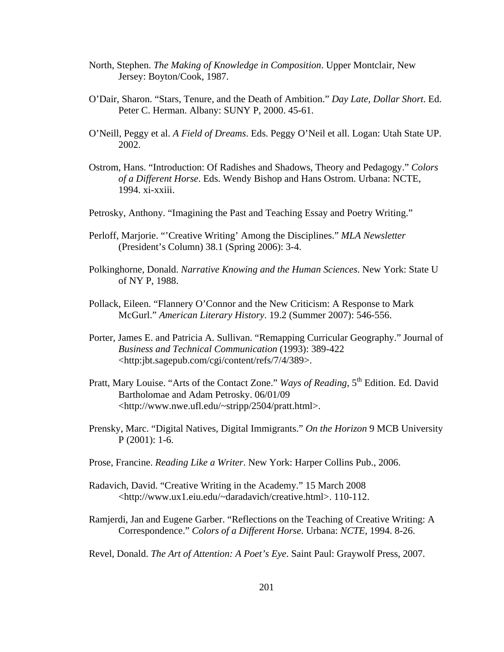- North, Stephen. *The Making of Knowledge in Composition*. Upper Montclair, New Jersey: Boyton/Cook, 1987.
- O'Dair, Sharon. "Stars, Tenure, and the Death of Ambition." *Day Late, Dollar Short*. Ed. Peter C. Herman. Albany: SUNY P, 2000. 45-61.
- O'Neill, Peggy et al. *A Field of Dreams*. Eds. Peggy O'Neil et all. Logan: Utah State UP. 2002.
- Ostrom, Hans. "Introduction: Of Radishes and Shadows, Theory and Pedagogy." *Colors of a Different Horse*. Eds. Wendy Bishop and Hans Ostrom. Urbana: NCTE, 1994. xi-xxiii.
- Petrosky, Anthony. "Imagining the Past and Teaching Essay and Poetry Writing."
- Perloff, Marjorie. "'Creative Writing' Among the Disciplines." *MLA Newsletter*  (President's Column) 38.1 (Spring 2006): 3-4.
- Polkinghorne, Donald. *Narrative Knowing and the Human Sciences*. New York: State U of NY P, 1988.
- Pollack, Eileen. "Flannery O'Connor and the New Criticism: A Response to Mark McGurl." *American Literary History*. 19.2 (Summer 2007): 546-556.
- Porter, James E. and Patricia A. Sullivan. "Remapping Curricular Geography." Journal of *Business and Technical Communication* (1993): 389-422 <http:jbt.sagepub.com/cgi/content/refs/7/4/389>.
- Pratt, Mary Louise. "Arts of the Contact Zone." *Ways of Reading*, 5<sup>th</sup> Edition. Ed. David Bartholomae and Adam Petrosky. 06/01/09 <http://www.nwe.ufl.edu/~stripp/2504/pratt.html>.
- Prensky, Marc. "Digital Natives, Digital Immigrants." *On the Horizon* 9 MCB University P (2001): 1-6.
- Prose, Francine. *Reading Like a Writer*. New York: Harper Collins Pub., 2006.
- Radavich, David. "Creative Writing in the Academy." 15 March 2008 <http://www.ux1.eiu.edu/~daradavich/creative.html>. 110-112.
- Ramjerdi, Jan and Eugene Garber. "Reflections on the Teaching of Creative Writing: A Correspondence." *Colors of a Different Horse*. Urbana: *NCTE*, 1994. 8-26.
- Revel, Donald. *The Art of Attention: A Poet's Eye*. Saint Paul: Graywolf Press, 2007.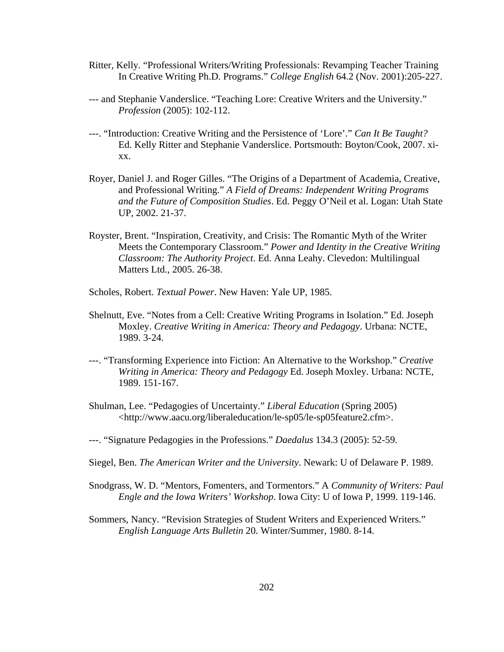- Ritter, Kelly. "Professional Writers/Writing Professionals: Revamping Teacher Training In Creative Writing Ph.D. Programs." *College English* 64.2 (Nov. 2001):205-227.
- --- and Stephanie Vanderslice. "Teaching Lore: Creative Writers and the University." *Profession* (2005): 102-112.
- ---. "Introduction: Creative Writing and the Persistence of 'Lore'." *Can It Be Taught?* Ed. Kelly Ritter and Stephanie Vanderslice. Portsmouth: Boyton/Cook, 2007. xi xx.
- Royer, Daniel J. and Roger Gilles. "The Origins of a Department of Academia, Creative, and Professional Writing." *A Field of Dreams: Independent Writing Programs and the Future of Composition Studies*. Ed. Peggy O'Neil et al. Logan: Utah State UP, 2002. 21-37.
- Royster, Brent. "Inspiration, Creativity, and Crisis: The Romantic Myth of the Writer Meets the Contemporary Classroom." *Power and Identity in the Creative Writing Classroom: The Authority Project*. Ed. Anna Leahy. Clevedon: Multilingual Matters Ltd., 2005. 26-38.
- Scholes, Robert. *Textual Power*. New Haven: Yale UP, 1985.
- Shelnutt, Eve. "Notes from a Cell: Creative Writing Programs in Isolation." Ed. Joseph Moxley. *Creative Writing in America: Theory and Pedagogy*. Urbana: NCTE, 1989. 3-24.
- ---. "Transforming Experience into Fiction: An Alternative to the Workshop." *Creative Writing in America: Theory and Pedagogy* Ed. Joseph Moxley. Urbana: NCTE, 1989. 151-167.
- Shulman, Lee. "Pedagogies of Uncertainty." *Liberal Education* (Spring 2005) <http://www.aacu.org/liberaleducation/le-sp05/le-sp05feature2.cfm>.
- ---. "Signature Pedagogies in the Professions." *Daedalus* 134.3 (2005): 52-59.
- Siegel, Ben. *The American Writer and the University*. Newark: U of Delaware P. 1989.
- Snodgrass, W. D. "Mentors, Fomenters, and Tormentors." A *Community of Writers: Paul Engle and the Iowa Writers' Workshop*. Iowa City: U of Iowa P, 1999. 119-146.
- Sommers, Nancy. "Revision Strategies of Student Writers and Experienced Writers." *English Language Arts Bulletin* 20. Winter/Summer, 1980. 8-14.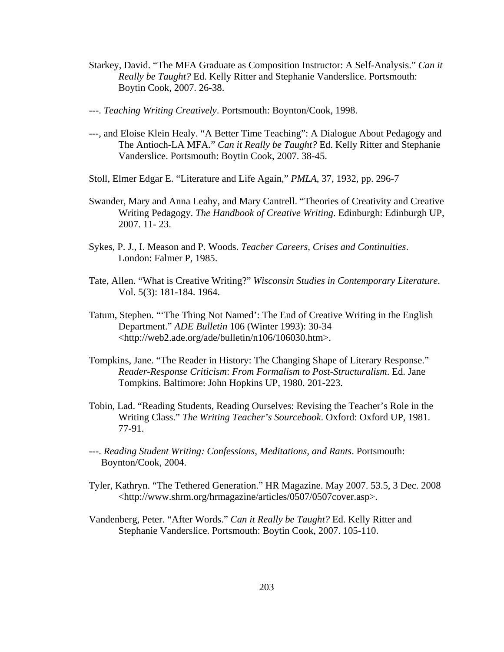- Starkey, David. "The MFA Graduate as Composition Instructor: A Self-Analysis." *Can it Really be Taught?* Ed. Kelly Ritter and Stephanie Vanderslice. Portsmouth: Boytin Cook, 2007. 26-38.
- ---. *Teaching Writing Creatively*. Portsmouth: Boynton/Cook, 1998.
- ---, and Eloise Klein Healy. "A Better Time Teaching": A Dialogue About Pedagogy and The Antioch-LA MFA." *Can it Really be Taught?* Ed. Kelly Ritter and Stephanie Vanderslice. Portsmouth: Boytin Cook, 2007. 38-45.
- Stoll, Elmer Edgar E. "Literature and Life Again," *PMLA*, 37, 1932, pp. 296-7
- Swander, Mary and Anna Leahy, and Mary Cantrell. "Theories of Creativity and Creative Writing Pedagogy. *The Handbook of Creative Writing*. Edinburgh: Edinburgh UP, 2007. 11- 23.
- Sykes, P. J., I. Meason and P. Woods. *Teacher Careers, Crises and Continuities*. London: Falmer P, 1985.
- Tate, Allen. "What is Creative Writing?" *Wisconsin Studies in Contemporary Literature*. Vol. 5(3): 181-184. 1964.
- Tatum, Stephen. "'The Thing Not Named': The End of Creative Writing in the English Department." *ADE Bulletin* 106 (Winter 1993): 30-34 <http://web2.ade.org/ade/bulletin/n106/106030.htm>.
- Tompkins, Jane. "The Reader in History: The Changing Shape of Literary Response." *Reader-Response Criticism*: *From Formalism to Post-Structuralism*. Ed. Jane Tompkins. Baltimore: John Hopkins UP, 1980. 201-223.
- Tobin, Lad. "Reading Students, Reading Ourselves: Revising the Teacher's Role in the Writing Class." *The Writing Teacher's Sourcebook*. Oxford: Oxford UP, 1981. 77-91.
- ---. *Reading Student Writing: Confessions, Meditations, and Rants*. Portsmouth: Boynton/Cook, 2004.
- Tyler, Kathryn. "The Tethered Generation." HR Magazine. May 2007. 53.5, 3 Dec. 2008 <http://www.shrm.org/hrmagazine/articles/0507/0507cover.asp>.
- Vandenberg, Peter. "After Words." *Can it Really be Taught?* Ed. Kelly Ritter and Stephanie Vanderslice. Portsmouth: Boytin Cook, 2007. 105-110.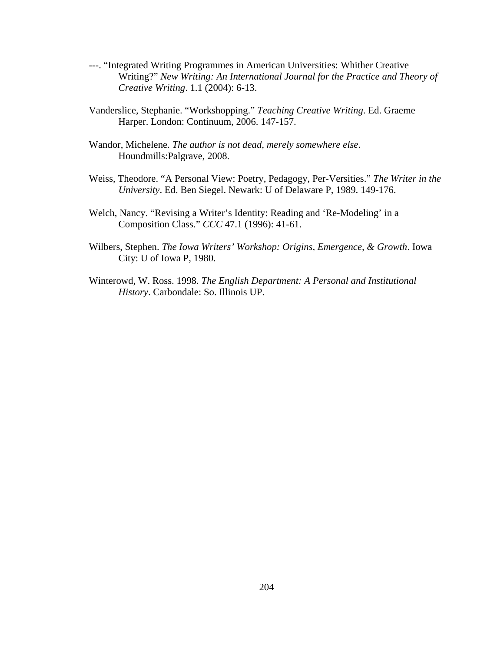- ---. "Integrated Writing Programmes in American Universities: Whither Creative Writing?" *New Writing: An International Journal for the Practice and Theory of Creative Writing*. 1.1 (2004): 6-13.
- Vanderslice, Stephanie. "Workshopping." *Teaching Creative Writing*. Ed. Graeme Harper. London: Continuum, 2006. 147-157.
- Wandor, Michelene. *The author is not dead, merely somewhere else*. Houndmills:Palgrave, 2008.
- Weiss, Theodore. "A Personal View: Poetry, Pedagogy, Per-Versities." *The Writer in the University*. Ed. Ben Siegel. Newark: U of Delaware P, 1989. 149-176.
- Welch, Nancy. "Revising a Writer's Identity: Reading and 'Re-Modeling' in a Composition Class." *CCC* 47.1 (1996): 41-61.
- Wilbers, Stephen. *The Iowa Writers' Workshop: Origins, Emergence, & Growth*. Iowa City: U of Iowa P, 1980.
- Winterowd, W. Ross. 1998. *The English Department: A Personal and Institutional History*. Carbondale: So. Illinois UP.